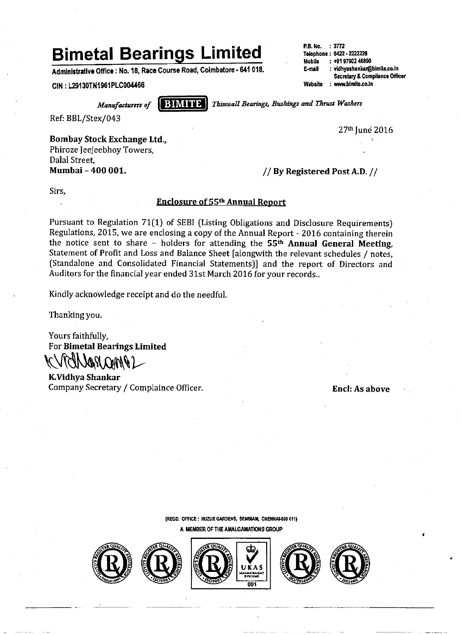# **Bimetal Bearings Limited**

Administrative Office : No. 18, Race Course Road, Coimbatore - 641 018.

CIN: L29130TN1961PLC004466

Manufacturers of

Ref: BBL/Stex/043

# **Bombay Stock Exchange Ltd..** Phiroze Jeejeebhoy Towers. Dalal Street.

Mumbai - 400 001.

Sirs.

// By Registered Post A.D. //

Pursuant to Regulation 71(1) of SEBI (Listing Obligations and Disclosure Requirements) Regulations, 2015, we are enclosing a copy of the Annual Report - 2016 containing therein the notice sent to share  $-$  holders for attending the 55<sup>th</sup> Annual General Meeting. Statement of Profit and Loss and Balance Sheet [alongwith the relevant schedules / notes. (Standalone and Consolidated Financial Statements)] and the report of Directors and Auditors for the financial year ended 31st March 2016 for your records..

**Enclosure of 55th Annual Report** 

Kindly acknowledge receipt and do the needful.

Thanking you.

Yours faithfully, For Bimetal Bearings Limited

70AN YUUA S

K.Vidhya Shankar Company Secretary / Complaince Officer.

**Encl: As above** 

(REGD. OFFICE: HUZUR GARDENS, SEMBIAM, CHENNAI-600 011) A MEMBER OF THE AMALGAMATIONS GROUP



P.B. No. : 3772 Telephone: 0422 - 2222228 Mobile : +91 97902 46890 : vidhyashankar@bimite.co.in **E-mail Secretary & Compliance Officer** Website : www.bimite.co.in

27<sup>th</sup> June 2016

I BIMITE





Thinwall Bearings, Bushings and Thrust Washers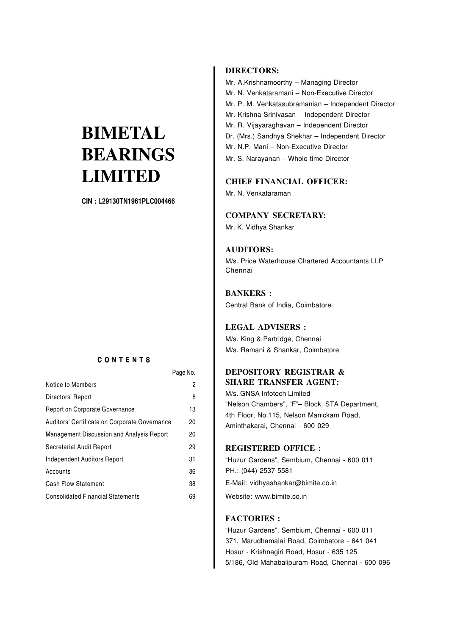# **BIMETAL BEARINGS LIMITED**

CIN : L29130TN1961PLC004466

# C O N T E N T S

|                                                  | Page No. |
|--------------------------------------------------|----------|
| Notice to Members                                | 2        |
| Directors' Report                                | 8        |
| <b>Report on Corporate Governance</b>            | 13       |
| Auditors' Certificate on Corporate Governance    | 20       |
| <b>Management Discussion and Analysis Report</b> | 20       |
| Secretarial Audit Report                         | 29       |
| Independent Auditors Report                      | 31       |
| Accounts                                         | 36       |
| <b>Cash Flow Statement</b>                       | 38       |
| <b>Consolidated Financial Statements</b>         | 69       |

# **DIRECTORS:**

- Mr. A.Krishnamoorthy Managing Director
- Mr. N. Venkataramani Non-Executive Director
- Mr. P. M. Venkatasubramanian Independent Director
- Mr. Krishna Srinivasan Independent Director
- Mr. R. Vijayaraghavan Independent Director
- Dr. (Mrs.) Sandhya Shekhar Independent Director
- Mr. N.P. Mani Non-Executive Director
- Mr. S. Narayanan Whole-time Director

# **CHIEF FINANCIAL OFFICER:**

Mr. N. Venkataraman

# **COMPANY SECRETARY:**

Mr. K. Vidhya Shankar

# **AUDITORS:**

M/s. Price Waterhouse Chartered Accountants LLP Chennai

# **BANKERS :**

Central Bank of India, Coimbatore

# **LEGAL ADVISERS :**

M/s. King & Partridge, Chennai M/s. Ramani & Shankar, Coimbatore

# **DEPOSITORY REGISTRAR & SHARE TRANSFER AGENT:**

M/s. GNSA Infotech Limited "Nelson Chambers", "F"– Block, STA Department, 4th Floor, No.115, Nelson Manickam Road, Aminthakarai, Chennai - 600 029

# **REGISTERED OFFICE :**

"Huzur Gardens", Sembium, Chennai - 600 011 PH.: (044) 2537 5581 E-Mail: vidhyashankar@bimite.co.in Website: www.bimite.co.in

# **FACTORIES :**

"Huzur Gardens", Sembium, Chennai - 600 011 371, Marudhamalai Road, Coimbatore - 641 041 Hosur - Krishnagiri Road, Hosur - 635 125 5/186, Old Mahabalipuram Road, Chennai - 600 096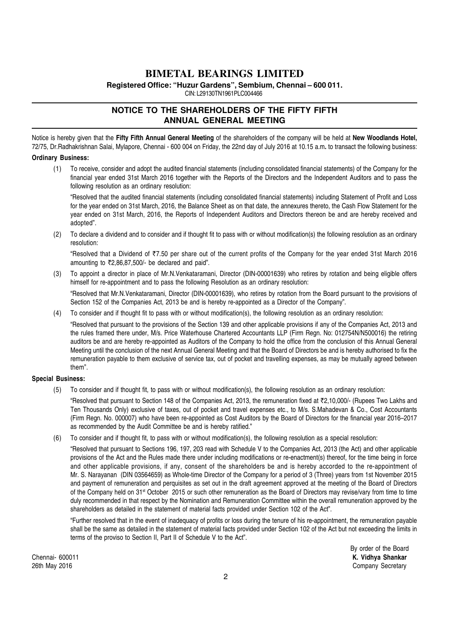# **BIMETAL BEARINGS LIMITED**

**Registered Office: "Huzur Gardens", Sembium, Chennai – 600 011.**

CIN: L29130TN1961PLC004466

# **NOTICE TO THE SHAREHOLDERS OF THE FIFTY FIFTH ANNUAL GENERAL MEETING**

Notice is hereby given that the Fifty Fifth Annual General Meeting of the shareholders of the company will be held at New Woodlands Hotel. 72/75, Dr.Radhakrishnan Salai, Mylapore, Chennai - 600 004 on Friday, the 22nd day of July 2016 at 10.15 a.m. to transact the following business: Ordinary Business:

# (1) To receive, consider and adopt the audited financial statements (including consolidated financial statements) of the Company for the financial year ended 31st March 2016 together with the Reports of the Directors and the Independent Auditors and to pass the following resolution as an ordinary resolution:

"Resolved that the audited financial statements (including consolidated financial statements) including Statement of Profit and Loss for the year ended on 31st March, 2016, the Balance Sheet as on that date, the annexures thereto, the Cash Flow Statement for the year ended on 31st March, 2016, the Reports of Independent Auditors and Directors thereon be and are hereby received and adopted".

(2) To declare a dividend and to consider and if thought fit to pass with or without modification(s) the following resolution as an ordinary resolution:

"Resolved that a Dividend of  $\overline{57.50}$  per share out of the current profits of the Company for the year ended 31st March 2016 amounting to  $\overline{22,86,87,500}$ - be declared and paid".

(3) To appoint a director in place of Mr.N.Venkataramani, Director (DIN-00001639) who retires by rotation and being eligible offers himself for re-appointment and to pass the following Resolution as an ordinary resolution:

"Resolved that Mr.N.Venkataramani, Director (DIN-00001639), who retires by rotation from the Board pursuant to the provisions of Section 152 of the Companies Act, 2013 be and is hereby re-appointed as a Director of the Company".

(4) To consider and if thought fit to pass with or without modification(s), the following resolution as an ordinary resolution:

"Resolved that pursuant to the provisions of the Section 139 and other applicable provisions if any of the Companies Act, 2013 and the rules framed there under, M/s. Price Waterhouse Chartered Accountants LLP (Firm Regn. No: 012754N/N500016) the retiring auditors be and are hereby re-appointed as Auditors of the Company to hold the office from the conclusion of this Annual General Meeting until the conclusion of the next Annual General Meeting and that the Board of Directors be and is hereby authorised to fix the remuneration payable to them exclusive of service tax, out of pocket and travelling expenses, as may be mutually agreed between them".

# Special Business:

(5) To consider and if thought fit, to pass with or without modification(s), the following resolution as an ordinary resolution:

"Resolved that pursuant to Section 148 of the Companies Act, 2013, the remuneration fixed at  $\bar{\tau}$ 2,10,000/- (Rupees Two Lakhs and Ten Thousands Only) exclusive of taxes, out of pocket and travel expenses etc., to M/s. S.Mahadevan & Co., Cost Accountants (Firm Regn. No. 000007) who have been re-appointed as Cost Auditors by the Board of Directors for the financial year 2016–2017 as recommended by the Audit Committee be and is hereby ratified."

(6) To consider and if thought fit, to pass with or without modification(s), the following resolution as a special resolution:

"Resolved that pursuant to Sections 196, 197, 203 read with Schedule V to the Companies Act, 2013 (the Act) and other applicable provisions of the Act and the Rules made there under including modifications or re-enactment(s) thereof, for the time being in force and other applicable provisions, if any, consent of the shareholders be and is hereby accorded to the re-appointment of Mr. S. Narayanan (DIN 03564659) as Whole-time Director of the Company for a period of 3 (Three) years from 1st November 2015 and payment of remuneration and perquisites as set out in the draft agreement approved at the meeting of the Board of Directors of the Company held on 31st October 2015 or such other remuneration as the Board of Directors may revise/vary from time to time duly recommended in that respect by the Nomination and Remuneration Committee within the overall remuneration approved by the shareholders as detailed in the statement of material facts provided under Section 102 of the Act".

"Further resolved that in the event of inadequacy of profits or loss during the tenure of his re-appointment, the remuneration payable shall be the same as detailed in the statement of material facts provided under Section 102 of the Act but not exceeding the limits in terms of the proviso to Section II, Part II of Schedule V to the Act".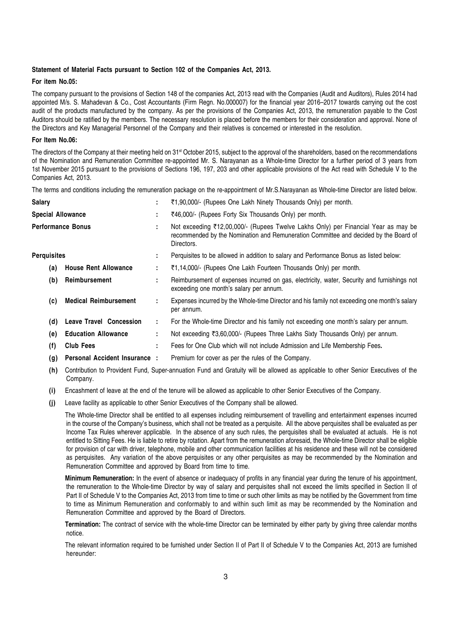#### Statement of Material Facts pursuant to Section 102 of the Companies Act, 2013.

#### For item No.05:

The company pursuant to the provisions of Section 148 of the companies Act, 2013 read with the Companies (Audit and Auditors), Rules 2014 had appointed M/s. S. Mahadevan & Co., Cost Accountants (Firm Regn. No.000007) for the financial year 2016–2017 towards carrying out the cost audit of the products manufactured by the company. As per the provisions of the Companies Act, 2013, the remuneration payable to the Cost Auditors should be ratified by the members. The necessary resolution is placed before the members for their consideration and approval. None of the Directors and Key Managerial Personnel of the Company and their relatives is concerned or interested in the resolution.

#### For Item No.06:

The directors of the Company at their meeting held on 31<sup>st</sup> October 2015, subject to the approval of the shareholders, based on the recommendations of the Nomination and Remuneration Committee re-appointed Mr. S. Narayanan as a Whole-time Director for a further period of 3 years from 1st November 2015 pursuant to the provisions of Sections 196, 197, 203 and other applicable provisions of the Act read with Schedule V to the Companies Act, 2013.

The terms and conditions including the remuneration package on the re-appointment of Mr.S.Narayanan as Whole-time Director are listed below.

| <b>Salary</b>                        |                             | ÷  | ₹1,90,000/- (Rupees One Lakh Ninety Thousands Only) per month.                                                                                                                           |  |  |
|--------------------------------------|-----------------------------|----|------------------------------------------------------------------------------------------------------------------------------------------------------------------------------------------|--|--|
| <b>Special Allowance</b>             |                             | ÷  | ₹46,000/- (Rupees Forty Six Thousands Only) per month.                                                                                                                                   |  |  |
|                                      | <b>Performance Bonus</b>    | ÷. | Not exceeding ₹12,00,000/- (Rupees Twelve Lakhs Only) per Financial Year as may be<br>recommended by the Nomination and Remuneration Committee and decided by the Board of<br>Directors. |  |  |
| <b>Perquisites</b>                   |                             | ٠. | Perquisites to be allowed in addition to salary and Performance Bonus as listed below:                                                                                                   |  |  |
| (a)                                  | <b>House Rent Allowance</b> | ÷  | ₹1,14,000/- (Rupees One Lakh Fourteen Thousands Only) per month.                                                                                                                         |  |  |
| (b)                                  | Reimbursement               | ٠. | Reimbursement of expenses incurred on gas, electricity, water, Security and furnishings not<br>exceeding one month's salary per annum.                                                   |  |  |
| <b>Medical Reimbursement</b><br>(c)  |                             | ÷. | Expenses incurred by the Whole-time Director and his family not exceeding one month's salary<br>per annum.                                                                               |  |  |
| (d)                                  | Leave Travel Concession     | ÷  | For the Whole-time Director and his family not exceeding one month's salary per annum.                                                                                                   |  |  |
| (e)                                  | <b>Education Allowance</b>  | ÷. | Not exceeding $\overline{\xi}3,60,000/$ (Rupees Three Lakhs Sixty Thousands Only) per annum.                                                                                             |  |  |
| (f)                                  | <b>Club Fees</b>            | ٠. | Fees for One Club which will not include Admission and Life Membership Fees.                                                                                                             |  |  |
| Personal Accident Insurance :<br>(g) |                             |    | Premium for cover as per the rules of the Company.                                                                                                                                       |  |  |

(h) Contribution to Provident Fund, Super-annuation Fund and Gratuity will be allowed as applicable to other Senior Executives of the Company.

- (i) Encashment of leave at the end of the tenure will be allowed as applicable to other Senior Executives of the Company.
- (j) Leave facility as applicable to other Senior Executives of the Company shall be allowed.

The Whole-time Director shall be entitled to all expenses including reimbursement of travelling and entertainment expenses incurred in the course of the Company's business, which shall not be treated as a perquisite. All the above perquisites shall be evaluated as per Income Tax Rules wherever applicable. In the absence of any such rules, the perquisites shall be evaluated at actuals. He is not entitled to Sitting Fees. He is liable to retire by rotation. Apart from the remuneration aforesaid, the Whole-time Director shall be eligible for provision of car with driver, telephone, mobile and other communication facilities at his residence and these will not be considered as perquisites. Any variation of the above perquisites or any other perquisites as may be recommended by the Nomination and Remuneration Committee and approved by Board from time to time.

Minimum Remuneration: In the event of absence or inadequacy of profits in any financial year during the tenure of his appointment, the remuneration to the Whole-time Director by way of salary and perquisites shall not exceed the limits specified in Section II of Part II of Schedule V to the Companies Act, 2013 from time to time or such other limits as may be notified by the Government from time to time as Minimum Remuneration and conformably to and within such limit as may be recommended by the Nomination and Remuneration Committee and approved by the Board of Directors.

Termination: The contract of service with the whole-time Director can be terminated by either party by giving three calendar months notice.

The relevant information required to be furnished under Section II of Part II of Schedule V to the Companies Act, 2013 are furnished hereunder: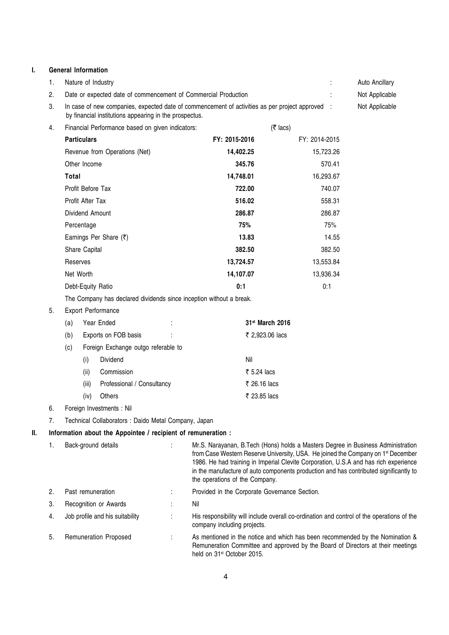# I. General Information

| 1. | Nature of Industry                                                                                                                                        |               |               | Auto Ancillary |
|----|-----------------------------------------------------------------------------------------------------------------------------------------------------------|---------------|---------------|----------------|
| 2. | Date or expected date of commencement of Commercial Production                                                                                            |               |               | Not Applicable |
| 3. | In case of new companies, expected date of commencement of activities as per project approved :<br>by financial institutions appearing in the prospectus. |               |               | Not Applicable |
| 4. | Financial Performance based on given indicators:                                                                                                          |               | (₹ lacs)      |                |
|    | <b>Particulars</b>                                                                                                                                        | FY: 2015-2016 | FY: 2014-2015 |                |
|    | Revenue from Operations (Net)                                                                                                                             | 14,402.25     | 15,723.26     |                |
|    | Other Income                                                                                                                                              | 345.76        | 570.41        |                |
|    | Total                                                                                                                                                     | 14,748.01     | 16,293.67     |                |
|    | Profit Before Tax                                                                                                                                         | 722.00        | 740.07        |                |
|    | Profit After Tax                                                                                                                                          | 516.02        | 558.31        |                |
|    | Dividend Amount                                                                                                                                           | 286.87        | 286.87        |                |
|    | Percentage                                                                                                                                                | 75%           | 75%           |                |
|    | Earnings Per Share (₹)                                                                                                                                    | 13.83         | 14.55         |                |
|    | Share Capital                                                                                                                                             | 382.50        | 382.50        |                |
|    | Reserves                                                                                                                                                  | 13,724.57     | 13,553.84     |                |
|    | Net Worth                                                                                                                                                 | 14,107.07     | 13,936.34     |                |
|    | Debt-Equity Ratio                                                                                                                                         | 0:1           | 0:1           |                |
|    |                                                                                                                                                           |               |               |                |

The Company has declared dividends since inception without a break.

5. Export Performance

|    | (a) |       | Year Ended                          | 31 <sup>st</sup> March 2016 |
|----|-----|-------|-------------------------------------|-----------------------------|
|    | (b) |       | Exports on FOB basis                | ₹ 2,923.06 lacs             |
|    | (c) |       | Foreign Exchange outgo referable to |                             |
|    |     | (i)   | Dividend                            | Nil                         |
|    |     | (ii)  | Commission                          | ₹ 5.24 lacs                 |
|    |     | (iii) | Professional / Consultancy          | ₹ 26.16 lacs                |
|    |     | (iv)  | Others                              | ₹ 23.85 lacs                |
| 6. |     |       | Foreign Investments: Nil            |                             |

# 7. Technical Collaborators : Daido Metal Company, Japan

# II. Information about the Appointee / recipient of remuneration :

|    | Back-ground details             |    | Mr.S. Narayanan, B.Tech (Hons) holds a Masters Degree in Business Administration<br>from Case Western Reserve University, USA. He joined the Company on 1 <sup>st</sup> December<br>1986. He had training in Imperial Clevite Corporation, U.S.A and has rich experience<br>in the manufacture of auto components production and has contributed significantly to<br>the operations of the Company. |
|----|---------------------------------|----|-----------------------------------------------------------------------------------------------------------------------------------------------------------------------------------------------------------------------------------------------------------------------------------------------------------------------------------------------------------------------------------------------------|
|    | Past remuneration               |    | Provided in the Corporate Governance Section.                                                                                                                                                                                                                                                                                                                                                       |
| 3. | Recognition or Awards           |    | Nil                                                                                                                                                                                                                                                                                                                                                                                                 |
| 4. | Job profile and his suitability | ٠. | His responsibility will include overall co-ordination and control of the operations of the<br>company including projects.                                                                                                                                                                                                                                                                           |
| 5. | Remuneration Proposed           |    | As mentioned in the notice and which has been recommended by the Nomination &<br>Remuneration Committee and approved by the Board of Directors at their meetings<br>held on 31 <sup>st</sup> October 2015.                                                                                                                                                                                          |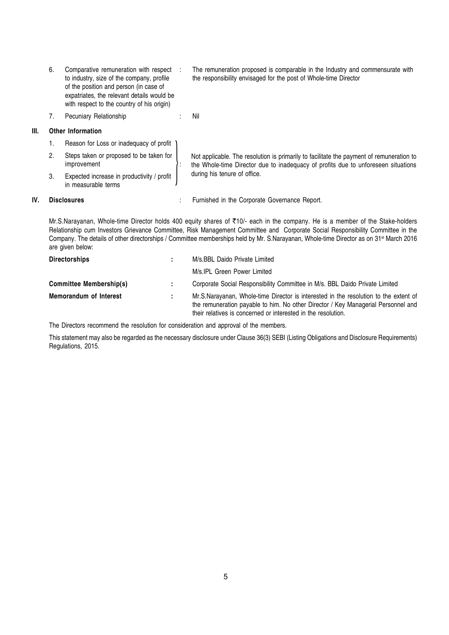|      | 6. | Comparative remuneration with respect<br>to industry, size of the company, profile<br>of the position and person (in case of<br>expatriates, the relevant details would be<br>with respect to the country of his origin) |   | The remuneration proposed is comparable in the Industry and commensurate with<br>the responsibility envisaged for the post of Whole-time Director                             |
|------|----|--------------------------------------------------------------------------------------------------------------------------------------------------------------------------------------------------------------------------|---|-------------------------------------------------------------------------------------------------------------------------------------------------------------------------------|
|      | 7. | Pecuniary Relationship                                                                                                                                                                                                   |   | Nil                                                                                                                                                                           |
| III. |    | Other Information                                                                                                                                                                                                        |   |                                                                                                                                                                               |
|      | 1. | Reason for Loss or inadequacy of profit                                                                                                                                                                                  |   |                                                                                                                                                                               |
|      | 2. | Steps taken or proposed to be taken for<br>improvement                                                                                                                                                                   |   | Not applicable. The resolution is primarily to facilitate the payment of remuneration to<br>the Whole-time Director due to inadequacy of profits due to unforeseen situations |
|      | 3. | Expected increase in productivity / profit<br>in measurable terms                                                                                                                                                        |   | during his tenure of office.                                                                                                                                                  |
| IV.  |    | <b>Disclosures</b>                                                                                                                                                                                                       | ÷ | Furnished in the Corporate Governance Report.                                                                                                                                 |

Mr.S.Narayanan, Whole-time Director holds 400 equity shares of ₹10/- each in the company. He is a member of the Stake-holders Relationship cum Investors Grievance Committee, Risk Management Committee and Corporate Social Responsibility Committee in the Company. The details of other directorships / Committee memberships held by Mr. S.Narayanan, Whole-time Director as on 31st March 2016 are given below:

| <b>Directorships</b>           | M/s.BBL Daido Private Limited                                                                                                                                                                                                              |
|--------------------------------|--------------------------------------------------------------------------------------------------------------------------------------------------------------------------------------------------------------------------------------------|
|                                | M/s.IPL Green Power Limited                                                                                                                                                                                                                |
| <b>Committee Membership(s)</b> | Corporate Social Responsibility Committee in M/s. BBL Daido Private Limited                                                                                                                                                                |
| Memorandum of Interest         | Mr.S.Narayanan, Whole-time Director is interested in the resolution to the extent of<br>the remuneration payable to him. No other Director / Key Managerial Personnel and<br>their relatives is concerned or interested in the resolution. |

The Directors recommend the resolution for consideration and approval of the members.

This statement may also be regarded as the necessary disclosure under Clause 36(3) SEBI (Listing Obligations and Disclosure Requirements) Regulations, 2015.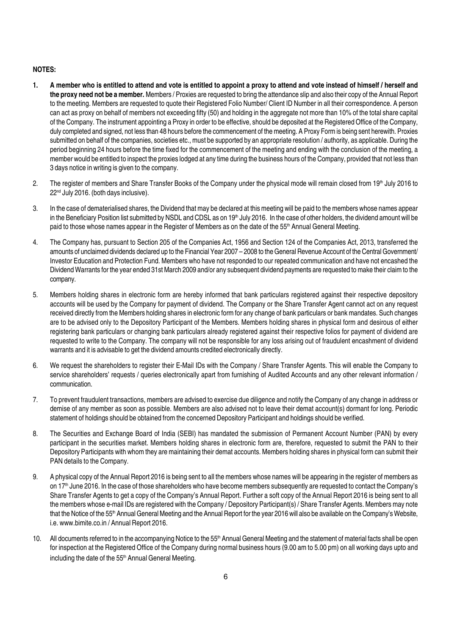# NOTES:

- 1. A member who is entitled to attend and vote is entitled to appoint a proxy to attend and vote instead of himself / herself and the proxy need not be a member. Members / Proxies are requested to bring the attendance slip and also their copy of the Annual Report to the meeting. Members are requested to quote their Registered Folio Number/ Client ID Number in all their correspondence. A person can act as proxy on behalf of members not exceeding fifty (50) and holding in the aggregate not more than 10% of the total share capital of the Company. The instrument appointing a Proxy in order to be effective, should be deposited at the Registered Office of the Company, duly completed and signed, not less than 48 hours before the commencement of the meeting. A Proxy Form is being sent herewith. Proxies submitted on behalf of the companies, societies etc., must be supported by an appropriate resolution / authority, as applicable. During the period beginning 24 hours before the time fixed for the commencement of the meeting and ending with the conclusion of the meeting, a member would be entitled to inspect the proxies lodged at any time during the business hours of the Company, provided that not less than 3 days notice in writing is given to the company.
- 2. The register of members and Share Transfer Books of the Company under the physical mode will remain closed from 19<sup>th</sup> July 2016 to 22<sup>nd</sup> July 2016. (both days inclusive).
- 3. In the case of dematerialised shares, the Dividend that may be declared at this meeting will be paid to the members whose names appear in the Beneficiary Position list submitted by NSDL and CDSL as on 19<sup>th</sup> July 2016. In the case of other holders, the dividend amount will be paid to those whose names appear in the Register of Members as on the date of the 55<sup>th</sup> Annual General Meeting.
- 4. The Company has, pursuant to Section 205 of the Companies Act, 1956 and Section 124 of the Companies Act, 2013, transferred the amounts of unclaimed dividends declared up to the Financial Year 2007 – 2008 to the General Revenue Account of the Central Government/ Investor Education and Protection Fund. Members who have not responded to our repeated communication and have not encashed the Dividend Warrants for the year ended 31st March 2009 and/or any subsequent dividend payments are requested to make their claim to the company.
- 5. Members holding shares in electronic form are hereby informed that bank particulars registered against their respective depository accounts will be used by the Company for payment of dividend. The Company or the Share Transfer Agent cannot act on any request received directly from the Members holding shares in electronic form for any change of bank particulars or bank mandates. Such changes are to be advised only to the Depository Participant of the Members. Members holding shares in physical form and desirous of either registering bank particulars or changing bank particulars already registered against their respective folios for payment of dividend are requested to write to the Company. The company will not be responsible for any loss arising out of fraudulent encashment of dividend warrants and it is advisable to get the dividend amounts credited electronically directly.
- 6. We request the shareholders to register their E-Mail IDs with the Company / Share Transfer Agents. This will enable the Company to service shareholders' requests / queries electronically apart from furnishing of Audited Accounts and any other relevant information / communication.
- 7. To prevent fraudulent transactions, members are advised to exercise due diligence and notify the Company of any change in address or demise of any member as soon as possible. Members are also advised not to leave their demat account(s) dormant for long. Periodic statement of holdings should be obtained from the concerned Depository Participant and holdings should be verified.
- 8. The Securities and Exchange Board of India (SEBI) has mandated the submission of Permanent Account Number (PAN) by every participant in the securities market. Members holding shares in electronic form are, therefore, requested to submit the PAN to their Depository Participants with whom they are maintaining their demat accounts. Members holding shares in physical form can submit their PAN details to the Company.
- 9. A physical copy of the Annual Report 2016 is being sent to all the members whose names will be appearing in the register of members as on 17<sup>th</sup> June 2016. In the case of those shareholders who have become members subsequently are requested to contact the Company's Share Transfer Agents to get a copy of the Company's Annual Report. Further a soft copy of the Annual Report 2016 is being sent to all the members whose e-mail IDs are registered with the Company / Depository Participant(s) / Share Transfer Agents. Members may note that the Notice of the 55<sup>th</sup> Annual General Meeting and the Annual Report for the year 2016 will also be available on the Company's Website, i.e. www.bimite.co.in / Annual Report 2016.
- 10. All documents referred to in the accompanying Notice to the 55<sup>th</sup> Annual General Meeting and the statement of material facts shall be open for inspection at the Registered Office of the Company during normal business hours (9.00 am to 5.00 pm) on all working days upto and including the date of the 55<sup>th</sup> Annual General Meeting.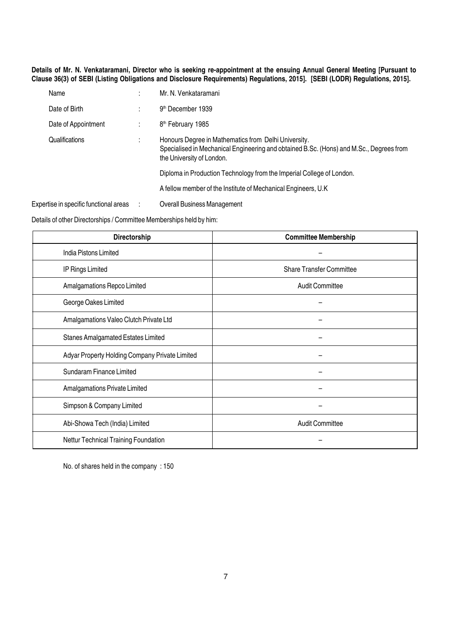Details of Mr. N. Venkataramani, Director who is seeking re-appointment at the ensuing Annual General Meeting [Pursuant to Clause 36(3) of SEBI (Listing Obligations and Disclosure Requirements) Regulations, 2015]. [SEBI (LODR) Regulations, 2015].

| Name                                   |   | Mr. N. Venkataramani                                                                                                                                                         |
|----------------------------------------|---|------------------------------------------------------------------------------------------------------------------------------------------------------------------------------|
| Date of Birth                          |   | 9 <sup>th</sup> December 1939                                                                                                                                                |
| Date of Appointment                    |   | 8 <sup>th</sup> February 1985                                                                                                                                                |
| Qualifications                         |   | Honours Degree in Mathematics from Delhi University.<br>Specialised in Mechanical Engineering and obtained B.Sc. (Hons) and M.Sc., Degrees from<br>the University of London. |
|                                        |   | Diploma in Production Technology from the Imperial College of London.                                                                                                        |
|                                        |   | A fellow member of the Institute of Mechanical Engineers, U.K.                                                                                                               |
| Expertise in specific functional areas | ÷ | Overall Business Management                                                                                                                                                  |

Details of other Directorships / Committee Memberships held by him:

| Directorship                                   | <b>Committee Membership</b>     |
|------------------------------------------------|---------------------------------|
| India Pistons Limited                          |                                 |
| IP Rings Limited                               | <b>Share Transfer Committee</b> |
| Amalgamations Repco Limited                    | <b>Audit Committee</b>          |
| George Oakes Limited                           |                                 |
| Amalgamations Valeo Clutch Private Ltd         |                                 |
| Stanes Amalgamated Estates Limited             |                                 |
| Adyar Property Holding Company Private Limited |                                 |
| Sundaram Finance Limited                       |                                 |
| Amalgamations Private Limited                  |                                 |
| Simpson & Company Limited                      |                                 |
| Abi-Showa Tech (India) Limited                 | <b>Audit Committee</b>          |
| Nettur Technical Training Foundation           |                                 |

No. of shares held in the company : 150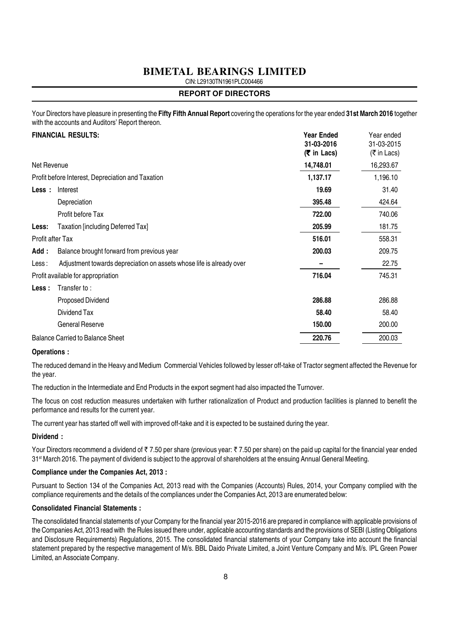# **BIMETAL BEARINGS LIMITED**

CIN: L29130TN1961PLC004466

# **REPORT OF DIRECTORS**

Your Directors have pleasure in presenting the Fifty Fifth Annual Report covering the operations for the year ended 31st March 2016 together with the accounts and Auditors' Report thereon.

# FINANCIAL RESULTS: Year Ended Year ended 31-03-2016 31-03-2015  $(\bar{\bar{\mathbf{\tau}}}$  in Lacs)  $(\bar{\bar{\mathbf{\tau}}}$  in Lacs) Net Revenue 14,748.01 16,293.67 Profit before Interest, Depreciation and Taxation 1, 1,137.17 1,137.17 1,196.10 Less : Interest 19.69 31.40 Depreciation 395.48 424.64 Profit before Tax 740.06 Less: Taxation lincluding Deferred Tax1 205.99 181.75 Profit after Tax 558.31 558.31 Add : Balance brought forward from previous year 2000000 200.03 200.03 209.75 Less: Adjustment towards depreciation on assets whose life is already over  $\sim$  22.75 Profit available for appropriation **745.31 Profit available for appropriation** 745.31 Less : Transfer to : Proposed Dividend 286.88 286.88 286.88 286.88 286.88 286.88 286.88 286.88 286.88 286.88 286.88 286.88 286.88 2 Dividend Tax 58.40 58.40 General Reserve 200.00 and the server of the server of the server of the server of the server of the server of the server of the server of the server of the server of the server of the server of the server of the server of Balance Carried to Balance Sheet 220.76 200.03

# Operations :

The reduced demand in the Heavy and Medium Commercial Vehicles followed by lesser off-take of Tractor segment affected the Revenue for the year.

The reduction in the Intermediate and End Products in the export segment had also impacted the Turnover.

The focus on cost reduction measures undertaken with further rationalization of Product and production facilities is planned to benefit the performance and results for the current year.

The current year has started off well with improved off-take and it is expected to be sustained during the year.

# Dividend :

Your Directors recommend a dividend of  $\bar{\tau}$  7.50 per share (previous year:  $\bar{\tau}$  7.50 per share) on the paid up capital for the financial year ended 31<sup>st</sup> March 2016. The payment of dividend is subject to the approval of shareholders at the ensuing Annual General Meeting.

# Compliance under the Companies Act, 2013 :

Pursuant to Section 134 of the Companies Act, 2013 read with the Companies (Accounts) Rules, 2014, your Company complied with the compliance requirements and the details of the compliances under the Companies Act, 2013 are enumerated below:

#### Consolidated Financial Statements :

The consolidated financial statements of your Company for the financial year 2015-2016 are prepared in compliance with applicable provisions of the Companies Act, 2013 read with the Rules issued there under, applicable accounting standards and the provisions of SEBI (Listing Obligations and Disclosure Requirements) Regulations, 2015. The consolidated financial statements of your Company take into account the financial statement prepared by the respective management of M/s. BBL Daido Private Limited, a Joint Venture Company and M/s. IPL Green Power Limited, an Associate Company.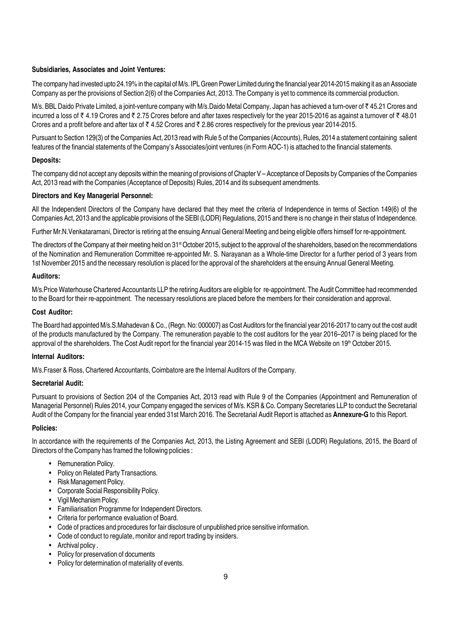# Subsidiaries, Associates and Joint Ventures:

The company had invested upto 24.19% in the capital of M/s. IPL Green Power Limited during the financial year 2014-2015 making it as an Associate Company as per the provisions of Section 2(6) of the Companies Act, 2013. The Company is yet to commence its commercial production.

M/s. BBL Daido Private Limited, a joint-venture company with M/s.Daido Metal Company, Japan has achieved a turn-over of ₹45.21 Crores and incurred a loss of  $\bar{\tau}$  4.19 Crores and  $\bar{\tau}$  2.75 Crores before and after taxes respectively for the year 2015-2016 as against a turnover of  $\bar{\tau}$  48.01 Crores and a profit before and after tax of  $\bar{\tau}$  4.52 Crores and  $\bar{\tau}$  2.86 crores respectively for the previous year 2014-2015.

Pursuant to Section 129(3) of the Companies Act, 2013 read with Rule 5 of the Companies (Accounts), Rules, 2014 a statement containing salient features of the financial statements of the Company's Associates/joint ventures (in Form AOC-1) is attached to the financial statements.

#### Deposits:

The company did not accept any deposits within the meaning of provisions of Chapter V – Acceptance of Deposits by Companies of the Companies Act, 2013 read with the Companies (Acceptance of Deposits) Rules, 2014 and its subsequent amendments.

#### Directors and Key Managerial Personnel:

All the Independent Directors of the Company have declared that they meet the criteria of Independence in terms of Section 149(6) of the Companies Act, 2013 and the applicable provisions of the SEBI (LODR) Regulations, 2015 and there is no change in their status of Independence.

Further Mr.N.Venkataramani, Director is retiring at the ensuing Annual General Meeting and being eligible offers himself for re-appointment.

The directors of the Company at their meeting held on 31<sup>st</sup> October 2015, subject to the approval of the shareholders, based on the recommendations of the Nomination and Remuneration Committee re-appointed Mr. S. Narayanan as a Whole-time Director for a further period of 3 years from 1st November 2015 and the necessary resolution is placed for the approval of the shareholders at the ensuing Annual General Meeting.

# Auditors:

M/s.Price Waterhouse Chartered Accountants LLP the retiring Auditors are eligible for re-appointment. The Audit Committee had recommended to the Board for their re-appointment. The necessary resolutions are placed before the members for their consideration and approval.

# Cost Auditor:

The Board had appointed M/s.S.Mahadevan & Co., (Regn. No: 000007) as Cost Auditors for the financial year 2016-2017 to carry out the cost audit of the products manufactured by the Company. The remuneration payable to the cost auditors for the year 2016–2017 is being placed for the approval of the shareholders. The Cost Audit report for the financial year 2014-15 was filed in the MCA Website on 19<sup>th</sup> October 2015.

#### Internal Auditors:

M/s.Fraser & Ross, Chartered Accountants, Coimbatore are the Internal Auditors of the Company.

#### Secretarial Audit:

Pursuant to provisions of Section 204 of the Companies Act, 2013 read with Rule 9 of the Companies (Appointment and Remuneration of Managerial Personnel) Rules 2014, your Company engaged the services of M/s. KSR & Co. Company Secretaries LLP to conduct the Secretarial Audit of the Company for the financial year ended 31st March 2016. The Secretarial Audit Report is attached as **Annexure-G** to this Report.

#### Policies:

In accordance with the requirements of the Companies Act, 2013, the Listing Agreement and SEBI (LODR) Regulations, 2015, the Board of Directors of the Company has framed the following policies :

- Remuneration Policy.
- Policy on Related Party Transactions.
- Risk Management Policy.
- Corporate Social Responsibility Policy.
- Vigil Mechanism Policy.
- Familiarisation Programme for Independent Directors.
- Criteria for performance evaluation of Board.
- Code of practices and procedures for fair disclosure of unpublished price sensitive information.
- Code of conduct to regulate, monitor and report trading by insiders.
- Archival policy.
- Policy for preservation of documents
- Policy for determination of materiality of events.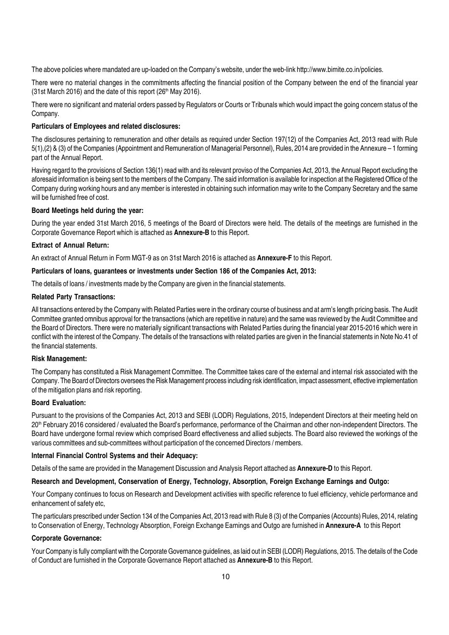The above policies where mandated are up-loaded on the Company's website, under the web-link http://www.bimite.co.in/policies.

There were no material changes in the commitments affecting the financial position of the Company between the end of the financial year (31st March 2016) and the date of this report ( $26<sup>th</sup>$  May 2016).

There were no significant and material orders passed by Regulators or Courts or Tribunals which would impact the going concern status of the Company.

#### Particulars of Employees and related disclosures:

The disclosures pertaining to remuneration and other details as required under Section 197(12) of the Companies Act, 2013 read with Rule 5(1),(2) & (3) of the Companies (Appointment and Remuneration of Managerial Personnel), Rules, 2014 are provided in the Annexure – 1 forming part of the Annual Report.

Having regard to the provisions of Section 136(1) read with and its relevant proviso of the Companies Act, 2013, the Annual Report excluding the aforesaid information is being sent to the members of the Company. The said information is available for inspection at the Registered Office of the Company during working hours and any member is interested in obtaining such information may write to the Company Secretary and the same will be furnished free of cost.

#### Board Meetings held during the year:

During the year ended 31st March 2016, 5 meetings of the Board of Directors were held. The details of the meetings are furnished in the Corporate Governance Report which is attached as Annexure-B to this Report.

#### Extract of Annual Return:

An extract of Annual Return in Form MGT-9 as on 31st March 2016 is attached as Annexure-F to this Report.

# Particulars of loans, guarantees or investments under Section 186 of the Companies Act, 2013:

The details of loans / investments made by the Company are given in the financial statements.

#### Related Party Transactions:

All transactions entered by the Company with Related Parties were in the ordinary course of business and at arm's length pricing basis. The Audit Committee granted omnibus approval for the transactions (which are repetitive in nature) and the same was reviewed by the Audit Committee and the Board of Directors. There were no materially significant transactions with Related Parties during the financial year 2015-2016 which were in conflict with the interest of the Company. The details of the transactions with related parties are given in the financial statements in Note No.41 of the financial statements.

#### Risk Management:

The Company has constituted a Risk Management Committee. The Committee takes care of the external and internal risk associated with the Company. The Board of Directors oversees the Risk Management process including risk identification, impact assessment, effective implementation of the mitigation plans and risk reporting.

#### Board Evaluation:

Pursuant to the provisions of the Companies Act, 2013 and SEBI (LODR) Regulations, 2015, Independent Directors at their meeting held on 20th February 2016 considered / evaluated the Board's performance, performance of the Chairman and other non-independent Directors. The Board have undergone formal review which comprised Board effectiveness and allied subjects. The Board also reviewed the workings of the various committees and sub-committees without participation of the concerned Directors / members.

#### Internal Financial Control Systems and their Adequacy:

Details of the same are provided in the Management Discussion and Analysis Report attached as **Annexure-D** to this Report.

# Research and Development, Conservation of Energy, Technology, Absorption, Foreign Exchange Earnings and Outgo:

Your Company continues to focus on Research and Development activities with specific reference to fuel efficiency, vehicle performance and enhancement of safety etc,

The particulars prescribed under Section 134 of the Companies Act, 2013 read with Rule 8 (3) of the Companies (Accounts) Rules, 2014, relating to Conservation of Energy, Technology Absorption, Foreign Exchange Earnings and Outgo are furnished in Annexure-A to this Report

#### Corporate Governance:

Your Company is fully compliant with the Corporate Governance guidelines, as laid out in SEBI (LODR) Regulations, 2015. The details of the Code of Conduct are furnished in the Corporate Governance Report attached as Annexure-B to this Report.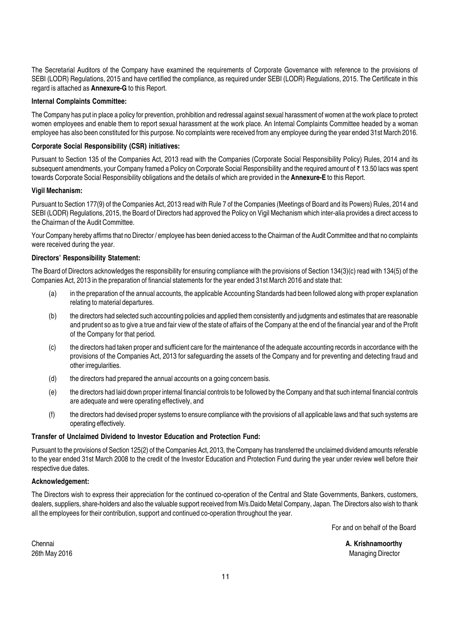The Secretarial Auditors of the Company have examined the requirements of Corporate Governance with reference to the provisions of SEBI (LODR) Regulations, 2015 and have certified the compliance, as required under SEBI (LODR) Regulations, 2015. The Certificate in this regard is attached as Annexure-G to this Report.

# Internal Complaints Committee:

The Company has put in place a policy for prevention, prohibition and redressal against sexual harassment of women at the work place to protect women employees and enable them to report sexual harassment at the work place. An Internal Complaints Committee headed by a woman employee has also been constituted for this purpose. No complaints were received from any employee during the year ended 31st March 2016.

# Corporate Social Responsibility (CSR) initiatives:

Pursuant to Section 135 of the Companies Act, 2013 read with the Companies (Corporate Social Responsibility Policy) Rules, 2014 and its subsequent amendments, your Company framed a Policy on Corporate Social Responsibility and the required amount of ₹ 13.50 lacs was spent towards Corporate Social Responsibility obligations and the details of which are provided in the **Annexure-E** to this Report.

# Vigil Mechanism:

Pursuant to Section 177(9) of the Companies Act, 2013 read with Rule 7 of the Companies (Meetings of Board and its Powers) Rules, 2014 and SEBI (LODR) Regulations, 2015, the Board of Directors had approved the Policy on Vigil Mechanism which inter-alia provides a direct access to the Chairman of the Audit Committee.

Your Company hereby affirms that no Director / employee has been denied access to the Chairman of the Audit Committee and that no complaints were received during the year.

# Directors' Responsibility Statement:

The Board of Directors acknowledges the responsibility for ensuring compliance with the provisions of Section 134(3)(c) read with 134(5) of the Companies Act, 2013 in the preparation of financial statements for the year ended 31st March 2016 and state that:

- (a) in the preparation of the annual accounts, the applicable Accounting Standards had been followed along with proper explanation relating to material departures.
- (b) the directors had selected such accounting policies and applied them consistently and judgments and estimates that are reasonable and prudent so as to give a true and fair view of the state of affairs of the Company at the end of the financial year and of the Profit of the Company for that period.
- (c) the directors had taken proper and sufficient care for the maintenance of the adequate accounting records in accordance with the provisions of the Companies Act, 2013 for safeguarding the assets of the Company and for preventing and detecting fraud and other irregularities.
- (d) the directors had prepared the annual accounts on a going concern basis.
- (e) the directors had laid down proper internal financial controls to be followed by the Company and that such internal financial controls are adequate and were operating effectively, and
- (f) the directors had devised proper systems to ensure compliance with the provisions of all applicable laws and that such systems are operating effectively.

# Transfer of Unclaimed Dividend to Investor Education and Protection Fund:

Pursuant to the provisions of Section 125(2) of the Companies Act, 2013, the Company has transferred the unclaimed dividend amounts referable to the year ended 31st March 2008 to the credit of the Investor Education and Protection Fund during the year under review well before their respective due dates.

# Acknowledgement:

The Directors wish to express their appreciation for the continued co-operation of the Central and State Governments, Bankers, customers, dealers, suppliers, share-holders and also the valuable support received from M/s.Daido Metal Company, Japan. The Directors also wish to thank all the employees for their contribution, support and continued co-operation throughout the year.

For and on behalf of the Board

A. Krishnamoorthy **Managing Director** 

| Chennai |  |               |  |  |
|---------|--|---------------|--|--|
|         |  | 26th May 2016 |  |  |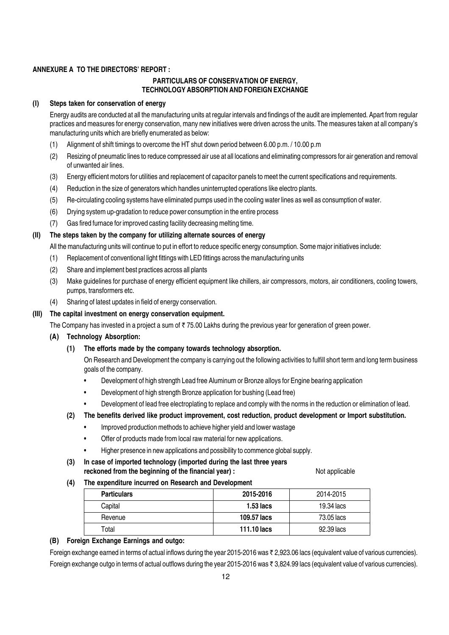# ANNEXURE A TO THE DIRECTORS' REPORT :

# PARTICULARS OF CONSERVATION OF ENERGY, TECHNOLOGY ABSORPTION AND FOREIGN EXCHANGE

# (I) Steps taken for conservation of energy

Energy audits are conducted at all the manufacturing units at regular intervals and findings of the audit are implemented. Apart from regular practices and measures for energy conservation, many new initiatives were driven across the units. The measures taken at all company's manufacturing units which are briefly enumerated as below:

- (1) Alignment of shift timings to overcome the HT shut down period between 6.00 p.m. / 10.00 p.m
- (2) Resizing of pneumatic lines to reduce compressed air use at all locations and eliminating compressors for air generation and removal of unwanted air lines.
- (3) Energy efficient motors for utilities and replacement of capacitor panels to meet the current specifications and requirements.
- (4) Reduction in the size of generators which handles uninterrupted operations like electro plants.
- (5) Re-circulating cooling systems have eliminated pumps used in the cooling water lines as well as consumption of water.
- (6) Drying system up-gradation to reduce power consumption in the entire process
- (7) Gas fired furnace for improved casting facility decreasing melting time.

# (II) The steps taken by the company for utilizing alternate sources of energy

All the manufacturing units will continue to put in effort to reduce specific energy consumption. Some major initiatives include:

- (1) Replacement of conventional light fittings with LED fittings across the manufacturing units
- (2) Share and implement best practices across all plants
- (3) Make guidelines for purchase of energy efficient equipment like chillers, air compressors, motors, air conditioners, cooling towers, pumps, transformers etc.
- (4) Sharing of latest updates in field of energy conservation.

# (III) The capital investment on energy conservation equipment.

The Company has invested in a project a sum of  $\bar{\tau}$  75.00 Lakhs during the previous year for generation of green power.

# (A) Technology Absorption:

# (1) The efforts made by the company towards technology absorption.

On Research and Development the company is carrying out the following activities to fulfill short term and long term business goals of the company.

- Development of high strength Lead free Aluminum or Bronze alloys for Engine bearing application
- Development of high strength Bronze application for bushing (Lead free)
- Development of lead free electroplating to replace and comply with the norms in the reduction or elimination of lead.

# (2) The benefits derived like product improvement, cost reduction, product development or Import substitution.

- Improved production methods to achieve higher yield and lower wastage
- Offer of products made from local raw material for new applications.
- Higher presence in new applications and possibility to commence global supply.
- (3) In case of imported technology (imported during the last three years reckoned from the beginning of the financial year) : Not applicable

(4) The expenditure incurred on Research and Development

| <b>Particulars</b> | 2015-2016   | 2014-2015  |
|--------------------|-------------|------------|
| Capital            | $1.53$ lacs | 19.34 lacs |
| Revenue            | 109.57 lacs | 73.05 lacs |
| Total              | 111.10 lacs | 92.39 lacs |

# (B) Foreign Exchange Earnings and outgo:

Foreign exchange earned in terms of actual inflows during the year 2015-2016 was ₹ 2,923.06 lacs (equivalent value of various currencies). Foreign exchange outgo in terms of actual outflows during the year 2015-2016 was  $\bar{\tau}$  3,824.99 lacs (equivalent value of various currencies).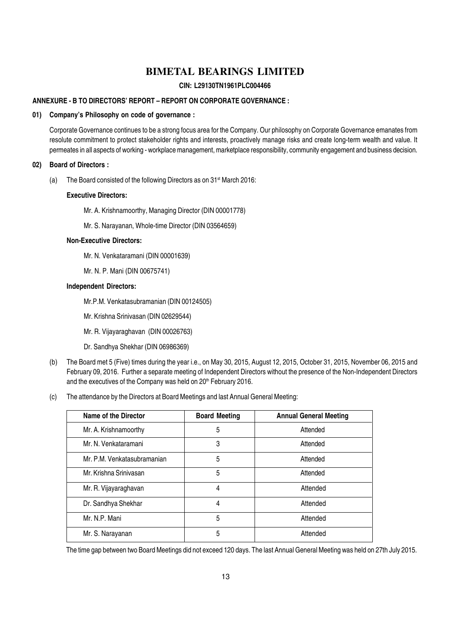# **BIMETAL BEARINGS LIMITED**

# CIN: L29130TN1961PLC004466

# ANNEXURE - B TO DIRECTORS' REPORT – REPORT ON CORPORATE GOVERNANCE :

# 01) Company's Philosophy on code of governance :

Corporate Governance continues to be a strong focus area for the Company. Our philosophy on Corporate Governance emanates from resolute commitment to protect stakeholder rights and interests, proactively manage risks and create long-term wealth and value. It permeates in all aspects of working - workplace management, marketplace responsibility, community engagement and business decision.

#### 02) Board of Directors :

(a) The Board consisted of the following Directors as on  $31^{st}$  March 2016:

#### Executive Directors:

Mr. A. Krishnamoorthy, Managing Director (DIN 00001778)

Mr. S. Narayanan, Whole-time Director (DIN 03564659)

#### Non-Executive Directors:

Mr. N. Venkataramani (DIN 00001639)

Mr. N. P. Mani (DIN 00675741)

#### Independent Directors:

Mr.P.M. Venkatasubramanian (DIN 00124505)

Mr. Krishna Srinivasan (DIN 02629544)

Mr. R. Vijayaraghavan (DIN 00026763)

Dr. Sandhya Shekhar (DIN 06986369)

- (b) The Board met 5 (Five) times during the year i.e., on May 30, 2015, August 12, 2015, October 31, 2015, November 06, 2015 and February 09, 2016. Further a separate meeting of Independent Directors without the presence of the Non-Independent Directors and the executives of the Company was held on 20<sup>th</sup> February 2016.
- (c) The attendance by the Directors at Board Meetings and last Annual General Meeting:

| <b>Name of the Director</b> | <b>Board Meeting</b> | <b>Annual General Meeting</b> |
|-----------------------------|----------------------|-------------------------------|
| Mr. A. Krishnamoorthy       | 5                    | Attended                      |
| Mr. N. Venkataramani        | 3                    | Attended                      |
| Mr. P.M. Venkatasubramanian | 5                    | Attended                      |
| Mr. Krishna Srinivasan      | 5                    | Attended                      |
| Mr. R. Vijayaraghavan       | 4                    | Attended                      |
| Dr. Sandhya Shekhar         | 4                    | Attended                      |
| Mr. N.P. Mani               | 5                    | Attended                      |
| Mr. S. Narayanan            | 5                    | Attended                      |

The time gap between two Board Meetings did not exceed 120 days. The last Annual General Meeting was held on 27th July 2015.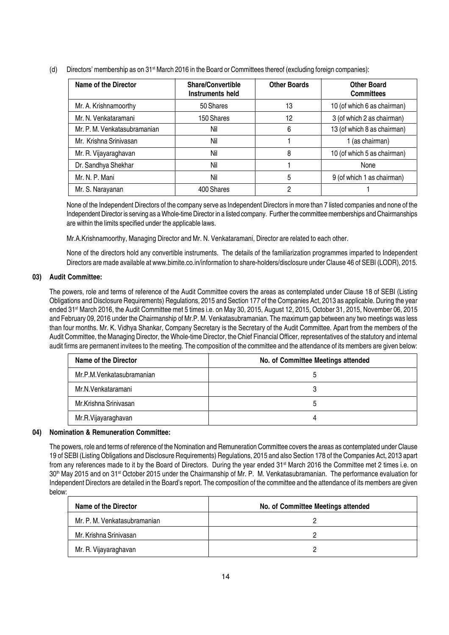# (d) Directors' membership as on 31<sup>st</sup> March 2016 in the Board or Committees thereof (excluding foreign companies):

| Name of the Director         | <b>Share/Convertible</b><br>Instruments held | <b>Other Boards</b> | <b>Other Board</b><br><b>Committees</b> |
|------------------------------|----------------------------------------------|---------------------|-----------------------------------------|
| Mr. A. Krishnamoorthy        | 50 Shares                                    | 13                  | 10 (of which 6 as chairman)             |
| Mr. N. Venkataramani         | 150 Shares                                   | 12                  | 3 (of which 2 as chairman)              |
| Mr. P. M. Venkatasubramanian | Nil                                          | 6                   | 13 (of which 8 as chairman)             |
| Mr. Krishna Srinivasan       | Nil                                          |                     | 1 (as chairman)                         |
| Mr. R. Vijayaraghavan        | Nil                                          | 8                   | 10 (of which 5 as chairman)             |
| Dr. Sandhya Shekhar          | Nil                                          |                     | None                                    |
| Mr. N. P. Mani               | Nil                                          | 5                   | 9 (of which 1 as chairman)              |
| Mr. S. Narayanan             | 400 Shares                                   | ∩                   |                                         |

None of the Independent Directors of the company serve as Independent Directors in more than 7 listed companies and none of the Independent Director is serving as a Whole-time Director in a listed company. Further the committee memberships and Chairmanships are within the limits specified under the applicable laws.

Mr.A.Krishnamoorthy, Managing Director and Mr. N. Venkataramani, Director are related to each other.

None of the directors hold any convertible instruments. The details of the familiarization programmes imparted to Independent Directors are made available at www.bimite.co.in/information to share-holders/disclosure under Clause 46 of SEBI (LODR), 2015.

# 03) Audit Committee:

The powers, role and terms of reference of the Audit Committee covers the areas as contemplated under Clause 18 of SEBI (Listing Obligations and Disclosure Requirements) Regulations, 2015 and Section 177 of the Companies Act, 2013 as applicable. During the year ended 31st March 2016, the Audit Committee met 5 times i.e. on May 30, 2015, August 12, 2015, October 31, 2015, November 06, 2015 and February 09, 2016 under the Chairmanship of Mr.P. M. Venkatasubramanian. The maximum gap between any two meetings was less than four months. Mr. K. Vidhya Shankar, Company Secretary is the Secretary of the Audit Committee. Apart from the members of the Audit Committee, the Managing Director, the Whole-time Director, the Chief Financial Officer, representatives of the statutory and internal audit firms are permanent invitees to the meeting. The composition of the committee and the attendance of its members are given below:

| Name of the Director       | No. of Committee Meetings attended |
|----------------------------|------------------------------------|
| Mr.P.M. Venkatasubramanian |                                    |
| Mr.N.Venkataramani         |                                    |
| Mr.Krishna Srinivasan      |                                    |
| Mr.R.Vijayaraghavan        |                                    |

# 04) Nomination & Remuneration Committee:

The powers, role and terms of reference of the Nomination and Remuneration Committee covers the areas as contemplated under Clause 19 of SEBI (Listing Obligations and Disclosure Requirements) Regulations, 2015 and also Section 178 of the Companies Act, 2013 apart from any references made to it by the Board of Directors. During the year ended 31<sup>st</sup> March 2016 the Committee met 2 times i.e. on 30<sup>th</sup> May 2015 and on 31<sup>st</sup> October 2015 under the Chairmanship of Mr. P. M. Venkatasubramanian. The performance evaluation for Independent Directors are detailed in the Board's report. The composition of the committee and the attendance of its members are given below:

| Name of the Director         | No. of Committee Meetings attended |  |  |
|------------------------------|------------------------------------|--|--|
| Mr. P. M. Venkatasubramanian |                                    |  |  |
| Mr. Krishna Srinivasan       |                                    |  |  |
| Mr. R. Vijayaraghavan        |                                    |  |  |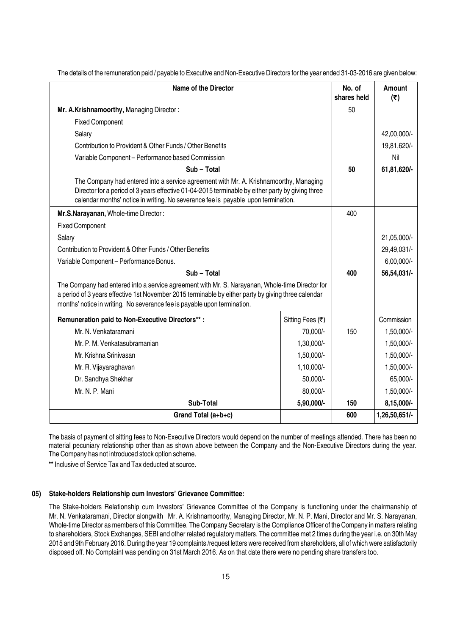| <b>Name of the Director</b>                                                                                                                                                                                                                                                        |                  | No. of<br>shares held | Amount<br>(3) |
|------------------------------------------------------------------------------------------------------------------------------------------------------------------------------------------------------------------------------------------------------------------------------------|------------------|-----------------------|---------------|
| Mr. A.Krishnamoorthy, Managing Director:                                                                                                                                                                                                                                           |                  |                       |               |
| <b>Fixed Component</b>                                                                                                                                                                                                                                                             |                  |                       |               |
| Salary                                                                                                                                                                                                                                                                             |                  |                       | 42,00,000/-   |
| Contribution to Provident & Other Funds / Other Benefits                                                                                                                                                                                                                           |                  |                       | 19,81,620/-   |
| Variable Component - Performance based Commission                                                                                                                                                                                                                                  |                  |                       | Nil           |
| Sub - Total                                                                                                                                                                                                                                                                        |                  | 50                    | 61,81,620/-   |
| The Company had entered into a service agreement with Mr. A. Krishnamoorthy, Managing<br>Director for a period of 3 years effective 01-04-2015 terminable by either party by giving three<br>calendar months' notice in writing. No severance fee is payable upon termination.     |                  |                       |               |
| Mr.S.Narayanan, Whole-time Director:                                                                                                                                                                                                                                               |                  | 400                   |               |
| <b>Fixed Component</b>                                                                                                                                                                                                                                                             |                  |                       |               |
| Salary                                                                                                                                                                                                                                                                             |                  |                       | 21,05,000/-   |
| Contribution to Provident & Other Funds / Other Benefits                                                                                                                                                                                                                           |                  |                       | 29,49,031/-   |
| Variable Component - Performance Bonus.                                                                                                                                                                                                                                            |                  |                       | 6,00,000/-    |
| Sub - Total                                                                                                                                                                                                                                                                        |                  | 400                   | 56,54,031/-   |
| The Company had entered into a service agreement with Mr. S. Narayanan, Whole-time Director for<br>a period of 3 years effective 1st November 2015 terminable by either party by giving three calendar<br>months' notice in writing. No severance fee is payable upon termination. |                  |                       |               |
| Remuneration paid to Non-Executive Directors**:                                                                                                                                                                                                                                    | Sitting Fees (₹) |                       | Commission    |
| Mr. N. Venkataramani                                                                                                                                                                                                                                                               | 70,000/-         | 150                   | 1,50,000/-    |
| Mr. P. M. Venkatasubramanian                                                                                                                                                                                                                                                       | 1,30,000/-       |                       | 1,50,000/-    |
| Mr. Krishna Srinivasan                                                                                                                                                                                                                                                             | 1,50,000/-       |                       | 1,50,000/-    |
| Mr. R. Vijayaraghavan                                                                                                                                                                                                                                                              | 1,10,000/-       |                       | 1,50,000/-    |
| Dr. Sandhya Shekhar                                                                                                                                                                                                                                                                | 50,000/-         |                       | 65,000/-      |
| Mr. N. P. Mani                                                                                                                                                                                                                                                                     | 80,000/-         |                       | 1,50,000/-    |
| Sub-Total                                                                                                                                                                                                                                                                          | 5,90,000/-       | 150                   | 8,15,000/-    |
| Grand Total (a+b+c)                                                                                                                                                                                                                                                                |                  | 600                   | 1,26,50,651/- |

The details of the remuneration paid / payable to Executive and Non-Executive Directors for the year ended 31-03-2016 are given below:

The basis of payment of sitting fees to Non-Executive Directors would depend on the number of meetings attended. There has been no material pecuniary relationship other than as shown above between the Company and the Non-Executive Directors during the year. The Company has not introduced stock option scheme.

\*\* Inclusive of Service Tax and Tax deducted at source.

#### 05) Stake-holders Relationship cum Investors' Grievance Committee:

The Stake-holders Relationship cum Investors' Grievance Committee of the Company is functioning under the chairmanship of Mr. N. Venkataramani, Director alongwith Mr. A. Krishnamoorthy, Managing Director, Mr. N. P. Mani, Director and Mr. S. Narayanan, Whole-time Director as members of this Committee. The Company Secretary is the Compliance Officer of the Company in matters relating to shareholders, Stock Exchanges, SEBI and other related regulatory matters. The committee met 2 times during the year i.e. on 30th May 2015 and 9th February 2016. During the year 19 complaints /request letters were received from shareholders, all of which were satisfactorily disposed off. No Complaint was pending on 31st March 2016. As on that date there were no pending share transfers too.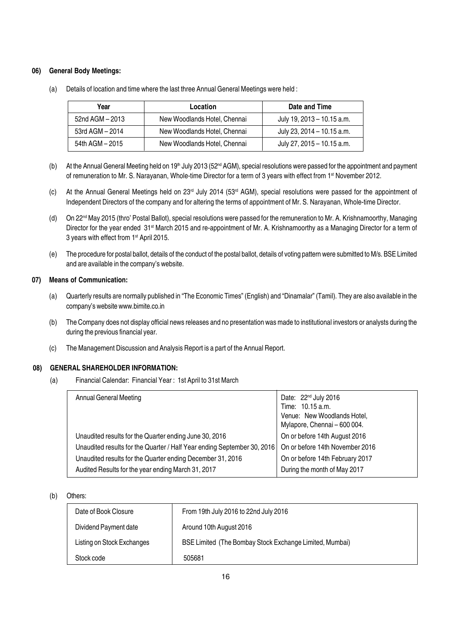# 06) General Body Meetings:

| Year            | Location                     | Date and Time              |
|-----------------|------------------------------|----------------------------|
| 52nd AGM - 2013 | New Woodlands Hotel, Chennai | July 19, 2013 - 10.15 a.m. |
| 53rd AGM - 2014 | New Woodlands Hotel, Chennai | July 23, 2014 - 10.15 a.m. |
| 54th AGM - 2015 | New Woodlands Hotel, Chennai | July 27, 2015 - 10.15 a.m. |

(a) Details of location and time where the last three Annual General Meetings were held :

- (b) At the Annual General Meeting held on 19<sup>th</sup> July 2013 (52<sup>nd</sup> AGM), special resolutions were passed for the appointment and payment of remuneration to Mr. S. Narayanan, Whole-time Director for a term of 3 years with effect from 1<sup>st</sup> November 2012.
- (c) At the Annual General Meetings held on 23rd July 2014 (53rd AGM), special resolutions were passed for the appointment of Independent Directors of the company and for altering the terms of appointment of Mr. S. Narayanan, Whole-time Director.
- (d) On 22nd May 2015 (thro' Postal Ballot), special resolutions were passed for the remuneration to Mr. A. Krishnamoorthy, Managing Director for the year ended 31<sup>st</sup> March 2015 and re-appointment of Mr. A. Krishnamoorthy as a Managing Director for a term of 3 years with effect from 1<sup>st</sup> April 2015.
- (e) The procedure for postal ballot, details of the conduct of the postal ballot, details of voting pattern were submitted to M/s. BSE Limited and are available in the company's website.

# 07) Means of Communication:

- (a) Quarterly results are normally published in "The Economic Times" (English) and "Dinamalar" (Tamil). They are also available in the company's website www.bimite.co.in
- (b) The Company does not display official news releases and no presentation was made to institutional investors or analysts during the during the previous financial year.
- (c) The Management Discussion and Analysis Report is a part of the Annual Report.

# 08) GENERAL SHAREHOLDER INFORMATION:

(a) Financial Calendar: Financial Year : 1st April to 31st March

| <b>Annual General Meeting</b>                                           | Date: 22 <sup>nd</sup> July 2016<br>Time: 10.15 a.m.<br>Venue: New Woodlands Hotel,<br>Mylapore, Chennai - 600 004. |
|-------------------------------------------------------------------------|---------------------------------------------------------------------------------------------------------------------|
| Unaudited results for the Quarter ending June 30, 2016                  | On or before 14th August 2016                                                                                       |
| Unaudited results for the Quarter / Half Year ending September 30, 2016 | On or before 14th November 2016                                                                                     |
| Unaudited results for the Quarter ending December 31, 2016              | On or before 14th February 2017                                                                                     |
| Audited Results for the year ending March 31, 2017                      | During the month of May 2017                                                                                        |
|                                                                         |                                                                                                                     |

(b) Others:

| Date of Book Closure       | From 19th July 2016 to 22nd July 2016                   |
|----------------------------|---------------------------------------------------------|
| Dividend Payment date      | Around 10th August 2016                                 |
| Listing on Stock Exchanges | BSE Limited (The Bombay Stock Exchange Limited, Mumbai) |
| Stock code                 | 505681                                                  |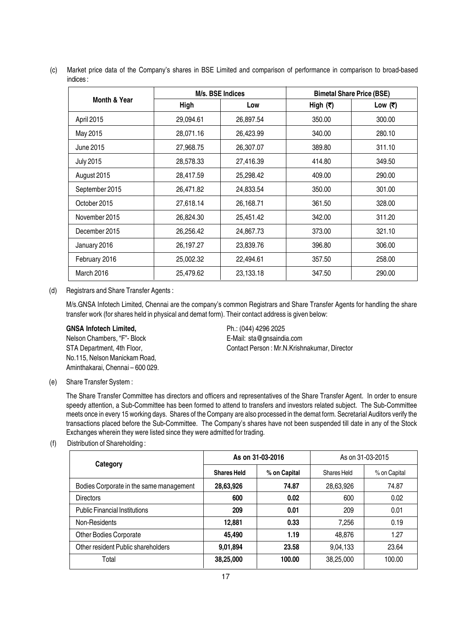|                  |             | M/s. BSE Indices | <b>Bimetal Share Price (BSE)</b> |           |  |
|------------------|-------------|------------------|----------------------------------|-----------|--|
| Month & Year     | <b>High</b> | Low              | High $(\overline{\tau})$         | Low $(₹)$ |  |
| April 2015       | 29,094.61   | 26,897.54        | 350.00                           | 300.00    |  |
| May 2015         | 28,071.16   | 26,423.99        | 340.00                           | 280.10    |  |
| June 2015        | 27,968.75   | 26,307.07        | 389.80                           | 311.10    |  |
| <b>July 2015</b> | 28,578.33   | 27,416.39        | 414.80                           | 349.50    |  |
| August 2015      | 28,417.59   | 25,298.42        | 409.00                           | 290.00    |  |
| September 2015   | 26,471.82   | 24,833.54        | 350.00                           | 301.00    |  |
| October 2015     | 27,618.14   | 26,168.71        | 361.50                           | 328.00    |  |
| November 2015    | 26,824.30   | 25,451.42        | 342.00                           | 311.20    |  |
| December 2015    | 26,256.42   | 24,867.73        | 373.00                           | 321.10    |  |
| January 2016     | 26,197.27   | 23,839.76        | 396.80                           | 306.00    |  |
| February 2016    | 25,002.32   | 22,494.61        | 357.50                           | 258.00    |  |
| March 2016       | 25,479.62   | 23,133.18        | 347.50                           | 290.00    |  |

(c) Market price data of the Company's shares in BSE Limited and comparison of performance in comparison to broad-based indices :

# (d) Registrars and Share Transfer Agents :

M/s.GNSA Infotech Limited, Chennai are the company's common Registrars and Share Transfer Agents for handling the share transfer work (for shares held in physical and demat form). Their contact address is given below:

Nelson Chambers, "F"- Block E-Mail: sta@gnsaindia.com No.115, Nelson Manickam Road, Aminthakarai, Chennai – 600 029.

GNSA Infotech Limited, Ph.: (044) 4296 2025 STA Department, 4th Floor, Contact Person : Mr.N.Krishnakumar, Director

(e) Share Transfer System :

The Share Transfer Committee has directors and officers and representatives of the Share Transfer Agent. In order to ensure speedy attention, a Sub-Committee has been formed to attend to transfers and investors related subject. The Sub-Committee meets once in every 15 working days. Shares of the Company are also processed in the demat form. Secretarial Auditors verify the transactions placed before the Sub-Committee. The Company's shares have not been suspended till date in any of the Stock Exchanges wherein they were listed since they were admitted for trading.

(f) Distribution of Shareholding :

| Category                                |                                    | As on 31-03-2016 | As on 31-03-2015 |              |  |  |
|-----------------------------------------|------------------------------------|------------------|------------------|--------------|--|--|
|                                         | <b>Shares Held</b><br>% on Capital |                  | Shares Held      | % on Capital |  |  |
| Bodies Corporate in the same management | 28,63,926                          | 74.87            | 28,63,926        | 74.87        |  |  |
| <b>Directors</b>                        | 600                                | 0.02             | 600              | 0.02         |  |  |
| <b>Public Financial Institutions</b>    | 209                                | 0.01             | 209              | 0.01         |  |  |
| Non-Residents                           | 12,881                             | 0.33             | 7.256            | 0.19         |  |  |
| <b>Other Bodies Corporate</b>           | 45,490                             | 1.19             | 48,876           | 1.27         |  |  |
| Other resident Public shareholders      | 9,01,894                           | 23.58            | 9,04,133         | 23.64        |  |  |
| Total                                   | 38,25,000                          | 100.00           | 38,25,000        | 100.00       |  |  |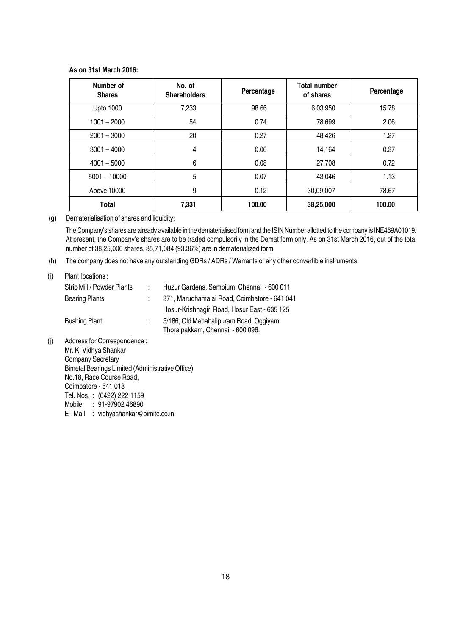# As on 31st March 2016:

| Number of<br><b>Shares</b> | No. of<br><b>Shareholders</b> | Percentage | <b>Total number</b><br>of shares | Percentage |
|----------------------------|-------------------------------|------------|----------------------------------|------------|
| <b>Upto 1000</b>           | 7,233                         | 98.66      | 6,03,950                         |            |
| $1001 - 2000$              | 54                            | 0.74       | 78,699                           | 2.06       |
| $2001 - 3000$              | 20                            | 0.27       | 48,426                           | 1.27       |
| $3001 - 4000$              | 4                             | 0.06       | 14,164                           | 0.37       |
| $4001 - 5000$              | 6                             | 0.08       | 27,708                           | 0.72       |
| $5001 - 10000$             | 5                             | 0.07       | 43.046                           | 1.13       |
| Above 10000                | 9                             | 0.12       | 30,09,007                        | 78.67      |
| Total                      | 7,331                         | 100.00     | 38,25,000                        | 100.00     |

(g) Dematerialisation of shares and liquidity:

 $(i)$ 

The Company's shares are already available in the dematerialised form and the ISIN Number allotted to the company is INE469A01019. At present, the Company's shares are to be traded compulsorily in the Demat form only. As on 31st March 2016, out of the total number of 38,25,000 shares, 35,71,084 (93.36%) are in dematerialized form.

(h) The company does not have any outstanding GDRs / ADRs / Warrants or any other convertible instruments.

| Plant locations:           |                                              |
|----------------------------|----------------------------------------------|
| Strip Mill / Powder Plants | Huzur Gardens, Sembium, Chennai - 600 011    |
| <b>Bearing Plants</b>      | 371, Marudhamalai Road, Coimbatore - 641 041 |
|                            | Hosur-Krishnagiri Road, Hosur East - 635 125 |
| <b>Bushing Plant</b>       | 5/186, Old Mahabalipuram Road, Oggiyam,      |
|                            | Thoraipakkam, Chennai - 600 096.             |

(j) Address for Correspondence : Mr. K. Vidhya Shankar Company Secretary Bimetal Bearings Limited (Administrative Office) No.18, Race Course Road, Coimbatore - 641 018 Tel. Nos. : (0422) 222 1159 Mobile : 91-97902 46890 E - Mail : vidhyashankar@bimite.co.in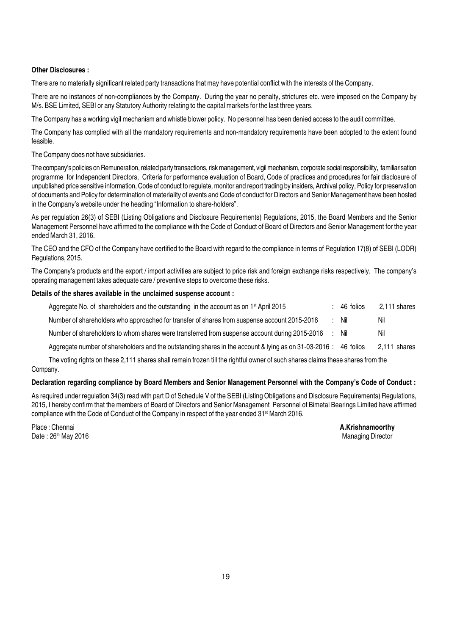# Other Disclosures :

There are no materially significant related party transactions that may have potential conflict with the interests of the Company.

There are no instances of non-compliances by the Company. During the year no penalty, strictures etc. were imposed on the Company by M/s. BSE Limited, SEBI or any Statutory Authority relating to the capital markets for the last three years.

The Company has a working vigil mechanism and whistle blower policy. No personnel has been denied access to the audit committee.

The Company has complied with all the mandatory requirements and non-mandatory requirements have been adopted to the extent found feasible.

The Company does not have subsidiaries.

The company's policies on Remuneration, related party transactions, risk management, vigil mechanism, corporate social responsibility, familiarisation programme for Independent Directors, Criteria for performance evaluation of Board, Code of practices and procedures for fair disclosure of unpublished price sensitive information, Code of conduct to regulate, monitor and report trading by insiders, Archival policy, Policy for preservation of documents and Policy for determination of materiality of events and Code of conduct for Directors and Senior Management have been hosted in the Company's website under the heading "Information to share-holders".

As per regulation 26(3) of SEBI (Listing Obligations and Disclosure Requirements) Regulations, 2015, the Board Members and the Senior Management Personnel have affirmed to the compliance with the Code of Conduct of Board of Directors and Senior Management for the year ended March 31, 2016.

The CEO and the CFO of the Company have certified to the Board with regard to the compliance in terms of Regulation 17(8) of SEBI (LODR) Regulations, 2015.

The Company's products and the export / import activities are subject to price risk and foreign exchange risks respectively. The company's operating management takes adequate care / preventive steps to overcome these risks.

# Details of the shares available in the unclaimed suspense account :

| Aggregate No. of shareholders and the outstanding in the account as on 1 <sup>st</sup> April 2015    | 46 folios | 2.111 shares |
|------------------------------------------------------------------------------------------------------|-----------|--------------|
| Number of shareholders who approached for transfer of shares from suspense account 2015-2016         | Nil       | Nil          |
| Number of shareholders to whom shares were transferred from suspense account during 2015-2016        | Nil       | Nil          |
| Aggregate number of shareholders and the outstanding shares in the account & lying as on 31-03-2016: | 46 folios | 2,111 shares |

The voting rights on these 2,111 shares shall remain frozen till the rightful owner of such shares claims these shares from the Company.

# Declaration regarding compliance by Board Members and Senior Management Personnel with the Company's Code of Conduct :

As required under regulation 34(3) read with part D of Schedule V of the SEBI (Listing Obligations and Disclosure Requirements) Regulations, 2015, I hereby confirm that the members of Board of Directors and Senior Management Personnel of Bimetal Bearings Limited have affirmed compliance with the Code of Conduct of the Company in respect of the year ended 31<sup>st</sup> March 2016.

Date : 26<sup>th</sup> May 2016 Managing Director Controllery and the United States of Managing Director Managing Director

Place : Chennai **A.Krishnamoorthy A.Krishnamoorthy**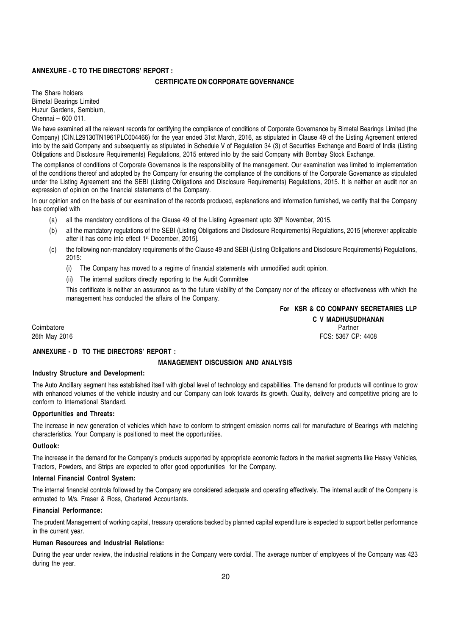# ANNEXURE - C TO THE DIRECTORS' REPORT :

# CERTIFICATE ON CORPORATE GOVERNANCE

The Share holders Bimetal Bearings Limited Huzur Gardens, Sembium, Chennai – 600 011.

We have examined all the relevant records for certifying the compliance of conditions of Corporate Governance by Bimetal Bearings Limited (the Company) (CIN.L29130TN1961PLC004466) for the year ended 31st March, 2016, as stipulated in Clause 49 of the Listing Agreement entered into by the said Company and subsequently as stipulated in Schedule V of Regulation 34 (3) of Securities Exchange and Board of India (Listing Obligations and Disclosure Requirements) Regulations, 2015 entered into by the said Company with Bombay Stock Exchange.

The compliance of conditions of Corporate Governance is the responsibility of the management. Our examination was limited to implementation of the conditions thereof and adopted by the Company for ensuring the compliance of the conditions of the Corporate Governance as stipulated under the Listing Agreement and the SEBI (Listing Obligations and Disclosure Requirements) Regulations, 2015. It is neither an audit nor an expression of opinion on the financial statements of the Company.

In our opinion and on the basis of our examination of the records produced, explanations and information furnished, we certify that the Company has complied with

- (a) all the mandatory conditions of the Clause 49 of the Listing Agreement upto  $30<sup>th</sup>$  November, 2015.
- (b) all the mandatory regulations of the SEBI (Listing Obligations and Disclosure Requirements) Regulations, 2015 [wherever applicable after it has come into effect 1<sup>st</sup> December, 2015].
- (c) the following non-mandatory requirements of the Clause 49 and SEBI (Listing Obligations and Disclosure Requirements) Regulations, 2015:
	- (i) The Company has moved to a regime of financial statements with unmodified audit opinion.
	- (ii) The internal auditors directly reporting to the Audit Committee

This certificate is neither an assurance as to the future viability of the Company nor of the efficacy or effectiveness with which the management has conducted the affairs of the Company.

> For KSR & CO COMPANY SECRETARIES LLP C V MADHUSUDHANAN

Coimbatore Partner 26th May 2016 FCS: 5367 CP: 4408

# ANNEXURE - D TO THE DIRECTORS' REPORT :

#### MANAGEMENT DISCUSSION AND ANALYSIS

#### Industry Structure and Development:

The Auto Ancillary segment has established itself with global level of technology and capabilities. The demand for products will continue to grow with enhanced volumes of the vehicle industry and our Company can look towards its growth. Quality, delivery and competitive pricing are to conform to International Standard.

#### Opportunities and Threats:

The increase in new generation of vehicles which have to conform to stringent emission norms call for manufacture of Bearings with matching characteristics. Your Company is positioned to meet the opportunities.

#### Outlook:

The increase in the demand for the Company's products supported by appropriate economic factors in the market segments like Heavy Vehicles, Tractors, Powders, and Strips are expected to offer good opportunities for the Company.

#### Internal Financial Control System:

The internal financial controls followed by the Company are considered adequate and operating effectively. The internal audit of the Company is entrusted to M/s. Fraser & Ross, Chartered Accountants.

#### Financial Performance:

The prudent Management of working capital, treasury operations backed by planned capital expenditure is expected to support better performance in the current year.

#### Human Resources and Industrial Relations:

During the year under review, the industrial relations in the Company were cordial. The average number of employees of the Company was 423 during the year.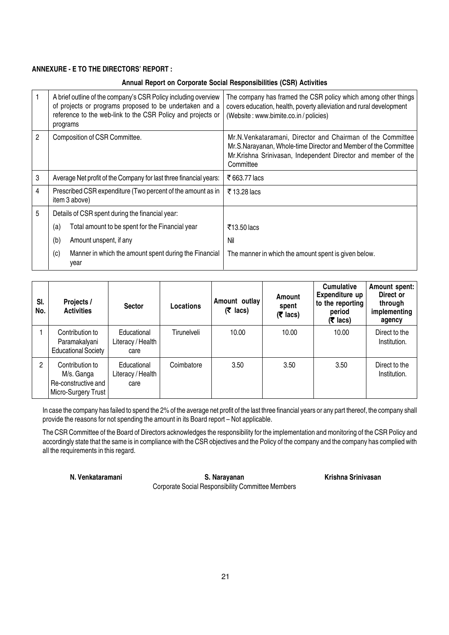# ANNEXURE - E TO THE DIRECTORS' REPORT :

# Annual Report on Corporate Social Responsibilities (CSR) Activities

|   | A brief outline of the company's CSR Policy including overview<br>of projects or programs proposed to be undertaken and a<br>reference to the web-link to the CSR Policy and projects or<br>programs | The company has framed the CSR policy which among other things<br>covers education, health, poverty alleviation and rural development<br>(Website: www.bimite.co.in/policies)                                |
|---|------------------------------------------------------------------------------------------------------------------------------------------------------------------------------------------------------|--------------------------------------------------------------------------------------------------------------------------------------------------------------------------------------------------------------|
| 2 | Composition of CSR Committee.                                                                                                                                                                        | Mr.N. Venkataramani, Director and Chairman of the Committee<br>Mr.S.Narayanan, Whole-time Director and Member of the Committee<br>Mr.Krishna Srinivasan, Independent Director and member of the<br>Committee |
| 3 | Average Net profit of the Company for last three financial years:                                                                                                                                    | ₹ 663.77 lacs                                                                                                                                                                                                |
| 4 | Prescribed CSR expenditure (Two percent of the amount as in<br>item 3 above)                                                                                                                         | ₹13.28 lacs                                                                                                                                                                                                  |
| 5 | Details of CSR spent during the financial year:                                                                                                                                                      |                                                                                                                                                                                                              |
|   | Total amount to be spent for the Financial year<br>(a)                                                                                                                                               | $\overline{5}$ 13.50 lacs                                                                                                                                                                                    |
|   | (b)<br>Amount unspent, if any                                                                                                                                                                        | Nil                                                                                                                                                                                                          |
|   | Manner in which the amount spent during the Financial<br>(c)<br>year                                                                                                                                 | The manner in which the amount spent is given below.                                                                                                                                                         |

| SI.<br>No.     | Projects /<br><b>Activities</b>                                             | <b>Sector</b>                            | Locations   | Amount outlay<br>$(5$ lacs) | Amount<br>spent<br>$(5$ lacs) | <b>Cumulative</b><br>Expenditure up<br>to the reporting<br>period<br>(₹ lacs) | Amount spent:<br>Direct or<br>through<br>implementing<br>agency |
|----------------|-----------------------------------------------------------------------------|------------------------------------------|-------------|-----------------------------|-------------------------------|-------------------------------------------------------------------------------|-----------------------------------------------------------------|
|                | Contribution to<br>Paramakalyani<br><b>Educational Society</b>              | Educational<br>Literacy / Health<br>care | Tirunelveli | 10.00                       | 10.00                         | 10.00                                                                         | Direct to the<br>Institution.                                   |
| $\overline{2}$ | Contribution to<br>M/s. Ganga<br>Re-constructive and<br>Micro-Surgery Trust | Educational<br>Literacy / Health<br>care | Coimbatore  | 3.50                        | 3.50                          | 3.50                                                                          | Direct to the<br>Institution.                                   |

In case the company has failed to spend the 2% of the average net profit of the last three financial years or any part thereof, the company shall provide the reasons for not spending the amount in its Board report – Not applicable.

The CSR Committee of the Board of Directors acknowledges the responsibility for the implementation and monitoring of the CSR Policy and accordingly state that the same is in compliance with the CSR objectives and the Policy of the company and the company has complied with all the requirements in this regard.

N. Venkataramani S. Narayanan S. Narayanan Krishna Srinivasan Corporate Social Responsibility Committee Members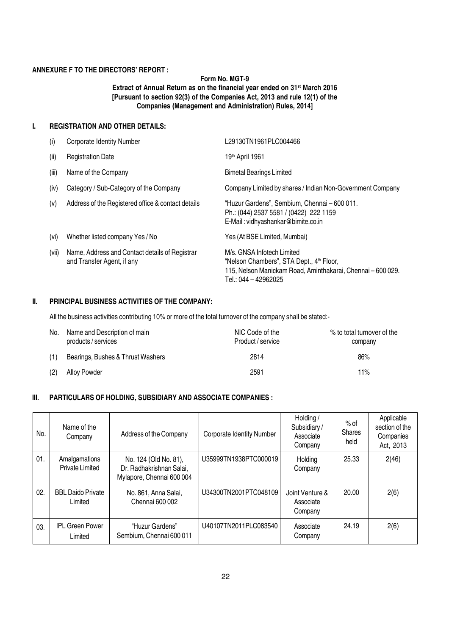# ANNEXURE F TO THE DIRECTORS' REPORT :

# Form No. MGT-9 Extract of Annual Return as on the financial year ended on 31<sup>st</sup> March 2016 [Pursuant to section 92(3) of the Companies Act, 2013 and rule 12(1) of the Companies (Management and Administration) Rules, 2014]

# I. REGISTRATION AND OTHER DETAILS:

| (i)   | <b>Corporate Identity Number</b>                                             | L29130TN1961PLC004466                                                                                                                                                     |
|-------|------------------------------------------------------------------------------|---------------------------------------------------------------------------------------------------------------------------------------------------------------------------|
| (ii)  | <b>Registration Date</b>                                                     | 19th April 1961                                                                                                                                                           |
| (iii) | Name of the Company                                                          | <b>Bimetal Bearings Limited</b>                                                                                                                                           |
| (iv)  | Category / Sub-Category of the Company                                       | Company Limited by shares / Indian Non-Government Company                                                                                                                 |
| (v)   | Address of the Registered office & contact details                           | "Huzur Gardens", Sembium, Chennai – 600 011.<br>Ph.: (044) 2537 5581 / (0422) 222 1159<br>E-Mail: vidhyashankar@bimite.co.in                                              |
| (vi)  | Whether listed company Yes / No                                              | Yes (At BSE Limited, Mumbai)                                                                                                                                              |
| (vii) | Name, Address and Contact details of Registrar<br>and Transfer Agent, if any | M/s. GNSA Infotech Limited<br>"Nelson Chambers", STA Dept., 4 <sup>th</sup> Floor,<br>115, Nelson Manickam Road, Aminthakarai, Chennai - 600 029.<br>Tel.: 044 - 42962025 |

# II. PRINCIPAL BUSINESS ACTIVITIES OF THE COMPANY:

All the business activities contributing 10% or more of the total turnover of the company shall be stated:-

| No. | Name and Description of main<br>products / services | NIC Code of the<br>Product / service | % to total turnover of the<br>company |
|-----|-----------------------------------------------------|--------------------------------------|---------------------------------------|
| (1) | Bearings, Bushes & Thrust Washers                   | 2814                                 | 86%                                   |
| (2) | Alloy Powder                                        | 2591                                 | 11%                                   |

# III. PARTICULARS OF HOLDING, SUBSIDIARY AND ASSOCIATE COMPANIES :

| No. | Name of the<br>Company                  | Address of the Company                                                         | <b>Corporate Identity Number</b> | Holding/<br>Subsidiary/<br>Associate<br>Company | $%$ of<br><b>Shares</b><br>held | Applicable<br>section of the<br>Companies<br>Act, 2013 |
|-----|-----------------------------------------|--------------------------------------------------------------------------------|----------------------------------|-------------------------------------------------|---------------------------------|--------------------------------------------------------|
| 01. | Amalgamations<br><b>Private Limited</b> | No. 124 (Old No. 81),<br>Dr. Radhakrishnan Salai,<br>Mylapore, Chennai 600 004 | U35999TN1938PTC000019            | Holding<br>Company                              | 25.33                           | 2(46)                                                  |
| 02. | <b>BBL Daido Private</b><br>Limited     | No. 861, Anna Salai,<br>Chennai 600 002                                        | U34300TN2001PTC048109            | Joint Venture &<br>Associate<br>Company         | 20.00                           | 2(6)                                                   |
| 03. | <b>IPL Green Power</b><br>Limited       | "Huzur Gardens"<br>Sembium, Chennai 600 011                                    | U40107TN2011PLC083540            | Associate<br>Company                            | 24.19                           | 2(6)                                                   |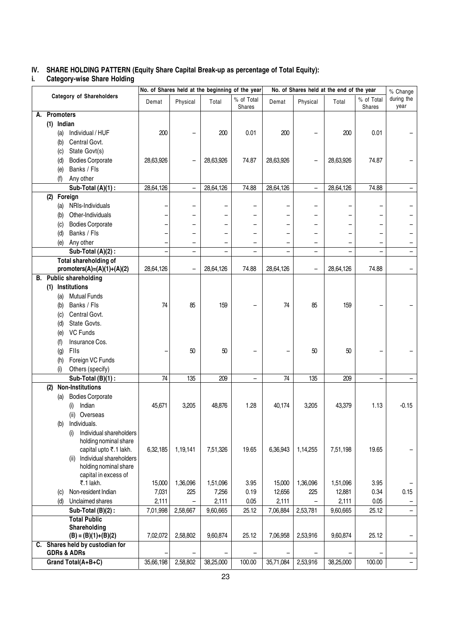# IV. SHARE HOLDING PATTERN (Equity Share Capital Break-up as percentage of Total Equity):

#### i. Category-wise Share Holding

|    |                  |              |                                                 |           |                   |           | No. of Shares held at the beginning of the year |           |                          | No. of Shares held at the end of the year |                             | % Change           |
|----|------------------|--------------|-------------------------------------------------|-----------|-------------------|-----------|-------------------------------------------------|-----------|--------------------------|-------------------------------------------|-----------------------------|--------------------|
|    |                  |              | Category of Shareholders                        | Demat     | Physical          | Total     | % of Total<br>Shares                            | Demat     | Physical                 | Total                                     | % of Total<br><b>Shares</b> | during the<br>year |
| А. | <b>Promoters</b> |              |                                                 |           |                   |           |                                                 |           |                          |                                           |                             |                    |
|    |                  | $(1)$ Indian |                                                 |           |                   |           |                                                 |           |                          |                                           |                             |                    |
|    |                  | (a)          | Individual / HUF                                | 200       |                   | 200       | 0.01                                            | 200       |                          | 200                                       | 0.01                        |                    |
|    |                  | (b)          | Central Govt.                                   |           |                   |           |                                                 |           |                          |                                           |                             |                    |
|    |                  | (c)          | State Govt(s)                                   |           |                   |           |                                                 |           |                          |                                           |                             |                    |
|    |                  | (d)          | <b>Bodies Corporate</b>                         | 28,63,926 |                   | 28,63,926 | 74.87                                           | 28,63,926 |                          | 28,63,926                                 | 74.87                       |                    |
|    |                  | (e)          | Banks / Fls                                     |           |                   |           |                                                 |           |                          |                                           |                             |                    |
|    |                  | (f)          | Any other                                       |           |                   |           |                                                 |           |                          |                                           |                             |                    |
|    |                  |              | Sub-Total (A)(1):                               | 28,64,126 | $\qquad \qquad -$ | 28,64,126 | 74.88                                           | 28,64,126 | $\overline{\phantom{0}}$ | 28,64,126                                 | 74.88                       |                    |
|    |                  |              | (2) Foreign                                     |           |                   |           |                                                 |           |                          |                                           |                             |                    |
|    |                  | (a)          | NRIs-Individuals                                |           |                   |           |                                                 |           |                          |                                           |                             |                    |
|    |                  | (b)          | Other-Individuals                               |           |                   |           |                                                 |           |                          |                                           |                             |                    |
|    |                  | (c)          | <b>Bodies Corporate</b>                         |           |                   |           |                                                 |           |                          |                                           |                             |                    |
|    |                  | (d)          | Banks / Fls                                     |           |                   |           |                                                 |           |                          |                                           |                             |                    |
|    |                  |              | (e) Any other                                   |           |                   |           |                                                 |           |                          |                                           |                             |                    |
|    |                  |              | Sub-Total (A)(2):                               |           | $\qquad \qquad -$ |           |                                                 |           | $\overline{\phantom{0}}$ |                                           |                             | $\qquad \qquad -$  |
|    |                  |              | Total shareholding of                           |           |                   |           |                                                 |           |                          |                                           |                             |                    |
|    |                  |              | promoters $(A)=(A)(1)+(A)(2)$                   | 28,64,126 |                   | 28,64,126 | 74.88                                           | 28,64,126 |                          | 28,64,126                                 | 74.88                       |                    |
|    |                  |              | <b>B.</b> Public shareholding                   |           |                   |           |                                                 |           |                          |                                           |                             |                    |
|    |                  |              | (1) Institutions                                |           |                   |           |                                                 |           |                          |                                           |                             |                    |
|    |                  | (a)          | <b>Mutual Funds</b>                             |           |                   |           |                                                 |           |                          |                                           |                             |                    |
|    |                  | (b)          | Banks / Fls                                     | 74        | 85                | 159       | -                                               | 74        | 85                       | 159                                       |                             |                    |
|    |                  | (c)          | Central Govt.                                   |           |                   |           |                                                 |           |                          |                                           |                             |                    |
|    |                  | (d)          | State Govts.                                    |           |                   |           |                                                 |           |                          |                                           |                             |                    |
|    |                  | (e)          | <b>VC Funds</b>                                 |           |                   |           |                                                 |           |                          |                                           |                             |                    |
|    |                  | (f)          | Insurance Cos.                                  |           |                   |           |                                                 |           |                          |                                           |                             |                    |
|    |                  | (g)          | FIIs                                            |           | 50                | 50        |                                                 |           | 50                       | 50                                        |                             |                    |
|    |                  | (h)          | Foreign VC Funds                                |           |                   |           |                                                 |           |                          |                                           |                             |                    |
|    |                  | (i)          | Others (specify)                                |           |                   |           |                                                 |           |                          |                                           |                             |                    |
|    |                  |              | Sub-Total (B)(1):                               | 74        | 135               | 209       |                                                 | 74        | 135                      | 209                                       |                             |                    |
|    | (2)              |              | <b>Non-Institutions</b>                         |           |                   |           |                                                 |           |                          |                                           |                             |                    |
|    |                  | (a)          | <b>Bodies Corporate</b>                         |           |                   |           |                                                 |           |                          |                                           |                             |                    |
|    |                  |              | Indian<br>(i)                                   | 45,671    | 3,205             | 48,876    | 1.28                                            | 40,174    | 3,205                    | 43,379                                    | 1.13                        | -0.15              |
|    |                  |              | (ii) Overseas                                   |           |                   |           |                                                 |           |                          |                                           |                             |                    |
|    |                  |              | (b) Individuals.                                |           |                   |           |                                                 |           |                          |                                           |                             |                    |
|    |                  |              | Individual shareholders<br>(i)                  |           |                   |           |                                                 |           |                          |                                           |                             |                    |
|    |                  |              | holding nominal share<br>capital upto ₹.1 lakh. | 6,32,185  | 1,19,141          | 7,51,326  | 19.65                                           | 6,36,943  | 1,14,255                 | 7,51,198                                  | 19.65                       |                    |
|    |                  |              | Individual shareholders<br>(ii)                 |           |                   |           |                                                 |           |                          |                                           |                             |                    |
|    |                  |              | holding nominal share                           |           |                   |           |                                                 |           |                          |                                           |                             |                    |
|    |                  |              | capital in excess of                            |           |                   |           |                                                 |           |                          |                                           |                             |                    |
|    |                  |              | ₹.1 lakh.                                       | 15,000    | 1,36,096          | 1,51,096  | 3.95                                            | 15,000    | 1,36,096                 | 1,51,096                                  | 3.95                        | $\qquad \qquad -$  |
|    |                  | (c)          | Non-resident Indian                             | 7,031     | 225               | 7,256     | 0.19                                            | 12,656    | 225                      | 12,881                                    | 0.34                        | 0.15               |
|    |                  | (d)          | Unclaimed shares                                | 2,111     |                   | 2,111     | 0.05                                            | 2,111     |                          | 2,111                                     | 0.05                        | -                  |
|    |                  |              | Sub-Total (B)(2):                               | 7,01,998  | 2,58,667          | 9,60,665  | 25.12                                           | 7,06,884  | 2,53,781                 | 9,60,665                                  | 25.12                       |                    |
|    |                  |              | <b>Total Public</b>                             |           |                   |           |                                                 |           |                          |                                           |                             |                    |
|    |                  |              | Shareholding                                    |           |                   |           |                                                 |           |                          |                                           |                             |                    |
|    |                  |              | $(B) = (B)(1)+(B)(2)$                           | 7,02,072  | 2,58,802          | 9,60,874  | 25.12                                           | 7,06,958  | 2,53,916                 | 9,60,874                                  | 25.12                       | -                  |
|    |                  |              | C. Shares held by custodian for                 |           |                   |           |                                                 |           |                          |                                           |                             |                    |
|    |                  |              | <b>GDRs &amp; ADRs</b>                          |           |                   |           |                                                 |           |                          |                                           |                             |                    |
|    |                  |              | Grand Total(A+B+C)                              | 35,66,198 | 2,58,802          | 38,25,000 | 100.00                                          | 35,71,084 | 2,53,916                 | 38,25,000                                 | 100.00                      | $-$                |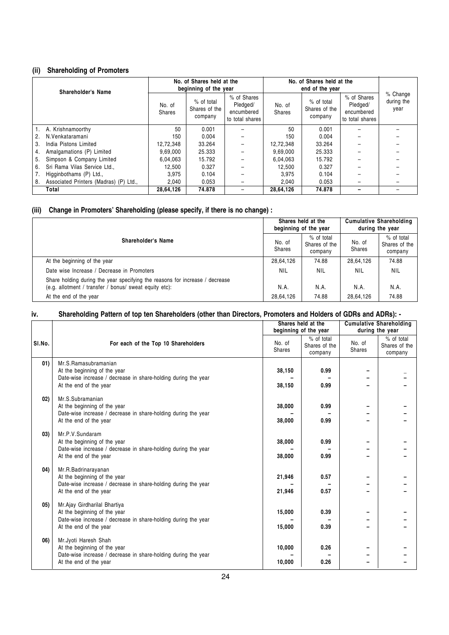# (ii) Shareholding of Promoters

| Shareholder's Name                           | No. of Shares held at the<br>beginning of the year |                                        |                                                          | No. of Shares held at the<br>end of the year |                                          |                                                          |                                |
|----------------------------------------------|----------------------------------------------------|----------------------------------------|----------------------------------------------------------|----------------------------------------------|------------------------------------------|----------------------------------------------------------|--------------------------------|
|                                              | No. of<br>Shares                                   | % of total<br>Shares of the<br>company | % of Shares<br>Pledged/<br>encumbered<br>to total shares | No. of<br>Shares                             | $%$ of total<br>Shares of the<br>company | % of Shares<br>Pledged/<br>encumbered<br>to total shares | % Change<br>during the<br>year |
| A. Krishnamoorthy                            | 50                                                 | 0.001                                  |                                                          | 50                                           | 0.001                                    |                                                          |                                |
| N.Venkataramani                              | 150                                                | 0.004                                  |                                                          | 150                                          | 0.004                                    |                                                          |                                |
| India Pistons Limited<br>3.                  | 12.72.348                                          | 33.264                                 |                                                          | 12.72.348                                    | 33.264                                   |                                                          |                                |
| Amalgamations (P) Limited<br>4.              | 9,69,000                                           | 25.333                                 |                                                          | 9.69.000                                     | 25.333                                   |                                                          |                                |
| Simpson & Company Limited<br>5.              | 6.04.063                                           | 15.792                                 |                                                          | 6.04.063                                     | 15.792                                   |                                                          |                                |
| Sri Rama Vilas Service Ltd<br>6.             | 12.500                                             | 0.327                                  |                                                          | 12.500                                       | 0.327                                    |                                                          |                                |
| Higginbothams (P) Ltd.,                      | 3.975                                              | 0.104                                  |                                                          | 3.975                                        | 0.104                                    |                                                          |                                |
| Associated Printers (Madras) (P) Ltd.,<br>8. | 2.040                                              | 0.053                                  |                                                          | 2.040                                        | 0.053                                    |                                                          |                                |
| Total                                        | 28,64,126                                          | 74.878                                 |                                                          | 28,64,126                                    | 74.878                                   |                                                          |                                |

# (iii) Change in Promoters' Shareholding (please specify, if there is no change) :

|                                                                                                                                        |                  | Shares held at the<br>beginning of the year | <b>Cumulative Shareholding</b><br>during the year |                                        |
|----------------------------------------------------------------------------------------------------------------------------------------|------------------|---------------------------------------------|---------------------------------------------------|----------------------------------------|
| Shareholder's Name                                                                                                                     | No. of<br>Shares | % of total<br>Shares of the<br>company      | No. of<br>Shares                                  | % of total<br>Shares of the<br>company |
| At the beginning of the year                                                                                                           | 28,64,126        | 74.88                                       | 28,64,126                                         | 74.88                                  |
| Date wise Increase / Decrease in Promoters                                                                                             | NIL              | NIL                                         | <b>NIL</b>                                        | NIL                                    |
| Share holding during the year specifying the reasons for increase / decrease<br>(e.g. allotment / transfer / bonus/ sweat equity etc): | N.A.             | N.A.                                        | N.A.                                              | N.A.                                   |
| At the end of the year                                                                                                                 | 28,64,126        | 74.88                                       | 28,64,126                                         | 74.88                                  |

# iv. Shareholding Pattern of top ten Shareholders (other than Directors, Promoters and Holders of GDRs and ADRs): -

|        |                                                                                                |                         | Shares held at the<br>beginning of the year |                  | <b>Cumulative Shareholding</b><br>during the year |
|--------|------------------------------------------------------------------------------------------------|-------------------------|---------------------------------------------|------------------|---------------------------------------------------|
| SI.No. | For each of the Top 10 Shareholders                                                            | No. of<br><b>Shares</b> | % of total<br>Shares of the<br>company      | No. of<br>Shares | % of total<br>Shares of the<br>company            |
| 01)    | Mr.S.Ramasubramanian                                                                           |                         |                                             |                  |                                                   |
|        | At the beginning of the year<br>Date-wise increase / decrease in share-holding during the year | 38,150                  | 0.99                                        |                  |                                                   |
|        | At the end of the year                                                                         | 38,150                  | 0.99                                        |                  |                                                   |
| 02)    | Mr.S.Subramanian                                                                               |                         |                                             |                  |                                                   |
|        | At the beginning of the year                                                                   | 38,000                  | 0.99                                        | -                |                                                   |
|        | Date-wise increase / decrease in share-holding during the year                                 |                         |                                             |                  |                                                   |
|        | At the end of the year                                                                         | 38,000                  | 0.99                                        |                  |                                                   |
| 03)    | Mr.P.V.Sundaram                                                                                |                         |                                             |                  |                                                   |
|        | At the beginning of the year                                                                   | 38,000                  | 0.99                                        | -                |                                                   |
|        | Date-wise increase / decrease in share-holding during the year                                 |                         |                                             |                  |                                                   |
|        | At the end of the year                                                                         | 38,000                  | 0.99                                        |                  |                                                   |
| 04)    | Mr.R.Badrinarayanan                                                                            |                         |                                             |                  |                                                   |
|        | At the beginning of the year                                                                   | 21,946                  | 0.57                                        |                  |                                                   |
|        | Date-wise increase / decrease in share-holding during the year                                 |                         |                                             |                  |                                                   |
|        | At the end of the year                                                                         | 21,946                  | 0.57                                        |                  |                                                   |
| 05)    | Mr.Ajay Girdharilal Bhartiya                                                                   |                         |                                             |                  |                                                   |
|        | At the beginning of the year                                                                   | 15,000                  | 0.39                                        | -                |                                                   |
|        | Date-wise increase / decrease in share-holding during the year                                 |                         |                                             |                  |                                                   |
|        | At the end of the year                                                                         | 15,000                  | 0.39                                        |                  |                                                   |
| 06)    | Mr.Jyoti Haresh Shah                                                                           |                         |                                             |                  |                                                   |
|        | At the beginning of the year                                                                   | 10,000                  | 0.26                                        |                  |                                                   |
|        | Date-wise increase / decrease in share-holding during the year                                 |                         |                                             |                  |                                                   |
|        | At the end of the year                                                                         | 10,000                  | 0.26                                        |                  |                                                   |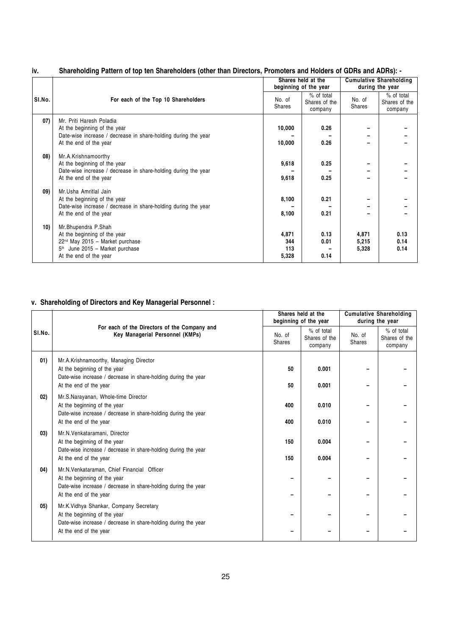|        |                                                                                                                                                         |                              | Shares held at the<br>beginning of the year |                         | <b>Cumulative Shareholding</b><br>during the year |
|--------|---------------------------------------------------------------------------------------------------------------------------------------------------------|------------------------------|---------------------------------------------|-------------------------|---------------------------------------------------|
| SI.No. | For each of the Top 10 Shareholders                                                                                                                     | No. of<br>Shares             | $%$ of total<br>Shares of the<br>company    | No. of<br>Shares        | % of total<br>Shares of the<br>company            |
| 07)    | Mr. Priti Haresh Poladia<br>At the beginning of the year<br>Date-wise increase / decrease in share-holding during the year<br>At the end of the year    | 10,000<br>10,000             | 0.26<br>0.26                                |                         |                                                   |
| (08)   | Mr.A.Krishnamoorthy<br>At the beginning of the year<br>Date-wise increase / decrease in share-holding during the year<br>At the end of the year         | 9,618<br>9,618               | 0.25<br>0.25                                |                         |                                                   |
| 09)    | Mr.Usha Amritlal Jain<br>At the beginning of the year<br>Date-wise increase / decrease in share-holding during the year<br>At the end of the year       | 8,100<br>8,100               | 0.21<br>0.21                                |                         |                                                   |
| 10)    | Mr.Bhupendra P.Shah<br>At the beginning of the year<br>$22nd$ May 2015 - Market purchase<br>$5th$ June 2015 - Market purchase<br>At the end of the year | 4,871<br>344<br>113<br>5,328 | 0.13<br>0.01<br>0.14                        | 4,871<br>5,215<br>5,328 | 0.13<br>0.14<br>0.14                              |

# iv. Shareholding Pattern of top ten Shareholders (other than Directors, Promoters and Holders of GDRs and ADRs): -

# v. Shareholding of Directors and Key Managerial Personnel :

|        |                                                                                                                                                                        |                         | Shares held at the<br>beginning of the year |                         | <b>Cumulative Shareholding</b><br>during the year |
|--------|------------------------------------------------------------------------------------------------------------------------------------------------------------------------|-------------------------|---------------------------------------------|-------------------------|---------------------------------------------------|
| SI.No. | For each of the Directors of the Company and<br>Key Managerial Personnel (KMPs)                                                                                        | No. of<br><b>Shares</b> | $%$ of total<br>Shares of the<br>company    | No. of<br><b>Shares</b> | % of total<br>Shares of the<br>company            |
| 01)    | Mr.A.Krishnamoorthy, Managing Director<br>At the beginning of the year<br>Date-wise increase / decrease in share-holding during the year<br>At the end of the year     | 50<br>50                | 0.001<br>0.001                              |                         |                                                   |
| 02)    | Mr.S.Narayanan, Whole-time Director<br>At the beginning of the year<br>Date-wise increase / decrease in share-holding during the year<br>At the end of the year        | 400<br>400              | 0.010<br>0.010                              |                         |                                                   |
| 03)    | Mr.N.Venkataramani, Director<br>At the beginning of the year<br>Date-wise increase / decrease in share-holding during the year<br>At the end of the year               | 150<br>150              | 0.004<br>0.004                              |                         |                                                   |
| 04)    | Mr.N.Venkataraman, Chief Financial Officer<br>At the beginning of the year<br>Date-wise increase / decrease in share-holding during the year<br>At the end of the year |                         |                                             |                         |                                                   |
| 05)    | Mr.K.Vidhya Shankar, Company Secretary<br>At the beginning of the year<br>Date-wise increase / decrease in share-holding during the year<br>At the end of the year     |                         |                                             |                         |                                                   |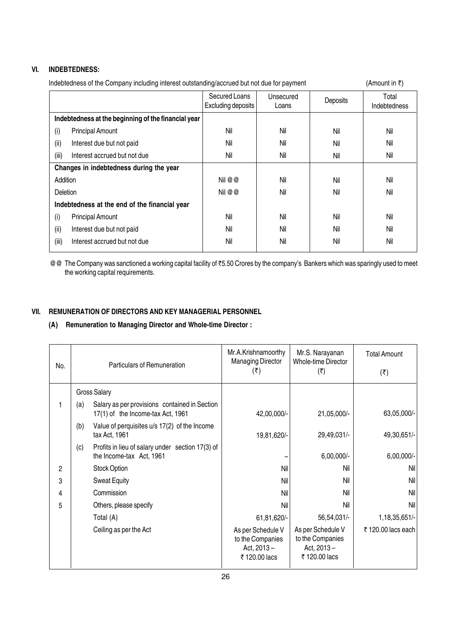# VI. INDEBTEDNESS:

| Indebtedness of the Company including interest outstanding/accrued but not due for payment |                                     |                    |          | (Amount in ₹)                |
|--------------------------------------------------------------------------------------------|-------------------------------------|--------------------|----------|------------------------------|
|                                                                                            | Secured Loans<br>Excluding deposits | Unsecured<br>Loans | Deposits | Total<br><b>Indebtedness</b> |
| Indebtedness at the beginning of the financial year                                        |                                     |                    |          |                              |
| <b>Principal Amount</b><br>(i)                                                             | Nil                                 | Nil                | Nil      | Nil                          |
| (ii)<br>Interest due but not paid                                                          | Nil                                 | Nil                | Nil      | Nil                          |
| (iii)<br>Interest accrued but not due                                                      | Nil                                 | Nil                | Nil      | Nil                          |
| Changes in indebtedness during the year                                                    |                                     |                    |          |                              |
| Addition                                                                                   | Nil @ @                             | Nil                | Nil      | Nil                          |
| Deletion                                                                                   | Nil@@                               | Nil                | Nil      | Nil                          |
| Indebtedness at the end of the financial year                                              |                                     |                    |          |                              |
| (i)<br><b>Principal Amount</b>                                                             | Nil                                 | Nil                | Nil      | Nil                          |
| (ii)<br>Interest due but not paid                                                          | Nil                                 | Nil                | Nil      | Nil                          |
| (iii)<br>Interest accrued but not due                                                      | Nil                                 | Nil                | Nil      | Nil                          |

Indebtedness of the Company including interest outstanding/accrued but not due for payment (Amount in  $\bar{z}$ )

@@ The Company was sanctioned a working capital facility of ₹5.50 Crores by the company's Bankers which was sparingly used to meet the working capital requirements.

# VII. REMUNERATION OF DIRECTORS AND KEY MANAGERIAL PERSONNEL

# (A) Remuneration to Managing Director and Whole-time Director :

|     | Particulars of Remuneration |                                                                                    | Mr.A.Krishnamoorthy<br><b>Managing Director</b>                        | Mr.S. Narayanan<br><b>Whole-time Director</b>                           | <b>Total Amount</b> |
|-----|-----------------------------|------------------------------------------------------------------------------------|------------------------------------------------------------------------|-------------------------------------------------------------------------|---------------------|
| No. |                             |                                                                                    | (₹)                                                                    | (₹)                                                                     | $(\overline{\xi})$  |
|     | <b>Gross Salary</b>         |                                                                                    |                                                                        |                                                                         |                     |
|     | (a)                         | Salary as per provisions contained in Section<br>17(1) of the Income-tax Act, 1961 | 42,00,000/-                                                            | 21,05,000/-                                                             | 63,05,000/-         |
|     | (b)                         | Value of perquisites u/s 17(2) of the Income<br>tax Act, 1961                      | 19,81,620/-                                                            | 29,49,031/-                                                             | 49,30,651/-         |
|     | (c)                         | Profits in lieu of salary under section 17(3) of<br>the Income-tax Act, 1961       |                                                                        | 6,00,000/-                                                              | 6,00,000/-          |
| 2   |                             | Stock Option                                                                       | Nil                                                                    | Nil                                                                     | Nil                 |
| 3   |                             | <b>Sweat Equity</b>                                                                | Nil                                                                    | Nil                                                                     | Nil                 |
| 4   |                             | Commission                                                                         | Nil                                                                    | Nil                                                                     | Nil                 |
| 5   |                             | Others, please specify                                                             | Nil                                                                    | Nil                                                                     | Nil                 |
|     |                             | Total (A)                                                                          | 61,81,620/-                                                            | 56,54,031/-                                                             | 1,18,35,651/-       |
|     |                             | Ceiling as per the Act                                                             | As per Schedule V<br>to the Companies<br>Act, $2013 -$<br>₹120.00 lacs | As per Schedule V<br>to the Companies<br>Act, $2013 -$<br>₹ 120.00 lacs | ₹ 120.00 lacs each  |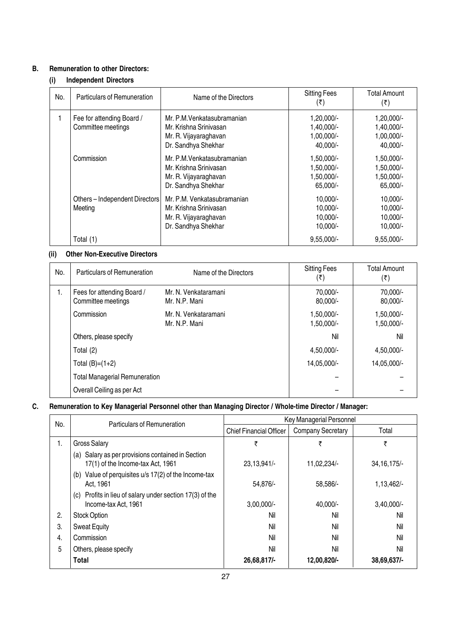# B. Remuneration to other Directors:

# (i) Independent Directors

| No. | Particulars of Remuneration                     | Name of the Directors                                                                                 | <b>Sitting Fees</b><br>(₹)                           | <b>Total Amount</b><br>$(\overline{\mathbf{z}})$   |
|-----|-------------------------------------------------|-------------------------------------------------------------------------------------------------------|------------------------------------------------------|----------------------------------------------------|
|     | Fee for attending Board /<br>Committee meetings | Mr. P.M. Venkatasubramanian<br>Mr. Krishna Srinivasan<br>Mr. R. Vijayaraghavan<br>Dr. Sandhya Shekhar | 1,20,000/-<br>1,40,000/-<br>1,00,000/-<br>40,000/-   | 1,20,000/-<br>1,40,000/-<br>1,00,000/-<br>40,000/- |
|     | Commission                                      | Mr. P.M. Venkatasubramanian<br>Mr. Krishna Srinivasan<br>Mr. R. Vijayaraghavan<br>Dr. Sandhya Shekhar | 1,50,000/-<br>1,50,000/-<br>1,50,000/-<br>65,000/-   | 1,50,000/-<br>1,50,000/-<br>1,50,000/-<br>65,000/- |
|     | Others - Independent Directors<br>Meeting       | Mr. P.M. Venkatasubramanian<br>Mr. Krishna Srinivasan<br>Mr. R. Vijayaraghavan<br>Dr. Sandhya Shekhar | $10,000/-$<br>$10,000/-$<br>$10,000/-$<br>$10,000/-$ | 10,000/-<br>10,000/-<br>$10,000/-$<br>10,000/-     |
|     | Total (1)                                       |                                                                                                       | $9,55,000/-$                                         | $9,55,000/-$                                       |

# (ii) Other Non-Executive Directors

| No. | Particulars of Remuneration                      | Name of the Directors                 | <b>Sitting Fees</b><br>(₹) | <b>Total Amount</b><br>(₹) |
|-----|--------------------------------------------------|---------------------------------------|----------------------------|----------------------------|
| 1.  | Fees for attending Board /<br>Committee meetings | Mr. N. Venkataramani<br>Mr. N.P. Mani | 70,000/-<br>80,000/-       | 70,000/-<br>80,000/-       |
|     | Commission                                       | Mr. N. Venkataramani<br>Mr. N.P. Mani | 1,50,000/-<br>1,50,000/-   | 1,50,000/-<br>1,50,000/-   |
|     | Others, please specify                           |                                       | Nil                        | Nil                        |
|     | Total (2)                                        |                                       | 4,50,000/-                 | 4,50,000/-                 |
|     | Total $(B)=(1+2)$                                |                                       | 14,05,000/-                | 14,05,000/-                |
|     | <b>Total Managerial Remuneration</b>             |                                       |                            |                            |
|     | Overall Ceiling as per Act                       |                                       |                            |                            |

# C. Remuneration to Key Managerial Personnel other than Managing Director / Whole-time Director / Manager:

| No. | Particulars of Remuneration                                                            | Key Managerial Personnel       |                          |              |  |
|-----|----------------------------------------------------------------------------------------|--------------------------------|--------------------------|--------------|--|
|     |                                                                                        | <b>Chief Financial Officer</b> | <b>Company Secretary</b> | Total        |  |
| 1.  | <b>Gross Salary</b>                                                                    | ₹                              | ₹                        | ₹            |  |
|     | (a) Salary as per provisions contained in Section<br>17(1) of the Income-tax Act, 1961 | 23, 13, 941/-                  | 11,02,234/-              | 34,16,175/   |  |
|     | Value of perquisites u/s 17(2) of the Income-tax<br>(b)<br>Act. 1961                   | 54,876/-                       | 58,586/-                 | $1,13,462/-$ |  |
|     | Profits in lieu of salary under section 17(3) of the<br>(c)<br>Income-tax Act, 1961    | $3,00,000/-$                   | 40,000/-                 | $3,40,000/-$ |  |
| 2.  | Stock Option                                                                           | Nil                            | Nil                      | Nil          |  |
| 3.  | <b>Sweat Equity</b>                                                                    | Nil                            | Nil                      | Nil          |  |
| 4.  | Commission                                                                             | Nil                            | Nil                      | Nil          |  |
| 5   | Others, please specify                                                                 | Nil                            | Nil                      | Nil          |  |
|     | Total                                                                                  | 26,68,817/-                    | 12,00,820/-              | 38,69,637/-  |  |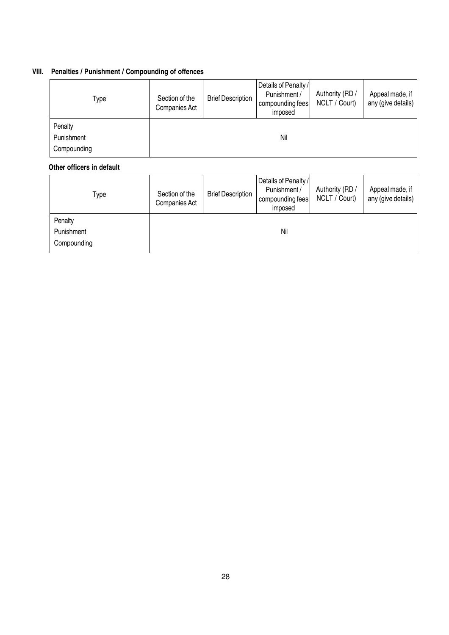# VIII. Penalties / Punishment / Compounding of offences

| Type                                 | Section of the<br>Companies Act | <b>Brief Description</b> | Details of Penalty /<br>Punishment /<br>compounding fees<br>imposed | Authority (RD /<br>NCLT / Court) | Appeal made, if<br>any (give details) |
|--------------------------------------|---------------------------------|--------------------------|---------------------------------------------------------------------|----------------------------------|---------------------------------------|
| Penalty<br>Punishment<br>Compounding |                                 |                          | Nil                                                                 |                                  |                                       |

# Other officers in default

| Type        | Section of the<br>Companies Act | <b>Brief Description</b> | Details of Penalty /<br>Punishment/<br>compounding fees<br>imposed | Authority (RD /<br>NCLT / Court) | Appeal made, if<br>any (give details) |
|-------------|---------------------------------|--------------------------|--------------------------------------------------------------------|----------------------------------|---------------------------------------|
| Penalty     |                                 |                          |                                                                    |                                  |                                       |
| Punishment  |                                 |                          | Nil                                                                |                                  |                                       |
| Compounding |                                 |                          |                                                                    |                                  |                                       |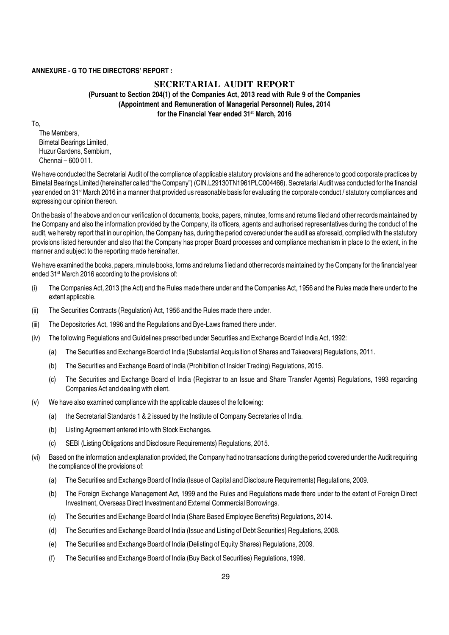# ANNEXURE - G TO THE DIRECTORS' REPORT :

# **SECRETARIAL AUDIT REPORT**

(Pursuant to Section 204(1) of the Companies Act, 2013 read with Rule 9 of the Companies (Appointment and Remuneration of Managerial Personnel) Rules, 2014

for the Financial Year ended 31<sup>st</sup> March, 2016

To,

The Members, Bimetal Bearings Limited, Huzur Gardens, Sembium, Chennai – 600 011.

We have conducted the Secretarial Audit of the compliance of applicable statutory provisions and the adherence to good corporate practices by Bimetal Bearings Limited (hereinafter called "the Company") (CIN.L29130TN1961PLC004466). Secretarial Audit was conducted for the financial year ended on 31st March 2016 in a manner that provided us reasonable basis for evaluating the corporate conduct / statutory compliances and expressing our opinion thereon.

On the basis of the above and on our verification of documents, books, papers, minutes, forms and returns filed and other records maintained by the Company and also the information provided by the Company, its officers, agents and authorised representatives during the conduct of the audit, we hereby report that in our opinion, the Company has, during the period covered under the audit as aforesaid, complied with the statutory provisions listed hereunder and also that the Company has proper Board processes and compliance mechanism in place to the extent, in the manner and subject to the reporting made hereinafter.

We have examined the books, papers, minute books, forms and returns filed and other records maintained by the Company for the financial year ended 31st March 2016 according to the provisions of:

- (i) The Companies Act, 2013 (the Act) and the Rules made there under and the Companies Act, 1956 and the Rules made there under to the extent applicable.
- (ii) The Securities Contracts (Regulation) Act, 1956 and the Rules made there under.
- (iii) The Depositories Act, 1996 and the Regulations and Bye-Laws framed there under.
- (iv) The following Regulations and Guidelines prescribed under Securities and Exchange Board of India Act, 1992:
	- (a) The Securities and Exchange Board of India (Substantial Acquisition of Shares and Takeovers) Regulations, 2011.
	- (b) The Securities and Exchange Board of India (Prohibition of Insider Trading) Regulations, 2015.
	- (c) The Securities and Exchange Board of India (Registrar to an Issue and Share Transfer Agents) Regulations, 1993 regarding Companies Act and dealing with client.
- (v) We have also examined compliance with the applicable clauses of the following:
	- (a) the Secretarial Standards 1 & 2 issued by the Institute of Company Secretaries of India.
	- (b) Listing Agreement entered into with Stock Exchanges.
	- (c) SEBI (Listing Obligations and Disclosure Requirements) Regulations, 2015.
- (vi) Based on the information and explanation provided, the Company had no transactions during the period covered under the Audit requiring the compliance of the provisions of:
	- (a) The Securities and Exchange Board of India (Issue of Capital and Disclosure Requirements) Regulations, 2009.
	- (b) The Foreign Exchange Management Act, 1999 and the Rules and Regulations made there under to the extent of Foreign Direct Investment, Overseas Direct Investment and External Commercial Borrowings.
	- (c) The Securities and Exchange Board of India (Share Based Employee Benefits) Regulations, 2014.
	- (d) The Securities and Exchange Board of India (Issue and Listing of Debt Securities) Regulations, 2008.
	- (e) The Securities and Exchange Board of India (Delisting of Equity Shares) Regulations, 2009.
	- (f) The Securities and Exchange Board of India (Buy Back of Securities) Regulations, 1998.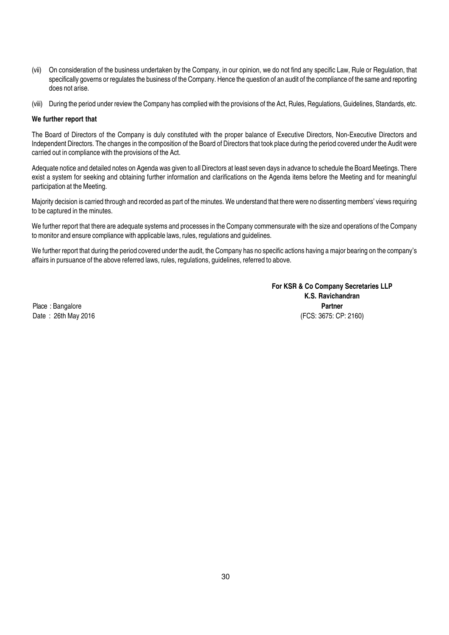- (vii) On consideration of the business undertaken by the Company, in our opinion, we do not find any specific Law, Rule or Regulation, that specifically governs or regulates the business of the Company. Hence the question of an audit of the compliance of the same and reporting does not arise.
- (viii) During the period under review the Company has complied with the provisions of the Act, Rules, Regulations, Guidelines, Standards, etc.

#### We further report that

The Board of Directors of the Company is duly constituted with the proper balance of Executive Directors, Non-Executive Directors and Independent Directors. The changes in the composition of the Board of Directors that took place during the period covered under the Audit were carried out in compliance with the provisions of the Act.

Adequate notice and detailed notes on Agenda was given to all Directors at least seven days in advance to schedule the Board Meetings. There exist a system for seeking and obtaining further information and clarifications on the Agenda items before the Meeting and for meaningful participation at the Meeting.

Majority decision is carried through and recorded as part of the minutes. We understand that there were no dissenting members' views requiring to be captured in the minutes.

We further report that there are adequate systems and processes in the Company commensurate with the size and operations of the Company to monitor and ensure compliance with applicable laws, rules, regulations and guidelines.

We further report that during the period covered under the audit, the Company has no specific actions having a major bearing on the company's affairs in pursuance of the above referred laws, rules, regulations, guidelines, referred to above.

For KSR & Co Company Secretaries LLP K.S. Ravichandran Place : Bangalore **Partner** Date : 26th May 2016 (FCS: 3675: CP: 2160)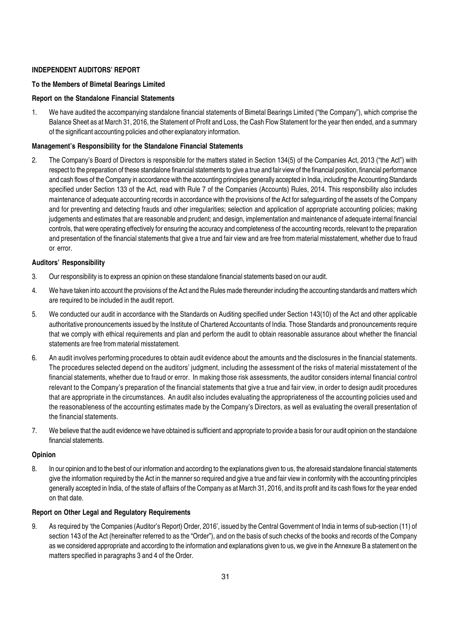# INDEPENDENT AUDITORS' REPORT

# To the Members of Bimetal Bearings Limited

# Report on the Standalone Financial Statements

1. We have audited the accompanying standalone financial statements of Bimetal Bearings Limited ("the Company"), which comprise the Balance Sheet as at March 31, 2016, the Statement of Profit and Loss, the Cash Flow Statement for the year then ended, and a summary of the significant accounting policies and other explanatory information.

# Management's Responsibility for the Standalone Financial Statements

2. The Company's Board of Directors is responsible for the matters stated in Section 134(5) of the Companies Act, 2013 ("the Act") with respect to the preparation of these standalone financial statements to give a true and fair view of the financial position, financial performance and cash flows of the Company in accordance with the accounting principles generally accepted in India, including the Accounting Standards specified under Section 133 of the Act, read with Rule 7 of the Companies (Accounts) Rules, 2014. This responsibility also includes maintenance of adequate accounting records in accordance with the provisions of the Act for safeguarding of the assets of the Company and for preventing and detecting frauds and other irregularities; selection and application of appropriate accounting policies; making judgements and estimates that are reasonable and prudent; and design, implementation and maintenance of adequate internal financial controls, that were operating effectively for ensuring the accuracy and completeness of the accounting records, relevant to the preparation and presentation of the financial statements that give a true and fair view and are free from material misstatement, whether due to fraud or error.

# Auditors' Responsibility

- 3. Our responsibility is to express an opinion on these standalone financial statements based on our audit.
- 4. We have taken into account the provisions of the Act and the Rules made thereunder including the accounting standards and matters which are required to be included in the audit report.
- 5. We conducted our audit in accordance with the Standards on Auditing specified under Section 143(10) of the Act and other applicable authoritative pronouncements issued by the Institute of Chartered Accountants of India. Those Standards and pronouncements require that we comply with ethical requirements and plan and perform the audit to obtain reasonable assurance about whether the financial statements are free from material misstatement.
- 6. An audit involves performing procedures to obtain audit evidence about the amounts and the disclosures in the financial statements. The procedures selected depend on the auditors' judgment, including the assessment of the risks of material misstatement of the financial statements, whether due to fraud or error. In making those risk assessments, the auditor considers internal financial control relevant to the Company's preparation of the financial statements that give a true and fair view, in order to design audit procedures that are appropriate in the circumstances. An audit also includes evaluating the appropriateness of the accounting policies used and the reasonableness of the accounting estimates made by the Company's Directors, as well as evaluating the overall presentation of the financial statements.
- 7. We believe that the audit evidence we have obtained is sufficient and appropriate to provide a basis for our audit opinion on the standalone financial statements.

# Opinion

8. In our opinion and to the best of our information and according to the explanations given to us, the aforesaid standalone financial statements give the information required by the Act in the manner so required and give a true and fair view in conformity with the accounting principles generally accepted in India, of the state of affairs of the Company as at March 31, 2016, and its profit and its cash flows for the year ended on that date.

# Report on Other Legal and Regulatory Requirements

9. As required by 'the Companies (Auditor's Report) Order, 2016', issued by the Central Government of India in terms of sub-section (11) of section 143 of the Act (hereinafter referred to as the "Order"), and on the basis of such checks of the books and records of the Company as we considered appropriate and according to the information and explanations given to us, we give in the Annexure B a statement on the matters specified in paragraphs 3 and 4 of the Order.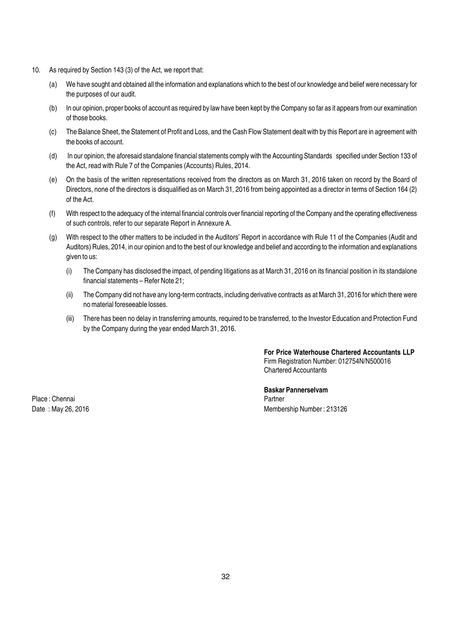- 10. As required by Section 143 (3) of the Act, we report that:
	- (a) We have sought and obtained all the information and explanations which to the best of our knowledge and belief were necessary for the purposes of our audit.
	- (b) In our opinion, proper books of account as required by law have been kept by the Company so far as it appears from our examination of those books.
	- (c) The Balance Sheet, the Statement of Profit and Loss, and the Cash Flow Statement dealt with by this Report are in agreement with the books of account.
	- (d) In our opinion, the aforesaid standalone financial statements comply with the Accounting Standards specified under Section 133 of the Act, read with Rule 7 of the Companies (Accounts) Rules, 2014.
	- (e) On the basis of the written representations received from the directors as on March 31, 2016 taken on record by the Board of Directors, none of the directors is disqualified as on March 31, 2016 from being appointed as a director in terms of Section 164 (2) of the Act.
	- (f) With respect to the adequacy of the internal financial controls over financial reporting of the Company and the operating effectiveness of such controls, refer to our separate Report in Annexure A.
	- (g) With respect to the other matters to be included in the Auditors' Report in accordance with Rule 11 of the Companies (Audit and Auditors) Rules, 2014, in our opinion and to the best of our knowledge and belief and according to the information and explanations given to us:
		- (i) The Company has disclosed the impact, of pending litigations as at March 31, 2016 on its financial position in its standalone financial statements – Refer Note 21;
		- (ii) The Company did not have any long-term contracts, including derivative contracts as at March 31, 2016 for which there were no material foreseeable losses.
		- (iii) There has been no delay in transferring amounts, required to be transferred, to the Investor Education and Protection Fund by the Company during the year ended March 31, 2016.

For Price Waterhouse Chartered Accountants LLP Firm Registration Number: 012754N/N500016 Chartered Accountants

Place : Chennai Partner Partner Partner Partner Partner Partner Partner Partner Partner Partner Partner Partner

Baskar Pannerselvam Date : May 26, 2016 Membership Number : 213126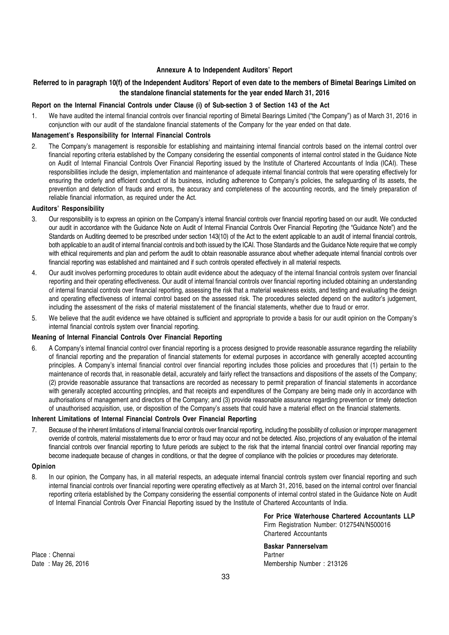#### Annexure A to Independent Auditors' Report

# Referred to in paragraph 10(f) of the Independent Auditors' Report of even date to the members of Bimetal Bearings Limited on the standalone financial statements for the year ended March 31, 2016

#### Report on the Internal Financial Controls under Clause (i) of Sub-section 3 of Section 143 of the Act

1. We have audited the internal financial controls over financial reporting of Bimetal Bearings Limited ("the Company") as of March 31, 2016 in conjunction with our audit of the standalone financial statements of the Company for the year ended on that date.

# Management's Responsibility for Internal Financial Controls

2. The Company's management is responsible for establishing and maintaining internal financial controls based on the internal control over financial reporting criteria established by the Company considering the essential components of internal control stated in the Guidance Note on Audit of Internal Financial Controls Over Financial Reporting issued by the Institute of Chartered Accountants of India (ICAI). These responsibilities include the design, implementation and maintenance of adequate internal financial controls that were operating effectively for ensuring the orderly and efficient conduct of its business, including adherence to Company's policies, the safeguarding of its assets, the prevention and detection of frauds and errors, the accuracy and completeness of the accounting records, and the timely preparation of reliable financial information, as required under the Act.

#### Auditors' Responsibility

- 3. Our responsibility is to express an opinion on the Company's internal financial controls over financial reporting based on our audit. We conducted our audit in accordance with the Guidance Note on Audit of Internal Financial Controls Over Financial Reporting (the "Guidance Note") and the Standards on Auditing deemed to be prescribed under section 143(10) of the Act to the extent applicable to an audit of internal financial controls, both applicable to an audit of internal financial controls and both issued by the ICAI. Those Standards and the Guidance Note require that we comply with ethical requirements and plan and perform the audit to obtain reasonable assurance about whether adequate internal financial controls over financial reporting was established and maintained and if such controls operated effectively in all material respects.
- 4. Our audit involves performing procedures to obtain audit evidence about the adequacy of the internal financial controls system over financial reporting and their operating effectiveness. Our audit of internal financial controls over financial reporting included obtaining an understanding of internal financial controls over financial reporting, assessing the risk that a material weakness exists, and testing and evaluating the design and operating effectiveness of internal control based on the assessed risk. The procedures selected depend on the auditor's judgement, including the assessment of the risks of material misstatement of the financial statements, whether due to fraud or error.
- 5. We believe that the audit evidence we have obtained is sufficient and appropriate to provide a basis for our audit opinion on the Company's internal financial controls system over financial reporting.

#### Meaning of Internal Financial Controls Over Financial Reporting

6. A Company's internal financial control over financial reporting is a process designed to provide reasonable assurance regarding the reliability of financial reporting and the preparation of financial statements for external purposes in accordance with generally accepted accounting principles. A Company's internal financial control over financial reporting includes those policies and procedures that (1) pertain to the maintenance of records that, in reasonable detail, accurately and fairly reflect the transactions and dispositions of the assets of the Company; (2) provide reasonable assurance that transactions are recorded as necessary to permit preparation of financial statements in accordance with generally accepted accounting principles, and that receipts and expenditures of the Company are being made only in accordance with authorisations of management and directors of the Company; and (3) provide reasonable assurance regarding prevention or timely detection of unauthorised acquisition, use, or disposition of the Company's assets that could have a material effect on the financial statements.

#### Inherent Limitations of Internal Financial Controls Over Financial Reporting

7. Because of the inherent limitations of internal financial controls over financial reporting, including the possibility of collusion or improper management override of controls, material misstatements due to error or fraud may occur and not be detected. Also, projections of any evaluation of the internal financial controls over financial reporting to future periods are subject to the risk that the internal financial control over financial reporting may become inadequate because of changes in conditions, or that the degree of compliance with the policies or procedures may deteriorate.

#### Opinion

8. In our opinion, the Company has, in all material respects, an adequate internal financial controls system over financial reporting and such internal financial controls over financial reporting were operating effectively as at March 31, 2016, based on the internal control over financial reporting criteria established by the Company considering the essential components of internal control stated in the Guidance Note on Audit of Internal Financial Controls Over Financial Reporting issued by the Institute of Chartered Accountants of India.

> For Price Waterhouse Chartered Accountants LLP Firm Registration Number: 012754N/N500016 Chartered Accountants

Baskar Pannerselvam Date : May 26, 2016 Membership Number : 213126

Place : Chennai Partner Partner Partner Partner Partner Partner Partner Partner Partner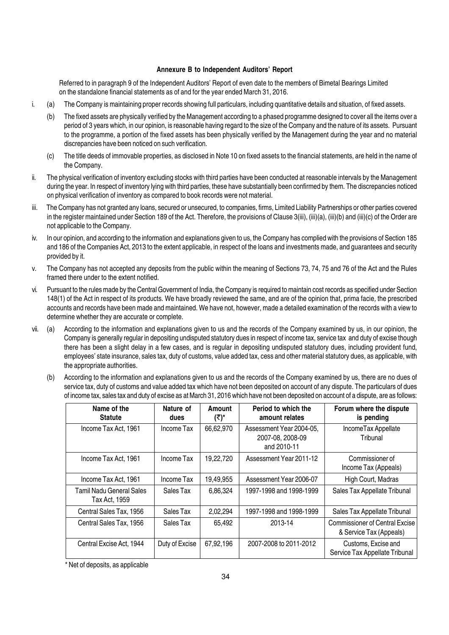# Annexure B to Independent Auditors' Report

Referred to in paragraph 9 of the Independent Auditors' Report of even date to the members of Bimetal Bearings Limited on the standalone financial statements as of and for the year ended March 31, 2016.

- i. (a) The Company is maintaining proper records showing full particulars, including quantitative details and situation, of fixed assets.
	- (b) The fixed assets are physically verified by the Management according to a phased programme designed to cover all the items over a period of 3 years which, in our opinion, is reasonable having regard to the size of the Company and the nature of its assets. Pursuant to the programme, a portion of the fixed assets has been physically verified by the Management during the year and no material discrepancies have been noticed on such verification.
	- (c) The title deeds of immovable properties, as disclosed in Note 10 on fixed assets to the financial statements, are held in the name of the Company.
- ii. The physical verification of inventory excluding stocks with third parties have been conducted at reasonable intervals by the Management during the year. In respect of inventory lying with third parties, these have substantially been confirmed by them. The discrepancies noticed on physical verification of inventory as compared to book records were not material.
- iii. The Company has not granted any loans, secured or unsecured, to companies, firms, Limited Liability Partnerships or other parties covered in the register maintained under Section 189 of the Act. Therefore, the provisions of Clause 3(iii), (iii)(a), (iii)(b) and (iii)(c) of the Order are not applicable to the Company.
- iv. In our opinion, and according to the information and explanations given to us, the Company has complied with the provisions of Section 185 and 186 of the Companies Act, 2013 to the extent applicable, in respect of the loans and investments made, and guarantees and security provided by it.
- v. The Company has not accepted any deposits from the public within the meaning of Sections 73, 74, 75 and 76 of the Act and the Rules framed there under to the extent notified.
- vi. Pursuant to the rules made by the Central Government of India, the Company is required to maintain cost records as specified under Section 148(1) of the Act in respect of its products. We have broadly reviewed the same, and are of the opinion that, prima facie, the prescribed accounts and records have been made and maintained. We have not, however, made a detailed examination of the records with a view to determine whether they are accurate or complete.
- vii. (a) According to the information and explanations given to us and the records of the Company examined by us, in our opinion, the Company is generally regular in depositing undisputed statutory dues in respect of income tax, service tax and duty of excise though there has been a slight delay in a few cases, and is regular in depositing undisputed statutory dues, including provident fund, employees' state insurance, sales tax, duty of customs, value added tax, cess and other material statutory dues, as applicable, with the appropriate authorities.
	- (b) According to the information and explanations given to us and the records of the Company examined by us, there are no dues of service tax, duty of customs and value added tax which have not been deposited on account of any dispute. The particulars of dues of income tax, sales tax and duty of excise as at March 31, 2016 which have not been deposited on account of a dispute, are as follows:

| Name of the<br><b>Statute</b>             | Nature of<br>dues | Amount<br>(₹)* | Period to which the<br>amount relates                       | Forum where the dispute<br>is pending                            |
|-------------------------------------------|-------------------|----------------|-------------------------------------------------------------|------------------------------------------------------------------|
| Income Tax Act, 1961                      | Income Tax        | 66,62,970      | Assessment Year 2004-05.<br>2007-08, 2008-09<br>and 2010-11 | IncomeTax Appellate<br>Tribunal                                  |
| Income Tax Act, 1961                      | Income Tax        | 19,22,720      | Assessment Year 2011-12                                     | Commissioner of<br>Income Tax (Appeals)                          |
| Income Tax Act, 1961                      | Income Tax        | 19,49,955      | Assessment Year 2006-07                                     | High Court, Madras                                               |
| Tamil Nadu General Sales<br>Tax Act, 1959 | Sales Tax         | 6,86,324       | 1997-1998 and 1998-1999                                     | Sales Tax Appellate Tribunal                                     |
| Central Sales Tax, 1956                   | Sales Tax         | 2,02,294       | 1997-1998 and 1998-1999                                     | Sales Tax Appellate Tribunal                                     |
| Central Sales Tax, 1956                   | Sales Tax         | 65,492         | 2013-14                                                     | <b>Commissioner of Central Excise</b><br>& Service Tax (Appeals) |
| Central Excise Act, 1944                  | Duty of Excise    | 67,92,196      | 2007-2008 to 2011-2012                                      | Customs, Excise and<br>Service Tax Appellate Tribunal            |

\* Net of deposits, as applicable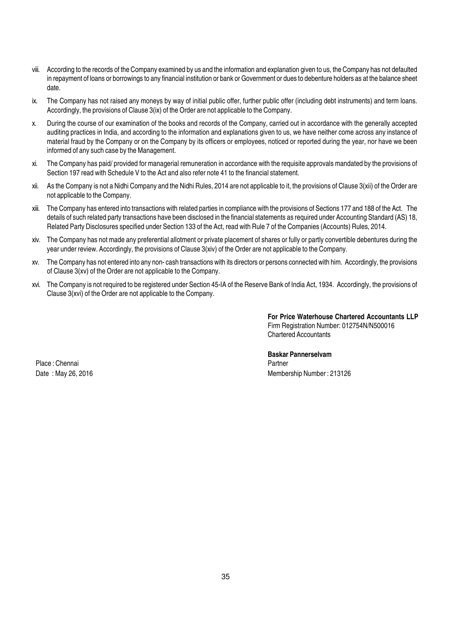- viii. According to the records of the Company examined by us and the information and explanation given to us, the Company has not defaulted in repayment of loans or borrowings to any financial institution or bank or Government or dues to debenture holders as at the balance sheet date.
- ix. The Company has not raised any moneys by way of initial public offer, further public offer (including debt instruments) and term loans. Accordingly, the provisions of Clause 3(ix) of the Order are not applicable to the Company.
- x. During the course of our examination of the books and records of the Company, carried out in accordance with the generally accepted auditing practices in India, and according to the information and explanations given to us, we have neither come across any instance of material fraud by the Company or on the Company by its officers or employees, noticed or reported during the year, nor have we been informed of any such case by the Management.
- xi. The Company has paid/ provided for managerial remuneration in accordance with the requisite approvals mandated by the provisions of Section 197 read with Schedule V to the Act and also refer note 41 to the financial statement.
- xii. As the Company is not a Nidhi Company and the Nidhi Rules, 2014 are not applicable to it, the provisions of Clause 3(xii) of the Order are not applicable to the Company.
- xiii. The Company has entered into transactions with related parties in compliance with the provisions of Sections 177 and 188 of the Act. The details of such related party transactions have been disclosed in the financial statements as required under Accounting Standard (AS) 18, Related Party Disclosures specified under Section 133 of the Act, read with Rule 7 of the Companies (Accounts) Rules, 2014.
- xiv. The Company has not made any preferential allotment or private placement of shares or fully or partly convertible debentures during the year under review. Accordingly, the provisions of Clause 3(xiv) of the Order are not applicable to the Company.
- xv. The Company has not entered into any non- cash transactions with its directors or persons connected with him. Accordingly, the provisions of Clause 3(xv) of the Order are not applicable to the Company.
- xvi. The Company is not required to be registered under Section 45-IA of the Reserve Bank of India Act, 1934. Accordingly, the provisions of Clause 3(xvi) of the Order are not applicable to the Company.

For Price Waterhouse Chartered Accountants LLP Firm Registration Number: 012754N/N500016 Chartered Accountants

Place : Chennai Partner New York 1999 Partner New York 1999 Partner New York 1999 Partner

Baskar Pannerselvam Date : May 26, 2016 Membership Number : 213126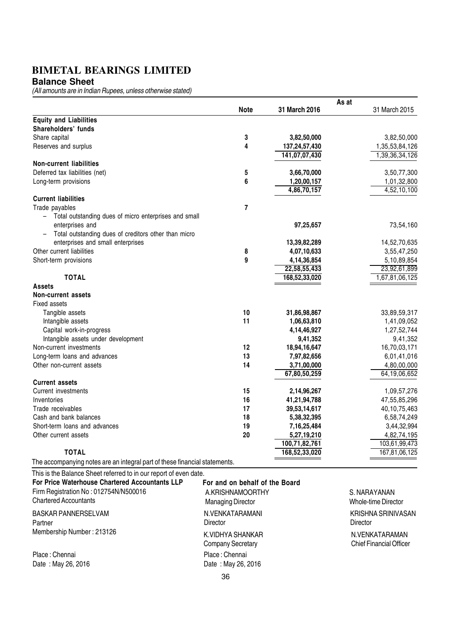#### **Balance Sheet**

(All amounts are in Indian Rupees, unless otherwise stated)

|                                                                            |             |                | As at          |
|----------------------------------------------------------------------------|-------------|----------------|----------------|
|                                                                            | <b>Note</b> | 31 March 2016  | 31 March 2015  |
| <b>Equity and Liabilities</b>                                              |             |                |                |
| Shareholders' funds                                                        |             |                |                |
| Share capital                                                              | 3           | 3,82,50,000    | 3,82,50,000    |
| Reserves and surplus                                                       | 4           | 137,24,57,430  | 1,35,53,84,126 |
|                                                                            |             | 141,07,07,430  | 1,39,36,34,126 |
| <b>Non-current liabilities</b>                                             |             |                |                |
| Deferred tax liabilities (net)                                             | 5           | 3,66,70,000    | 3,50,77,300    |
| Long-term provisions                                                       | 6           | 1,20,00,157    | 1,01,32,800    |
|                                                                            |             | 4,86,70,157    | 4,52,10,100    |
| <b>Current liabilities</b>                                                 |             |                |                |
| Trade payables                                                             | 7           |                |                |
| Total outstanding dues of micro enterprises and small                      |             |                |                |
| enterprises and                                                            |             | 97,25,657      | 73,54,160      |
| Total outstanding dues of creditors other than micro                       |             |                |                |
| enterprises and small enterprises                                          |             | 13,39,82,289   | 14,52,70,635   |
| Other current liabilities                                                  | 8           | 4,07,10,633    | 3,55,47,250    |
| Short-term provisions                                                      | 9           | 4,14,36,854    | 5,10,89,854    |
|                                                                            |             | 22,58,55,433   | 23,92,61,899   |
| <b>TOTAL</b>                                                               |             | 168,52,33,020  | 1,67,81,06,125 |
| <b>Assets</b>                                                              |             |                |                |
| <b>Non-current assets</b>                                                  |             |                |                |
| Fixed assets                                                               |             |                |                |
| Tangible assets                                                            | 10          | 31,86,98,867   | 33,89,59,317   |
| Intangible assets                                                          | 11          | 1,06,63,810    | 1,41,09,052    |
| Capital work-in-progress                                                   |             | 4,14,46,927    | 1,27,52,744    |
| Intangible assets under development                                        |             | 9,41,352       | 9,41,352       |
| Non-current investments                                                    | 12          | 18,94,16,647   | 16,70,03,171   |
| Long-term loans and advances                                               | 13          | 7,97,82,656    | 6,01,41,016    |
| Other non-current assets                                                   | 14          | 3,71,00,000    | 4,80,00,000    |
|                                                                            |             | 67,80,50,259   | 64,19,06,652   |
| <b>Current assets</b>                                                      |             |                |                |
| Current investments                                                        | 15          | 2,14,96,267    | 1,09,57,276    |
| Inventories                                                                | 16          | 41,21,94,788   | 47,55,85,296   |
| Trade receivables                                                          | 17          | 39,53,14,617   | 40,10,75,463   |
| Cash and bank balances                                                     | 18          | 5,38,32,395    | 6,58,74,249    |
| Short-term loans and advances                                              | 19          | 7, 16, 25, 484 | 3,44,32,994    |
| Other current assets                                                       | 20          | 5,27,19,210    | 4,82,74,195    |
|                                                                            |             | 100,71,82,761  | 103,61,99,473  |
| <b>TOTAL</b>                                                               |             | 168,52,33,020  | 167,81,06,125  |
| The accompanying notes are an integral part of these financial statements. |             |                |                |

This is the Balance Sheet referred to in our report of even date.

| For Price Waterhouse Chartered Accountants LLP | For and on behalf of the Board               |  |
|------------------------------------------------|----------------------------------------------|--|
| Firm Registration No: 012754N/N500016          | A.KRISHNAMOORTHY                             |  |
| <b>Chartered Accountants</b>                   | <b>Managing Director</b>                     |  |
| <b>BASKAR PANNERSELVAM</b>                     | N.VENKATARAMANI                              |  |
| Partner                                        | Director                                     |  |
| Membership Number: 213126                      | K.VIDHYA SHANKAR<br><b>Company Secretary</b> |  |
| Place: Chennai                                 | Place: Chennai                               |  |
| Date: May 26, 2016                             | Date: May 26, 2016                           |  |
|                                                | $\sim$                                       |  |

N.VENKATARAMAN Chief Financial Officer KRISHNA SRINIVASAN **Director** S. NARAYANAN Whole-time Director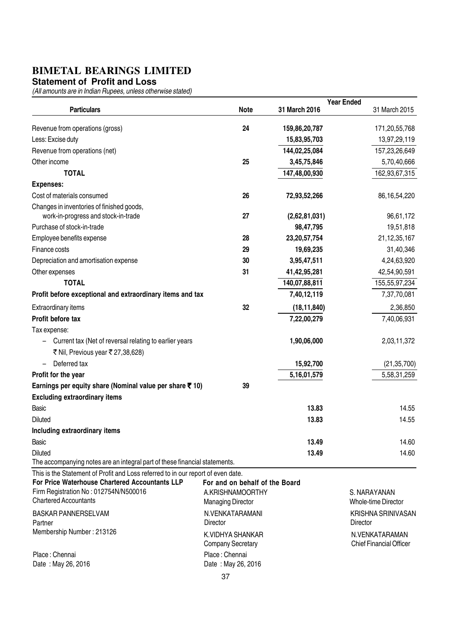#### **Statement of Profit and Loss**

Place : Chennai Date : May 26, 2016

(All amounts are in Indian Rupees, unless otherwise stated)

|                                                                                                                                                                                                             |                                                                                |                 | <b>Year Ended</b>                          |
|-------------------------------------------------------------------------------------------------------------------------------------------------------------------------------------------------------------|--------------------------------------------------------------------------------|-----------------|--------------------------------------------|
| <b>Particulars</b>                                                                                                                                                                                          | <b>Note</b>                                                                    | 31 March 2016   | 31 March 2015                              |
| Revenue from operations (gross)                                                                                                                                                                             | 24                                                                             | 159,86,20,787   | 171,20,55,768                              |
| Less: Excise duty                                                                                                                                                                                           |                                                                                | 15,83,95,703    | 13,97,29,119                               |
| Revenue from operations (net)                                                                                                                                                                               |                                                                                | 144,02,25,084   | 157,23,26,649                              |
| Other income                                                                                                                                                                                                | 25                                                                             | 3,45,75,846     | 5,70,40,666                                |
| <b>TOTAL</b>                                                                                                                                                                                                |                                                                                | 147,48,00,930   | 162,93,67,315                              |
| <b>Expenses:</b>                                                                                                                                                                                            |                                                                                |                 |                                            |
| Cost of materials consumed                                                                                                                                                                                  | 26                                                                             | 72,93,52,266    | 86, 16, 54, 220                            |
| Changes in inventories of finished goods,<br>work-in-progress and stock-in-trade                                                                                                                            | 27                                                                             | (2,62,81,031)   | 96,61,172                                  |
| Purchase of stock-in-trade                                                                                                                                                                                  |                                                                                | 98,47,795       | 19,51,818                                  |
| Employee benefits expense                                                                                                                                                                                   | 28                                                                             | 23, 20, 57, 754 | 21, 12, 35, 167                            |
| Finance costs                                                                                                                                                                                               | 29                                                                             | 19,69,235       | 31,40,346                                  |
| Depreciation and amortisation expense                                                                                                                                                                       | 30                                                                             | 3,95,47,511     | 4,24,63,920                                |
| Other expenses                                                                                                                                                                                              | 31                                                                             | 41,42,95,281    | 42,54,90,591                               |
| <b>TOTAL</b>                                                                                                                                                                                                |                                                                                | 140,07,88,811   | 155,55,97,234                              |
| Profit before exceptional and extraordinary items and tax                                                                                                                                                   |                                                                                | 7,40,12,119     | 7,37,70,081                                |
| Extraordinary items                                                                                                                                                                                         | 32                                                                             | (18, 11, 840)   | 2,36,850                                   |
| Profit before tax                                                                                                                                                                                           |                                                                                | 7,22,00,279     | 7,40,06,931                                |
| Tax expense:                                                                                                                                                                                                |                                                                                |                 |                                            |
| Current tax (Net of reversal relating to earlier years                                                                                                                                                      |                                                                                | 1,90,06,000     | 2,03,11,372                                |
| ₹ Nil, Previous year ₹ 27,38,628)                                                                                                                                                                           |                                                                                |                 |                                            |
| Deferred tax<br>$\qquad \qquad$                                                                                                                                                                             |                                                                                | 15,92,700       | (21, 35, 700)                              |
| Profit for the year                                                                                                                                                                                         |                                                                                | 5, 16, 01, 579  | 5,58,31,259                                |
| Earnings per equity share (Nominal value per share ₹ 10)                                                                                                                                                    | 39                                                                             |                 |                                            |
| <b>Excluding extraordinary items</b>                                                                                                                                                                        |                                                                                |                 |                                            |
| <b>Basic</b>                                                                                                                                                                                                |                                                                                | 13.83           | 14.55                                      |
| <b>Diluted</b>                                                                                                                                                                                              |                                                                                | 13.83           | 14.55                                      |
| Including extraordinary items                                                                                                                                                                               |                                                                                |                 |                                            |
| <b>Basic</b>                                                                                                                                                                                                |                                                                                | 13.49           | 14.60                                      |
| <b>Diluted</b>                                                                                                                                                                                              |                                                                                | 13.49           | 14.60                                      |
| The accompanying notes are an integral part of these financial statements.                                                                                                                                  |                                                                                |                 |                                            |
| This is the Statement of Profit and Loss referred to in our report of even date.<br>For Price Waterhouse Chartered Accountants LLP<br>Firm Registration No: 012754N/N500016<br><b>Chartered Accountants</b> | For and on behalf of the Board<br>A.KRISHNAMOORTHY<br><b>Managing Director</b> |                 | S. NARAYANAN<br><b>Whole-time Director</b> |
| <b>BASKAR PANNERSELVAM</b><br>Partner                                                                                                                                                                       | N.VENKATARAMANI<br>Director                                                    |                 | <b>KRISHNA SRINIVASAN</b><br>Director      |
| Membership Number: 213126                                                                                                                                                                                   | K.VIDHYA SHANKAR                                                               |                 | N.VENKATARAMAN                             |

N.VENKATARAMAN Chief Financial Officer

37

Company Secretary Place : Chennai Date : May 26, 2016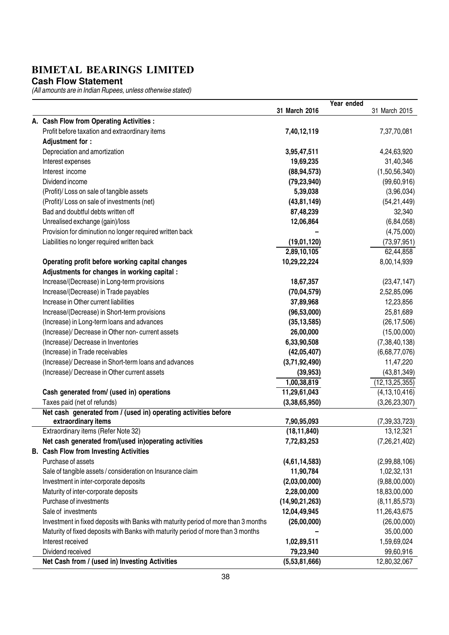**Cash Flow Statement**

| Year ended                                                                                        |                   |
|---------------------------------------------------------------------------------------------------|-------------------|
| 31 March 2016                                                                                     | 31 March 2015     |
| A. Cash Flow from Operating Activities :                                                          |                   |
| Profit before taxation and extraordinary items<br>7,40,12,119                                     | 7,37,70,081       |
| Adjustment for :                                                                                  |                   |
| Depreciation and amortization<br>3,95,47,511                                                      | 4,24,63,920       |
| 19,69,235<br>Interest expenses                                                                    | 31,40,346         |
| Interest income<br>(88, 94, 573)                                                                  | (1,50,56,340)     |
| Dividend income<br>(79, 23, 940)                                                                  | (99, 60, 916)     |
| (Profit)/ Loss on sale of tangible assets<br>5,39,038                                             | (3,96,034)        |
| (Profit)/ Loss on sale of investments (net)<br>(43, 81, 149)                                      | (54, 21, 449)     |
| Bad and doubtful debts written off<br>87,48,239                                                   | 32,340            |
| Unrealised exchange (gain)/loss<br>12,06,864                                                      | (6, 84, 058)      |
| Provision for diminution no longer required written back                                          | (4,75,000)        |
| Liabilities no longer required written back<br>(19, 01, 120)                                      | (73, 97, 951)     |
| 2,89,10,105                                                                                       | 62,44,858         |
| Operating profit before working capital changes<br>10,29,22,224                                   | 8,00,14,939       |
| Adjustments for changes in working capital :                                                      |                   |
| Increase/(Decrease) in Long-term provisions<br>18,67,357                                          | (23, 47, 147)     |
| Increase/(Decrease) in Trade payables<br>(70, 04, 579)                                            | 2,52,85,096       |
| Increase in Other current liabilities<br>37,89,968                                                | 12,23,856         |
| Increase/(Decrease) in Short-term provisions<br>(96, 53, 000)                                     | 25,81,689         |
| (Increase) in Long-term loans and advances<br>(35, 13, 585)                                       | (26, 17, 506)     |
| (Increase)/ Decrease in Other non- current assets<br>26,00,000                                    | (15,00,000)       |
| (Increase)/ Decrease in Inventories<br>6,33,90,508                                                | (7, 38, 40, 138)  |
| (Increase) in Trade receivables<br>(42,05,407)                                                    | (6,68,77,076)     |
| (Increase)/ Decrease in Short-term loans and advances<br>(3,71,92,490)                            | 11,47,220         |
| (Increase)/ Decrease in Other current assets<br>(39, 953)                                         | (43, 81, 349)     |
| 1,00,38,819                                                                                       | (12, 13, 25, 355) |
| 11,29,61,043<br>Cash generated from/ (used in) operations                                         | (4, 13, 10, 416)  |
| Taxes paid (net of refunds)<br>(3,38,65,950)                                                      | (3, 26, 23, 307)  |
| Net cash generated from / (used in) operating activities before                                   |                   |
| extraordinary items<br>7,90,95,093                                                                | (7, 39, 33, 723)  |
| Extraordinary items (Refer Note 32)<br>(18, 11, 840)                                              | 13, 12, 321       |
| Net cash generated from/(used in)operating activities<br>7,72,83,253                              | (7,26,21,402)     |
| <b>B.</b> Cash Flow from Investing Activities                                                     |                   |
| Purchase of assets<br>(4,61,14,583)                                                               | (2,99,88,106)     |
| Sale of tangible assets / consideration on Insurance claim<br>11,90,784                           | 1,02,32,131       |
| Investment in inter-corporate deposits<br>(2,03,00,000)                                           | (9,88,00,000)     |
| Maturity of inter-corporate deposits<br>2,28,00,000                                               | 18,83,00,000      |
| Purchase of investments<br>(14, 90, 21, 263)                                                      | (8, 11, 85, 573)  |
| Sale of investments<br>12,04,49,945                                                               | 11,26,43,675      |
| Investment in fixed deposits with Banks with maturity period of more than 3 months<br>(26,00,000) | (26,00,000)       |
| Maturity of fixed deposits with Banks with maturity period of more than 3 months                  | 35,00,000         |
| Interest received<br>1,02,89,511                                                                  | 1,59,69,024       |
| Dividend received<br>79,23,940                                                                    | 99,60,916         |
| Net Cash from / (used in) Investing Activities<br>(5,53,81,666)                                   | 12,80,32,067      |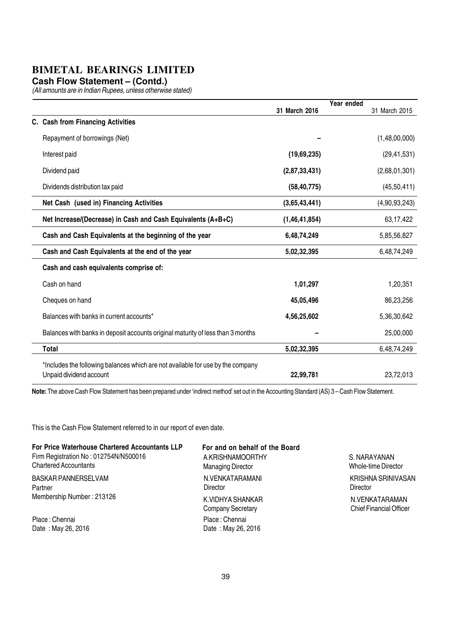**Cash Flow Statement – (Contd.)**

(All amounts are in Indian Rupees, unless otherwise stated)

|                                                                                 |               | Year ended    |
|---------------------------------------------------------------------------------|---------------|---------------|
|                                                                                 | 31 March 2016 | 31 March 2015 |
| C. Cash from Financing Activities                                               |               |               |
| Repayment of borrowings (Net)                                                   |               | (1,48,00,000) |
| Interest paid                                                                   | (19,69,235)   | (29, 41, 531) |
| Dividend paid                                                                   | (2,87,33,431) | (2,68,01,301) |
| Dividends distribution tax paid                                                 | (58, 40, 775) | (45, 50, 411) |
| Net Cash (used in) Financing Activities                                         | (3,65,43,441) | (4,90,93,243) |
| Net Increase/(Decrease) in Cash and Cash Equivalents (A+B+C)                    | (1,46,41,854) | 63, 17, 422   |
| Cash and Cash Equivalents at the beginning of the year                          | 6,48,74,249   | 5,85,56,827   |
| Cash and Cash Equivalents at the end of the year                                | 5,02,32,395   | 6,48,74,249   |
| Cash and cash equivalents comprise of:                                          |               |               |
| Cash on hand                                                                    | 1,01,297      | 1,20,351      |
| Cheques on hand                                                                 | 45,05,496     | 86,23,256     |
| Balances with banks in current accounts*                                        | 4,56,25,602   | 5,36,30,642   |
| Balances with banks in deposit accounts original maturity of less than 3 months |               | 25,00,000     |
| <b>Total</b>                                                                    | 5,02,32,395   | 6,48,74,249   |
| *Includes the following balances which are not available for use by the company |               |               |
| Unpaid dividend account                                                         | 22,99,781     | 23,72,013     |

Note: The above Cash Flow Statement has been prepared under 'indirect method' set out in the Accounting Standard (AS) 3 – Cash Flow Statement.

This is the Cash Flow Statement referred to in our report of even date.

| For and on behalf of the Board |                                |
|--------------------------------|--------------------------------|
| A.KRISHNAMOORTHY               | S. NARAYANAN                   |
| <b>Managing Director</b>       | Whole-time Director            |
| N.VENKATARAMANI                | KRISHNA SRINIVASAN             |
| Director                       | Director                       |
| K.VIDHYA SHANKAR               | N.VENKATARAMAN                 |
| <b>Company Secretary</b>       | <b>Chief Financial Officer</b> |
| Place: Chennai                 |                                |
| Date: May 26, 2016             |                                |
|                                |                                |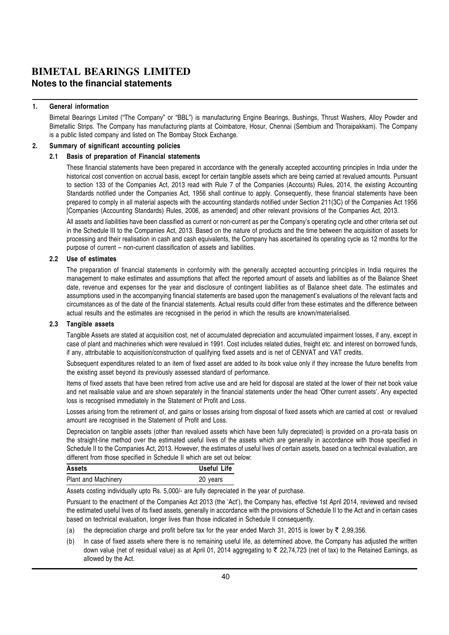#### **BIMETAL BEARINGS LIMITED Notes to the financial statements**

#### 1. General information

Bimetal Bearings Limited ("The Company" or "BBL") is manufacturing Engine Bearings, Bushings, Thrust Washers, Alloy Powder and Bimetallic Strips. The Company has manufacturing plants at Coimbatore, Hosur, Chennai (Sembium and Thoraipakkam). The Company is a public listed company and listed on The Bombay Stock Exchange.

#### 2. Summary of significant accounting policies

#### 2.1 Basis of preparation of Financial statements

These financial statements have been prepared in accordance with the generally accepted accounting principles in India under the historical cost convention on accrual basis, except for certain tangible assets which are being carried at revalued amounts. Pursuant to section 133 of the Companies Act, 2013 read with Rule 7 of the Companies (Accounts) Rules, 2014, the existing Accounting Standards notified under the Companies Act, 1956 shall continue to apply. Consequently, these financial statements have been prepared to comply in all material aspects with the accounting standards notified under Section 211(3C) of the Companies Act 1956 [Companies (Accounting Standards) Rules, 2006, as amended] and other relevant provisions of the Companies Act, 2013.

All assets and liabilities have been classified as current or non-current as per the Company's operating cycle and other criteria set out in the Schedule III to the Companies Act, 2013. Based on the nature of products and the time between the acquisition of assets for processing and their realisation in cash and cash equivalents, the Company has ascertained its operating cycle as 12 months for the purpose of current – non-current classification of assets and liabilities.

#### 2.2 Use of estimates

The preparation of financial statements in conformity with the generally accepted accounting principles in India requires the management to make estimates and assumptions that affect the reported amount of assets and liabilities as of the Balance Sheet date, revenue and expenses for the year and disclosure of contingent liabilities as of Balance sheet date. The estimates and assumptions used in the accompanying financial statements are based upon the management's evaluations of the relevant facts and circumstances as of the date of the financial statements. Actual results could differ from these estimates and the difference between actual results and the estimates are recognised in the period in which the results are known/materialised.

#### 2.3 Tangible assets

Tangible Assets are stated at acquisition cost, net of accumulated depreciation and accumulated impairment losses, if any, except in case of plant and machineries which were revalued in 1991. Cost includes related duties, freight etc. and interest on borrowed funds, if any, attributable to acquisition/construction of qualifying fixed assets and is net of CENVAT and VAT credits.

Subsequent expenditures related to an item of fixed asset are added to its book value only if they increase the future benefits from the existing asset beyond its previously assessed standard of performance.

Items of fixed assets that have been retired from active use and are held for disposal are stated at the lower of their net book value and net realisable value and are shown separately in the financial statements under the head 'Other current assets'. Any expected loss is recognised immediately in the Statement of Profit and Loss.

Losses arising from the retirement of, and gains or losses arising from disposal of fixed assets which are carried at cost or revalued amount are recognised in the Statement of Profit and Loss.

Depreciation on tangible assets (other than revalued assets which have been fully depreciated) is provided on a pro-rata basis on the straight-line method over the estimated useful lives of the assets which are generally in accordance with those specified in Schedule II to the Companies Act, 2013. However, the estimates of useful lives of certain assets, based on a technical evaluation, are different from those specified in Schedule II which are set out below:

| Assets                     | Useful Life |
|----------------------------|-------------|
| <b>Plant and Machinery</b> | 20 years    |

Assets costing individually upto Rs. 5,000/- are fully depreciated in the year of purchase.

Pursuant to the enactment of the Companies Act 2013 (the 'Act'), the Company has, effective 1st April 2014, reviewed and revised the estimated useful lives of its fixed assets, generally in accordance with the provisions of Schedule II to the Act and in certain cases based on technical evaluation, longer lives than those indicated in Schedule II consequently.

- (a) the depreciation charge and profit before tax for the year ended March 31, 2015 is lower by  $\overline{\zeta}$  2,99,356.
- (b) In case of fixed assets where there is no remaining useful life, as determined above, the Company has adjusted the written down value (net of residual value) as at April 01, 2014 aggregating to  $\overline{\zeta}$  22,74,723 (net of tax) to the Retained Earnings, as allowed by the Act.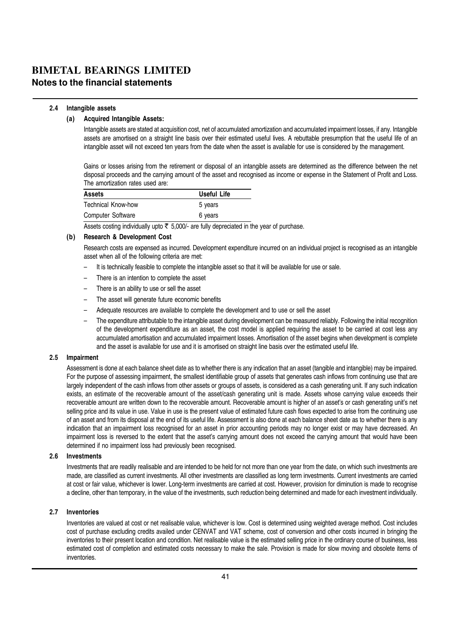#### 2.4 Intangible assets

#### (a) Acquired Intangible Assets:

Intangible assets are stated at acquisition cost, net of accumulated amortization and accumulated impairment losses, if any. Intangible assets are amortised on a straight line basis over their estimated useful lives. A rebuttable presumption that the useful life of an intangible asset will not exceed ten years from the date when the asset is available for use is considered by the management.

Gains or losses arising from the retirement or disposal of an intangible assets are determined as the difference between the net disposal proceeds and the carrying amount of the asset and recognised as income or expense in the Statement of Profit and Loss. The amortization rates used are:

| <b>Assets</b>             | Useful Life |
|---------------------------|-------------|
| <b>Technical Know-how</b> | 5 years     |
| Computer Software         | 6 years     |

Assets costing individually upto  $\overline{\tau}$  5,000/- are fully depreciated in the year of purchase.

#### (b) Research & Development Cost

Research costs are expensed as incurred. Development expenditure incurred on an individual project is recognised as an intangible asset when all of the following criteria are met:

- It is technically feasible to complete the intangible asset so that it will be available for use or sale.
- There is an intention to complete the asset
- There is an ability to use or sell the asset
- The asset will generate future economic benefits
- Adequate resources are available to complete the development and to use or sell the asset
- The expenditure attributable to the intangible asset during development can be measured reliably. Following the initial recognition of the development expenditure as an asset, the cost model is applied requiring the asset to be carried at cost less any accumulated amortisation and accumulated impairment losses. Amortisation of the asset begins when development is complete and the asset is available for use and it is amortised on straight line basis over the estimated useful life.

#### 2.5 Impairment

Assessment is done at each balance sheet date as to whether there is any indication that an asset (tangible and intangible) may be impaired. For the purpose of assessing impairment, the smallest identifiable group of assets that generates cash inflows from continuing use that are largely independent of the cash inflows from other assets or groups of assets, is considered as a cash generating unit. If any such indication exists, an estimate of the recoverable amount of the asset/cash generating unit is made. Assets whose carrying value exceeds their recoverable amount are written down to the recoverable amount. Recoverable amount is higher of an asset's or cash generating unit's net selling price and its value in use. Value in use is the present value of estimated future cash flows expected to arise from the continuing use of an asset and from its disposal at the end of its useful life. Assessment is also done at each balance sheet date as to whether there is any indication that an impairment loss recognised for an asset in prior accounting periods may no longer exist or may have decreased. An impairment loss is reversed to the extent that the asset's carrying amount does not exceed the carrying amount that would have been determined if no impairment loss had previously been recognised.

#### 2.6 Investments

Investments that are readily realisable and are intended to be held for not more than one year from the date, on which such investments are made, are classified as current investments. All other investments are classified as long term investments. Current investments are carried at cost or fair value, whichever is lower. Long-term investments are carried at cost. However, provision for diminution is made to recognise a decline, other than temporary, in the value of the investments, such reduction being determined and made for each investment individually.

#### 2.7 Inventories

Inventories are valued at cost or net realisable value, whichever is low. Cost is determined using weighted average method. Cost includes cost of purchase excluding credits availed under CENVAT and VAT scheme, cost of conversion and other costs incurred in bringing the inventories to their present location and condition. Net realisable value is the estimated selling price in the ordinary course of business, less estimated cost of completion and estimated costs necessary to make the sale. Provision is made for slow moving and obsolete items of inventories.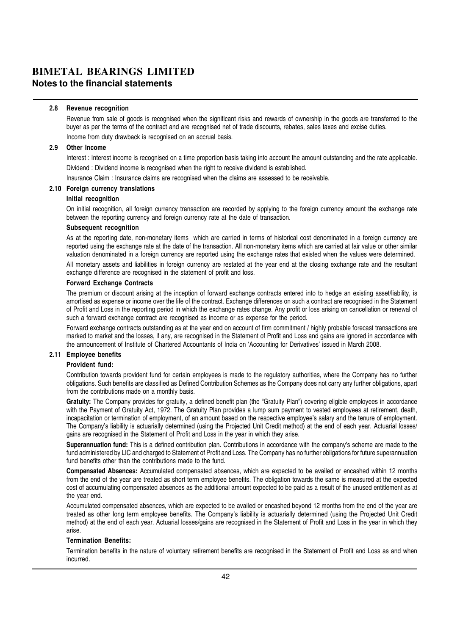#### **BIMETAL BEARINGS LIMITED Notes to the financial statements**

#### 2.8 Revenue recognition

Revenue from sale of goods is recognised when the significant risks and rewards of ownership in the goods are transferred to the buyer as per the terms of the contract and are recognised net of trade discounts, rebates, sales taxes and excise duties. Income from duty drawback is recognised on an accrual basis.

#### 2.9 Other Income

Interest : Interest income is recognised on a time proportion basis taking into account the amount outstanding and the rate applicable. Dividend : Dividend income is recognised when the right to receive dividend is established.

Insurance Claim : Insurance claims are recognised when the claims are assessed to be receivable.

#### 2.10 Foreign currency translations

#### Initial recognition

On initial recognition, all foreign currency transaction are recorded by applying to the foreign currency amount the exchange rate between the reporting currency and foreign currency rate at the date of transaction.

#### Subsequent recognition

As at the reporting date, non-monetary items which are carried in terms of historical cost denominated in a foreign currency are reported using the exchange rate at the date of the transaction. All non-monetary items which are carried at fair value or other similar valuation denominated in a foreign currency are reported using the exchange rates that existed when the values were determined.

All monetary assets and liabilities in foreign currency are restated at the year end at the closing exchange rate and the resultant exchange difference are recognised in the statement of profit and loss.

#### Forward Exchange Contracts

The premium or discount arising at the inception of forward exchange contracts entered into to hedge an existing asset/liability, is amortised as expense or income over the life of the contract. Exchange differences on such a contract are recognised in the Statement of Profit and Loss in the reporting period in which the exchange rates change. Any profit or loss arising on cancellation or renewal of such a forward exchange contract are recognised as income or as expense for the period.

Forward exchange contracts outstanding as at the year end on account of firm commitment / highly probable forecast transactions are marked to market and the losses, if any, are recognised in the Statement of Profit and Loss and gains are ignored in accordance with the announcement of Institute of Chartered Accountants of India on 'Accounting for Derivatives' issued in March 2008.

#### 2.11 Employee benefits

#### Provident fund:

Contribution towards provident fund for certain employees is made to the regulatory authorities, where the Company has no further obligations. Such benefits are classified as Defined Contribution Schemes as the Company does not carry any further obligations, apart from the contributions made on a monthly basis.

Gratuity: The Company provides for gratuity, a defined benefit plan (the "Gratuity Plan") covering eligible employees in accordance with the Payment of Gratuity Act, 1972. The Gratuity Plan provides a lump sum payment to vested employees at retirement, death, incapacitation or termination of employment, of an amount based on the respective employee's salary and the tenure of employment. The Company's liability is actuarially determined (using the Projected Unit Credit method) at the end of each year. Actuarial losses/ gains are recognised in the Statement of Profit and Loss in the year in which they arise.

Superannuation fund: This is a defined contribution plan. Contributions in accordance with the company's scheme are made to the fund administered by LIC and charged to Statement of Profit and Loss. The Company has no further obligations for future superannuation fund benefits other than the contributions made to the fund.

Compensated Absences: Accumulated compensated absences, which are expected to be availed or encashed within 12 months from the end of the year are treated as short term employee benefits. The obligation towards the same is measured at the expected cost of accumulating compensated absences as the additional amount expected to be paid as a result of the unused entitlement as at the year end.

Accumulated compensated absences, which are expected to be availed or encashed beyond 12 months from the end of the year are treated as other long term employee benefits. The Company's liability is actuarially determined (using the Projected Unit Credit method) at the end of each year. Actuarial losses/gains are recognised in the Statement of Profit and Loss in the year in which they arise.

#### Termination Benefits:

Termination benefits in the nature of voluntary retirement benefits are recognised in the Statement of Profit and Loss as and when incurred.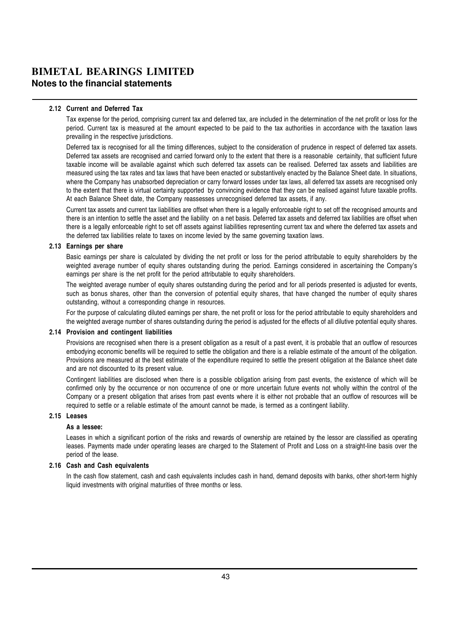#### **BIMETAL BEARINGS LIMITED Notes to the financial statements**

#### 2.12 Current and Deferred Tax

Tax expense for the period, comprising current tax and deferred tax, are included in the determination of the net profit or loss for the period. Current tax is measured at the amount expected to be paid to the tax authorities in accordance with the taxation laws prevailing in the respective jurisdictions.

Deferred tax is recognised for all the timing differences, subject to the consideration of prudence in respect of deferred tax assets. Deferred tax assets are recognised and carried forward only to the extent that there is a reasonable certainity, that sufficient future taxable income will be available against which such deferred tax assets can be realised. Deferred tax assets and liabilities are measured using the tax rates and tax laws that have been enacted or substantively enacted by the Balance Sheet date. In situations, where the Company has unabsorbed depreciation or carry forward losses under tax laws, all deferred tax assets are recognised only to the extent that there is virtual certainty supported by convincing evidence that they can be realised against future taxable profits. At each Balance Sheet date, the Company reassesses unrecognised deferred tax assets, if any.

Current tax assets and current tax liabilities are offset when there is a legally enforceable right to set off the recognised amounts and there is an intention to settle the asset and the liability on a net basis. Deferred tax assets and deferred tax liabilities are offset when there is a legally enforceable right to set off assets against liabilities representing current tax and where the deferred tax assets and the deferred tax liabilities relate to taxes on income levied by the same governing taxation laws.

#### 2.13 Earnings per share

Basic earnings per share is calculated by dividing the net profit or loss for the period attributable to equity shareholders by the weighted average number of equity shares outstanding during the period. Earnings considered in ascertaining the Company's earnings per share is the net profit for the period attributable to equity shareholders.

The weighted average number of equity shares outstanding during the period and for all periods presented is adjusted for events, such as bonus shares, other than the conversion of potential equity shares, that have changed the number of equity shares outstanding, without a corresponding change in resources.

For the purpose of calculating diluted earnings per share, the net profit or loss for the period attributable to equity shareholders and the weighted average number of shares outstanding during the period is adjusted for the effects of all dilutive potential equity shares.

#### 2.14 Provision and contingent liabilities

Provisions are recognised when there is a present obligation as a result of a past event, it is probable that an outflow of resources embodying economic benefits will be required to settle the obligation and there is a reliable estimate of the amount of the obligation. Provisions are measured at the best estimate of the expenditure required to settle the present obligation at the Balance sheet date and are not discounted to its present value.

Contingent liabilities are disclosed when there is a possible obligation arising from past events, the existence of which will be confirmed only by the occurrence or non occurrence of one or more uncertain future events not wholly within the control of the Company or a present obligation that arises from past events where it is either not probable that an outflow of resources will be required to settle or a reliable estimate of the amount cannot be made, is termed as a contingent liability.

#### 2.15 Leases

#### As a lessee:

Leases in which a significant portion of the risks and rewards of ownership are retained by the lessor are classified as operating leases. Payments made under operating leases are charged to the Statement of Profit and Loss on a straight-line basis over the period of the lease.

#### 2.16 Cash and Cash equivalents

In the cash flow statement, cash and cash equivalents includes cash in hand, demand deposits with banks, other short-term highly liquid investments with original maturities of three months or less.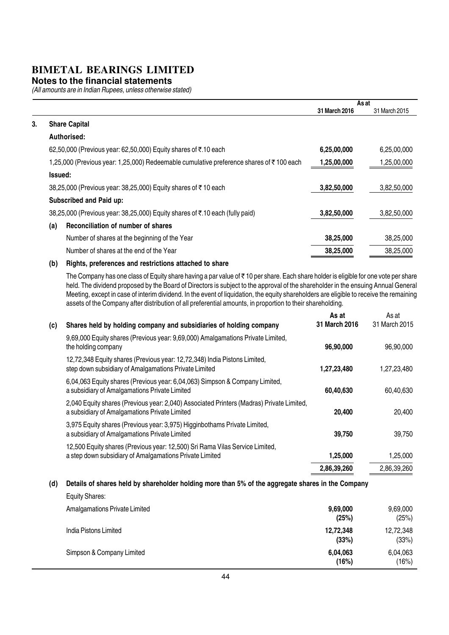#### **Notes to the financial statements**

(All amounts are in Indian Rupees, unless otherwise stated)

|    |                                                                                         | As at         |               |
|----|-----------------------------------------------------------------------------------------|---------------|---------------|
|    |                                                                                         | 31 March 2016 | 31 March 2015 |
| 3. | <b>Share Capital</b>                                                                    |               |               |
|    | Authorised:                                                                             |               |               |
|    | 62,50,000 (Previous year: 62,50,000) Equity shares of ₹.10 each                         | 6,25,00,000   | 6,25,00,000   |
|    | 1,25,000 (Previous year: 1,25,000) Redeemable cumulative preference shares of ₹100 each | 1,25,00,000   | 1,25,00,000   |
|    | <b>Issued:</b>                                                                          |               |               |
|    | 38,25,000 (Previous year: 38,25,000) Equity shares of ₹10 each                          | 3,82,50,000   | 3,82,50,000   |
|    | Subscribed and Paid up:                                                                 |               |               |
|    | 38,25,000 (Previous year: 38,25,000) Equity shares of ₹.10 each (fully paid)            | 3,82,50,000   | 3,82,50,000   |
|    | Reconciliation of number of shares<br>(a)                                               |               |               |
|    | Number of shares at the beginning of the Year                                           | 38,25,000     | 38,25,000     |
|    | Number of shares at the end of the Year                                                 | 38,25,000     | 38,25,000     |
|    |                                                                                         |               |               |

#### (b) Rights, preferences and restrictions attached to share

The Company has one class of Equity share having a par value of  $\bar{\tau}$  10 per share. Each share holder is eligible for one vote per share held. The dividend proposed by the Board of Directors is subject to the approval of the shareholder in the ensuing Annual General Meeting, except in case of interim dividend. In the event of liquidation, the equity shareholders are eligible to receive the remaining assets of the Company after distribution of all preferential amounts, in proportion to their shareholding.

|     |                                                                                                                                           | As at         | As at         |
|-----|-------------------------------------------------------------------------------------------------------------------------------------------|---------------|---------------|
| (c) | Shares held by holding company and subsidiaries of holding company                                                                        | 31 March 2016 | 31 March 2015 |
|     | 9,69,000 Equity shares (Previous year: 9,69,000) Amalgamations Private Limited,<br>the holding company                                    | 96,90,000     | 96,90,000     |
|     | 12,72,348 Equity shares (Previous year: 12,72,348) India Pistons Limited,<br>step down subsidiary of Amalgamations Private Limited        | 1,27,23,480   | 1,27,23,480   |
|     | 6,04,063 Equity shares (Previous year: 6,04,063) Simpson & Company Limited,<br>a subsidiary of Amalgamations Private Limited              | 60,40,630     | 60,40,630     |
|     | 2,040 Equity shares (Previous year: 2,040) Associated Printers (Madras) Private Limited,<br>a subsidiary of Amalgamations Private Limited | 20,400        | 20,400        |
|     | 3,975 Equity shares (Previous year: 3,975) Higginbothams Private Limited,<br>a subsidiary of Amalgamations Private Limited                | 39,750        | 39,750        |
|     | 12,500 Equity shares (Previous year: 12,500) Sri Rama Vilas Service Limited,<br>a step down subsidiary of Amalgamations Private Limited   | 1,25,000      | 1,25,000      |
|     |                                                                                                                                           | 2,86,39,260   | 2,86,39,260   |

(d) Details of shares held by shareholder holding more than 5% of the aggregate shares in the Company

| Equity Shares:                |                    |                    |
|-------------------------------|--------------------|--------------------|
| Amalgamations Private Limited | 9,69,000<br>(25%)  | 9,69,000<br>(25%)  |
| India Pistons Limited         | 12,72,348<br>(33%) | 12,72,348<br>(33%) |
| Simpson & Company Limited     | 6,04,063<br>(16%)  | 6,04,063<br>(16%)  |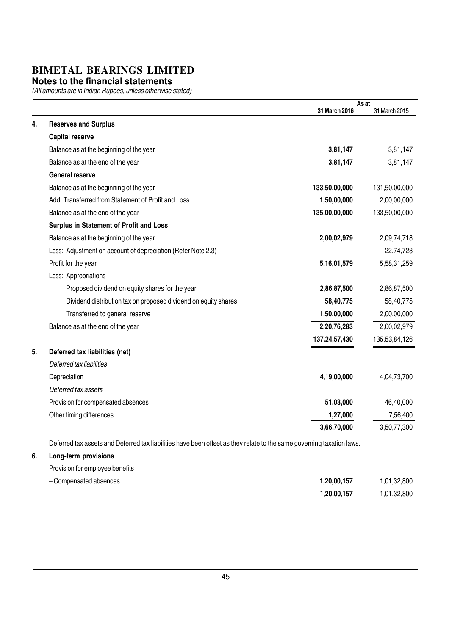#### **Notes to the financial statements**

| As at |                                                                                                                       |               |               |
|-------|-----------------------------------------------------------------------------------------------------------------------|---------------|---------------|
|       |                                                                                                                       | 31 March 2016 | 31 March 2015 |
| 4.    | <b>Reserves and Surplus</b>                                                                                           |               |               |
|       | <b>Capital reserve</b>                                                                                                |               |               |
|       | Balance as at the beginning of the year                                                                               | 3,81,147      | 3,81,147      |
|       | Balance as at the end of the year                                                                                     | 3,81,147      | 3,81,147      |
|       | <b>General reserve</b>                                                                                                |               |               |
|       | Balance as at the beginning of the year                                                                               | 133,50,00,000 | 131,50,00,000 |
|       | Add: Transferred from Statement of Profit and Loss                                                                    | 1,50,00,000   | 2,00,00,000   |
|       | Balance as at the end of the year                                                                                     | 135,00,00,000 | 133,50,00,000 |
|       | Surplus in Statement of Profit and Loss                                                                               |               |               |
|       | Balance as at the beginning of the year                                                                               | 2,00,02,979   | 2,09,74,718   |
|       | Less: Adjustment on account of depreciation (Refer Note 2.3)                                                          |               | 22,74,723     |
|       | Profit for the year                                                                                                   | 5,16,01,579   | 5,58,31,259   |
|       | Less: Appropriations                                                                                                  |               |               |
|       | Proposed dividend on equity shares for the year                                                                       | 2,86,87,500   | 2,86,87,500   |
|       | Dividend distribution tax on proposed dividend on equity shares                                                       | 58,40,775     | 58,40,775     |
|       | Transferred to general reserve                                                                                        | 1,50,00,000   | 2,00,00,000   |
|       | Balance as at the end of the year                                                                                     | 2,20,76,283   | 2,00,02,979   |
|       |                                                                                                                       | 137,24,57,430 | 135,53,84,126 |
| 5.    | Deferred tax liabilities (net)                                                                                        |               |               |
|       | Deferred tax liabilities                                                                                              |               |               |
|       | Depreciation                                                                                                          | 4,19,00,000   | 4,04,73,700   |
|       | Deferred tax assets                                                                                                   |               |               |
|       | Provision for compensated absences                                                                                    | 51,03,000     | 46,40,000     |
|       | Other timing differences                                                                                              | 1,27,000      | 7,56,400      |
|       |                                                                                                                       | 3,66,70,000   | 3,50,77,300   |
|       | Deferred tax assets and Deferred tax liabilities have been offset as they relate to the same governing taxation laws. |               |               |
| 6.    | Long-term provisions                                                                                                  |               |               |
|       | Provision for employee benefits                                                                                       |               |               |
|       | - Compensated absences                                                                                                | 1,20,00,157   | 1,01,32,800   |
|       |                                                                                                                       | 1,20,00,157   | 1,01,32,800   |
|       |                                                                                                                       |               |               |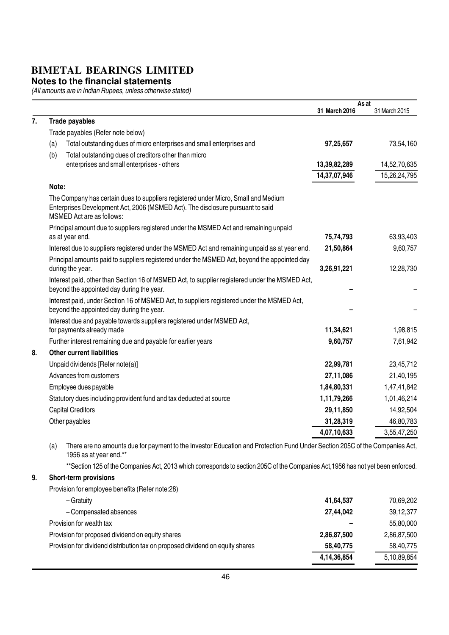#### **Notes to the financial statements**

(All amounts are in Indian Rupees, unless otherwise stated)

|    |       |                                                                                                                                                                                                   | As at         |               |
|----|-------|---------------------------------------------------------------------------------------------------------------------------------------------------------------------------------------------------|---------------|---------------|
|    |       |                                                                                                                                                                                                   | 31 March 2016 | 31 March 2015 |
| 7. |       | <b>Trade payables</b>                                                                                                                                                                             |               |               |
|    |       | Trade payables (Refer note below)                                                                                                                                                                 |               |               |
|    | (a)   | Total outstanding dues of micro enterprises and small enterprises and                                                                                                                             | 97,25,657     | 73,54,160     |
|    | (b)   | Total outstanding dues of creditors other than micro<br>enterprises and small enterprises - others                                                                                                | 13,39,82,289  | 14,52,70,635  |
|    |       |                                                                                                                                                                                                   | 14,37,07,946  | 15,26,24,795  |
|    | Note: |                                                                                                                                                                                                   |               |               |
|    |       | The Company has certain dues to suppliers registered under Micro, Small and Medium<br>Enterprises Development Act, 2006 (MSMED Act). The disclosure pursuant to said<br>MSMED Act are as follows: |               |               |
|    |       | Principal amount due to suppliers registered under the MSMED Act and remaining unpaid                                                                                                             |               |               |
|    |       | as at year end.                                                                                                                                                                                   | 75,74,793     | 63,93,403     |
|    |       | Interest due to suppliers registered under the MSMED Act and remaining unpaid as at year end.                                                                                                     | 21,50,864     | 9,60,757      |
|    |       | Principal amounts paid to suppliers registered under the MSMED Act, beyond the appointed day<br>during the year.                                                                                  | 3,26,91,221   | 12,28,730     |
|    |       | Interest paid, other than Section 16 of MSMED Act, to supplier registered under the MSMED Act,<br>beyond the appointed day during the year.                                                       |               |               |
|    |       | Interest paid, under Section 16 of MSMED Act, to suppliers registered under the MSMED Act,<br>beyond the appointed day during the year.                                                           |               |               |
|    |       | Interest due and payable towards suppliers registered under MSMED Act,                                                                                                                            |               |               |
|    |       | for payments already made                                                                                                                                                                         | 11,34,621     | 1,98,815      |
|    |       | Further interest remaining due and payable for earlier years                                                                                                                                      | 9,60,757      | 7,61,942      |
| 8. |       | <b>Other current liabilities</b>                                                                                                                                                                  |               |               |
|    |       | Unpaid dividends [Refer note(a)]                                                                                                                                                                  | 22,99,781     | 23,45,712     |
|    |       | Advances from customers                                                                                                                                                                           | 27,11,086     | 21,40,195     |
|    |       | Employee dues payable                                                                                                                                                                             | 1,84,80,331   | 1,47,41,842   |
|    |       | Statutory dues including provident fund and tax deducted at source                                                                                                                                | 1,11,79,266   | 1,01,46,214   |
|    |       | <b>Capital Creditors</b>                                                                                                                                                                          | 29,11,850     | 14,92,504     |
|    |       | Other payables                                                                                                                                                                                    | 31,28,319     | 46,80,783     |
|    |       |                                                                                                                                                                                                   | 4,07,10,633   | 3,55,47,250   |
|    | (a)   | There are no amounts due for payment to the Investor Education and Protection Fund Under Section 205C of the Companies Act,<br>1956 as at year end.**                                             |               |               |
|    |       | **Section 125 of the Companies Act, 2013 which corresponds to section 205C of the Companies Act, 1956 has not yet been enforced.                                                                  |               |               |
| 9. |       | <b>Short-term provisions</b>                                                                                                                                                                      |               |               |
|    |       | Provision for employee benefits (Refer note:28)                                                                                                                                                   |               |               |
|    |       | - Gratuity                                                                                                                                                                                        | 41,64,537     | 70,69,202     |
|    |       | - Compensated absences                                                                                                                                                                            | 27,44,042     | 39,12,377     |
|    |       | Provision for wealth tax                                                                                                                                                                          |               | 55,80,000     |
|    |       | Provision for proposed dividend on equity shares                                                                                                                                                  | 2,86,87,500   | 2,86,87,500   |

Provision for dividend distribution tax on proposed dividend on equity shares 58,40,775 58,40,775 58,40,775

4,14,36,854 5,10,89,854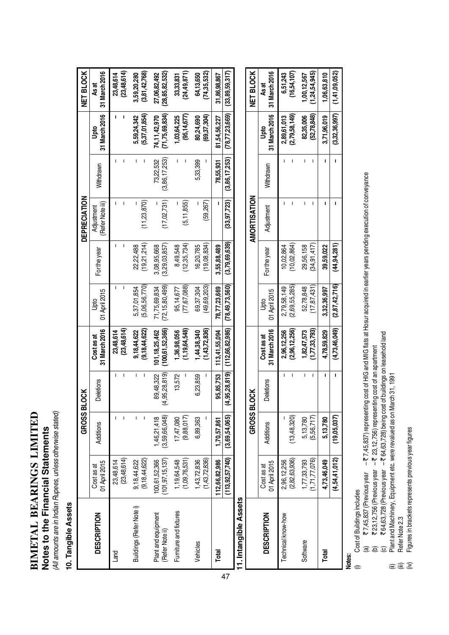### BIMETAL BEARINGS LIMITED **BIMETAL BEARINGS LIMITED** Notes to the Financial Statements **Notes to the Financial Statements**

(All amounts are in Indian Rupees, unless otherwise stated) (All amounts are in Indian Rupees, unless otherwise stated)

### 10. Tangible Assets **10. Tangible Assets**

|                                        |                                   | <b>GROSS BLOCK</b>           |                            |                                 |                                   |                                 | DEPRECIATION                   |                            |                               | <b>NET BLOCK</b>                  |
|----------------------------------------|-----------------------------------|------------------------------|----------------------------|---------------------------------|-----------------------------------|---------------------------------|--------------------------------|----------------------------|-------------------------------|-----------------------------------|
| <b>DESCRIPTION</b>                     | 01 April 2015<br>Cost as at       | Additions                    | <b>Deletions</b>           | 31 March 2016<br>Cost as at     | 01 April 2015<br><u>Jpto</u>      | For the year                    | (Refer Note iii)<br>Adjustment | Nithdrawn                  | 31 March 2016<br><b>Ba</b>    | 31 March 2016<br>As at            |
| Land                                   | 23,48,614                         |                              | ı                          | 23,48,614                       |                                   | ı                               | ı                              | ı                          |                               | 23,48,614                         |
|                                        | (23, 48, 614)                     | I                            | I                          | (23, 48, 614)                   |                                   | ı                               | Ī                              | Ī                          |                               | (23, 48, 614)                     |
| Buildings (Refer Note i)               | 9,18,44,622                       | I                            | Ï                          | 9,18,44,622                     | 5,37,01,854                       | 22,22,488                       | I                              | Ī                          | 5,59,24,342                   | 3,59,20,280                       |
|                                        | (9, 18, 44, 622)                  | ı                            | I                          | (9, 18, 44, 622)                | 5,06,56,770                       | (19, 21, 214)                   | 11,23,870                      |                            | (5,37,01,854)                 | (3,81,42,768)                     |
| Plant and equipment<br>(Refer Note ii) | 101, 97, 15, 137)<br>00,61,52,366 | (3,59,66,048)<br>1,46,21,418 | 89,48,322<br>(4,95,28,819) | 100,61,52,366)<br>01.18.25.462  | (72, 15, 80, 499)<br>71,75,69,834 | (3, 29, 03, 857)<br>3,08,95,668 | (17, 02, 731)                  | (3,86,17,253)<br>73.22.532 | 71,75,69,834)<br>74,11,42,970 | (28, 85, 82, 532)<br>27,06,82,492 |
| Furniture and fixtures                 | 1,19,64,548<br>(1,09,76,531)      | (9,88,017)<br>17,47,080      | 13,572<br>I                | (1, 19, 64, 548)<br>1,36,98,056 | (77, 67, 088)<br>95,14,677        | (12, 35, 734)<br>8,49,548       | (5, 11, 855)                   | ı                          | (95, 14, 677)<br>1,03,64,225  | (24, 49, 871)<br>33,33,831        |
| Vehicles                               | (1,43,72,836)<br>1,43,72,836      | 6,89,363                     | 6,23,859<br>I              | (1,43,72,836)<br>1,44,38,340    | (49, 69, 203)<br>69,37,304        | (19,08,834)<br>16.20.785        | (59, 267)                      | 5,33,399                   | (69, 37, 304)<br>80,24,690    | (74, 35, 532)<br>64,13,650        |
| Total                                  | 112,66,82,986                     | 1,70,57,861                  | 95.85.753                  | 113,41,55,094                   | 78,77,23,669                      | 3,55,88,489                     | ı                              | 78,55,931                  | 81,54,56,227                  | 31,86,98,867                      |
|                                        | (113, 92, 57, 740)                | (3,69,54,065)                | (4,95,28,819)              | (112, 66, 82, 986)              | (78, 49, 73, 560)                 | (3,79,69,639)                   | (33, 97, 723)                  | (3,86,17,253)              | (78, 77, 23, 669)             | (33, 89, 59, 317)                 |
| 11. Intangible Assets                  |                                   |                              |                            |                                 |                                   |                                 |                                |                            |                               |                                   |

|                             | <b>GROSS BL</b>        | <b>SCK</b>       |                                             |                              |                            | AMORTISATION |           |                             | <b>NET BLOCK</b>                       |
|-----------------------------|------------------------|------------------|---------------------------------------------|------------------------------|----------------------------|--------------|-----------|-----------------------------|----------------------------------------|
| 01 April 2015<br>Cost as at | Additions              | <b>Deletions</b> | 31 March 2016   01 April 2015<br>Cost as at | 9ad                          | For the year               | Adjustment   | Withdrawn | <u>bto</u>                  | 31 March 2016   31 March 2016<br>As at |
| 2,82,63,936)<br>2,96,12,256 | (13, 48, 320)          | ı                | 2,96,12,256)<br>2,96,12,256                 | (2,69,55,285)<br>2,79,58,149 | 10,02,864)<br>10,02,864    | ı            |           | 2,79,58,149)<br>2,89,61,013 | (16,54,107)<br>6,51,243                |
| 1,71,77,076)<br>1,77,33,793 | (5,56,717)<br>5,13,780 | ı<br>ı           | 1, 77, 33, 793<br>1,82,47,573               | 52,78,848<br>(17, 87, 431)   | (34, 91, 417)<br>29,56,158 | I<br>Ï       |           | (52, 78, 848)<br>82,35,006  | (1,24,54,945)<br>1,00,12,567           |
| 4,73,46,049                 | 5,13,780               |                  | 4,78,59,829                                 | 3,32,36,997                  | 39,59,022                  |              |           | 3,71,96,019                 | 1,06,63,810                            |
| (4, 54, 41, 012)            | (19, 05, 037)          | ı                | (4, 73, 46, 049)                            | (2,87,42,716)                | (44, 94, 281)              |              |           | (3,32,36,997)               | (1,41,09,052)                          |

Notes:

- Cost of Buildings includes (i) Cost of Buildings includes  $\oplus$
- ₹7,45,837 (Previous year ₹7,45,837) representing cost of HIG and MIG flats at Hosur acquired in earlier years pending execution of conveyance (a) ` 7,45,837 (Previous year – ` 7,45,837) representing cost of HIG and MIG flats at Hosur acquired in earlier years pending execution of conveyance
	- (b)  $\bar{\tau}$  23,12,756 (Previous year  $-\bar{\tau}$  23,12,756) representing cost of an apartment
	- ₹23,12,756 (Previous year – ₹ 23,12,756) representing cost of an apartment<br>₹64,63,728 (Previous year – ₹64,63,728) being cost of buildings on leasehold land
- (c) ` 64,63,728 (Previous year ` 64,63,728) being cost of buildings on leasehold land (a)  $\overline{x}$  7,45,837 (Previous year  $-\overline{x}$  7,45,837) representing cost of HIG a<br>(b)  $\overline{x}$  23,12,756 (Previous year  $-\overline{x}$  23,12,756) representing cost of an a<br>(c)  $\overline{x}$  64,63,728 (Previous year  $-\overline{x}$  64,63,728) be (ii) Plant and Machinery, Equipment etc. were revalued as on March 31, 1991
	- Refer Note 2.3 (iii) Refer Note 2.3 e E S
- Figures in brackets represents previous year figures
- (iv) Figures in brackets represents previous year figures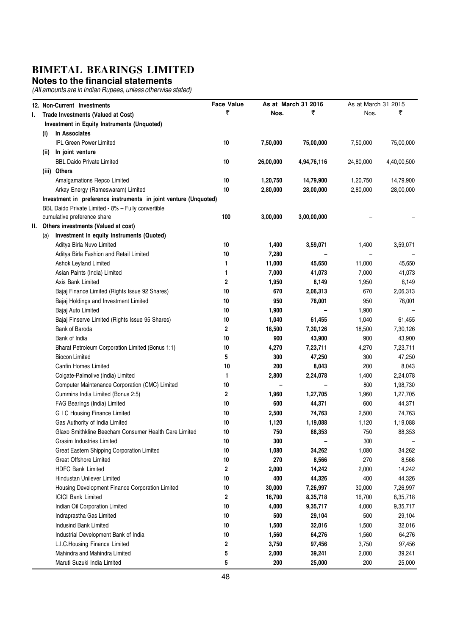#### **Notes to the financial statements**

|    |      | 12. Non-Current Investments                                      | <b>Face Value</b> |                 | As at March 31 2016 | As at March 31 2015 |             |
|----|------|------------------------------------------------------------------|-------------------|-----------------|---------------------|---------------------|-------------|
| ı. |      | Trade Investments (Valued at Cost)                               | ₹                 | Nos.            | ₹                   | Nos.                | ₹           |
|    |      | Investment in Equity Instruments (Unquoted)                      |                   |                 |                     |                     |             |
|    | (i)  | In Associates                                                    |                   |                 |                     |                     |             |
|    |      | <b>IPL Green Power Limited</b>                                   | 10                | 7,50,000        | 75,00,000           | 7,50,000            | 75,00,000   |
|    | (ii) | In joint venture                                                 |                   |                 |                     |                     |             |
|    |      | <b>BBL Daido Private Limited</b>                                 | 10                | 26,00,000       | 4,94,76,116         | 24,80,000           | 4,40,00,500 |
|    |      | (iii) Others                                                     |                   |                 |                     |                     |             |
|    |      | Amalgamations Repco Limited                                      | 10                | 1,20,750        | 14,79,900           | 1,20,750            | 14,79,900   |
|    |      | Arkay Energy (Rameswaram) Limited                                | 10                | 2,80,000        | 28,00,000           | 2,80,000            | 28,00,000   |
|    |      | Investment in preference instruments in joint venture (Unquoted) |                   |                 |                     |                     |             |
|    |      | BBL Daido Private Limited - 8% - Fully convertible               |                   |                 |                     |                     |             |
|    |      | cumulative preference share                                      | 100               | 3,00,000        | 3,00,00,000         |                     |             |
|    |      | II. Others investments (Valued at cost)                          |                   |                 |                     |                     |             |
|    | (a)  | Investment in equity instruments (Quoted)                        |                   |                 |                     |                     |             |
|    |      | Aditya Birla Nuvo Limited                                        | 10                | 1,400           | 3,59,071            | 1,400               | 3,59,071    |
|    |      | Aditya Birla Fashion and Retail Limited                          | 10                | 7,280           |                     |                     |             |
|    |      | Ashok Leyland Limited                                            | 1                 | 11,000          | 45,650              | 11,000              | 45,650      |
|    |      | Asian Paints (India) Limited                                     | 1                 | 7,000           | 41,073              | 7,000               | 41,073      |
|    |      | Axis Bank Limited                                                | 2                 | 1,950           | 8,149               | 1,950               | 8,149       |
|    |      | Bajaj Finance Limited (Rights Issue 92 Shares)                   | 10                | 670             | 2,06,313            | 670                 | 2,06,313    |
|    |      | Bajaj Holdings and Investment Limited                            | 10                | 950             | 78,001              | 950                 | 78,001      |
|    |      | Bajaj Auto Limited                                               | 10                | 1,900           |                     | 1,900               |             |
|    |      | Bajaj Finserve Limited (Rights Issue 95 Shares)                  | 10                | 1,040           | 61,455              | 1,040               | 61,455      |
|    |      | Bank of Baroda                                                   | 2                 | 18,500          | 7,30,126            | 18,500              | 7,30,126    |
|    |      | Bank of India                                                    | 10                | 900             | 43,900              | 900                 | 43,900      |
|    |      | Bharat Petroleum Corporation Limited (Bonus 1:1)                 | 10                | 4,270           | 7,23,711            | 4,270               | 7,23,711    |
|    |      | <b>Biocon Limited</b>                                            | 5                 | 300             | 47,250              | 300                 | 47,250      |
|    |      | Canfin Homes Limited                                             | 10                | 200             | 8,043               | 200                 | 8,043       |
|    |      | Colgate-Palmolive (India) Limited                                | 1                 | 2,800           | 2,24,078            | 1,400               | 2,24,078    |
|    |      | Computer Maintenance Corporation (CMC) Limited                   | 10                | $\qquad \qquad$ | $\overline{a}$      | 800                 | 1,98,730    |
|    |      | Cummins India Limited (Bonus 2:5)                                | 2                 | 1,960           | 1,27,705            | 1,960               | 1,27,705    |
|    |      | FAG Bearings (India) Limited                                     | 10                | 600             | 44,371              | 600                 | 44,371      |
|    |      | G I C Housing Finance Limited                                    | 10                | 2,500           | 74,763              | 2,500               | 74,763      |
|    |      | Gas Authority of India Limited                                   | 10                | 1,120           | 1,19,088            | 1,120               | 1,19,088    |
|    |      | Glaxo Smithkline Beecham Consumer Health Care Limited            | 10                | 750             | 88,353              | 750                 | 88,353      |
|    |      | Grasim Industries Limited                                        | 10                | 300             |                     | 300                 |             |
|    |      | Great Eastern Shipping Corporation Limited                       | $10$              | 1,080           | 34,262              | 1,080               | 34,262      |
|    |      | <b>Great Offshore Limited</b>                                    | $10$              | 270             | 8,566               | 270                 | 8,566       |
|    |      | <b>HDFC Bank Limited</b>                                         | 2                 | 2,000           | 14,242              | 2,000               | 14,242      |
|    |      | Hindustan Unilever Limited                                       | 10                | 400             | 44,326              | 400                 | 44,326      |
|    |      | Housing Development Finance Corporation Limited                  | 10                | 30,000          | 7,26,997            | 30,000              | 7,26,997    |
|    |      | <b>ICICI Bank Limited</b>                                        | 2                 | 16,700          | 8,35,718            | 16,700              | 8,35,718    |
|    |      | Indian Oil Corporation Limited                                   | 10                | 4,000           | 9,35,717            | 4,000               | 9,35,717    |
|    |      | Indraprastha Gas Limited                                         | 10                | 500             | 29,104              | 500                 | 29,104      |
|    |      | Indusind Bank Limited                                            | 10                | 1,500           | 32,016              | 1,500               | 32,016      |
|    |      | Industrial Development Bank of India                             | 10                | 1,560           | 64,276              | 1,560               | 64,276      |
|    |      | L.I.C. Housing Finance Limited                                   | 2                 | 3,750           | 97,456              | 3,750               | 97,456      |
|    |      | Mahindra and Mahindra Limited                                    | 5                 | 2,000           | 39,241              | 2,000               | 39,241      |
|    |      | Maruti Suzuki India Limited                                      | 5                 | 200             | 25,000              | 200                 | 25,000      |
|    |      |                                                                  |                   |                 |                     |                     |             |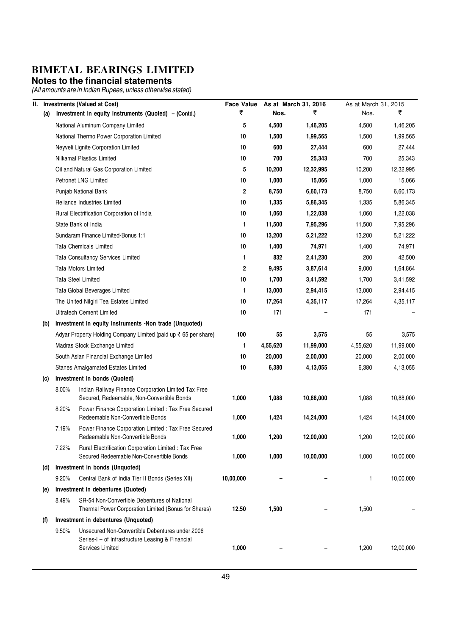#### **Notes to the financial statements**

| II.       |     |       | <b>Investments (Valued at Cost)</b>                                                                                     | <b>Face Value</b> |          | As at March 31, 2016 | As at March 31, 2015 |           |
|-----------|-----|-------|-------------------------------------------------------------------------------------------------------------------------|-------------------|----------|----------------------|----------------------|-----------|
|           | (a) |       | Investment in equity instruments (Quoted) - (Contd.)                                                                    | ₹                 | Nos.     | ₹                    | Nos.                 | ₹         |
|           |     |       | National Aluminum Company Limited                                                                                       | 5                 | 4,500    | 1,46,205             | 4,500                | 1,46,205  |
|           |     |       | National Thermo Power Corporation Limited                                                                               | 10                | 1,500    | 1,99,565             | 1,500                | 1,99,565  |
|           |     |       | Neyveli Lignite Corporation Limited                                                                                     | 10                | 600      | 27,444               | 600                  | 27,444    |
|           |     |       | Nilkamal Plastics Limited                                                                                               | 10                | 700      | 25,343               | 700                  | 25,343    |
|           |     |       | Oil and Natural Gas Corporation Limited                                                                                 | 5                 | 10,200   | 12,32,995            | 10,200               | 12,32,995 |
|           |     |       | Petronet LNG Limited                                                                                                    | 10                | 1,000    | 15,066               | 1,000                | 15,066    |
|           |     |       | Punjab National Bank                                                                                                    | 2                 | 8,750    | 6,60,173             | 8,750                | 6,60,173  |
|           |     |       | Reliance Industries Limited                                                                                             | 10                | 1,335    | 5,86,345             | 1,335                | 5,86,345  |
|           |     |       | Rural Electrification Corporation of India                                                                              | 10                | 1,060    | 1,22,038             | 1,060                | 1,22,038  |
|           |     |       | State Bank of India                                                                                                     | 1                 | 11,500   | 7,95,296             | 11,500               | 7,95,296  |
|           |     |       | Sundaram Finance Limited-Bonus 1:1                                                                                      | 10                | 13,200   | 5,21,222             | 13,200               | 5,21,222  |
|           |     |       | <b>Tata Chemicals Limited</b>                                                                                           | 10                | 1,400    | 74,971               | 1,400                | 74,971    |
|           |     |       | <b>Tata Consultancy Services Limited</b>                                                                                | 1                 | 832      | 2,41,230             | 200                  | 42,500    |
|           |     |       | <b>Tata Motors Limited</b>                                                                                              | 2                 | 9,495    | 3,87,614             | 9,000                | 1,64,864  |
|           |     |       | <b>Tata Steel Limited</b>                                                                                               | 10                | 1,700    | 3,41,592             | 1,700                | 3,41,592  |
|           |     |       | Tata Global Beverages Limited                                                                                           | 1                 | 13,000   | 2,94,415             | 13,000               | 2,94,415  |
|           |     |       | The United Nilgiri Tea Estates Limited                                                                                  | 10                | 17,264   | 4,35,117             | 17,264               | 4,35,117  |
|           |     |       | <b>Ultratech Cement Limited</b>                                                                                         | 10                | 171      |                      | 171                  |           |
|           | (b) |       | Investment in equity instruments -Non trade (Unquoted)                                                                  |                   |          |                      |                      |           |
|           |     |       | Adyar Property Holding Company Limited (paid up ₹ 65 per share)                                                         | 100               | 55       | 3,575                | 55                   | 3,575     |
|           |     |       | Madras Stock Exchange Limited                                                                                           | 1                 | 4,55,620 | 11,99,000            | 4,55,620             | 11,99,000 |
|           |     |       | South Asian Financial Exchange Limited                                                                                  | 10                | 20,000   | 2,00,000             | 20,000               | 2,00,000  |
|           |     |       | Stanes Amalgamated Estates Limited                                                                                      | 10                | 6,380    | 4,13,055             | 6,380                | 4,13,055  |
|           | (c) |       | Investment in bonds (Quoted)                                                                                            |                   |          |                      |                      |           |
|           |     | 8.00% | Indian Railway Finance Corporation Limited Tax Free<br>Secured, Redeemable, Non-Convertible Bonds                       | 1,000             | 1,088    | 10,88,000            | 1,088                | 10,88,000 |
|           |     | 8.20% | Power Finance Corporation Limited : Tax Free Secured<br>Redeemable Non-Convertible Bonds                                | 1,000             | 1,424    | 14,24,000            | 1,424                | 14,24,000 |
|           |     | 7.19% | Power Finance Corporation Limited : Tax Free Secured<br>Redeemable Non-Convertible Bonds                                | 1,000             | 1,200    | 12,00,000            | 1,200                | 12,00,000 |
|           |     | 7.22% | Rural Electrification Corporation Limited: Tax Free<br>Secured Redeemable Non-Convertible Bonds                         | 1,000             | 1,000    | 10,00,000            | 1,000                | 10,00,000 |
|           | (d) |       | Investment in bonds (Unquoted)                                                                                          |                   |          |                      |                      |           |
|           |     | 9.20% | Central Bank of India Tier II Bonds (Series XII)                                                                        | 10,00,000         |          |                      | 1                    | 10,00,000 |
|           | (e) |       | Investment in debentures (Quoted)                                                                                       |                   |          |                      |                      |           |
|           |     | 8.49% | SR-54 Non-Convertible Debentures of National<br>Thermal Power Corporation Limited (Bonus for Shares)                    | 12.50             | 1,500    |                      | 1,500                |           |
| $($ f $)$ |     |       | Investment in debentures (Unquoted)                                                                                     |                   |          |                      |                      |           |
|           |     | 9.50% | Unsecured Non-Convertible Debentures under 2006<br>Series-I - of Infrastructure Leasing & Financial<br>Services Limited | 1,000             |          |                      | 1,200                | 12,00,000 |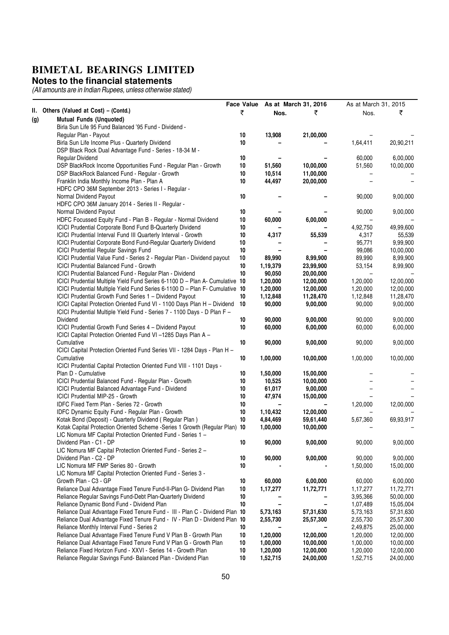#### **Notes to the financial statements**

|     |                                                                                                                                      |          |                      | Face Value As at March 31, 2016 | As at March 31, 2015 |                        |
|-----|--------------------------------------------------------------------------------------------------------------------------------------|----------|----------------------|---------------------------------|----------------------|------------------------|
|     | II. Others (Valued at Cost) - (Contd.)                                                                                               | ₹        | Nos.                 | ₹                               | Nos.                 | ₹                      |
| (g) | <b>Mutual Funds (Unquoted)</b>                                                                                                       |          |                      |                                 |                      |                        |
|     | Birla Sun Life 95 Fund Balanced '95 Fund - Dividend -                                                                                |          |                      |                                 |                      |                        |
|     | Regular Plan - Payout<br>Birla Sun Life Income Plus - Quarterly Dividend                                                             | 10<br>10 | 13,908               | 21,00,000                       | 1,64,411             |                        |
|     | DSP Black Rock Dual Advantage Fund - Series - 18-34 M -                                                                              |          |                      |                                 |                      | 20,90,211              |
|     | Regular Dividend                                                                                                                     | 10       |                      |                                 | 60,000               | 6,00,000               |
|     | DSP BlackRock Income Opportunities Fund - Regular Plan - Growth                                                                      | 10       | 51,560               | 10,00,000                       | 51,560               | 10,00,000              |
|     | DSP BlackRock Balanced Fund - Regular - Growth                                                                                       | 10       | 10,514               | 11,00,000                       |                      |                        |
|     | Franklin India Monthly Income Plan - Plan A                                                                                          | 10       | 44,497               | 20,00,000                       |                      |                        |
|     | HDFC CPO 36M September 2013 - Series I - Regular -                                                                                   |          |                      |                                 |                      |                        |
|     | Normal Dividend Payout                                                                                                               | 10       |                      |                                 | 90,000               | 9,00,000               |
|     | HDFC CPO 36M January 2014 - Series II - Regular -                                                                                    |          |                      |                                 |                      |                        |
|     | Normal Dividend Payout                                                                                                               | 10       |                      |                                 | 90,000               | 9,00,000               |
|     | HDFC Focussed Equity Fund - Plan B - Regular - Normal Dividend                                                                       | 10       | 60,000               | 6,00,000                        |                      |                        |
|     | ICICI Prudential Corporate Bond Fund B-Quarterly Dividend                                                                            | 10       |                      |                                 | 4,92,750             | 49,99,600              |
|     | ICICI Prudential Interval Fund III Quarterly Interval - Growth                                                                       | 10       | 4,317                | 55,539                          | 4,317                | 55,539                 |
|     | ICICI Prudential Corporate Bond Fund-Regular Quarterly Dividend                                                                      | 10       |                      |                                 | 95,771               | 9,99,900               |
|     | <b>ICICI Prudential Regular Savings Fund</b>                                                                                         | 10       |                      |                                 | 99,086               | 10,00,000              |
|     | ICICI Prudential Value Fund - Series 2 - Regular Plan - Dividend payout                                                              | 10       | 89,990               | 8,99,900                        | 89,990               | 8,99,900               |
|     | <b>ICICI Prudential Balanced Fund - Growth</b>                                                                                       | 10       | 1,19,379             | 23,99,900                       | 53,154               | 8,99,900               |
|     | ICICI Prudential Balanced Fund - Regular Plan - Dividend                                                                             | 10       | 90,050               | 20,00,000                       |                      |                        |
|     | ICICI Prudential Multiple Yield Fund Series 6-1100 D - Plan A- Cumulative 10                                                         |          | 1,20,000             | 12,00,000                       | 1,20,000             | 12,00,000              |
|     | ICICI Prudential Multiple Yield Fund Series 6-1100 D - Plan F- Cumulative 10                                                         |          | 1,20,000             | 12,00,000                       | 1,20,000             | 12,00,000              |
|     | ICICI Prudential Growth Fund Series 1 - Dividend Payout                                                                              | 10       | 1,12,848             | 11,28,470                       | 1,12,848             | 11,28,470              |
|     | ICICI Capital Protection Oriented Fund VI - 1100 Days Plan H - Dividend                                                              | 10       | 90,000               | 9,00,000                        | 90,000               | 9,00,000               |
|     | ICICI Prudential Multiple Yield Fund - Series 7 - 1100 Days - D Plan F -                                                             |          |                      |                                 |                      |                        |
|     | Dividend                                                                                                                             | 10       | 90,000               | 9,00,000                        | 90,000               | 9,00,000               |
|     | ICICI Prudential Growth Fund Series 4 - Dividend Payout                                                                              | 10       | 60,000               | 6,00,000                        | 60,000               | 6,00,000               |
|     | ICICI Capital Protection Oriented Fund VI -1285 Days Plan A -<br>Cumulative                                                          | 10       | 90,000               | 9,00,000                        | 90,000               | 9,00,000               |
|     | ICICI Capital Protection Oriented Fund Series VII - 1284 Days - Plan H -                                                             |          |                      |                                 |                      |                        |
|     | Cumulative                                                                                                                           | 10       | 1,00,000             | 10,00,000                       | 1,00,000             | 10,00,000              |
|     | ICICI Prudential Capital Protection Oriented Fund VIII - 1101 Days -                                                                 |          |                      |                                 |                      |                        |
|     | Plan D - Cumulative                                                                                                                  | 10       | 1,50,000             | 15,00,000                       |                      |                        |
|     | ICICI Prudential Balanced Fund - Regular Plan - Growth                                                                               | 10       | 10,525               | 10,00,000                       |                      |                        |
|     | ICICI Prudential Balanced Advantage Fund - Dividend                                                                                  | 10       | 61,017               | 9,00,000                        |                      |                        |
|     | ICICI Prudential MIP-25 - Growth                                                                                                     | 10       | 47,974               | 15,00,000                       |                      |                        |
|     | IDFC Fixed Term Plan - Series 72 - Growth                                                                                            | 10       |                      |                                 | 1,20,000             | 12,00,000              |
|     | IDFC Dynamic Equity Fund - Regular Plan - Growth                                                                                     | 10       | 1,10,432             | 12,00,000                       |                      |                        |
|     | Kotak Bond (Deposit) - Quarterly Dividend (Regular Plan)                                                                             | 10       | 4,84,469             | 59,61,440                       | 5,67,360             | 69,93,917              |
|     | Kotak Capital Protection Oriented Scheme - Series 1 Growth (Regular Plan) 10                                                         |          | 1,00,000             | 10,00,000                       |                      |                        |
|     | LIC Nomura MF Capital Protection Oriented Fund - Series 1 -                                                                          |          |                      |                                 |                      |                        |
|     | Dividend Plan - C1 - DP                                                                                                              | 10       | 90,000               | 9,00,000                        | 90,000               | 9,00,000               |
|     | LIC Nomura MF Capital Protection Oriented Fund - Series 2 -                                                                          |          |                      |                                 |                      |                        |
|     | Dividend Plan - C2 - DP                                                                                                              | 10       | 90,000               | 9,00,000                        | 90,000               | 9,00,000               |
|     | LIC Nomura MF FMP Series 80 - Growth                                                                                                 | 10       |                      |                                 | 1,50,000             | 15,00,000              |
|     | LIC Nomura MF Capital Protection Oriented Fund - Series 3 -                                                                          |          |                      |                                 |                      |                        |
|     | Growth Plan - C3 - GP                                                                                                                | 10       | 60,000               | 6,00,000                        | 60,000               | 6,00,000               |
|     | Reliance Dual Advantage Fixed Tenure Fund-II-Plan G- Dividend Plan                                                                   | 10       | 1,17,277             | 11,72,771                       | 1,17,277             | 11,72,771              |
|     | Reliance Regular Savings Fund-Debt Plan-Quarterly Dividend                                                                           | 10       |                      |                                 | 3,95,366             | 50,00,000              |
|     | Reliance Dynamic Bond Fund - Dividend Plan                                                                                           | 10       |                      |                                 | 1,07,489             | 15,05,004              |
|     | Reliance Dual Advantage Fixed Tenure Fund - III - Plan C - Dividend Plan 10                                                          |          | 5,73,163             | 57,31,630                       | 5,73,163             | 57,31,630              |
|     | Reliance Dual Advantage Fixed Tenure Fund - IV - Plan D - Dividend Plan 10                                                           |          | 2,55,730             | 25,57,300                       | 2,55,730             | 25,57,300              |
|     | Reliance Monthly Interval Fund - Series 2                                                                                            | 10       |                      |                                 | 2,49,875             | 25,00,000              |
|     | Reliance Dual Advantage Fixed Tenure Fund V Plan B - Growth Plan<br>Reliance Dual Advantage Fixed Tenure Fund V Plan G - Growth Plan | 10<br>10 | 1,20,000             | 12,00,000                       | 1,20,000             | 12,00,000              |
|     | Reliance Fixed Horizon Fund - XXVI - Series 14 - Growth Plan                                                                         | 10       | 1,00,000<br>1,20,000 | 10,00,000<br>12,00,000          | 1,00,000<br>1,20,000 | 10,00,000<br>12,00,000 |
|     | Reliance Regular Savings Fund- Balanced Plan - Dividend Plan                                                                         | 10       | 1,52,715             | 24,00,000                       | 1,52,715             | 24,00,000              |
|     |                                                                                                                                      |          |                      |                                 |                      |                        |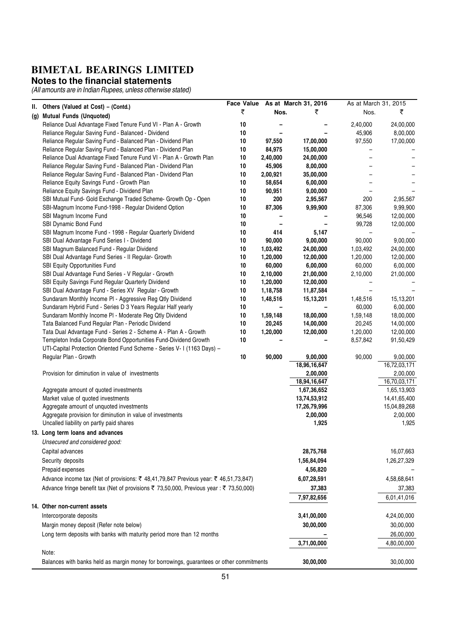#### **Notes to the financial statements**

|                                                                                          |    |          | Face Value As at March 31, 2016 | As at March 31, 2015 |              |
|------------------------------------------------------------------------------------------|----|----------|---------------------------------|----------------------|--------------|
| II. Others (Valued at Cost) - (Contd.)                                                   | ₹  | Nos.     | ₹                               | Nos.                 | ₹            |
| (g) Mutual Funds (Unquoted)                                                              |    |          |                                 |                      |              |
| Reliance Dual Advantage Fixed Tenure Fund VI - Plan A - Growth                           | 10 |          |                                 | 2,40,000             | 24,00,000    |
| Reliance Regular Saving Fund - Balanced - Dividend                                       | 10 |          |                                 | 45,906               | 8,00,000     |
| Reliance Regular Saving Fund - Balanced Plan - Dividend Plan                             | 10 | 97,550   | 17,00,000                       | 97,550               | 17,00,000    |
| Reliance Regular Saving Fund - Balanced Plan - Dividend Plan                             | 10 | 84,975   | 15,00,000                       |                      |              |
| Reliance Dual Advantage Fixed Tenure Fund VI - Plan A - Growth Plan                      | 10 | 2,40,000 | 24,00,000                       |                      |              |
| Reliance Regular Saving Fund - Balanced Plan - Dividend Plan                             | 10 | 45,906   | 8,00,000                        |                      |              |
| Reliance Regular Saving Fund - Balanced Plan - Dividend Plan                             | 10 | 2,00,921 | 35,00,000                       |                      |              |
| Reliance Equity Savings Fund - Growth Plan                                               | 10 | 58,654   | 6,00,000                        |                      |              |
| Reliance Equity Savings Fund - Dividend Plan                                             | 10 | 90,951   | 9,00,000                        |                      |              |
| SBI Mutual Fund- Gold Exchange Traded Scheme- Growth Op - Open                           | 10 | 200      | 2,95,567                        | 200                  | 2,95,567     |
| SBI-Magnum Income Fund-1998 - Regular Dividend Option                                    | 10 | 87,306   | 9,99,900                        | 87,306               | 9,99,900     |
| SBI Magnum Income Fund                                                                   | 10 |          |                                 | 96,546               | 12,00,000    |
| SBI Dynamic Bond Fund                                                                    | 10 |          |                                 | 99,728               | 12,00,000    |
| SBI Magnum Income Fund - 1998 - Regular Quarterly Dividend                               | 10 | 414      | 5,147                           |                      |              |
| SBI Dual Advantage Fund Series I - Dividend                                              | 10 | 90,000   | 9,00,000                        | 90,000               | 9,00,000     |
| SBI Magnum Balanced Fund - Regular Dividend                                              | 10 | 1,03,492 | 24,00,000                       | 1,03,492             | 24,00,000    |
| SBI Dual Advantage Fund Series - II Regular- Growth                                      | 10 | 1,20,000 | 12,00,000                       | 1,20,000             | 12,00,000    |
| SBI Equity Opportunities Fund                                                            | 10 | 60,000   | 6,00,000                        | 60,000               | 6,00,000     |
| SBI Dual Advantage Fund Series - V Regular - Growth                                      | 10 | 2,10,000 | 21,00,000                       | 2,10,000             | 21,00,000    |
| SBI Equity Savings Fund Regular Quarterly Dividend                                       | 10 | 1,20,000 | 12,00,000                       |                      |              |
| SBI Dual Advantage Fund - Series XV Regular - Growth                                     | 10 | 1,18,758 | 11,87,584                       |                      |              |
| Sundaram Monthly Income PI - Aggressive Reg Qtly Dividend                                | 10 | 1,48,516 | 15,13,201                       | 1,48,516             | 15,13,201    |
| Sundaram Hybrid Fund - Series D 3 Years Regular Half yearly                              | 10 |          |                                 | 60,000               | 6,00,000     |
| Sundaram Monthly Income PI - Moderate Reg Qtly Dividend                                  | 10 | 1,59,148 | 18,00,000                       | 1,59,148             | 18,00,000    |
| Tata Balanced Fund Regular Plan - Periodic Dividend                                      | 10 | 20,245   | 14,00,000                       | 20,245               | 14,00,000    |
| Tata Dual Advantage Fund - Series 2 - Scheme A - Plan A - Growth                         | 10 | 1,20,000 | 12,00,000                       | 1,20,000             | 12,00,000    |
| Templeton India Corporate Bond Opportunities Fund-Dividend Growth                        | 10 |          |                                 | 8,57,842             | 91,50,429    |
| UTI-Capital Protection Oriented Fund Scheme - Series V- I (1163 Days) -                  |    |          |                                 |                      |              |
| Regular Plan - Growth                                                                    | 10 | 90,000   | 9,00,000                        | 90,000               | 9,00,000     |
|                                                                                          |    |          | 18,96,16,647                    |                      | 16,72,03,171 |
| Provision for diminution in value of investments                                         |    |          | 2,00,000                        |                      | 2,00,000     |
|                                                                                          |    |          | 18,94,16,647                    |                      | 16,70,03,171 |
| Aggregate amount of quoted investments                                                   |    |          | 1,67,36,652                     |                      | 1,65,13,903  |
| Market value of quoted investments                                                       |    |          | 13,74,53,912                    |                      | 14,41,65,400 |
| Aggregate amount of unquoted investments                                                 |    |          | 17,26,79,996                    |                      | 15,04,89,268 |
| Aggregate provision for diminution in value of investments                               |    |          | 2,00,000                        |                      | 2,00,000     |
| Uncalled liability on partly paid shares                                                 |    |          | 1,925                           |                      | 1,925        |
|                                                                                          |    |          |                                 |                      |              |
| 13. Long term loans and advances                                                         |    |          |                                 |                      |              |
| Unsecured and considered good:                                                           |    |          |                                 |                      |              |
| Capital advances                                                                         |    |          | 28,75,768                       |                      | 16,07,663    |
| Security deposits                                                                        |    |          | 1,56,84,094                     |                      | 1,26,27,329  |
| Prepaid expenses                                                                         |    |          | 4,56,820                        |                      |              |
| Advance income tax (Net of provisions: ₹ 48,41,79,847 Previous year: ₹ 46,51,73,847)     |    |          | 6,07,28,591                     |                      | 4,58,68,641  |
| Advance fringe benefit tax (Net of provisions ₹ 73,50,000, Previous year : ₹ 73,50,000)  |    |          | 37,383                          |                      | 37,383       |
|                                                                                          |    |          | 7,97,82,656                     |                      | 6,01,41,016  |
| 14. Other non-current assets                                                             |    |          |                                 |                      |              |
| Intercorporate deposits                                                                  |    |          | 3,41,00,000                     |                      | 4,24,00,000  |
| Margin money deposit (Refer note below)                                                  |    |          | 30,00,000                       |                      | 30,00,000    |
| Long term deposits with banks with maturity period more than 12 months                   |    |          |                                 |                      | 26,00,000    |
|                                                                                          |    |          |                                 |                      |              |
|                                                                                          |    |          | 3,71,00,000                     |                      | 4,80,00,000  |
| Note:                                                                                    |    |          |                                 |                      |              |
| Balances with banks held as margin money for borrowings, guarantees or other commitments |    |          | 30,00,000                       |                      | 30,00,000    |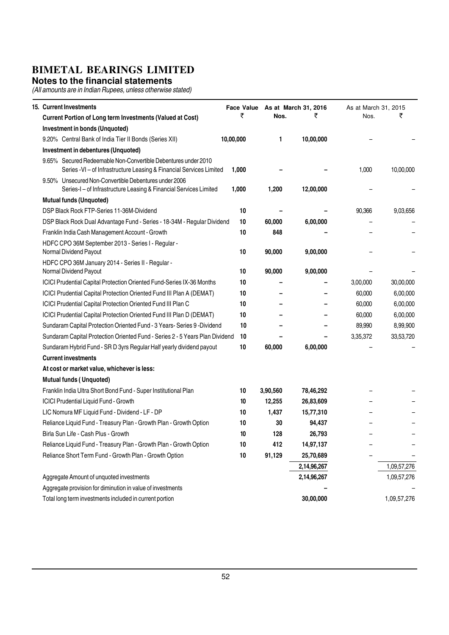#### **Notes to the financial statements**

| 15. Current Investments                                                                                                                |           |    |          | Face Value As at March 31, 2016 | As at March 31, 2015 |             |
|----------------------------------------------------------------------------------------------------------------------------------------|-----------|----|----------|---------------------------------|----------------------|-------------|
| Current Portion of Long term Investments (Valued at Cost)                                                                              |           | ₹  | Nos.     | ₹                               | Nos.                 | ₹           |
| Investment in bonds (Unquoted)                                                                                                         |           |    |          |                                 |                      |             |
| 9.20% Central Bank of India Tier II Bonds (Series XII)                                                                                 | 10,00,000 |    | 1        | 10,00,000                       |                      |             |
| Investment in debentures (Unquoted)                                                                                                    |           |    |          |                                 |                      |             |
| 9.65% Secured Redeemable Non-Convertible Debentures under 2010<br>Series - VI - of Infrastructure Leasing & Financial Services Limited | 1,000     |    |          |                                 | 1,000                | 10,00,000   |
| 9.50% Unsecured Non-Convertible Debentures under 2006<br>Series-I-of Infrastructure Leasing & Financial Services Limited               | 1,000     |    | 1,200    | 12,00,000                       |                      |             |
| <b>Mutual funds (Unquoted)</b>                                                                                                         |           |    |          |                                 |                      |             |
| DSP Black Rock FTP-Series 11-36M-Dividend                                                                                              |           | 10 |          |                                 | 90,366               | 9,03,656    |
| DSP Black Rock Dual Advantage Fund - Series - 18-34M - Regular Dividend                                                                |           | 10 | 60,000   | 6,00,000                        |                      |             |
| Franklin India Cash Management Account - Growth                                                                                        |           | 10 | 848      |                                 |                      |             |
| HDFC CPO 36M September 2013 - Series I - Regular -                                                                                     |           |    |          |                                 |                      |             |
| Normal Dividend Payout                                                                                                                 |           | 10 | 90,000   | 9,00,000                        |                      |             |
| HDFC CPO 36M January 2014 - Series II - Regular -<br>Normal Dividend Payout                                                            |           | 10 | 90,000   | 9,00,000                        |                      |             |
| ICICI Prudential Capital Protection Oriented Fund-Series IX-36 Months                                                                  |           | 10 |          |                                 | 3,00,000             | 30,00,000   |
| ICICI Prudential Capital Protection Oriented Fund III Plan A (DEMAT)                                                                   |           | 10 |          |                                 | 60,000               | 6,00,000    |
| ICICI Prudential Capital Protection Oriented Fund III Plan C                                                                           |           | 10 |          |                                 | 60,000               | 6,00,000    |
| ICICI Prudential Capital Protection Oriented Fund III Plan D (DEMAT)                                                                   |           | 10 |          |                                 | 60,000               | 6,00,000    |
| Sundaram Capital Protection Oriented Fund - 3 Years- Series 9 - Dividend                                                               |           | 10 |          |                                 | 89,990               | 8,99,900    |
| Sundaram Capital Protection Oriented Fund - Series 2 - 5 Years Plan Dividend                                                           |           | 10 |          |                                 | 3,35,372             | 33,53,720   |
| Sundaram Hybrid Fund - SR D 3yrs Regular Half yearly dividend payout                                                                   |           | 10 | 60,000   | 6,00,000                        |                      |             |
| <b>Current investments</b>                                                                                                             |           |    |          |                                 |                      |             |
| At cost or market value, whichever is less:                                                                                            |           |    |          |                                 |                      |             |
| <b>Mutual funds (Unquoted)</b>                                                                                                         |           |    |          |                                 |                      |             |
| Franklin India Ultra Short Bond Fund - Super Institutional Plan                                                                        |           | 10 | 3,90,560 | 78,46,292                       |                      |             |
| ICICI Prudential Liquid Fund - Growth                                                                                                  |           | 10 | 12,255   | 26,83,609                       |                      |             |
| LIC Nomura MF Liquid Fund - Dividend - LF - DP                                                                                         |           | 10 | 1,437    | 15,77,310                       |                      |             |
| Reliance Liquid Fund - Treasury Plan - Growth Plan - Growth Option                                                                     |           | 10 | 30       | 94,437                          |                      |             |
| Birla Sun Life - Cash Plus - Growth                                                                                                    |           | 10 | 128      | 26,793                          |                      |             |
| Reliance Liquid Fund - Treasury Plan - Growth Plan - Growth Option                                                                     |           | 10 | 412      | 14,97,137                       |                      |             |
| Reliance Short Term Fund - Growth Plan - Growth Option                                                                                 |           | 10 | 91,129   | 25,70,689                       |                      |             |
|                                                                                                                                        |           |    |          | 2,14,96,267                     |                      | 1,09,57,276 |
| Aggregate Amount of unquoted investments                                                                                               |           |    |          | 2,14,96,267                     |                      | 1,09,57,276 |
| Aggregate provision for diminution in value of investments                                                                             |           |    |          |                                 |                      |             |
| Total long term investments included in current portion                                                                                |           |    |          | 30,00,000                       |                      | 1,09,57,276 |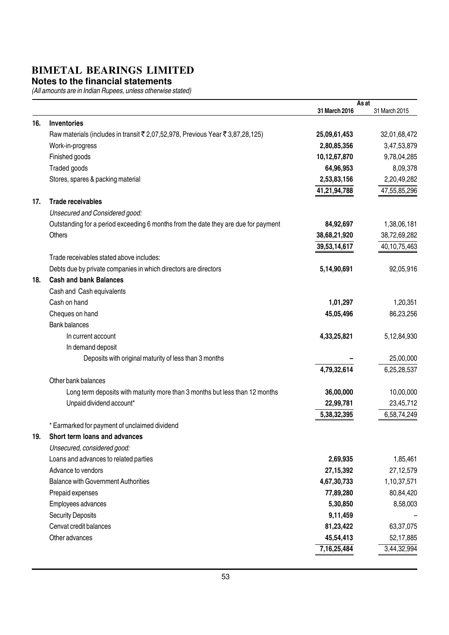#### **Notes to the financial statements**

|     |                                                                                    |               | As at           |
|-----|------------------------------------------------------------------------------------|---------------|-----------------|
|     |                                                                                    | 31 March 2016 | 31 March 2015   |
| 16. | <b>Inventories</b>                                                                 |               |                 |
|     | Raw materials (includes in transit ₹2,07,52,978, Previous Year ₹3,87,28,125)       | 25,09,61,453  | 32,01,68,472    |
|     | Work-in-progress                                                                   | 2,80,85,356   | 3,47,53,879     |
|     | Finished goods                                                                     | 10,12,67,870  | 9,78,04,285     |
|     | Traded goods                                                                       | 64,96,953     | 8,09,378        |
|     | Stores, spares & packing material                                                  | 2,53,83,156   | 2,20,49,282     |
|     |                                                                                    | 41,21,94,788  | 47,55,85,296    |
| 17. | <b>Trade receivables</b>                                                           |               |                 |
|     | Unsecured and Considered good:                                                     |               |                 |
|     | Outstanding for a period exceeding 6 months from the date they are due for payment | 84,92,697     | 1,38,06,181     |
|     | <b>Others</b>                                                                      | 38,68,21,920  | 38,72,69,282    |
|     |                                                                                    | 39,53,14,617  | 40, 10, 75, 463 |
|     | Trade receivables stated above includes:                                           |               |                 |
|     | Debts due by private companies in which directors are directors                    | 5,14,90,691   | 92,05,916       |
| 18. | <b>Cash and bank Balances</b>                                                      |               |                 |
|     | Cash and Cash equivalents                                                          |               |                 |
|     | Cash on hand                                                                       | 1,01,297      | 1,20,351        |
|     | Cheques on hand                                                                    | 45,05,496     | 86,23,256       |
|     | <b>Bank balances</b>                                                               |               |                 |
|     | In current account                                                                 | 4,33,25,821   | 5,12,84,930     |
|     | In demand deposit                                                                  |               |                 |
|     | Deposits with original maturity of less than 3 months                              |               | 25,00,000       |
|     |                                                                                    | 4,79,32,614   | 6,25,28,537     |
|     | Other bank balances                                                                |               |                 |
|     | Long term deposits with maturity more than 3 months but less than 12 months        | 36,00,000     | 10,00,000       |
|     | Unpaid dividend account*                                                           | 22,99,781     | 23,45,712       |
|     |                                                                                    | 5,38,32,395   | 6,58,74,249     |
|     | * Earmarked for payment of unclaimed dividend                                      |               |                 |
| 19. | Short term loans and advances                                                      |               |                 |
|     | Unsecured, considered good:                                                        |               |                 |
|     | Loans and advances to related parties                                              | 2,69,935      | 1,85,461        |
|     | Advance to vendors                                                                 | 27, 15, 392   | 27,12,579       |
|     | <b>Balance with Government Authorities</b>                                         | 4,67,30,733   | 1,10,37,571     |
|     | Prepaid expenses                                                                   | 77,89,280     | 80,84,420       |
|     | Employees advances                                                                 | 5,30,850      | 8,58,003        |
|     | <b>Security Deposits</b>                                                           | 9,11,459      |                 |
|     | Cenvat credit balances                                                             | 81,23,422     | 63,37,075       |
|     | Other advances                                                                     | 45,54,413     | 52,17,885       |
|     |                                                                                    | 7,16,25,484   | 3,44,32,994     |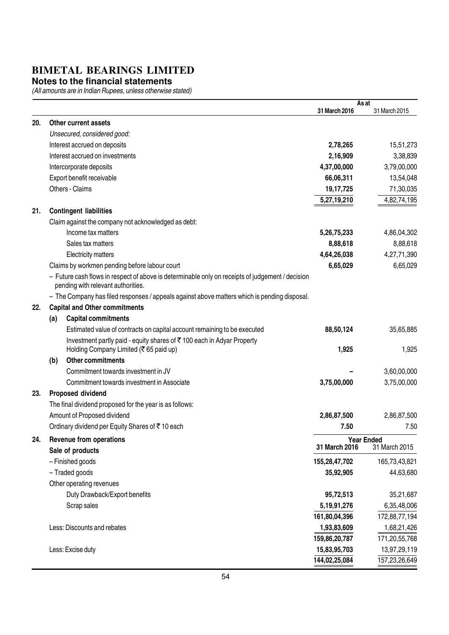#### **Notes to the financial statements**

| 31 March 2016<br>31 March 2015<br>20.<br>Other current assets<br>Unsecured, considered good:<br>Interest accrued on deposits<br>2,78,265<br>15,51,273<br>Interest accrued on investments<br>2,16,909<br>3,38,839<br>4,37,00,000<br>3,79,00,000<br>Intercorporate deposits<br>Export benefit receivable<br>66,06,311<br>13,54,048<br>Others - Claims<br>19,17,725<br>71,30,035<br>4,82,74,195<br>5,27,19,210<br><b>Contingent liabilities</b><br>21.<br>Claim against the company not acknowledged as debt:<br>Income tax matters<br>5,26,75,233<br>4,86,04,302<br>Sales tax matters<br>8,88,618<br>8,88,618<br>4,64,26,038<br>4,27,71,390<br><b>Electricity matters</b><br>6,65,029<br>Claims by workmen pending before labour court<br>6,65,029<br>- Future cash flows in respect of above is determinable only on receipts of judgement / decision<br>pending with relevant authorities.<br>- The Company has filed responses / appeals against above matters which is pending disposal.<br><b>Capital and Other commitments</b><br>22.<br><b>Capital commitments</b><br>(a)<br>Estimated value of contracts on capital account remaining to be executed<br>88,50,124<br>35,65,885<br>Investment partly paid - equity shares of ₹100 each in Adyar Property<br>Holding Company Limited (₹65 paid up)<br>1,925<br>1,925<br><b>Other commitments</b><br>(b)<br>Commitment towards investment in JV<br>3,60,00,000<br>3,75,00,000<br>Commitment towards investment in Associate<br>3,75,00,000<br>Proposed dividend<br>23.<br>The final dividend proposed for the year is as follows:<br>Amount of Proposed dividend<br>2,86,87,500<br>2,86,87,500<br>Ordinary dividend per Equity Shares of ₹10 each<br>7.50<br>7.50<br>24.<br>Revenue from operations<br><b>Year Ended</b><br>31 March 2015<br>31 March 2016<br>Sale of products<br>- Finished goods<br>155,28,47,702<br>- Traded goods<br>35,92,905<br>Other operating revenues<br>Duty Drawback/Export benefits<br>95,72,513<br>Scrap sales<br>5, 19, 91, 276<br>161,80,04,396<br>1,93,83,609<br>Less: Discounts and rebates<br>159,86,20,787<br>15,83,95,703<br>Less: Excise duty<br>144,02,25,084<br>157,23,26,649 |  |  | As at |
|-------------------------------------------------------------------------------------------------------------------------------------------------------------------------------------------------------------------------------------------------------------------------------------------------------------------------------------------------------------------------------------------------------------------------------------------------------------------------------------------------------------------------------------------------------------------------------------------------------------------------------------------------------------------------------------------------------------------------------------------------------------------------------------------------------------------------------------------------------------------------------------------------------------------------------------------------------------------------------------------------------------------------------------------------------------------------------------------------------------------------------------------------------------------------------------------------------------------------------------------------------------------------------------------------------------------------------------------------------------------------------------------------------------------------------------------------------------------------------------------------------------------------------------------------------------------------------------------------------------------------------------------------------------------------------------------------------------------------------------------------------------------------------------------------------------------------------------------------------------------------------------------------------------------------------------------------------------------------------------------------------------------------------------------------------------------------------------------------------------------------------------------------------------------------|--|--|-------|
|                                                                                                                                                                                                                                                                                                                                                                                                                                                                                                                                                                                                                                                                                                                                                                                                                                                                                                                                                                                                                                                                                                                                                                                                                                                                                                                                                                                                                                                                                                                                                                                                                                                                                                                                                                                                                                                                                                                                                                                                                                                                                                                                                                         |  |  |       |
|                                                                                                                                                                                                                                                                                                                                                                                                                                                                                                                                                                                                                                                                                                                                                                                                                                                                                                                                                                                                                                                                                                                                                                                                                                                                                                                                                                                                                                                                                                                                                                                                                                                                                                                                                                                                                                                                                                                                                                                                                                                                                                                                                                         |  |  |       |
|                                                                                                                                                                                                                                                                                                                                                                                                                                                                                                                                                                                                                                                                                                                                                                                                                                                                                                                                                                                                                                                                                                                                                                                                                                                                                                                                                                                                                                                                                                                                                                                                                                                                                                                                                                                                                                                                                                                                                                                                                                                                                                                                                                         |  |  |       |
|                                                                                                                                                                                                                                                                                                                                                                                                                                                                                                                                                                                                                                                                                                                                                                                                                                                                                                                                                                                                                                                                                                                                                                                                                                                                                                                                                                                                                                                                                                                                                                                                                                                                                                                                                                                                                                                                                                                                                                                                                                                                                                                                                                         |  |  |       |
|                                                                                                                                                                                                                                                                                                                                                                                                                                                                                                                                                                                                                                                                                                                                                                                                                                                                                                                                                                                                                                                                                                                                                                                                                                                                                                                                                                                                                                                                                                                                                                                                                                                                                                                                                                                                                                                                                                                                                                                                                                                                                                                                                                         |  |  |       |
|                                                                                                                                                                                                                                                                                                                                                                                                                                                                                                                                                                                                                                                                                                                                                                                                                                                                                                                                                                                                                                                                                                                                                                                                                                                                                                                                                                                                                                                                                                                                                                                                                                                                                                                                                                                                                                                                                                                                                                                                                                                                                                                                                                         |  |  |       |
|                                                                                                                                                                                                                                                                                                                                                                                                                                                                                                                                                                                                                                                                                                                                                                                                                                                                                                                                                                                                                                                                                                                                                                                                                                                                                                                                                                                                                                                                                                                                                                                                                                                                                                                                                                                                                                                                                                                                                                                                                                                                                                                                                                         |  |  |       |
|                                                                                                                                                                                                                                                                                                                                                                                                                                                                                                                                                                                                                                                                                                                                                                                                                                                                                                                                                                                                                                                                                                                                                                                                                                                                                                                                                                                                                                                                                                                                                                                                                                                                                                                                                                                                                                                                                                                                                                                                                                                                                                                                                                         |  |  |       |
|                                                                                                                                                                                                                                                                                                                                                                                                                                                                                                                                                                                                                                                                                                                                                                                                                                                                                                                                                                                                                                                                                                                                                                                                                                                                                                                                                                                                                                                                                                                                                                                                                                                                                                                                                                                                                                                                                                                                                                                                                                                                                                                                                                         |  |  |       |
|                                                                                                                                                                                                                                                                                                                                                                                                                                                                                                                                                                                                                                                                                                                                                                                                                                                                                                                                                                                                                                                                                                                                                                                                                                                                                                                                                                                                                                                                                                                                                                                                                                                                                                                                                                                                                                                                                                                                                                                                                                                                                                                                                                         |  |  |       |
|                                                                                                                                                                                                                                                                                                                                                                                                                                                                                                                                                                                                                                                                                                                                                                                                                                                                                                                                                                                                                                                                                                                                                                                                                                                                                                                                                                                                                                                                                                                                                                                                                                                                                                                                                                                                                                                                                                                                                                                                                                                                                                                                                                         |  |  |       |
|                                                                                                                                                                                                                                                                                                                                                                                                                                                                                                                                                                                                                                                                                                                                                                                                                                                                                                                                                                                                                                                                                                                                                                                                                                                                                                                                                                                                                                                                                                                                                                                                                                                                                                                                                                                                                                                                                                                                                                                                                                                                                                                                                                         |  |  |       |
|                                                                                                                                                                                                                                                                                                                                                                                                                                                                                                                                                                                                                                                                                                                                                                                                                                                                                                                                                                                                                                                                                                                                                                                                                                                                                                                                                                                                                                                                                                                                                                                                                                                                                                                                                                                                                                                                                                                                                                                                                                                                                                                                                                         |  |  |       |
|                                                                                                                                                                                                                                                                                                                                                                                                                                                                                                                                                                                                                                                                                                                                                                                                                                                                                                                                                                                                                                                                                                                                                                                                                                                                                                                                                                                                                                                                                                                                                                                                                                                                                                                                                                                                                                                                                                                                                                                                                                                                                                                                                                         |  |  |       |
|                                                                                                                                                                                                                                                                                                                                                                                                                                                                                                                                                                                                                                                                                                                                                                                                                                                                                                                                                                                                                                                                                                                                                                                                                                                                                                                                                                                                                                                                                                                                                                                                                                                                                                                                                                                                                                                                                                                                                                                                                                                                                                                                                                         |  |  |       |
|                                                                                                                                                                                                                                                                                                                                                                                                                                                                                                                                                                                                                                                                                                                                                                                                                                                                                                                                                                                                                                                                                                                                                                                                                                                                                                                                                                                                                                                                                                                                                                                                                                                                                                                                                                                                                                                                                                                                                                                                                                                                                                                                                                         |  |  |       |
|                                                                                                                                                                                                                                                                                                                                                                                                                                                                                                                                                                                                                                                                                                                                                                                                                                                                                                                                                                                                                                                                                                                                                                                                                                                                                                                                                                                                                                                                                                                                                                                                                                                                                                                                                                                                                                                                                                                                                                                                                                                                                                                                                                         |  |  |       |
|                                                                                                                                                                                                                                                                                                                                                                                                                                                                                                                                                                                                                                                                                                                                                                                                                                                                                                                                                                                                                                                                                                                                                                                                                                                                                                                                                                                                                                                                                                                                                                                                                                                                                                                                                                                                                                                                                                                                                                                                                                                                                                                                                                         |  |  |       |
|                                                                                                                                                                                                                                                                                                                                                                                                                                                                                                                                                                                                                                                                                                                                                                                                                                                                                                                                                                                                                                                                                                                                                                                                                                                                                                                                                                                                                                                                                                                                                                                                                                                                                                                                                                                                                                                                                                                                                                                                                                                                                                                                                                         |  |  |       |
|                                                                                                                                                                                                                                                                                                                                                                                                                                                                                                                                                                                                                                                                                                                                                                                                                                                                                                                                                                                                                                                                                                                                                                                                                                                                                                                                                                                                                                                                                                                                                                                                                                                                                                                                                                                                                                                                                                                                                                                                                                                                                                                                                                         |  |  |       |
|                                                                                                                                                                                                                                                                                                                                                                                                                                                                                                                                                                                                                                                                                                                                                                                                                                                                                                                                                                                                                                                                                                                                                                                                                                                                                                                                                                                                                                                                                                                                                                                                                                                                                                                                                                                                                                                                                                                                                                                                                                                                                                                                                                         |  |  |       |
|                                                                                                                                                                                                                                                                                                                                                                                                                                                                                                                                                                                                                                                                                                                                                                                                                                                                                                                                                                                                                                                                                                                                                                                                                                                                                                                                                                                                                                                                                                                                                                                                                                                                                                                                                                                                                                                                                                                                                                                                                                                                                                                                                                         |  |  |       |
|                                                                                                                                                                                                                                                                                                                                                                                                                                                                                                                                                                                                                                                                                                                                                                                                                                                                                                                                                                                                                                                                                                                                                                                                                                                                                                                                                                                                                                                                                                                                                                                                                                                                                                                                                                                                                                                                                                                                                                                                                                                                                                                                                                         |  |  |       |
|                                                                                                                                                                                                                                                                                                                                                                                                                                                                                                                                                                                                                                                                                                                                                                                                                                                                                                                                                                                                                                                                                                                                                                                                                                                                                                                                                                                                                                                                                                                                                                                                                                                                                                                                                                                                                                                                                                                                                                                                                                                                                                                                                                         |  |  |       |
|                                                                                                                                                                                                                                                                                                                                                                                                                                                                                                                                                                                                                                                                                                                                                                                                                                                                                                                                                                                                                                                                                                                                                                                                                                                                                                                                                                                                                                                                                                                                                                                                                                                                                                                                                                                                                                                                                                                                                                                                                                                                                                                                                                         |  |  |       |
|                                                                                                                                                                                                                                                                                                                                                                                                                                                                                                                                                                                                                                                                                                                                                                                                                                                                                                                                                                                                                                                                                                                                                                                                                                                                                                                                                                                                                                                                                                                                                                                                                                                                                                                                                                                                                                                                                                                                                                                                                                                                                                                                                                         |  |  |       |
|                                                                                                                                                                                                                                                                                                                                                                                                                                                                                                                                                                                                                                                                                                                                                                                                                                                                                                                                                                                                                                                                                                                                                                                                                                                                                                                                                                                                                                                                                                                                                                                                                                                                                                                                                                                                                                                                                                                                                                                                                                                                                                                                                                         |  |  |       |
|                                                                                                                                                                                                                                                                                                                                                                                                                                                                                                                                                                                                                                                                                                                                                                                                                                                                                                                                                                                                                                                                                                                                                                                                                                                                                                                                                                                                                                                                                                                                                                                                                                                                                                                                                                                                                                                                                                                                                                                                                                                                                                                                                                         |  |  |       |
| 165,73,43,821<br>44,63,680<br>35,21,687<br>6,35,48,006<br>172,88,77,194<br>1,68,21,426<br>171,20,55,768<br>13,97,29,119                                                                                                                                                                                                                                                                                                                                                                                                                                                                                                                                                                                                                                                                                                                                                                                                                                                                                                                                                                                                                                                                                                                                                                                                                                                                                                                                                                                                                                                                                                                                                                                                                                                                                                                                                                                                                                                                                                                                                                                                                                                 |  |  |       |
|                                                                                                                                                                                                                                                                                                                                                                                                                                                                                                                                                                                                                                                                                                                                                                                                                                                                                                                                                                                                                                                                                                                                                                                                                                                                                                                                                                                                                                                                                                                                                                                                                                                                                                                                                                                                                                                                                                                                                                                                                                                                                                                                                                         |  |  |       |
|                                                                                                                                                                                                                                                                                                                                                                                                                                                                                                                                                                                                                                                                                                                                                                                                                                                                                                                                                                                                                                                                                                                                                                                                                                                                                                                                                                                                                                                                                                                                                                                                                                                                                                                                                                                                                                                                                                                                                                                                                                                                                                                                                                         |  |  |       |
|                                                                                                                                                                                                                                                                                                                                                                                                                                                                                                                                                                                                                                                                                                                                                                                                                                                                                                                                                                                                                                                                                                                                                                                                                                                                                                                                                                                                                                                                                                                                                                                                                                                                                                                                                                                                                                                                                                                                                                                                                                                                                                                                                                         |  |  |       |
|                                                                                                                                                                                                                                                                                                                                                                                                                                                                                                                                                                                                                                                                                                                                                                                                                                                                                                                                                                                                                                                                                                                                                                                                                                                                                                                                                                                                                                                                                                                                                                                                                                                                                                                                                                                                                                                                                                                                                                                                                                                                                                                                                                         |  |  |       |
|                                                                                                                                                                                                                                                                                                                                                                                                                                                                                                                                                                                                                                                                                                                                                                                                                                                                                                                                                                                                                                                                                                                                                                                                                                                                                                                                                                                                                                                                                                                                                                                                                                                                                                                                                                                                                                                                                                                                                                                                                                                                                                                                                                         |  |  |       |
|                                                                                                                                                                                                                                                                                                                                                                                                                                                                                                                                                                                                                                                                                                                                                                                                                                                                                                                                                                                                                                                                                                                                                                                                                                                                                                                                                                                                                                                                                                                                                                                                                                                                                                                                                                                                                                                                                                                                                                                                                                                                                                                                                                         |  |  |       |
|                                                                                                                                                                                                                                                                                                                                                                                                                                                                                                                                                                                                                                                                                                                                                                                                                                                                                                                                                                                                                                                                                                                                                                                                                                                                                                                                                                                                                                                                                                                                                                                                                                                                                                                                                                                                                                                                                                                                                                                                                                                                                                                                                                         |  |  |       |
|                                                                                                                                                                                                                                                                                                                                                                                                                                                                                                                                                                                                                                                                                                                                                                                                                                                                                                                                                                                                                                                                                                                                                                                                                                                                                                                                                                                                                                                                                                                                                                                                                                                                                                                                                                                                                                                                                                                                                                                                                                                                                                                                                                         |  |  |       |
|                                                                                                                                                                                                                                                                                                                                                                                                                                                                                                                                                                                                                                                                                                                                                                                                                                                                                                                                                                                                                                                                                                                                                                                                                                                                                                                                                                                                                                                                                                                                                                                                                                                                                                                                                                                                                                                                                                                                                                                                                                                                                                                                                                         |  |  |       |
|                                                                                                                                                                                                                                                                                                                                                                                                                                                                                                                                                                                                                                                                                                                                                                                                                                                                                                                                                                                                                                                                                                                                                                                                                                                                                                                                                                                                                                                                                                                                                                                                                                                                                                                                                                                                                                                                                                                                                                                                                                                                                                                                                                         |  |  |       |
|                                                                                                                                                                                                                                                                                                                                                                                                                                                                                                                                                                                                                                                                                                                                                                                                                                                                                                                                                                                                                                                                                                                                                                                                                                                                                                                                                                                                                                                                                                                                                                                                                                                                                                                                                                                                                                                                                                                                                                                                                                                                                                                                                                         |  |  |       |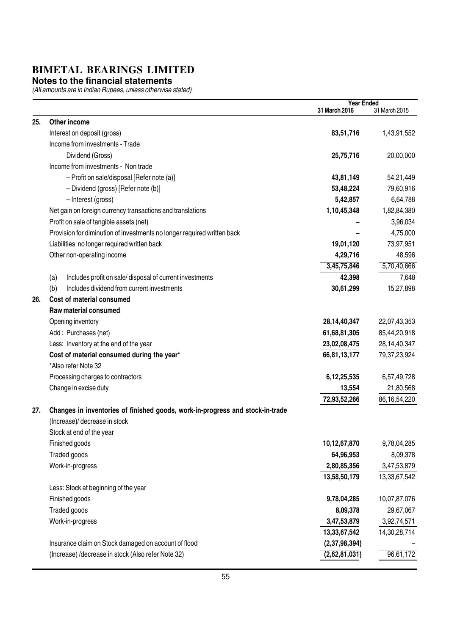#### **Notes to the financial statements**

|     |                                                                               | <b>Year Ended</b> |                 |
|-----|-------------------------------------------------------------------------------|-------------------|-----------------|
|     |                                                                               | 31 March 2016     | 31 March 2015   |
| 25. | Other income                                                                  |                   |                 |
|     | Interest on deposit (gross)                                                   | 83,51,716         | 1,43,91,552     |
|     | Income from investments - Trade                                               |                   |                 |
|     | Dividend (Gross)                                                              | 25,75,716         | 20,00,000       |
|     | Income from investments - Non trade                                           |                   |                 |
|     | - Profit on sale/disposal [Refer note (a)]                                    | 43,81,149         | 54,21,449       |
|     | - Dividend (gross) [Refer note (b)]                                           | 53,48,224         | 79,60,916       |
|     | - Interest (gross)                                                            | 5,42,857          | 6,64,788        |
|     | Net gain on foreign currency transactions and translations                    | 1,10,45,348       | 1,82,84,380     |
|     | Profit on sale of tangible assets (net)                                       |                   | 3,96,034        |
|     | Provision for diminution of investments no longer required written back       |                   | 4,75,000        |
|     | Liabilities no longer required written back                                   | 19,01,120         | 73,97,951       |
|     | Other non-operating income                                                    | 4,29,716          | 48,596          |
|     |                                                                               | 3,45,75,846       | 5,70,40,666     |
|     | Includes profit on sale/ disposal of current investments<br>(a)               | 42,398            | 7,648           |
|     | Includes dividend from current investments<br>(b)                             | 30,61,299         | 15,27,898       |
| 26. | Cost of material consumed                                                     |                   |                 |
|     | <b>Raw material consumed</b>                                                  |                   |                 |
|     | Opening inventory                                                             | 28, 14, 40, 347   | 22,07,43,353    |
|     | Add: Purchases (net)                                                          | 61,68,81,305      | 85,44,20,918    |
|     | Less: Inventory at the end of the year                                        | 23,02,08,475      | 28, 14, 40, 347 |
|     | Cost of material consumed during the year*                                    | 66,81,13,177      | 79, 37, 23, 924 |
|     | *Also refer Note 32                                                           |                   |                 |
|     | Processing charges to contractors                                             | 6, 12, 25, 535    | 6,57,49,728     |
|     | Change in excise duty                                                         | 13,554            | 21,80,568       |
|     |                                                                               | 72,93,52,266      | 86, 16, 54, 220 |
| 27. | Changes in inventories of finished goods, work-in-progress and stock-in-trade |                   |                 |
|     | (Increase)/ decrease in stock                                                 |                   |                 |
|     | Stock at end of the year                                                      |                   |                 |
|     | Finished goods                                                                | 10,12,67,870      | 9,78,04,285     |
|     | Traded goods                                                                  | 64,96,953         | 8,09,378        |
|     | Work-in-progress                                                              | 2,80,85,356       | 3,47,53,879     |
|     |                                                                               | 13,58,50,179      | 13,33,67,542    |
|     | Less: Stock at beginning of the year                                          |                   |                 |
|     | Finished goods                                                                | 9,78,04,285       | 10,07,87,076    |
|     | Traded goods                                                                  | 8,09,378          | 29,67,067       |
|     | Work-in-progress                                                              | 3,47,53,879       | 3,92,74,571     |
|     |                                                                               | 13,33,67,542      | 14,30,28,714    |
|     | Insurance claim on Stock damaged on account of flood                          | (2,37,98,394)     |                 |
|     | (Increase) /decrease in stock (Also refer Note 32)                            | (2,62,81,031)     | 96,61,172       |
|     |                                                                               |                   |                 |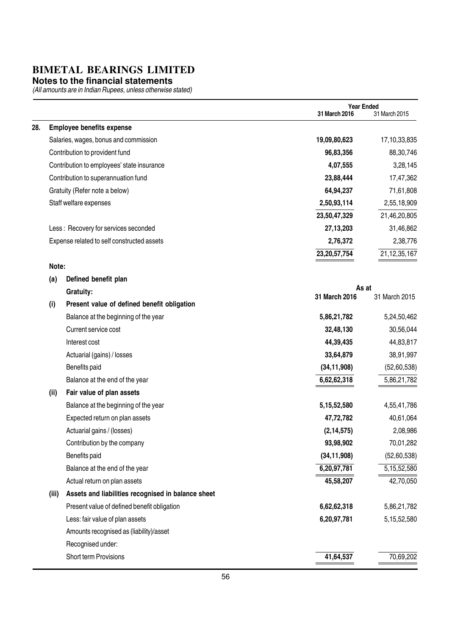#### **Notes to the financial statements**

|       |                                                    | <b>Year Ended</b><br>31 March 2016 | 31 March 2015   |
|-------|----------------------------------------------------|------------------------------------|-----------------|
| 28.   | <b>Employee benefits expense</b>                   |                                    |                 |
|       |                                                    |                                    |                 |
|       | Salaries, wages, bonus and commission              | 19,09,80,623                       | 17,10,33,835    |
|       | Contribution to provident fund                     | 96,83,356                          | 88,30,746       |
|       | Contribution to employees' state insurance         | 4,07,555                           | 3,28,145        |
|       | Contribution to superannuation fund                | 23,88,444                          | 17,47,362       |
|       | Gratuity (Refer note a below)                      | 64,94,237                          | 71,61,808       |
|       | Staff welfare expenses                             | 2,50,93,114                        | 2,55,18,909     |
|       |                                                    | 23,50,47,329                       | 21,46,20,805    |
|       | Less: Recovery for services seconded               | 27,13,203                          | 31,46,862       |
|       | Expense related to self constructed assets         | 2,76,372                           | 2,38,776        |
|       |                                                    | 23, 20, 57, 754                    | 21, 12, 35, 167 |
| Note: |                                                    |                                    |                 |
| (a)   | Defined benefit plan                               | As at                              |                 |
|       | Gratuity:                                          | 31 March 2016                      | 31 March 2015   |
| (i)   | Present value of defined benefit obligation        |                                    |                 |
|       | Balance at the beginning of the year               | 5,86,21,782                        | 5,24,50,462     |
|       | Current service cost                               | 32,48,130                          | 30,56,044       |
|       | Interest cost                                      | 44,39,435                          | 44,83,817       |
|       | Actuarial (gains) / losses                         | 33,64,879                          | 38,91,997       |
|       | Benefits paid                                      | (34, 11, 908)                      | (52, 60, 538)   |
|       | Balance at the end of the year                     | 6,62,62,318                        | 5,86,21,782     |
| (ii)  | Fair value of plan assets                          |                                    |                 |
|       | Balance at the beginning of the year               | 5, 15, 52, 580                     | 4,55,41,786     |
|       | Expected return on plan assets                     | 47,72,782                          | 40,61,064       |
|       | Actuarial gains / (losses)                         | (2, 14, 575)                       | 2,08,986        |
|       | Contribution by the company                        | 93,98,902                          | 70,01,282       |
|       | Benefits paid                                      | (34, 11, 908)                      | (52,60,538)     |
|       | Balance at the end of the year                     | 6,20,97,781                        | 5, 15, 52, 580  |
|       | Actual return on plan assets                       | 45,58,207                          | 42,70,050       |
| (iii) | Assets and liabilities recognised in balance sheet |                                    |                 |
|       | Present value of defined benefit obligation        | 6,62,62,318                        | 5,86,21,782     |
|       | Less: fair value of plan assets                    | 6,20,97,781                        | 5, 15, 52, 580  |
|       | Amounts recognised as (liability)/asset            |                                    |                 |
|       | Recognised under:                                  |                                    |                 |
|       | Short term Provisions                              | 41,64,537                          | 70,69,202       |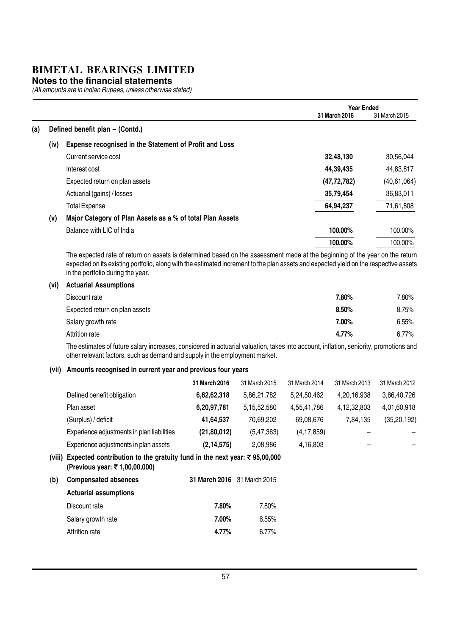#### **Notes to the financial statements**

(All amounts are in Indian Rupees, unless otherwise stated)

|     |      |                                                           | <b>Year Ended</b>                                                                                                                                                                                                                                                    |               |
|-----|------|-----------------------------------------------------------|----------------------------------------------------------------------------------------------------------------------------------------------------------------------------------------------------------------------------------------------------------------------|---------------|
|     |      |                                                           | 31 March 2016                                                                                                                                                                                                                                                        | 31 March 2015 |
| (a) |      | Defined benefit plan - (Contd.)                           |                                                                                                                                                                                                                                                                      |               |
|     | (iv) | Expense recognised in the Statement of Profit and Loss    |                                                                                                                                                                                                                                                                      |               |
|     |      | Current service cost                                      | 32,48,130                                                                                                                                                                                                                                                            | 30,56,044     |
|     |      | Interest cost                                             | 44,39,435                                                                                                                                                                                                                                                            | 44,83,817     |
|     |      | Expected return on plan assets                            | (47, 72, 782)                                                                                                                                                                                                                                                        | (40, 61, 064) |
|     |      | Actuarial (gains) / losses                                | 35,79,454                                                                                                                                                                                                                                                            | 36,83,011     |
|     |      | <b>Total Expense</b>                                      | 64,94,237                                                                                                                                                                                                                                                            | 71,61,808     |
|     | (v)  | Major Category of Plan Assets as a % of total Plan Assets |                                                                                                                                                                                                                                                                      |               |
|     |      | Balance with LIC of India                                 | 100.00%                                                                                                                                                                                                                                                              | 100.00%       |
|     |      |                                                           | 100.00%                                                                                                                                                                                                                                                              | 100.00%       |
|     |      | in the portfolio during the year.                         | The expected rate of return on assets is determined based on the assessment made at the beginning of the year on the return<br>expected on its existing portfolio, along with the estimated increment to the plan assets and expected yield on the respective assets |               |
|     | (vi) | <b>Actuarial Assumptions</b>                              |                                                                                                                                                                                                                                                                      |               |
|     |      | Discount rate                                             | 7.80%                                                                                                                                                                                                                                                                | 7.80%         |
|     |      | Expected return on plan assets                            | 8.50%                                                                                                                                                                                                                                                                | 8.75%         |
|     |      | Salary growth rate                                        | 7.00%                                                                                                                                                                                                                                                                | 6.55%         |
|     |      | <b>Attrition rate</b>                                     | 4.77%                                                                                                                                                                                                                                                                | 6.77%         |
|     |      |                                                           |                                                                                                                                                                                                                                                                      |               |

The estimates of future salary increases, considered in actuarial valuation, takes into account, inflation, seniority, promotions and other relevant factors, such as demand and supply in the employment market.

#### (vii) Amounts recognised in current year and previous four years

|                                            | 31 March 2016 | 31 March 2015 | 31 March 2014 | 31 March 2013            | 31 March 2012 |
|--------------------------------------------|---------------|---------------|---------------|--------------------------|---------------|
| Defined benefit obligation                 | 6,62,62,318   | 5,86,21,782   | 5,24,50,462   | 4,20,16,938              | 3,66,40,726   |
| Plan asset                                 | 6,20,97,781   | 5,15,52,580   | 4,55,41,786   | 4,12,32,803              | 4,01,60,918   |
| (Surplus) / deficit                        | 41,64,537     | 70,69,202     | 69,08,676     | 7,84,135                 | (35, 20, 192) |
| Experience adjustments in plan liabilities | (21,80,012)   | (5, 47, 363)  | (4, 17, 859)  |                          |               |
| Experience adjustments in plan assets      | (2, 14, 575)  | 2,08,986      | 4,16,803      | $\overline{\phantom{0}}$ |               |

(viii) Expected contribution to the gratuity fund in the next year:  $\bar{\tau}$  95,00,000 (Previous year: ₹ 1,00,00,000)

| <b>Compensated absences</b>  |          |                             |
|------------------------------|----------|-----------------------------|
| <b>Actuarial assumptions</b> |          |                             |
| Discount rate                | 7.80%    | 7.80%                       |
| Salary growth rate           | $7.00\%$ | 6.55%                       |
| Attrition rate               | $4.77\%$ | $6.77\%$                    |
|                              |          | 31 March 2016 31 March 2015 |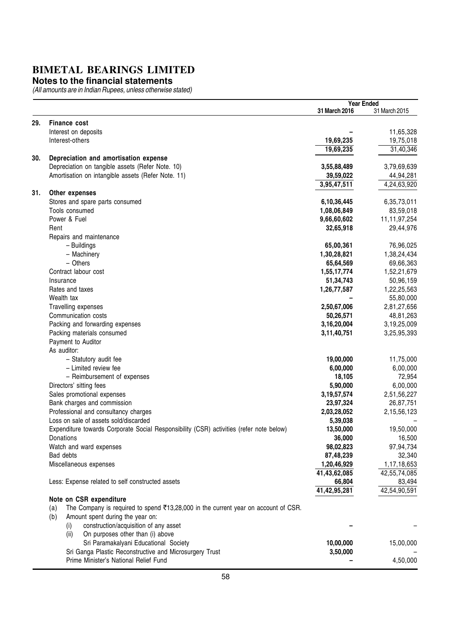#### **Notes to the financial statements**

|     |                                                                                           |                | <b>Year Ended</b> |
|-----|-------------------------------------------------------------------------------------------|----------------|-------------------|
|     |                                                                                           | 31 March 2016  | 31 March 2015     |
| 29. | <b>Finance cost</b>                                                                       |                |                   |
|     | Interest on deposits                                                                      |                | 11,65,328         |
|     | Interest-others                                                                           | 19,69,235      | 19,75,018         |
|     |                                                                                           | 19,69,235      | 31,40,346         |
| 30. | Depreciation and amortisation expense                                                     |                |                   |
|     | Depreciation on tangible assets (Refer Note. 10)                                          | 3,55,88,489    | 3,79,69,639       |
|     | Amortisation on intangible assets (Refer Note. 11)                                        | 39,59,022      | 44,94,281         |
|     |                                                                                           | 3,95,47,511    | 4,24,63,920       |
| 31. | Other expenses                                                                            |                |                   |
|     | Stores and spare parts consumed                                                           | 6,10,36,445    | 6,35,73,011       |
|     | Tools consumed                                                                            | 1,08,06,849    | 83,59,018         |
|     | Power & Fuel                                                                              | 9,66,60,602    | 11,11,97,254      |
|     | Rent                                                                                      | 32,65,918      | 29,44,976         |
|     | Repairs and maintenance                                                                   |                |                   |
|     | - Buildings                                                                               | 65,00,361      | 76,96,025         |
|     | - Machinery                                                                               | 1,30,28,821    | 1,38,24,434       |
|     | - Others                                                                                  | 65,64,569      | 69,66,363         |
|     | Contract labour cost                                                                      | 1,55,17,774    | 1,52,21,679       |
|     | Insurance                                                                                 | 51,34,743      | 50,96,159         |
|     | Rates and taxes                                                                           | 1,26,77,587    | 1,22,25,563       |
|     | Wealth tax                                                                                |                | 55,80,000         |
|     | Travelling expenses                                                                       | 2,50,67,006    | 2,81,27,656       |
|     | Communication costs                                                                       | 50,26,571      |                   |
|     |                                                                                           |                | 48,81,263         |
|     | Packing and forwarding expenses                                                           | 3,16,20,004    | 3,19,25,009       |
|     | Packing materials consumed                                                                | 3,11,40,751    | 3,25,95,393       |
|     | Payment to Auditor                                                                        |                |                   |
|     | As auditor:                                                                               |                |                   |
|     | - Statutory audit fee                                                                     | 19,00,000      | 11,75,000         |
|     | - Limited review fee                                                                      | 6,00,000       | 6,00,000          |
|     | - Reimbursement of expenses                                                               | 18,105         | 72,954            |
|     | Directors' sitting fees                                                                   | 5,90,000       | 6,00,000          |
|     | Sales promotional expenses                                                                | 3, 19, 57, 574 | 2,51,56,227       |
|     | Bank charges and commission                                                               | 23,97,324      | 26,87,751         |
|     | Professional and consultancy charges                                                      | 2,03,28,052    | 2,15,56,123       |
|     | Loss on sale of assets sold/discarded                                                     | 5,39,038       |                   |
|     | Expenditure towards Corporate Social Responsibility (CSR) activities (refer note below)   | 13,50,000      | 19,50,000         |
|     | Donations                                                                                 | 36,000         | 16,500            |
|     | Watch and ward expenses                                                                   | 98,02,823      | 97,94,734         |
|     | Bad debts                                                                                 | 87,48,239      | 32,340            |
|     | Miscellaneous expenses                                                                    | 1,20,46,929    | 1,17,18,653       |
|     |                                                                                           | 41,43,62,085   | 42,55,74,085      |
|     | Less: Expense related to self constructed assets                                          | 66,804         | 83,494            |
|     |                                                                                           | 41,42,95,281   | 42,54,90,591      |
|     | Note on CSR expenditure                                                                   |                |                   |
|     | The Company is required to spend ₹13,28,000 in the current year on account of CSR.<br>(a) |                |                   |
|     | Amount spent during the year on:<br>(b)                                                   |                |                   |
|     | construction/acquisition of any asset<br>(i)                                              |                |                   |
|     | On purposes other than (i) above<br>(ii)                                                  |                |                   |
|     | Sri Paramakalyani Educational Society                                                     | 10,00,000      | 15,00,000         |
|     | Sri Ganga Plastic Reconstructive and Microsurgery Trust                                   | 3,50,000       |                   |
|     | Prime Minister's National Relief Fund                                                     |                | 4,50,000          |
|     |                                                                                           |                |                   |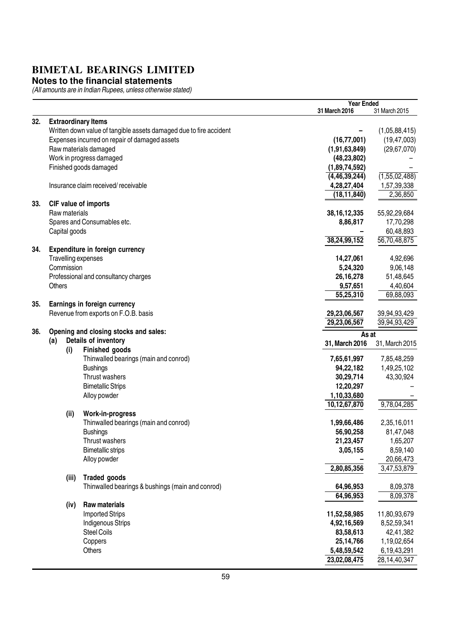#### **Notes to the financial statements**

|     |                     |                                                                    | <b>Year Ended</b> |                  |
|-----|---------------------|--------------------------------------------------------------------|-------------------|------------------|
|     |                     |                                                                    | 31 March 2016     | 31 March 2015    |
| 32. |                     | <b>Extraordinary Items</b>                                         |                   |                  |
|     |                     | Written down value of tangible assets damaged due to fire accident |                   | (1,05,88,415)    |
|     |                     | Expenses incurred on repair of damaged assets                      | (16, 77, 001)     | (19, 47, 003)    |
|     |                     | Raw materials damaged                                              | (1,91,63,849)     | (29, 67, 070)    |
|     |                     |                                                                    |                   |                  |
|     |                     | Work in progress damaged                                           | (48, 23, 802)     |                  |
|     |                     | Finished goods damaged                                             | (1,89,74,592)     |                  |
|     |                     |                                                                    | (4, 46, 39, 244)  | (1, 55, 02, 488) |
|     |                     | Insurance claim received/receivable                                | 4,28,27,404       | 1,57,39,338      |
|     |                     |                                                                    | (18, 11, 840)     | 2,36,850         |
| 33. |                     | CIF value of imports                                               |                   |                  |
|     | Raw materials       |                                                                    | 38, 16, 12, 335   | 55,92,29,684     |
|     |                     | Spares and Consumables etc.                                        | 8,86,817          | 17,70,298        |
|     | Capital goods       |                                                                    |                   | 60,48,893        |
|     |                     |                                                                    | 38,24,99,152      | 56,70,48,875     |
| 34. |                     | Expenditure in foreign currency                                    |                   |                  |
|     | Travelling expenses |                                                                    | 14,27,061         | 4,92,696         |
|     | Commission          |                                                                    | 5,24,320          | 9,06,148         |
|     |                     |                                                                    |                   |                  |
|     |                     | Professional and consultancy charges                               | 26, 16, 278       | 51,48,645        |
|     | Others              |                                                                    | 9,57,651          | 4,40,604         |
|     |                     |                                                                    | 55,25,310         | 69,88,093        |
| 35. |                     | Earnings in foreign currency                                       |                   |                  |
|     |                     | Revenue from exports on F.O.B. basis                               | 29,23,06,567      | 39,94,93,429     |
|     |                     |                                                                    | 29,23,06,567      | 39,94,93,429     |
| 36. |                     | Opening and closing stocks and sales:                              | As at             |                  |
|     | (a)                 | Details of inventory                                               | 31, March 2016    | 31, March 2015   |
|     | (i)                 | Finished goods                                                     |                   |                  |
|     |                     | Thinwalled bearings (main and conrod)                              | 7,65,61,997       | 7,85,48,259      |
|     |                     | <b>Bushings</b>                                                    | 94,22,182         | 1,49,25,102      |
|     |                     | Thrust washers                                                     | 30,29,714         | 43,30,924        |
|     |                     | <b>Bimetallic Strips</b>                                           | 12,20,297         |                  |
|     |                     |                                                                    |                   |                  |
|     |                     | Alloy powder                                                       | 1,10,33,680       |                  |
|     |                     |                                                                    | 10,12,67,870      | 9,78,04,285      |
|     | (ii)                | <b>Work-in-progress</b>                                            |                   |                  |
|     |                     | Thinwalled bearings (main and conrod)                              | 1,99,66,486       | 2,35,16,011      |
|     |                     | <b>Bushings</b>                                                    | 56,90,258         | 81,47,048        |
|     |                     | Thrust washers                                                     | 21,23,457         | 1,65,207         |
|     |                     | <b>Bimetallic strips</b>                                           | 3,05,155          | 8,59,140         |
|     |                     | Alloy powder                                                       |                   | 20,66,473        |
|     |                     |                                                                    | 2,80,85,356       | 3,47,53,879      |
|     | (iii)               | <b>Traded goods</b>                                                |                   |                  |
|     |                     | Thinwalled bearings & bushings (main and conrod)                   | 64,96,953         | 8,09,378         |
|     |                     |                                                                    | 64,96,953         | 8,09,378         |
|     |                     | <b>Raw materials</b>                                               |                   |                  |
|     | (iv)                |                                                                    |                   |                  |
|     |                     | <b>Imported Strips</b>                                             | 11,52,58,985      | 11,80,93,679     |
|     |                     | <b>Indigenous Strips</b>                                           | 4,92,16,569       | 8,52,59,341      |
|     |                     | <b>Steel Coils</b>                                                 | 83,58,613         | 42,41,382        |
|     |                     | Coppers                                                            | 25, 14, 766       | 1,19,02,654      |
|     |                     | Others                                                             | 5,48,59,542       | 6,19,43,291      |
|     |                     |                                                                    | 23,02,08,475      | 28, 14, 40, 347  |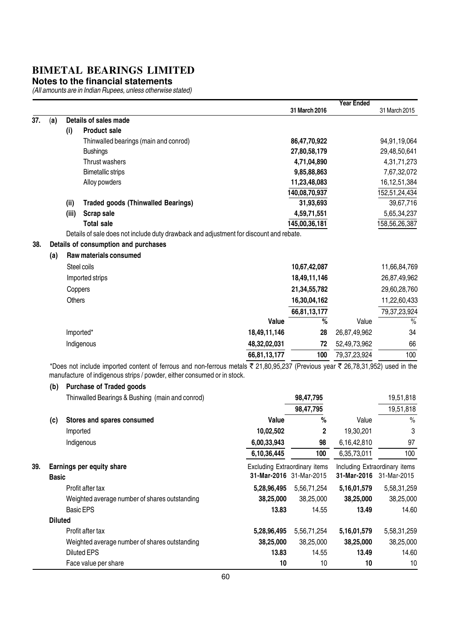#### **Notes to the financial statements**

|     |                |          |                                                                                                                                |                               |                         | <b>Year Ended</b> |                               |
|-----|----------------|----------|--------------------------------------------------------------------------------------------------------------------------------|-------------------------------|-------------------------|-------------------|-------------------------------|
|     |                |          |                                                                                                                                |                               | 31 March 2016           |                   | 31 March 2015                 |
| 37. | (a)            |          | Details of sales made                                                                                                          |                               |                         |                   |                               |
|     |                | (i)      | <b>Product sale</b><br>Thinwalled bearings (main and conrod)                                                                   |                               | 86,47,70,922            |                   |                               |
|     |                |          | <b>Bushings</b>                                                                                                                |                               | 27,80,58,179            |                   | 94,91,19,064<br>29,48,50,641  |
|     |                |          | Thrust washers                                                                                                                 |                               | 4,71,04,890             |                   | 4, 31, 71, 273                |
|     |                |          | <b>Bimetallic strips</b>                                                                                                       |                               | 9,85,88,863             |                   | 7,67,32,072                   |
|     |                |          | Alloy powders                                                                                                                  |                               | 11,23,48,083            |                   | 16, 12, 51, 384               |
|     |                |          |                                                                                                                                |                               | 140,08,70,937           |                   | 152,51,24,434                 |
|     |                | (ii)     | <b>Traded goods (Thinwalled Bearings)</b>                                                                                      |                               | 31,93,693               |                   | 39,67,716                     |
|     |                | (iii)    | <b>Scrap sale</b>                                                                                                              |                               | 4,59,71,551             |                   | 5,65,34,237                   |
|     |                |          | <b>Total sale</b>                                                                                                              |                               | 145,00,36,181           |                   | 158,56,26,387                 |
|     |                |          | Details of sale does not include duty drawback and adjustment for discount and rebate.                                         |                               |                         |                   |                               |
| 38. |                |          | Details of consumption and purchases                                                                                           |                               |                         |                   |                               |
|     | (a)            |          | Raw materials consumed                                                                                                         |                               |                         |                   |                               |
|     |                |          | Steel coils                                                                                                                    |                               | 10,67,42,087            |                   | 11,66,84,769                  |
|     |                |          | Imported strips                                                                                                                |                               | 18,49,11,146            |                   | 26,87,49,962                  |
|     |                | Coppers  |                                                                                                                                |                               | 21,34,55,782            |                   | 29,60,28,760                  |
|     |                | Others   |                                                                                                                                |                               | 16,30,04,162            |                   | 11,22,60,433                  |
|     |                |          |                                                                                                                                |                               | 66,81,13,177            |                   | 79, 37, 23, 924               |
|     |                |          |                                                                                                                                | Value                         | $\overline{\%}$         | Value             | $\%$                          |
|     |                |          | Imported*                                                                                                                      | 18,49,11,146                  | 28                      | 26,87,49,962      | 34                            |
|     |                |          | Indigenous                                                                                                                     | 48,32,02,031                  | 72                      | 52,49,73,962      | 66                            |
|     |                |          |                                                                                                                                | 66,81,13,177                  | 100                     | 79, 37, 23, 924   | 100                           |
|     |                |          | *Does not include imported content of ferrous and non-ferrous metals ₹ 21,80,95,237 (Previous year ₹ 26,78,31,952) used in the |                               |                         |                   |                               |
|     |                |          | manufacture of indigenous strips / powder, either consumed or in stock.                                                        |                               |                         |                   |                               |
|     | (b)            |          | <b>Purchase of Traded goods</b>                                                                                                |                               |                         |                   |                               |
|     |                |          | Thinwalled Bearings & Bushing (main and conrod)                                                                                |                               | 98,47,795               |                   | 19,51,818                     |
|     |                |          |                                                                                                                                |                               | 98,47,795               |                   | 19,51,818                     |
|     |                |          |                                                                                                                                |                               |                         |                   |                               |
|     | (c)            |          | Stores and spares consumed                                                                                                     | Value                         | $\%$                    | Value             | $\%$                          |
|     |                | Imported |                                                                                                                                | 10,02,502                     | 2                       | 19,30,201         | 3                             |
|     |                |          | Indigenous                                                                                                                     | 6,00,33,943                   | 98                      | 6,16,42,810       | 97                            |
|     |                |          |                                                                                                                                | 6,10,36,445                   | 100                     | 6,35,73,011       | 100                           |
| 39. |                |          | Earnings per equity share                                                                                                      | Excluding Extraordinary items |                         |                   | Including Extraordinary items |
|     | <b>Basic</b>   |          |                                                                                                                                |                               | 31-Mar-2016 31-Mar-2015 |                   | 31-Mar-2016 31-Mar-2015       |
|     |                |          | Profit after tax                                                                                                               | 5,28,96,495                   | 5,56,71,254             | 5, 16, 01, 579    | 5,58,31,259                   |
|     |                |          | Weighted average number of shares outstanding                                                                                  | 38,25,000                     | 38,25,000               | 38,25,000         | 38,25,000                     |
|     |                |          | <b>Basic EPS</b>                                                                                                               | 13.83                         | 14.55                   | 13.49             | 14.60                         |
|     | <b>Diluted</b> |          |                                                                                                                                |                               |                         |                   |                               |
|     |                |          | Profit after tax                                                                                                               | 5,28,96,495                   | 5,56,71,254             | 5,16,01,579       | 5,58,31,259                   |
|     |                |          | Weighted average number of shares outstanding                                                                                  | 38,25,000                     | 38,25,000               | 38,25,000         | 38,25,000                     |
|     |                |          | <b>Diluted EPS</b>                                                                                                             | 13.83                         | 14.55                   | 13.49             | 14.60                         |
|     |                |          | Face value per share                                                                                                           | 10                            | 10                      | 10                | 10                            |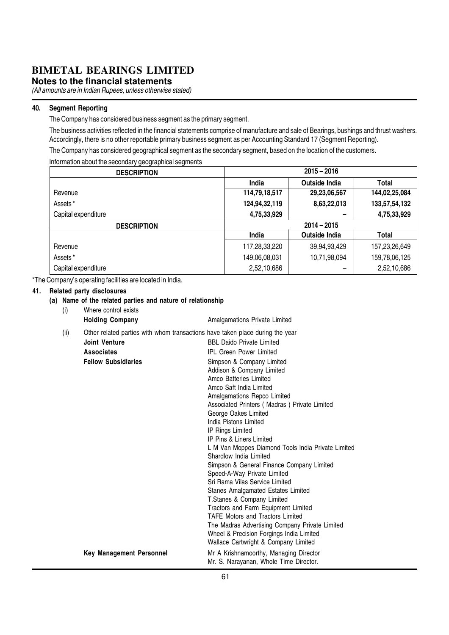**Notes to the financial statements**

(All amounts are in Indian Rupees, unless otherwise stated)

#### 40. Segment Reporting

The Company has considered business segment as the primary segment.

The business activities reflected in the financial statements comprise of manufacture and sale of Bearings, bushings and thrust washers. Accordingly, there is no other reportable primary business segment as per Accounting Standard 17 (Segment Reporting).

The Company has considered geographical segment as the secondary segment, based on the location of the customers.

Information about the secondary geographical segments

| <b>DESCRIPTION</b>  |               | $2015 - 2016$        |               |
|---------------------|---------------|----------------------|---------------|
|                     | India         | <b>Outside India</b> | Total         |
| Revenue             | 114,79,18,517 | 29,23,06,567         | 144,02,25,084 |
| Assets*             | 124,94,32,119 | 8,63,22,013          | 133,57,54,132 |
| Capital expenditure | 4,75,33,929   | -                    | 4,75,33,929   |
|                     |               |                      |               |
| <b>DESCRIPTION</b>  |               | $2014 - 2015$        |               |
|                     | India         | <b>Outside India</b> | Total         |
| Revenue             | 117,28,33,220 | 39,94,93,429         | 157,23,26,649 |
| Assets*             | 149,06,08,031 | 10,71,98,094         | 159,78,06,125 |

\*The Company's operating facilities are located in India.

#### 41. Related party disclosures

#### (a) Name of the related parties and nature of relationship

| (i)  | of the related parties and hatars<br>Where control exists                                             |                                                    |
|------|-------------------------------------------------------------------------------------------------------|----------------------------------------------------|
|      | <b>Holding Company</b>                                                                                | Amalgamations Private Limited                      |
| (ii) | Other related parties with whom transactions have taken place during the year<br><b>Joint Venture</b> | <b>BBL Daido Private Limited</b>                   |
|      |                                                                                                       |                                                    |
|      | <b>Associates</b>                                                                                     | <b>IPL Green Power Limited</b>                     |
|      | <b>Fellow Subsidiaries</b>                                                                            | Simpson & Company Limited                          |
|      |                                                                                                       | Addison & Company Limited                          |
|      |                                                                                                       | Amco Batteries Limited                             |
|      |                                                                                                       | Amco Saft India Limited                            |
|      |                                                                                                       | Amalgamations Repco Limited                        |
|      |                                                                                                       | Associated Printers (Madras) Private Limited       |
|      |                                                                                                       | George Oakes Limited<br>India Pistons Limited      |
|      |                                                                                                       |                                                    |
|      |                                                                                                       | IP Rings Limited<br>IP Pins & Liners Limited       |
|      |                                                                                                       | L M Van Moppes Diamond Tools India Private Limited |
|      |                                                                                                       | Shardlow India Limited                             |
|      |                                                                                                       | Simpson & General Finance Company Limited          |
|      |                                                                                                       | Speed-A-Way Private Limited                        |
|      |                                                                                                       | Sri Rama Vilas Service Limited                     |
|      |                                                                                                       | Stanes Amalgamated Estates Limited                 |
|      |                                                                                                       | T.Stanes & Company Limited                         |
|      |                                                                                                       | Tractors and Farm Equipment Limited                |
|      |                                                                                                       | <b>TAFE Motors and Tractors Limited</b>            |
|      |                                                                                                       | The Madras Advertising Company Private Limited     |
|      |                                                                                                       | Wheel & Precision Forgings India Limited           |
|      |                                                                                                       | Wallace Cartwright & Company Limited               |
|      | <b>Key Management Personnel</b>                                                                       | Mr A Krishnamoorthy, Managing Director             |
|      |                                                                                                       | Mr. S. Narayanan, Whole Time Director.             |
|      |                                                                                                       | 61                                                 |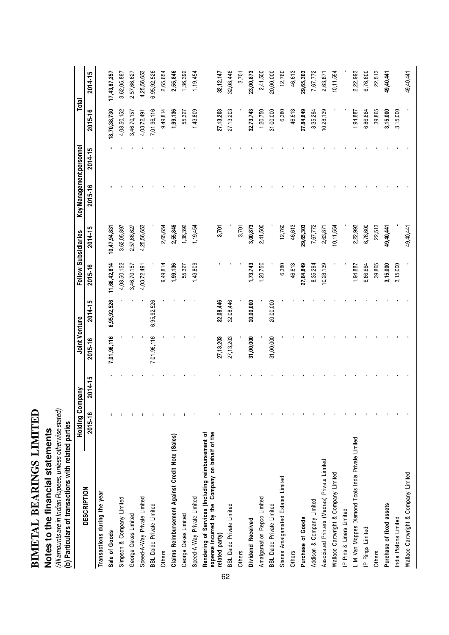| <b>THEFT ATTENT</b> |  |
|---------------------|--|
|                     |  |
| PEADING 1           |  |
|                     |  |
|                     |  |
|                     |  |
|                     |  |
|                     |  |
|                     |  |
|                     |  |
|                     |  |
|                     |  |
|                     |  |
| IMETAI              |  |
|                     |  |
|                     |  |
|                     |  |

# **Notes to the financial statements**

Notes to the financial statements<br>(All amounts are in Indian Rupees, unless otherwise stated)<br>(b) Particulars of transactions with related parties (All amounts are in Indian Rupees, unless otherwise stated) (b) Particulars of transactions with related parties

|                                                                                                       | <b>Holding Company</b> |         | Joint Venture |             |              | Fellow Subsidiaries | Key Management personnel |             | Total        |              |
|-------------------------------------------------------------------------------------------------------|------------------------|---------|---------------|-------------|--------------|---------------------|--------------------------|-------------|--------------|--------------|
| <b>DESCRIPTION</b>                                                                                    | $2015 - 16$            | 2014-15 | 2015-16       | 2014-15     | $2015 - 16$  | 2014-15             | $2015 - 16$              | $2014 - 15$ | 2015-16      | $2014 - 15$  |
| Transactions during the year                                                                          |                        |         |               |             |              |                     |                          |             |              |              |
| Sale of Goods                                                                                         |                        |         | 7,01,96,116   | 6,95,92,526 | 11,68,42,614 | 10,47,94,831        |                          |             | 18,70,38,730 | 17,43,87,357 |
| Simpson & Company Limited                                                                             |                        |         |               |             | 4,08,50,152  | 3,62,05,897         |                          |             | 4,08,50,152  | 3,62,05,897  |
| George Oakes Limited                                                                                  |                        |         |               |             | 3,46,70,157  | 2,57,66,627         |                          |             | 3,46,70,157  | 2,57,66,627  |
| Speed-A-Way Private Limited                                                                           |                        |         |               |             | 4,03,72,491  | 4,25,56,653         |                          |             | 4,03,72,491  | 4,25,56,653  |
| <b>BBL</b> Daido Private Limited                                                                      |                        |         | 7,01,96,116   | 6,95,92,526 |              |                     |                          |             | 7,01,96,116  | 6,95,92,526  |
| Others                                                                                                |                        |         |               |             | 9,49,814     | 2,65,654            |                          |             | 9,49,814     | 2,65,654     |
| Claims Reimbursement Against Credit Note (Sales)                                                      |                        |         |               |             | 1,99,136     | 2,55,846            |                          |             | 1,99,136     | 2,55,846     |
| George Oakes Limited                                                                                  |                        |         |               |             | 55,327       | 1,36,392            |                          |             | 55,327       | 1,36,392     |
| Speed-A-Way Private Limited                                                                           |                        |         |               |             | 1,43,809     | 1,19,454            |                          |             | 1,43,809     | 1, 19, 454   |
| expense incurred by the Company on behalf of the<br>Rendering of Services (Including reimbursement of |                        |         |               |             |              |                     |                          |             |              |              |
| related party)<br>62                                                                                  |                        |         | 27, 13, 203   | 32,08,446   |              | 3,701               |                          |             | 27, 13, 203  | 32, 12, 147  |
| <b>BBL</b> Daido Private Limited                                                                      |                        |         | 27, 13, 203   | 32,08,446   |              |                     |                          |             | 27, 13, 203  | 32,08,446    |
| Others                                                                                                |                        |         |               |             |              | 3,701               |                          |             |              | 3,701        |
| Dividend Received                                                                                     |                        |         | 31,00,000     | 20,00,000   | 1,73,743     | 3,00,873            |                          |             | 32,73,743    | 23,00,873    |
| Amalgamation Repco Limited                                                                            |                        |         |               |             | 1,20,750     | 2,41,500            |                          |             | 1,20,750     | 2,41,500     |
| <b>BBL Daido Private Limited</b>                                                                      |                        |         | 31,00,000     | 20,00,000   |              |                     |                          |             | 31,00,000    | 20,00,000    |
| Stanes Amalgamated Estates Limited                                                                    |                        |         |               |             | 6,380        | 12,760              |                          |             | 6,380        | 12,760       |
| Others                                                                                                |                        |         |               |             | 46,613       | 46,613              |                          |             | 46,613       | 46,613       |
| Purchase of Goods                                                                                     |                        |         |               |             | 27,84,849    | 29,65,303           |                          |             | 27,84,849    | 29,65,303    |
| Addison & Company Limited                                                                             |                        |         |               |             | 8,35,294     | 7,67,772            |                          |             | 8,35,294     | 7,67,772     |
| Associated Printers (Madras) Private Limited                                                          |                        |         |               |             | 10,28,139    | 2,63,871            |                          |             | 10,28,139    | 2,63,871     |
| Wallace Cartwright & Company Limited                                                                  |                        |         |               |             |              | 10,11,554           |                          |             |              | 10, 11, 554  |
| IP Pins & Liners Limited                                                                              |                        |         |               |             |              |                     |                          |             |              |              |
| L M Van Moppes Diamond Tools India Private Limited                                                    |                        |         |               |             | 1,94,887     | 2,22,993            |                          |             | 1,94,887     | 2,22,993     |
| IP Rings Limited                                                                                      |                        |         |               |             | 6,86,664     | 6,76,600            |                          |             | 6,86,664     | 6,76,600     |
| Others                                                                                                |                        |         |               |             | 39,865       | 22,513              |                          |             | 39,865       | 22,513       |
| Purchase of fixed assets                                                                              |                        |         |               |             | 3,15,000     | 49,40,441           |                          |             | 3,15,000     | 49,40,441    |
| India Pistons Limited                                                                                 |                        |         |               |             | 3,15,000     |                     |                          |             | 3,15,000     |              |
| Wallace Cartwright & Company Limited                                                                  |                        |         |               |             |              | 49,40,441           |                          |             |              | 49,40,441    |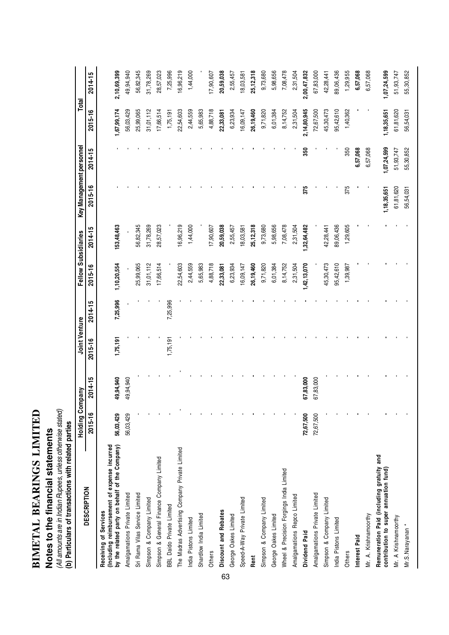| $\frac{1}{\sqrt{2}}$<br>ĺ |         |
|---------------------------|---------|
| r divided.                |         |
|                           | .<br>.  |
|                           |         |
|                           |         |
|                           |         |
|                           |         |
| i<br>Dania                |         |
|                           |         |
|                           |         |
|                           | ׇׇ֦֧֘֡֓ |
|                           |         |
|                           | ֬֘֝֬    |
| $\frac{1}{2}$             |         |
|                           |         |
| ι                         |         |
|                           |         |
|                           |         |

# Notes to the financial statements **Notes to the financial statements**

(All amounts are in Indian Rupees, unless otherwise stated)<br>(b) Particulars of transactions with related parties (All amounts are in Indian Rupees, unless otherwise stated) (b) Particulars of transactions with related parties

|                                                                                    | Holding Company |           | Joint Venture |          | Fellow Subsidiaries |             | Key Management personnel |             | Total       |             |
|------------------------------------------------------------------------------------|-----------------|-----------|---------------|----------|---------------------|-------------|--------------------------|-------------|-------------|-------------|
| <b>DESCRIPTION</b>                                                                 | 2015-16         | 2014-15   | 2015-16       | 2014-15  | 2015-16             | $2014 - 15$ | 2015-16                  | $2014 - 15$ | 2015-16     | $2014 - 15$ |
| (Including reimbursement of expense incurred<br>Receiving of Services              |                 |           |               |          |                     |             |                          |             |             |             |
| by the related party on behalf of the Company)                                     | 56,03,429       | 49,94,940 | 1,75,191      | 7,25,996 | 1,10,20,554         | 153,48,463  |                          |             | ,67,99,174  | 2,10,69,399 |
| Amalgamations Private Limited                                                      | 56,03,429       | 49,94,940 |               |          |                     |             |                          |             | 56,03,429   | 49,94,940   |
| Sri Rama Vilas Service Limited                                                     |                 |           |               |          | 25,99,065           | 56,82,345   |                          |             | 25,99,065   | 56,82,345   |
| Simpson & Company Limited                                                          |                 |           |               |          | 31,01,112           | 31,78,269   |                          |             | 31,01,112   | 31,78,269   |
| Simpson & General Finance Company Limited                                          |                 |           |               |          | 17,66,514           | 28,57,023   |                          |             | 17,66,514   | 28,57,023   |
| BBL Daido Private Limited                                                          |                 |           | 1,75,191      | 7,25,996 |                     |             |                          |             | 1,75,191    | 7,25,996    |
| The Madras Advertising Company Private Limited                                     |                 |           |               |          | 22,54,603           | 16,96,219   |                          |             | 22,54,603   | 16,96,219   |
| India Pistons Limited                                                              |                 |           |               |          | 2,44,559            | 1,44,000    |                          |             | 2,44,559    | 1,44,000    |
| Shardlow India Limited                                                             |                 |           |               |          | 5,65,983            |             |                          |             | 5,65,983    |             |
| Others                                                                             |                 |           |               |          | 4,88,718            | 17,90,607   |                          |             | 4,88,718    | 7,90,607    |
| Discount and Rebates<br>63                                                         |                 |           |               |          | 22,33,081           | 20,59,038   |                          |             | 22,33,081   | 20,59,038   |
| George Oakes Limited                                                               |                 |           |               |          | 6,23,934            | 2,55,457    |                          |             | 6,23,934    | 2,55,457    |
| Speed-A-Way Private Limited                                                        |                 |           |               |          | 16,09,147           | 18,03,581   |                          |             | 16,09,147   | 8,03,581    |
| Rent                                                                               |                 |           |               |          | 26,19,460           | 25,12,318   |                          |             | 26,19,460   | 25,12,318   |
| Simpson & Company Limited                                                          |                 |           |               |          | 9,71,820            | 9,73,680    |                          |             | 9,71,820    | 9,73,680    |
| George Oakes Limited                                                               |                 |           |               |          | 6,01,384            | 5,98,656    |                          |             | 6,01,384    | 5,98,656    |
| Wheel & Precision Forgings India Limited                                           |                 |           |               |          | 8,14,752            | 7,08,478    |                          |             | 8,14,752    | 7,08,478    |
| Amalgamations Repco Limited                                                        |                 |           |               |          | 2,31,504            | 2,31,504    |                          |             | 2,31,504    | 2,31,504    |
| Dividend Paid                                                                      | 72,67,500       | 67,83,000 |               |          | 1,42,13,070         | 1,32,64,482 | 375                      | 350         | 2,14,80,945 | 2,00,47,832 |
| Amalgamations Private Limited                                                      | 72,67,500       | 67,83,000 |               |          |                     |             |                          |             | 72,67,500   | 67,83,000   |
| Simpson & Company Limited                                                          |                 |           |               |          | 45,30,473           | 42,28,441   |                          |             | 45,30,473   | 42,28,441   |
| India Pistons Limited                                                              |                 |           |               |          | 95,42,610           | 89,06,436   |                          |             | 95,42,610   | 89,06,436   |
| Others                                                                             |                 |           |               |          | 1,39,987            | 1,29,605    | 375                      | 350         | 1,40,362    | 1,29,955    |
| Interest Paid                                                                      |                 |           |               |          |                     |             |                          | 6,57,068    |             | 6,57,068    |
| Mr. A. Krishnamoorthy                                                              |                 |           |               |          |                     |             |                          | 6,57,068    |             | 6,57,068    |
| Remuneration Paid (including gratuity and<br>contribution to super annuation fund) |                 |           |               |          |                     |             | 1,18,35,651              | 1,07,24,599 | 1,18,35,651 | 1,07,24,599 |
| Mr. A Krishnamoorthy                                                               |                 |           |               |          |                     |             | 61,81,620                | 51,93,747   | 61,81,620   | 51,93,747   |
| Mr.S.Narayanan                                                                     |                 |           |               |          |                     |             | 56,54,031                | 55,30,852   | 56,54,031   | 55,30,852   |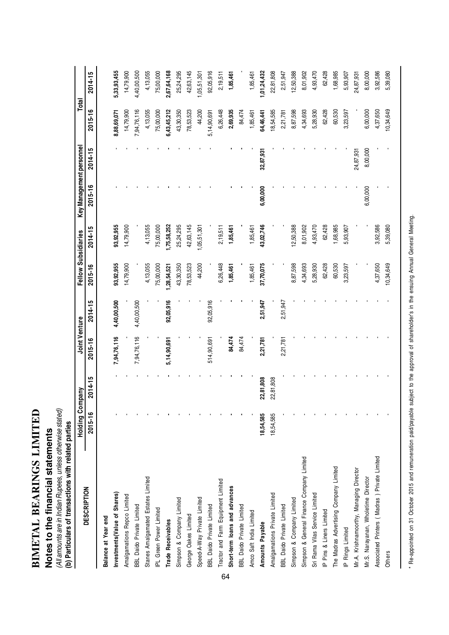| $\sqrt{2}$<br>$\ddot{\phantom{a}}$                                                                                                                                                                                                                                                                                                                                                                                                                                                                                                            | ֦<br>.<br>.<br>. |
|-----------------------------------------------------------------------------------------------------------------------------------------------------------------------------------------------------------------------------------------------------------------------------------------------------------------------------------------------------------------------------------------------------------------------------------------------------------------------------------------------------------------------------------------------|------------------|
|                                                                                                                                                                                                                                                                                                                                                                                                                                                                                                                                               |                  |
|                                                                                                                                                                                                                                                                                                                                                                                                                                                                                                                                               |                  |
|                                                                                                                                                                                                                                                                                                                                                                                                                                                                                                                                               |                  |
|                                                                                                                                                                                                                                                                                                                                                                                                                                                                                                                                               |                  |
| <b>P C C LABLE V LE</b>                                                                                                                                                                                                                                                                                                                                                                                                                                                                                                                       |                  |
|                                                                                                                                                                                                                                                                                                                                                                                                                                                                                                                                               |                  |
|                                                                                                                                                                                                                                                                                                                                                                                                                                                                                                                                               | .<br>.<br>.      |
|                                                                                                                                                                                                                                                                                                                                                                                                                                                                                                                                               |                  |
|                                                                                                                                                                                                                                                                                                                                                                                                                                                                                                                                               |                  |
|                                                                                                                                                                                                                                                                                                                                                                                                                                                                                                                                               |                  |
|                                                                                                                                                                                                                                                                                                                                                                                                                                                                                                                                               |                  |
|                                                                                                                                                                                                                                                                                                                                                                                                                                                                                                                                               |                  |
|                                                                                                                                                                                                                                                                                                                                                                                                                                                                                                                                               |                  |
|                                                                                                                                                                                                                                                                                                                                                                                                                                                                                                                                               |                  |
| $\begin{array}{c} \blacksquare \hspace{2mm} \blacksquare \hspace{2mm} \blacksquare \hspace{2mm} \blacksquare \hspace{2mm} \blacksquare \hspace{2mm} \blacksquare \hspace{2mm} \blacksquare \hspace{2mm} \blacksquare \hspace{2mm} \blacksquare \hspace{2mm} \blacksquare \hspace{2mm} \blacksquare \hspace{2mm} \blacksquare \hspace{2mm} \blacksquare \hspace{2mm} \blacksquare \hspace{2mm} \blacksquare \hspace{2mm} \blacksquare \hspace{2mm} \blacksquare \hspace{2mm} \blacksquare \hspace{2mm} \blacksquare \hspace{2mm} \blacksquare$ |                  |
| ľ                                                                                                                                                                                                                                                                                                                                                                                                                                                                                                                                             |                  |
|                                                                                                                                                                                                                                                                                                                                                                                                                                                                                                                                               |                  |
|                                                                                                                                                                                                                                                                                                                                                                                                                                                                                                                                               |                  |

## Notes to the financial statements **Notes to the financial statements**

(All amounts are in Indian Rupees, unless otherwise stated)<br>(b) Particulars of transactions with related parties (All amounts are in Indian Rupees, unless otherwise stated) (b) Particulars of transactions with related parties

|                                              | Holding Con | yuredi      | Joint Venture |             | Fellow Subsidiaries |             | Key Management personnel |             | Total       |             |
|----------------------------------------------|-------------|-------------|---------------|-------------|---------------------|-------------|--------------------------|-------------|-------------|-------------|
| <b>DESCRIPTION</b>                           | 2015-16     | $2014 - 15$ | 2015-16       | 2014-15     | 2015-16             | $2014 - 15$ | 2015-16                  | $2014 - 15$ | 2015-16     | $2014 - 15$ |
| Balance at Year end                          |             |             |               |             |                     |             |                          |             |             |             |
| Investments (Value of Shares)                |             |             | 7,94,76,116   | 4,40,00,500 | 93,92,955           | 93,92,955   |                          |             | 8,88,69,071 | 5,33,93,455 |
| Amalgamations Repco Limited                  |             |             |               |             | 14,79,900           | 14,79,900   |                          |             | 14,79,900   | 14,79,900   |
| BBL Daido Private Limited                    |             |             | 7,94,76,116   | 4,40,00,500 |                     |             |                          |             | 7,94,76,116 | 4,40,00,500 |
| Stanes Amalgamated Estates Limited           |             |             |               |             | 4,13,055            | 4,13,055    |                          |             | 4,13,055    | 4,13,055    |
| IPL Green Power Limited                      |             |             |               |             | 75,00,000           | 75,00,000   |                          |             | 75,00,000   | 75,00,000   |
| <b>Trade Receivables</b>                     |             |             | 5,14,90,691   | 92,05,916   | 1,28,54,521         | 1,75,58,252 |                          |             | 6,43,45,212 | 2,67,64,168 |
| Simpson & Company Limited                    |             |             |               |             | 43,30,350           | 25,24,295   |                          |             | 43,30,350   | 25,24,295   |
| George Oakes Limited                         |             |             |               |             | 78,53,523           | 42,63,145   |                          |             | 78,53,523   | 42,63,145   |
| Speed-A-Way Private Limited                  |             |             |               |             | 44,200              | 1,05,51,301 |                          |             | 44,200      | 1,05,51,301 |
| BBL Daido Private Limited                    |             |             | 514,90,691    | 92,05,916   |                     |             |                          |             | 5,14,90,691 | 92,05,916   |
| Tractor and Farm Equipment Limited           |             |             |               |             | 6,26,448            | 2,19,511    |                          |             | 6,26,448    | 2,19,511    |
| Short-term loans and advances                |             |             | 84,474        |             | 1,85,461            | 1,85,461    |                          |             | 2,69,935    | 1,85,461    |
| <b>BBL</b> Daido Private Limited             |             |             | 84,474        |             |                     |             |                          |             | 84,474      |             |
| Amco Saft India Limited                      |             |             |               |             | 1,85,461            | 1,85,461    |                          |             | 1,85,461    | 1,85,461    |
| Amounts Payable                              | 18,54,585   | 22,81,808   | 2,21,781      | 2,51,947    | 37,70,075           | 43,02,746   | 6,00,000                 | 32,87,931   | 64,46,441   | 1,01,24,432 |
| Amalgamations Private Limited                | 18,54,585   | 22,81,808   |               |             |                     |             |                          |             | 18,54,585   | 22,81,808   |
| BBL Daido Private Limited                    |             |             | 2,21,781      | 2,51,947    |                     |             |                          |             | 2,21,781    | 2,51,947    |
| Simpson & Company Limited                    |             |             |               |             | 8,87,598            | 2,50,388    |                          |             | 8,87,598    | 12,50,388   |
| Simpson & General Finance Company Limited    |             |             |               |             | 4,34,693            | 8,01,902    |                          |             | 4,34,693    | 8,01,902    |
| Sri Rama Vilas Service Limited               |             |             |               |             | 5,28,930            | 4,93,470    |                          |             | 5,28,930    | 4,93,470    |
| IP Pins & Liners Limited                     |             |             |               |             | 62,428              | 62,428      |                          |             | 62,428      | 62,428      |
| The Madras Advertising Company Limited       |             |             |               |             | 60,530              | 1,68,985    |                          |             | 60,530      | 1,68,985    |
| IP Rings Limited                             |             |             |               |             | 3,23,597            | 5,93,907    |                          |             | 3,23,597    | 5,93,907    |
| Mr.A. Krishnamoorthy, Managing Director      |             |             |               |             |                     |             |                          | 24,87,931   |             | 24,87,931   |
| Mr.S. Narayanan, Wholetime Director          |             |             |               |             |                     |             | 6,00,000                 | 8,00,000    | 6,00,000    | 8,00,000    |
| Associated Printers (Madras) Private Limited |             |             |               |             | 4,37,650            | 3,92,586    |                          |             | 4,37,650    | 3,92,586    |
| Others                                       |             |             |               |             | 10,34,649           | 5,39,080    |                          |             | 10,34,649   | 5,39,080    |

64

\* Re-appointed on 31 October 2015 and remuneration paid/payable subject to the approval of shareholder's in the ensuing Annual General Meeting. \* Re-appointed on 31 October 2015 and remuneration paid/payable subject to the approval of shareholder's in the ensuing Annual General Meeting.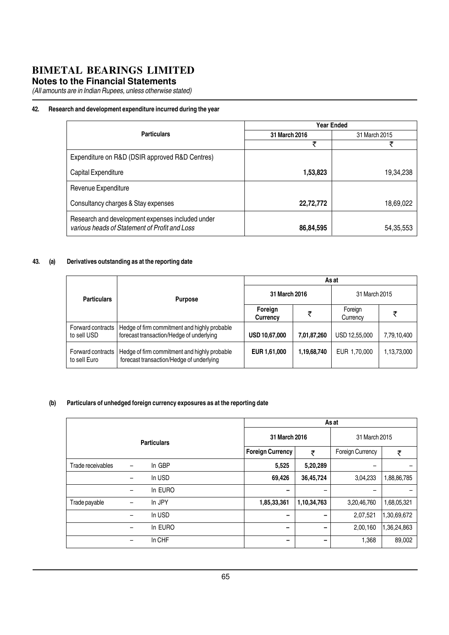**Notes to the Financial Statements**

(All amounts are in Indian Rupees, unless otherwise stated)

#### 42. Research and development expenditure incurred during the year

|                                                                                                   |               | <b>Year Ended</b> |
|---------------------------------------------------------------------------------------------------|---------------|-------------------|
| <b>Particulars</b>                                                                                | 31 March 2016 | 31 March 2015     |
|                                                                                                   | ₹             | ₹                 |
| Expenditure on R&D (DSIR approved R&D Centres)                                                    |               |                   |
| Capital Expenditure                                                                               | 1,53,823      | 19,34,238         |
| Revenue Expenditure                                                                               |               |                   |
| Consultancy charges & Stay expenses                                                               | 22,72,772     | 18,69,022         |
| Research and development expenses included under<br>various heads of Statement of Profit and Loss | 86,84,595     | 54,35,553         |

#### 43. (a) Derivatives outstanding as at the reporting date

|                                   |                                                                                          |                     |             | As at               |             |
|-----------------------------------|------------------------------------------------------------------------------------------|---------------------|-------------|---------------------|-------------|
| <b>Particulars</b>                | <b>Purpose</b>                                                                           | 31 March 2016       |             | 31 March 2015       |             |
|                                   |                                                                                          | Foreign<br>Currency |             | Foreign<br>Currency | ₹           |
| Forward contracts<br>to sell USD  | Hedge of firm commitment and highly probable<br>forecast transaction/Hedge of underlying | USD 10,67,000       | 7,01,87,260 | USD 12,55,000       | 7,79,10,400 |
| Forward contracts<br>to sell Euro | Hedge of firm commitment and highly probable<br>forecast transaction/Hedge of underlying | EUR 1,61,000        | 1,19,68,740 | EUR 1,70,000        | 1,13,73,000 |

#### (b) Particulars of unhedged foreign currency exposures as at the reporting date

|                   |                    |                          |             | As at            |             |
|-------------------|--------------------|--------------------------|-------------|------------------|-------------|
|                   | <b>Particulars</b> | 31 March 2016            |             | 31 March 2015    |             |
|                   |                    | <b>Foreign Currency</b>  | ₹           | Foreign Currency | ₹           |
| Trade receivables | In GBP<br>-        | 5,525                    | 5,20,289    |                  |             |
|                   | In USD<br>-        | 69,426                   | 36,45,724   | 3,04,233         | 1,88,86,785 |
|                   | In EURO<br>-       | $\overline{\phantom{0}}$ |             |                  |             |
| Trade payable     | In JPY<br>-        | 1,85,33,361              | 1,10,34,763 | 3,20,46,760      | 1,68,05,321 |
|                   | In USD<br>-        | $\overline{\phantom{0}}$ |             | 2,07,521         | 1,30,69,672 |
|                   | In EURO<br>-       | -                        |             | 2,00,160         | 1,36,24,863 |
|                   | In CHF<br>-        | $\overline{\phantom{0}}$ |             | 1,368            | 89,002      |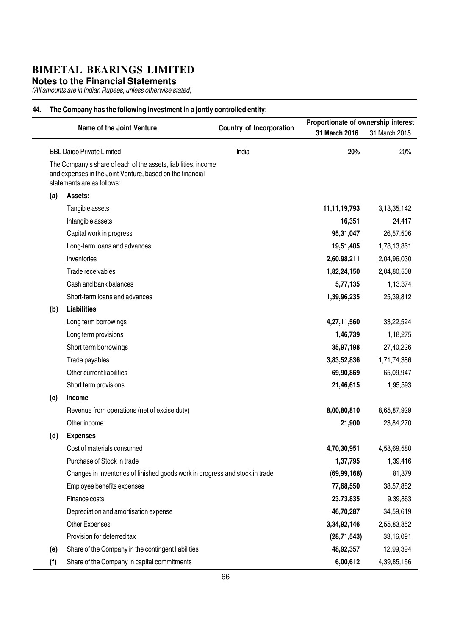**Notes to the Financial Statements**

(All amounts are in Indian Rupees, unless otherwise stated)

#### 44. The Company has the following investment in a jontly controlled entity:

|     | Name of the Joint Venture                                                                                                                                 | Country of Incorporation | Proportionate of ownership interest |                |
|-----|-----------------------------------------------------------------------------------------------------------------------------------------------------------|--------------------------|-------------------------------------|----------------|
|     |                                                                                                                                                           |                          | 31 March 2016                       | 31 March 2015  |
|     | <b>BBL Daido Private Limited</b>                                                                                                                          | India                    | 20%                                 | 20%            |
|     | The Company's share of each of the assets, liabilities, income<br>and expenses in the Joint Venture, based on the financial<br>statements are as follows: |                          |                                     |                |
| (a) | Assets:                                                                                                                                                   |                          |                                     |                |
|     | Tangible assets                                                                                                                                           |                          | 11,11,19,793                        | 3, 13, 35, 142 |
|     | Intangible assets                                                                                                                                         |                          | 16,351                              | 24,417         |
|     | Capital work in progress                                                                                                                                  |                          | 95,31,047                           | 26,57,506      |
|     | Long-term loans and advances                                                                                                                              |                          | 19,51,405                           | 1,78,13,861    |
|     | Inventories                                                                                                                                               |                          | 2,60,98,211                         | 2,04,96,030    |
|     | Trade receivables                                                                                                                                         |                          | 1,82,24,150                         | 2,04,80,508    |
|     | Cash and bank balances                                                                                                                                    |                          | 5,77,135                            | 1,13,374       |
|     | Short-term loans and advances                                                                                                                             |                          | 1,39,96,235                         | 25,39,812      |
| (b) | <b>Liabilities</b>                                                                                                                                        |                          |                                     |                |
|     | Long term borrowings                                                                                                                                      |                          | 4,27,11,560                         | 33,22,524      |
|     | Long term provisions                                                                                                                                      |                          | 1,46,739                            | 1,18,275       |
|     | Short term borrowings                                                                                                                                     |                          | 35,97,198                           | 27,40,226      |
|     | Trade payables                                                                                                                                            |                          | 3,83,52,836                         | 1,71,74,386    |
|     | Other current liabilities                                                                                                                                 |                          | 69,90,869                           | 65,09,947      |
|     | Short term provisions                                                                                                                                     |                          | 21,46,615                           | 1,95,593       |
| (c) | Income                                                                                                                                                    |                          |                                     |                |
|     | Revenue from operations (net of excise duty)                                                                                                              |                          | 8,00,80,810                         | 8,65,87,929    |
|     | Other income                                                                                                                                              |                          | 21,900                              | 23,84,270      |
| (d) | <b>Expenses</b>                                                                                                                                           |                          |                                     |                |
|     | Cost of materials consumed                                                                                                                                |                          | 4,70,30,951                         | 4,58,69,580    |
|     | Purchase of Stock in trade                                                                                                                                |                          | 1,37,795                            | 1,39,416       |
|     | Changes in inventories of finished goods work in progress and stock in trade                                                                              |                          | (69, 99, 168)                       | 81,379         |
|     | Employee benefits expenses                                                                                                                                |                          | 77,68,550                           | 38,57,882      |
|     | Finance costs                                                                                                                                             |                          | 23,73,835                           | 9,39,863       |
|     | Depreciation and amortisation expense                                                                                                                     |                          | 46,70,287                           | 34,59,619      |
|     | <b>Other Expenses</b>                                                                                                                                     |                          | 3,34,92,146                         | 2,55,83,852    |
|     | Provision for deferred tax                                                                                                                                |                          | (28, 71, 543)                       | 33,16,091      |
| (e) | Share of the Company in the contingent liabilities                                                                                                        |                          | 48,92,357                           | 12,99,394      |
| (f) | Share of the Company in capital commitments                                                                                                               |                          | 6,00,612                            | 4,39,85,156    |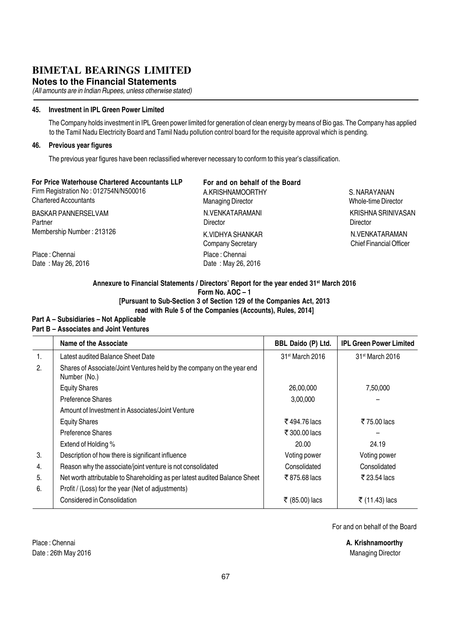**Notes to the Financial Statements**

(All amounts are in Indian Rupees, unless otherwise stated)

#### 45. Investment in IPL Green Power Limited

The Company holds investment in IPL Green power limited for generation of clean energy by means of Bio gas. The Company has applied to the Tamil Nadu Electricity Board and Tamil Nadu pollution control board for the requisite approval which is pending.

#### 46. Previous year figures

The previous year figures have been reclassified wherever necessary to conform to this year's classification.

| For Price Waterhouse Chartered Accountants LLP<br>Firm Registration No: 012754N/N500016<br><b>Chartered Accountants</b> | For and on behalf of the Board<br>A.KRISHNAMOORTHY<br><b>Managing Director</b> | S. NARAYANAN<br>Whole-time Director              |
|-------------------------------------------------------------------------------------------------------------------------|--------------------------------------------------------------------------------|--------------------------------------------------|
| <b>BASKAR PANNERSELVAM</b><br>Partner                                                                                   | N.VENKATARAMANI<br><b>Director</b>                                             | KRISHNA SRINIVASAN<br>Director                   |
| Membership Number: 213126                                                                                               | K.VIDHYA SHANKAR<br><b>Company Secretary</b>                                   | N.VENKATARAMAN<br><b>Chief Financial Officer</b> |
| Place: Chennai<br>Date: May 26, 2016                                                                                    | Place: Chennai<br>Date: May 26, 2016                                           |                                                  |

#### Annexure to Financial Statements / Directors' Report for the year ended 31<sup>st</sup> March 2016 Form No. AOC – 1 [Pursuant to Sub-Section 3 of Section 129 of the Companies Act, 2013 read with Rule 5 of the Companies (Accounts), Rules, 2014]

#### Part A – Subsidiaries – Not Applicable Part B – Associates and Joint Ventures

|    | Name of the Associate                                                                  | BBL Daido (P) Ltd.          | <b>IPL Green Power Limited</b> |
|----|----------------------------------------------------------------------------------------|-----------------------------|--------------------------------|
| 1. | Latest audited Balance Sheet Date                                                      | 31 <sup>st</sup> March 2016 | 31 <sup>st</sup> March 2016    |
| 2. | Shares of Associate/Joint Ventures held by the company on the year end<br>Number (No.) |                             |                                |
|    | <b>Equity Shares</b>                                                                   | 26,00,000                   | 7,50,000                       |
|    | <b>Preference Shares</b>                                                               | 3,00,000                    |                                |
|    | Amount of Investment in Associates/Joint Venture                                       |                             |                                |
|    | <b>Equity Shares</b>                                                                   | ₹494.76 lacs                | ₹75.00 lacs                    |
|    | <b>Preference Shares</b>                                                               | ₹300.00 lacs                |                                |
|    | Extend of Holding %                                                                    | 20.00                       | 24.19                          |
| 3. | Description of how there is significant influence                                      | Voting power                | Voting power                   |
| 4. | Reason why the associate/joint venture is not consolidated                             | Consolidated                | Consolidated                   |
| 5. | Net worth attributable to Shareholding as per latest audited Balance Sheet             | ₹875.68 lacs                | ₹ 23.54 lacs                   |
| 6. | Profit / (Loss) for the year (Net of adjustments)                                      |                             |                                |
|    | Considered in Consolidation                                                            | ₹ (85.00) lacs              | ₹ (11.43) lacs                 |

For and on behalf of the Board

Place : Chennai **A. Krishnamoorthy** 

Date : 26th May 2016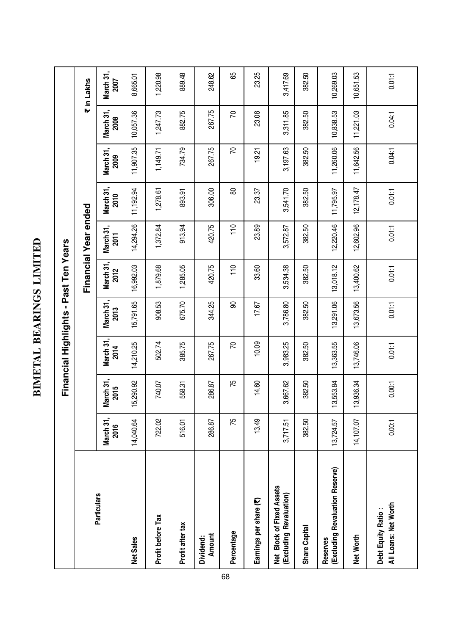BIMETAL BEARINGS LIMITED **BIMETAL BEARINGS LIMITED**

|                                                      |                   |                   | Financial Highlights - |                   | Past Ten Years    |                      |                          |                   |                   |                   |
|------------------------------------------------------|-------------------|-------------------|------------------------|-------------------|-------------------|----------------------|--------------------------|-------------------|-------------------|-------------------|
|                                                      |                   |                   |                        |                   |                   | Financial Year ended |                          |                   |                   | <b>Tin Lakhs</b>  |
| <b>Particulars</b>                                   | March 31,<br>2016 | March 31,<br>2015 | March 31,<br>2014      | March 31,<br>2013 | March 31,<br>2012 | March 31,<br>2011    | March 31,<br><b>2010</b> | March 31,<br>2009 | March 31,<br>2008 | March 31,<br>2007 |
| Net Sales                                            | 14,040.64         | 5,290.92          | 14,210.25              | 15,791.65         | 16,992.03         | 14,294.26            | 11, 192.94               | 11,907.35         | 10,057.36         | 8,665.01          |
| Profit before Tax                                    | 722.02            | 740.07            | 502.74                 | 908.53            | 1,879.68          | 1,372.84             | 1,278.61                 | 1,149.71          | 1,247.73          | 1,220.98          |
| Profit after tax                                     | 516.01            | 558.31            | 385.75                 | 675.70            | 1,285.05          | 913.94               | 893.91                   | 734.79            | 882.75            | 889.48            |
| Amount<br>Dividend:                                  | 286.87            | 286.87            | 267.75                 | 344.25            | 420.75            | 420.75               | 306.00                   | 267.75            | 267.75            | 248.62            |
| Percentage                                           | 75                | 75                | 20                     | 90                | 110               | 110                  | 80                       | 50                | 50                | 89                |
| Earnings per share (₹)                               | 13.49             | 14.60             | 10.09                  | 17.67             | 33.60             | 23.89                | 23.37                    | 19.21             | 23.08             | 23.25             |
| Net Block of Fixed Assets<br>(Excluding Revaluation) | 3,717.51          | 3,667.62          | 3,983.25               | 3,786.80          | 3,534.38          | 3,572.87             | 3,541.70                 | 3,197.63          | 3,311.85          | 3,417.69          |
| <b>Share Capital</b>                                 | 382.50            | 382.50            | 382.50                 | 382.50            | 382.50            | 382.50               | 382.50                   | 382.50            | 382.50            | 382.50            |
| (Excluding Revaluation Reserve)<br><b>Reserves</b>   | 13,724.57         | 3,553.84          | 13,363.55              | 13,291.06         | 13,018.12         | 12,220.46            | 11,795.97                | 11,260.06         | 10,838.53         | 10,269.03         |
| Net Worth                                            | 14,107.07         | 13,936.34         | 13,746.06              | 13,673.56         | 13,400.62         | 12,602.96            | 12,178.47                | 11,642.56         | 11,221.03         | 10,651.53         |
| All Loans: Net Worth<br>Debt Equity Ratio:           | 0.00:1            | 0.00:1            | 0.01:1                 | 0.01:1            | 0.01:1            | 0.01:1               | 0.01:1                   | 0.04:1            | 0.04:1            | 0.01:1            |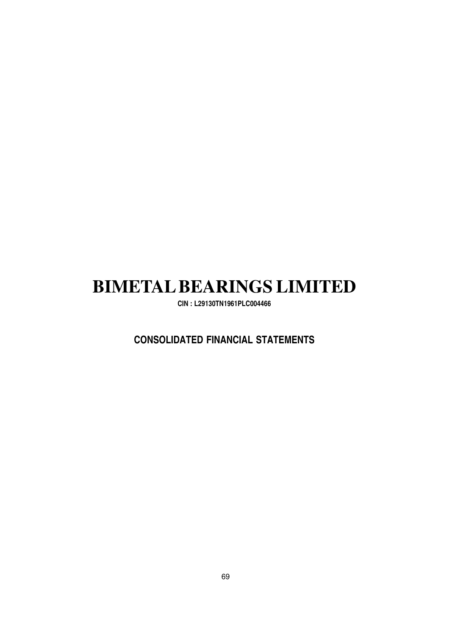CIN : L29130TN1961PLC004466

#### CONSOLIDATED FINANCIAL STATEMENTS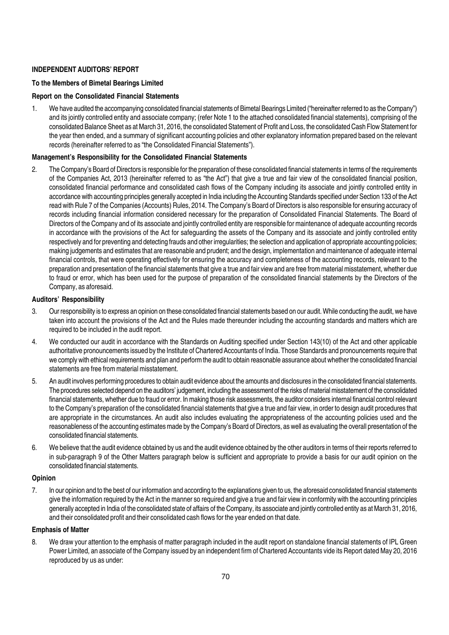#### INDEPENDENT AUDITORS' REPORT

#### To the Members of Bimetal Bearings Limited

#### Report on the Consolidated Financial Statements

1. We have audited the accompanying consolidated financial statements of Bimetal Bearings Limited ("hereinafter referred to as the Company") and its jointly controlled entity and associate company; (refer Note 1 to the attached consolidated financial statements), comprising of the consolidated Balance Sheet as at March 31, 2016, the consolidated Statement of Profit and Loss, the consolidated Cash Flow Statement for the year then ended, and a summary of significant accounting policies and other explanatory information prepared based on the relevant records (hereinafter referred to as "the Consolidated Financial Statements").

#### Management's Responsibility for the Consolidated Financial Statements

2. The Company's Board of Directors is responsible for the preparation of these consolidated financial statements in terms of the requirements of the Companies Act, 2013 (hereinafter referred to as "the Act") that give a true and fair view of the consolidated financial position, consolidated financial performance and consolidated cash flows of the Company including its associate and jointly controlled entity in accordance with accounting principles generally accepted in India including the Accounting Standards specified under Section 133 of the Act read with Rule 7 of the Companies (Accounts) Rules, 2014. The Company's Board of Directors is also responsible for ensuring accuracy of records including financial information considered necessary for the preparation of Consolidated Financial Statements. The Board of Directors of the Company and of its associate and jointly controlled entity are responsible for maintenance of adequate accounting records in accordance with the provisions of the Act for safeguarding the assets of the Company and its associate and jointly controlled entity respectively and for preventing and detecting frauds and other irregularities; the selection and application of appropriate accounting policies; making judgements and estimates that are reasonable and prudent; and the design, implementation and maintenance of adequate internal financial controls, that were operating effectively for ensuring the accuracy and completeness of the accounting records, relevant to the preparation and presentation of the financial statements that give a true and fair view and are free from material misstatement, whether due to fraud or error, which has been used for the purpose of preparation of the consolidated financial statements by the Directors of the Company, as aforesaid.

#### Auditors' Responsibility

- 3. Our responsibility is to express an opinion on these consolidated financial statements based on our audit. While conducting the audit, we have taken into account the provisions of the Act and the Rules made thereunder including the accounting standards and matters which are required to be included in the audit report.
- 4. We conducted our audit in accordance with the Standards on Auditing specified under Section 143(10) of the Act and other applicable authoritative pronouncements issued by the Institute of Chartered Accountants of India. Those Standards and pronouncements require that we comply with ethical requirements and plan and perform the audit to obtain reasonable assurance about whether the consolidated financial statements are free from material misstatement.
- 5. An audit involves performing procedures to obtain audit evidence about the amounts and disclosures in the consolidated financial statements. The procedures selected depend on the auditors' judgement, including the assessment of the risks of material misstatement of the consolidated financial statements, whether due to fraud or error. In making those risk assessments, the auditor considers internal financial control relevant to the Company's preparation of the consolidated financial statements that give a true and fair view, in order to design audit procedures that are appropriate in the circumstances. An audit also includes evaluating the appropriateness of the accounting policies used and the reasonableness of the accounting estimates made by the Company's Board of Directors, as well as evaluating the overall presentation of the consolidated financial statements.
- 6. We believe that the audit evidence obtained by us and the audit evidence obtained by the other auditors in terms of their reports referred to in sub-paragraph 9 of the Other Matters paragraph below is sufficient and appropriate to provide a basis for our audit opinion on the consolidated financial statements.

#### Opinion

7. In our opinion and to the best of our information and according to the explanations given to us, the aforesaid consolidated financial statements give the information required by the Act in the manner so required and give a true and fair view in conformity with the accounting principles generally accepted in India of the consolidated state of affairs of the Company, its associate and jointly controlled entity as at March 31, 2016, and their consolidated profit and their consolidated cash flows for the year ended on that date.

#### Emphasis of Matter

8. We draw your attention to the emphasis of matter paragraph included in the audit report on standalone financial statements of IPL Green Power Limited, an associate of the Company issued by an independent firm of Chartered Accountants vide its Report dated May 20, 2016 reproduced by us as under: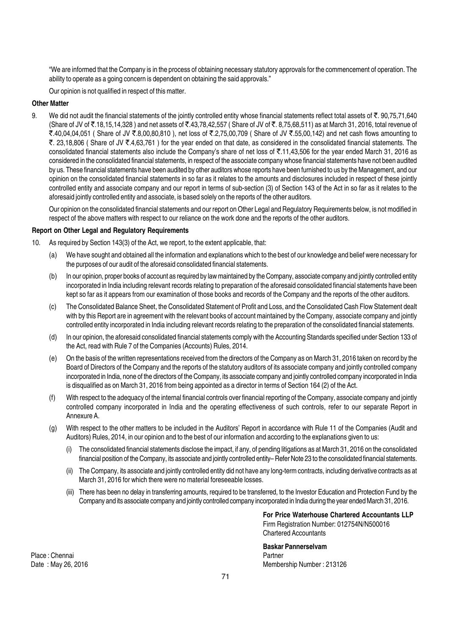"We are informed that the Company is in the process of obtaining necessary statutory approvals for the commencement of operation. The ability to operate as a going concern is dependent on obtaining the said approvals."

Our opinion is not qualified in respect of this matter.

#### Other Matter

9. We did not audit the financial statements of the jointly controlled entity whose financial statements reflect total assets of  $\bar{\tau}$ . 90,75,71,640 (Share of JV of ₹.18,15,14,328) and net assets of ₹.43,78,42,557 (Share of JV of ₹.8,75,68,511) as at March 31, 2016, total revenue of `.40,04,04,051 ( Share of JV `.8,00,80,810 ), net loss of `.2,75,00,709 ( Share of JV `.55,00,142) and net cash flows amounting to ₹. 23,18,806 ( Share of JV ₹.4,63,761 ) for the year ended on that date, as considered in the consolidated financial statements. The consolidated financial statements also include the Company's share of net loss of ₹.11,43,506 for the year ended March 31, 2016 as considered in the consolidated financial statements, in respect of the associate company whose financial statements have not been audited by us. These financial statements have been audited by other auditors whose reports have been furnished to us by the Management, and our opinion on the consolidated financial statements in so far as it relates to the amounts and disclosures included in respect of these jointly controlled entity and associate company and our report in terms of sub-section (3) of Section 143 of the Act in so far as it relates to the aforesaid jointly controlled entity and associate, is based solely on the reports of the other auditors.

Our opinion on the consolidated financial statements and our report on Other Legal and Regulatory Requirements below, is not modified in respect of the above matters with respect to our reliance on the work done and the reports of the other auditors.

#### Report on Other Legal and Regulatory Requirements

- 10. As required by Section 143(3) of the Act, we report, to the extent applicable, that:
	- (a) We have sought and obtained all the information and explanations which to the best of our knowledge and belief were necessary for the purposes of our audit of the aforesaid consolidated financial statements.
	- (b) In our opinion, proper books of account as required by law maintained by the Company, associate company and jointly controlled entity incorporated in India including relevant records relating to preparation of the aforesaid consolidated financial statements have been kept so far as it appears from our examination of those books and records of the Company and the reports of the other auditors.
	- (c) The Consolidated Balance Sheet, the Consolidated Statement of Profit and Loss, and the Consolidated Cash Flow Statement dealt with by this Report are in agreement with the relevant books of account maintained by the Company, associate company and jointly controlled entity incorporated in India including relevant records relating to the preparation of the consolidated financial statements.
	- (d) In our opinion, the aforesaid consolidated financial statements comply with the Accounting Standards specified under Section 133 of the Act, read with Rule 7 of the Companies (Accounts) Rules, 2014.
	- (e) On the basis of the written representations received from the directors of the Company as on March 31, 2016 taken on record by the Board of Directors of the Company and the reports of the statutory auditors of its associate company and jointly controlled company incorporated in India, none of the directors of the Company, its associate company and jointly controlled company incorporated in India is disqualified as on March 31, 2016 from being appointed as a director in terms of Section 164 (2) of the Act.
	- (f) With respect to the adequacy of the internal financial controls over financial reporting of the Company, associate company and jointly controlled company incorporated in India and the operating effectiveness of such controls, refer to our separate Report in Annexure A.
	- (g) With respect to the other matters to be included in the Auditors' Report in accordance with Rule 11 of the Companies (Audit and Auditors) Rules, 2014, in our opinion and to the best of our information and according to the explanations given to us:
		- (i) The consolidated financial statements disclose the impact, if any, of pending litigations as at March 31, 2016 on the consolidated financial position of the Company, its associate and jointly controlled entity– Refer Note 23 to the consolidated financial statements.
		- (ii) The Company, its associate and jointly controlled entity did not have any long-term contracts, including derivative contracts as at March 31, 2016 for which there were no material foreseeable losses.
		- (iii) There has been no delay in transferring amounts, required to be transferred, to the Investor Education and Protection Fund by the Company and its associate company and jointly controlled company incorporated in India during the year ended March 31, 2016.

For Price Waterhouse Chartered Accountants LLP Firm Registration Number: 012754N/N500016 Chartered Accountants

Baskar Pannerselvam Membership Number : 213126

Place : Chennai Partner<br>
Date : May 26, 2016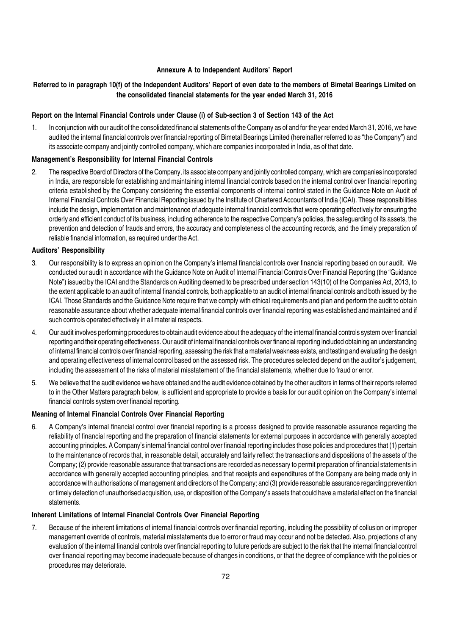#### Annexure A to Independent Auditors' Report

#### Referred to in paragraph 10(f) of the Independent Auditors' Report of even date to the members of Bimetal Bearings Limited on the consolidated financial statements for the year ended March 31, 2016

#### Report on the Internal Financial Controls under Clause (i) of Sub-section 3 of Section 143 of the Act

1. In conjunction with our audit of the consolidated financial statements of the Company as of and for the year ended March 31, 2016, we have audited the internal financial controls over financial reporting of Bimetal Bearings Limited (hereinafter referred to as "the Company") and its associate company and jointly controlled company, which are companies incorporated in India, as of that date.

#### Management's Responsibility for Internal Financial Controls

2. The respective Board of Directors of the Company, its associate company and jointly controlled company, which are companies incorporated in India, are responsible for establishing and maintaining internal financial controls based on the internal control over financial reporting criteria established by the Company considering the essential components of internal control stated in the Guidance Note on Audit of Internal Financial Controls Over Financial Reporting issued by the Institute of Chartered Accountants of India (ICAI). These responsibilities include the design, implementation and maintenance of adequate internal financial controls that were operating effectively for ensuring the orderly and efficient conduct of its business, including adherence to the respective Company's policies, the safeguarding of its assets, the prevention and detection of frauds and errors, the accuracy and completeness of the accounting records, and the timely preparation of reliable financial information, as required under the Act.

#### Auditors' Responsibility

- 3. Our responsibility is to express an opinion on the Company's internal financial controls over financial reporting based on our audit. We conducted our audit in accordance with the Guidance Note on Audit of Internal Financial Controls Over Financial Reporting (the "Guidance Note") issued by the ICAI and the Standards on Auditing deemed to be prescribed under section 143(10) of the Companies Act, 2013, to the extent applicable to an audit of internal financial controls, both applicable to an audit of internal financial controls and both issued by the ICAI. Those Standards and the Guidance Note require that we comply with ethical requirements and plan and perform the audit to obtain reasonable assurance about whether adequate internal financial controls over financial reporting was established and maintained and if such controls operated effectively in all material respects.
- 4. Our audit involves performing procedures to obtain audit evidence about the adequacy of the internal financial controls system over financial reporting and their operating effectiveness. Our audit of internal financial controls over financial reporting included obtaining an understanding of internal financial controls over financial reporting, assessing the risk that a material weakness exists, and testing and evaluating the design and operating effectiveness of internal control based on the assessed risk. The procedures selected depend on the auditor's judgement, including the assessment of the risks of material misstatement of the financial statements, whether due to fraud or error.
- 5. We believe that the audit evidence we have obtained and the audit evidence obtained by the other auditors in terms of their reports referred to in the Other Matters paragraph below, is sufficient and appropriate to provide a basis for our audit opinion on the Company's internal financial controls system over financial reporting.

#### Meaning of Internal Financial Controls Over Financial Reporting

6. A Company's internal financial control over financial reporting is a process designed to provide reasonable assurance regarding the reliability of financial reporting and the preparation of financial statements for external purposes in accordance with generally accepted accounting principles. A Company's internal financial control over financial reporting includes those policies and procedures that (1) pertain to the maintenance of records that, in reasonable detail, accurately and fairly reflect the transactions and dispositions of the assets of the Company; (2) provide reasonable assurance that transactions are recorded as necessary to permit preparation of financial statements in accordance with generally accepted accounting principles, and that receipts and expenditures of the Company are being made only in accordance with authorisations of management and directors of the Company; and (3) provide reasonable assurance regarding prevention or timely detection of unauthorised acquisition, use, or disposition of the Company's assets that could have a material effect on the financial statements.

#### Inherent Limitations of Internal Financial Controls Over Financial Reporting

7. Because of the inherent limitations of internal financial controls over financial reporting, including the possibility of collusion or improper management override of controls, material misstatements due to error or fraud may occur and not be detected. Also, projections of any evaluation of the internal financial controls over financial reporting to future periods are subject to the risk that the internal financial control over financial reporting may become inadequate because of changes in conditions, or that the degree of compliance with the policies or procedures may deteriorate.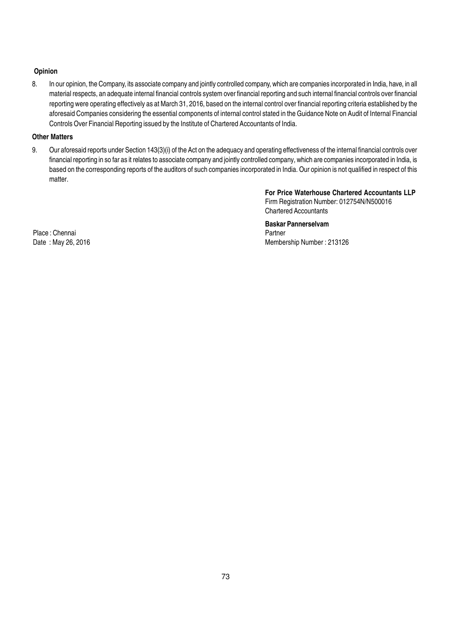#### Opinion

8. In our opinion, the Company, its associate company and jointly controlled company, which are companies incorporated in India, have, in all material respects, an adequate internal financial controls system over financial reporting and such internal financial controls over financial reporting were operating effectively as at March 31, 2016, based on the internal control over financial reporting criteria established by the aforesaid Companies considering the essential components of internal control stated in the Guidance Note on Audit of Internal Financial Controls Over Financial Reporting issued by the Institute of Chartered Accountants of India.

#### Other Matters

9. Our aforesaid reports under Section 143(3)(i) of the Act on the adequacy and operating effectiveness of the internal financial controls over financial reporting in so far as it relates to associate company and jointly controlled company, which are companies incorporated in India, is based on the corresponding reports of the auditors of such companies incorporated in India. Our opinion is not qualified in respect of this matter.

> For Price Waterhouse Chartered Accountants LLP Firm Registration Number: 012754N/N500016 Chartered Accountants

Baskar Pannerselvam Date : May 26, 2016 Membership Number : 213126

Place : Chennai Partner Partner Partner Partner Partner Partner Partner Partner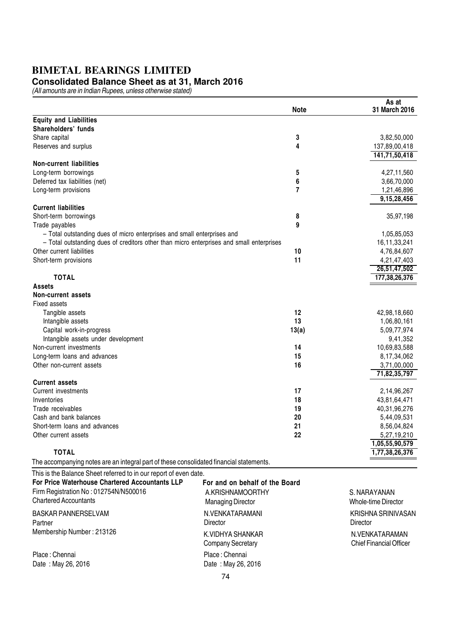#### **Consolidated Balance Sheet as at 31, March 2016**

|                                                                                          |                                | <b>Note</b> | As at<br>31 March 2016         |
|------------------------------------------------------------------------------------------|--------------------------------|-------------|--------------------------------|
| <b>Equity and Liabilities</b>                                                            |                                |             |                                |
| Shareholders' funds                                                                      |                                |             |                                |
| Share capital                                                                            |                                | 3           | 3,82,50,000                    |
| Reserves and surplus                                                                     |                                | 4           | 137,89,00,418                  |
|                                                                                          |                                |             | 141,71,50,418                  |
| <b>Non-current liabilities</b>                                                           |                                |             |                                |
| Long-term borrowings                                                                     |                                | 5           | 4,27,11,560                    |
| Deferred tax liabilities (net)<br>Long-term provisions                                   |                                | 6<br>7      | 3,66,70,000<br>1,21,46,896     |
|                                                                                          |                                |             | 9, 15, 28, 456                 |
| <b>Current liabilities</b>                                                               |                                |             |                                |
| Short-term borrowings                                                                    |                                | 8           | 35,97,198                      |
| Trade payables                                                                           |                                | 9           |                                |
| - Total outstanding dues of micro enterprises and small enterprises and                  |                                |             | 1,05,85,053                    |
| - Total outstanding dues of creditors other than micro enterprises and small enterprises |                                |             | 16, 11, 33, 241                |
| Other current liabilities                                                                |                                | 10          | 4,76,84,607                    |
| Short-term provisions                                                                    |                                | 11          | 4,21,47,403                    |
|                                                                                          |                                |             | 26,51,47,502                   |
| <b>TOTAL</b>                                                                             |                                |             | 177, 38, 26, 376               |
| <b>Assets</b>                                                                            |                                |             |                                |
| <b>Non-current assets</b>                                                                |                                |             |                                |
| <b>Fixed assets</b>                                                                      |                                |             |                                |
| Tangible assets                                                                          |                                | 12<br>13    | 42,98,18,660                   |
| Intangible assets                                                                        |                                |             | 1,06,80,161                    |
| Capital work-in-progress<br>Intangible assets under development                          |                                | 13(a)       | 5,09,77,974<br>9,41,352        |
| Non-current investments                                                                  |                                | 14          | 10,69,83,588                   |
| Long-term loans and advances                                                             |                                | 15          | 8, 17, 34, 062                 |
| Other non-current assets                                                                 |                                | 16          | 3,71,00,000                    |
|                                                                                          |                                |             | 71,82,35,797                   |
| <b>Current assets</b>                                                                    |                                |             |                                |
| <b>Current investments</b>                                                               |                                | 17          | 2,14,96,267                    |
| Inventories                                                                              |                                | 18          | 43,81,64,471                   |
| Trade receivables                                                                        |                                | 19          | 40,31,96,276                   |
| Cash and bank balances                                                                   |                                | 20          | 5,44,09,531                    |
| Short-term loans and advances                                                            |                                | 21          | 8,56,04,824                    |
| Other current assets                                                                     |                                | 22          | 5,27,19,210                    |
|                                                                                          |                                |             | 1,05,55,90,579                 |
| <b>TOTAL</b>                                                                             |                                |             | 1,77,38,26,376                 |
| The accompanying notes are an integral part of these consolidated financial statements.  |                                |             |                                |
| This is the Balance Sheet referred to in our report of even date.                        |                                |             |                                |
| For Price Waterhouse Chartered Accountants LLP                                           | For and on behalf of the Board |             |                                |
| Firm Registration No: 012754N/N500016                                                    | A.KRISHNAMOORTHY               |             | S. NARAYANAN                   |
| <b>Chartered Accountants</b>                                                             | <b>Managing Director</b>       |             | <b>Whole-time Director</b>     |
| <b>BASKAR PANNERSELVAM</b>                                                               | N.VENKATARAMANI                |             | <b>KRISHNA SRINIVASAN</b>      |
| Partner                                                                                  | <b>Director</b>                |             | <b>Director</b>                |
| Membership Number: 213126                                                                | K.VIDHYA SHANKAR               |             | N.VENKATARAMAN                 |
|                                                                                          | <b>Company Secretary</b>       |             | <b>Chief Financial Officer</b> |
|                                                                                          |                                |             |                                |
| Place: Chennai                                                                           | Place: Chennai                 |             |                                |
| Date: May 26, 2016                                                                       | Date: May 26, 2016             |             |                                |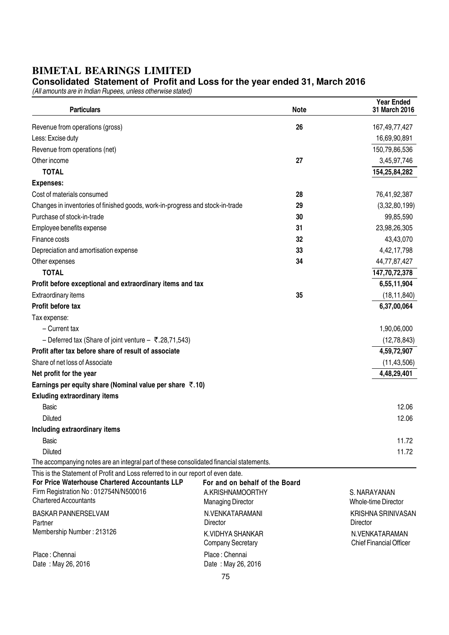#### **Consolidated Statement of Profit and Loss for the year ended 31, March 2016**

| <b>Particulars</b>                                                                      |                                                    | <b>Note</b> | <b>Year Ended</b><br>31 March 2016               |
|-----------------------------------------------------------------------------------------|----------------------------------------------------|-------------|--------------------------------------------------|
| Revenue from operations (gross)                                                         |                                                    | 26          | 167,49,77,427                                    |
| Less: Excise duty                                                                       |                                                    |             | 16,69,90,891                                     |
| Revenue from operations (net)                                                           |                                                    |             | 150,79,86,536                                    |
| Other income                                                                            |                                                    | 27          | 3,45,97,746                                      |
| <b>TOTAL</b>                                                                            |                                                    |             | 154,25,84,282                                    |
| <b>Expenses:</b>                                                                        |                                                    |             |                                                  |
| Cost of materials consumed                                                              |                                                    | 28          | 76,41,92,387                                     |
| Changes in inventories of finished goods, work-in-progress and stock-in-trade           |                                                    | 29          | (3,32,80,199)                                    |
| Purchase of stock-in-trade                                                              |                                                    | 30          | 99,85,590                                        |
| Employee benefits expense                                                               |                                                    | 31          | 23,98,26,305                                     |
| Finance costs                                                                           |                                                    | 32          | 43,43,070                                        |
| Depreciation and amortisation expense                                                   |                                                    | 33          | 4,42,17,798                                      |
| Other expenses                                                                          |                                                    | 34          | 44,77,87,427                                     |
| <b>TOTAL</b>                                                                            |                                                    |             | 147,70,72,378                                    |
| Profit before exceptional and extraordinary items and tax                               |                                                    |             | 6,55,11,904                                      |
| Extraordinary items                                                                     |                                                    | 35          | (18, 11, 840)                                    |
| Profit before tax                                                                       |                                                    |             | 6,37,00,064                                      |
| Tax expense:                                                                            |                                                    |             |                                                  |
| - Current tax                                                                           |                                                    |             | 1,90,06,000                                      |
| - Deferred tax (Share of joint venture - ₹.28,71,543)                                   |                                                    |             | (12, 78, 843)                                    |
| Profit after tax before share of result of associate                                    |                                                    |             | 4,59,72,907                                      |
| Share of net loss of Associate                                                          |                                                    |             | (11, 43, 506)                                    |
| Net profit for the year                                                                 |                                                    |             | 4,48,29,401                                      |
| Earnings per equity share (Nominal value per share $\overline{5}.10$ )                  |                                                    |             |                                                  |
| <b>Exluding extraordinary items</b>                                                     |                                                    |             |                                                  |
| <b>Basic</b>                                                                            |                                                    |             | 12.06                                            |
| Diluted                                                                                 |                                                    |             | 12.06                                            |
| Including extraordinary items                                                           |                                                    |             |                                                  |
| Basic                                                                                   |                                                    |             | 11.72                                            |
| <b>Diluted</b>                                                                          |                                                    |             | 11.72                                            |
| The accompanying notes are an integral part of these consolidated financial statements. |                                                    |             |                                                  |
| This is the Statement of Profit and Loss referred to in our report of even date.        |                                                    |             |                                                  |
| For Price Waterhouse Chartered Accountants LLP<br>Firm Registration No: 012754N/N500016 | For and on behalf of the Board<br>A.KRISHNAMOORTHY |             | S. NARAYANAN                                     |
| <b>Chartered Accountants</b>                                                            | <b>Managing Director</b>                           |             | Whole-time Director                              |
| <b>BASKAR PANNERSELVAM</b>                                                              | N.VENKATARAMANI                                    |             | <b>KRISHNA SRINIVASAN</b>                        |
| Partner                                                                                 | <b>Director</b>                                    |             | Director                                         |
| Membership Number: 213126                                                               | K.VIDHYA SHANKAR<br><b>Company Secretary</b>       |             | N.VENKATARAMAN<br><b>Chief Financial Officer</b> |
| Place: Chennai<br>Date: May 26, 2016                                                    | Place: Chennai<br>Date: May 26, 2016               |             |                                                  |
|                                                                                         |                                                    |             |                                                  |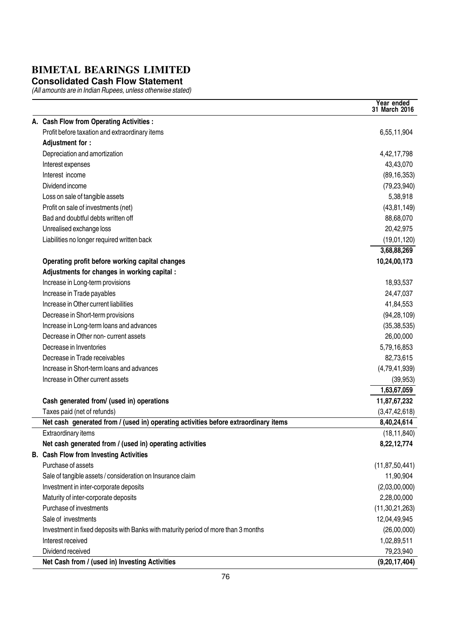#### **Consolidated Cash Flow Statement**

|                                                                                     | Year ended<br>31 March 2016 |
|-------------------------------------------------------------------------------------|-----------------------------|
| A. Cash Flow from Operating Activities :                                            |                             |
| Profit before taxation and extraordinary items                                      | 6,55,11,904                 |
| Adjustment for:                                                                     |                             |
| Depreciation and amortization                                                       | 4,42,17,798                 |
| Interest expenses                                                                   | 43,43,070                   |
| Interest income                                                                     | (89, 16, 353)               |
| Dividend income                                                                     | (79, 23, 940)               |
| Loss on sale of tangible assets                                                     | 5,38,918                    |
| Profit on sale of investments (net)                                                 | (43, 81, 149)               |
| Bad and doubtful debts written off                                                  | 88,68,070                   |
| Unrealised exchange loss                                                            | 20,42,975                   |
| Liabilities no longer required written back                                         | (19,01,120)                 |
|                                                                                     | 3,68,88,269                 |
| Operating profit before working capital changes                                     | 10,24,00,173                |
| Adjustments for changes in working capital :                                        |                             |
| Increase in Long-term provisions                                                    | 18,93,537                   |
| Increase in Trade payables                                                          | 24,47,037                   |
| Increase in Other current liabilities                                               | 41,84,553                   |
| Decrease in Short-term provisions                                                   | (94, 28, 109)               |
| Increase in Long-term loans and advances                                            | (35, 38, 535)               |
| Decrease in Other non- current assets                                               | 26,00,000                   |
| Decrease in Inventories                                                             | 5,79,16,853                 |
| Decrease in Trade receivables                                                       | 82,73,615                   |
| Increase in Short-term loans and advances                                           | (4,79,41,939)               |
| Increase in Other current assets                                                    | (39, 953)                   |
|                                                                                     | 1,63,67,059                 |
| Cash generated from/ (used in) operations                                           | 11,87,67,232                |
| Taxes paid (net of refunds)                                                         | (3,47,42,618)               |
| Net cash generated from / (used in) operating activities before extraordinary items | 8,40,24,614                 |
| Extraordinary items                                                                 | (18, 11, 840)               |
| Net cash generated from / (used in) operating activities                            | 8,22,12,774                 |
| <b>B.</b> Cash Flow from Investing Activities                                       |                             |
| Purchase of assets                                                                  | (11, 87, 50, 441)           |
| Sale of tangible assets / consideration on Insurance claim                          | 11,90,904                   |
| Investment in inter-corporate deposits                                              | (2,03,00,000)               |
| Maturity of inter-corporate deposits                                                | 2,28,00,000                 |
| Purchase of investments                                                             | (11, 30, 21, 263)           |
| Sale of investments                                                                 | 12,04,49,945                |
| Investment in fixed deposits with Banks with maturity period of more than 3 months  | (26,00,000)                 |
| Interest received                                                                   | 1,02,89,511                 |
| Dividend received                                                                   | 79,23,940                   |
| Net Cash from / (used in) Investing Activities                                      | (9,20,17,404)               |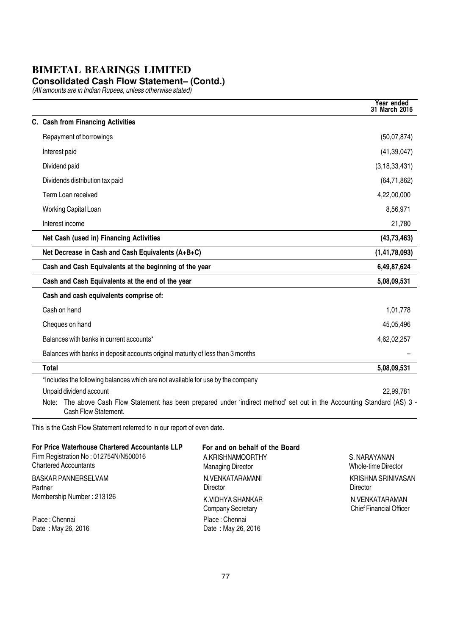#### **Consolidated Cash Flow Statement– (Contd.)**

(All amounts are in Indian Rupees, unless otherwise stated)

|                                                                                                                                                      | Year ended<br>31 March 2016 |
|------------------------------------------------------------------------------------------------------------------------------------------------------|-----------------------------|
| C. Cash from Financing Activities                                                                                                                    |                             |
| Repayment of borrowings                                                                                                                              | (50,07,874)                 |
| Interest paid                                                                                                                                        | (41, 39, 047)               |
| Dividend paid                                                                                                                                        | (3, 18, 33, 431)            |
| Dividends distribution tax paid                                                                                                                      | (64, 71, 862)               |
| Term Loan received                                                                                                                                   | 4,22,00,000                 |
| Working Capital Loan                                                                                                                                 | 8,56,971                    |
| Interest income                                                                                                                                      | 21,780                      |
| Net Cash (used in) Financing Activities                                                                                                              | (43, 73, 463)               |
| Net Decrease in Cash and Cash Equivalents (A+B+C)                                                                                                    | (1, 41, 78, 093)            |
| Cash and Cash Equivalents at the beginning of the year                                                                                               | 6,49,87,624                 |
| Cash and Cash Equivalents at the end of the year                                                                                                     | 5,08,09,531                 |
| Cash and cash equivalents comprise of:                                                                                                               |                             |
| Cash on hand                                                                                                                                         | 1,01,778                    |
| Cheques on hand                                                                                                                                      | 45,05,496                   |
| Balances with banks in current accounts*                                                                                                             | 4,62,02,257                 |
| Balances with banks in deposit accounts original maturity of less than 3 months                                                                      |                             |
| <b>Total</b>                                                                                                                                         | 5,08,09,531                 |
| *Includes the following balances which are not available for use by the company                                                                      |                             |
| Unpaid dividend account                                                                                                                              | 22,99,781                   |
| The above Cash Flow Statement has been prepared under 'indirect method' set out in the Accounting Standard (AS) 3 -<br>Note:<br>Cash Flow Statement. |                             |

This is the Cash Flow Statement referred to in our report of even date.

| For Price Waterhouse Chartered Accountants LLP<br>Firm Registration No: 012754N/N500016<br><b>Chartered Accountants</b> | For and on behalf of the Board<br>A.KRISHNAMOORTHY<br><b>Managing Director</b> | S. NARAYANAN<br>Whole-time Director              |
|-------------------------------------------------------------------------------------------------------------------------|--------------------------------------------------------------------------------|--------------------------------------------------|
| <b>BASKAR PANNERSELVAM</b><br>Partner                                                                                   | N.VENKATARAMANI<br><b>Director</b>                                             | <b>KRISHNA SRINIVASAN</b><br><b>Director</b>     |
| Membership Number: 213126                                                                                               | K.VIDHYA SHANKAR<br><b>Company Secretary</b>                                   | N VENKATARAMAN<br><b>Chief Financial Officer</b> |
| Place: Chennai<br>Date: May 26, 2016                                                                                    | Place: Chennai<br>Date: May 26, 2016                                           |                                                  |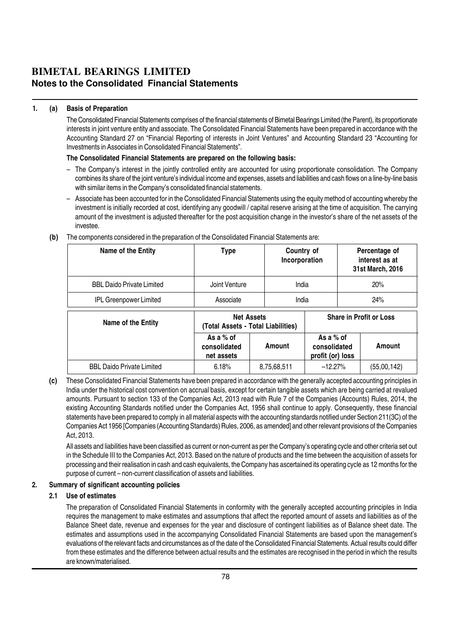#### 1. (a) Basis of Preparation

The Consolidated Financial Statements comprises of the financial statements of Bimetal Bearings Limited (the Parent), its proportionate interests in joint venture entity and associate. The Consolidated Financial Statements have been prepared in accordance with the Accounting Standard 27 on "Financial Reporting of interests in Joint Ventures" and Accounting Standard 23 "Accounting for Investments in Associates in Consolidated Financial Statements".

#### The Consolidated Financial Statements are prepared on the following basis:

- The Company's interest in the jointly controlled entity are accounted for using proportionate consolidation. The Company combines its share of the joint venture's individual income and expenses, assets and liabilities and cash flows on a line-by-line basis with similar items in the Company's consolidated financial statements.
- Associate has been accounted for in the Consolidated Financial Statements using the equity method of accounting whereby the investment is initially recorded at cost, identifying any goodwill / capital reserve arising at the time of acquisition. The carrying amount of the investment is adjusted thereafter for the post acquisition change in the investor's share of the net assets of the investee.

| The componente concidence in the properation or the concentration ringhold, clatemente are: |               |                             |                                                     |  |
|---------------------------------------------------------------------------------------------|---------------|-----------------------------|-----------------------------------------------------|--|
| Name of the Entity                                                                          | Type          | Country of<br>Incorporation | Percentage of<br>interest as at<br>31st March, 2016 |  |
| <b>BBL Daido Private Limited</b>                                                            | Joint Venture | India                       | 20%                                                 |  |
| <b>IPL Greenpower Limited</b>                                                               | Associate     | India                       | 24%                                                 |  |

#### (b) The components considered in the preparation of the Consolidated Financial Statements are:

| Name of the Entity               | <b>Net Assets</b><br>(Total Assets - Total Liabilities) |             |                                                 | <b>Share in Profit or Loss</b> |
|----------------------------------|---------------------------------------------------------|-------------|-------------------------------------------------|--------------------------------|
|                                  | As a % of<br>consolidated<br>net assets                 | Amount      | As a $%$ of<br>consolidated<br>profit (or) loss | Amount                         |
| <b>BBL Daido Private Limited</b> | 6.18%                                                   | 8,75,68,511 | $-12.27\%$                                      | (55,00,142)                    |

(c) These Consolidated Financial Statements have been prepared in accordance with the generally accepted accounting principles in India under the historical cost convention on accrual basis, except for certain tangible assets which are being carried at revalued amounts. Pursuant to section 133 of the Companies Act, 2013 read with Rule 7 of the Companies (Accounts) Rules, 2014, the existing Accounting Standards notified under the Companies Act, 1956 shall continue to apply. Consequently, these financial statements have been prepared to comply in all material aspects with the accounting standards notified under Section 211(3C) of the Companies Act 1956 [Companies (Accounting Standards) Rules, 2006, as amended] and other relevant provisions of the Companies Act, 2013.

All assets and liabilities have been classified as current or non-current as per the Company's operating cycle and other criteria set out in the Schedule III to the Companies Act, 2013. Based on the nature of products and the time between the acquisition of assets for processing and their realisation in cash and cash equivalents, the Company has ascertained its operating cycle as 12 months for the purpose of current – non-current classification of assets and liabilities.

#### 2. Summary of significant accounting policies

#### 2.1 Use of estimates

The preparation of Consolidated Financial Statements in conformity with the generally accepted accounting principles in India requires the management to make estimates and assumptions that affect the reported amount of assets and liabilities as of the Balance Sheet date, revenue and expenses for the year and disclosure of contingent liabilities as of Balance sheet date. The estimates and assumptions used in the accompanying Consolidated Financial Statements are based upon the management's evaluations of the relevant facts and circumstances as of the date of the Consolidated Financial Statements. Actual results could differ from these estimates and the difference between actual results and the estimates are recognised in the period in which the results are known/materialised.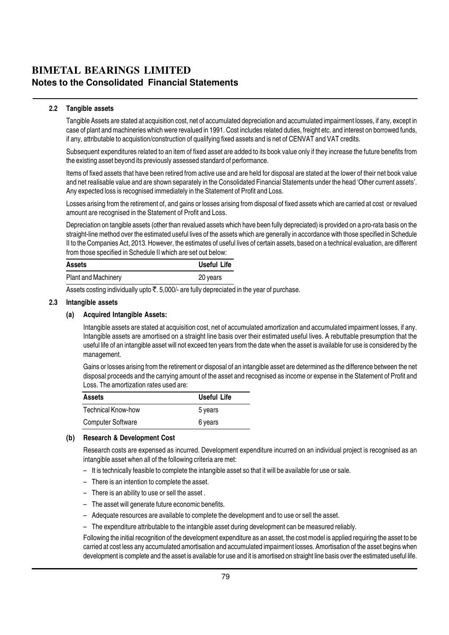#### 2.2 Tangible assets

Tangible Assets are stated at acquisition cost, net of accumulated depreciation and accumulated impairment losses, if any, except in case of plant and machineries which were revalued in 1991. Cost includes related duties, freight etc. and interest on borrowed funds, if any, attributable to acquistion/construction of qualifying fixed assets and is net of CENVAT and VAT credits.

Subsequent expenditures related to an item of fixed asset are added to its book value only if they increase the future benefits from the existing asset beyond its previously assessed standard of performance.

Items of fixed assets that have been retired from active use and are held for disposal are stated at the lower of their net book value and net realisable value and are shown separately in the Consolidated Financial Statements under the head 'Other current assets'. Any expected loss is recognised immediately in the Statement of Profit and Loss.

Losses arising from the retirement of, and gains or losses arising from disposal of fixed assets which are carried at cost or revalued amount are recognised in the Statement of Profit and Loss.

Depreciation on tangible assets (other than revalued assets which have been fully depreciated) is provided on a pro-rata basis on the straight-line method over the estimated useful lives of the assets which are generally in accordance with those specified in Schedule II to the Companies Act, 2013. However, the estimates of useful lives of certain assets, based on a technical evaluation, are different from those specified in Schedule II which are set out below:

| <b>Assets</b>              | Useful Life |
|----------------------------|-------------|
| <b>Plant and Machinery</b> | 20 years    |

Assets costing individually upto  $\bar{\tau}$ . 5,000/- are fully depreciated in the year of purchase.

#### 2.3 Intangible assets

#### (a) Acquired Intangible Assets:

Intangible assets are stated at acquisition cost, net of accumulated amortization and accumulated impairment losses, if any. Intangible assets are amortised on a straight line basis over their estimated useful lives. A rebuttable presumption that the useful life of an intangible asset will not exceed ten years from the date when the asset is available for use is considered by the management.

Gains or losses arising from the retirement or disposal of an intangible asset are determined as the difference between the net disposal proceeds and the carrying amount of the asset and recognised as income or expense in the Statement of Profit and Loss. The amortization rates used are:

| <b>Assets</b>             | Useful Life |  |
|---------------------------|-------------|--|
| <b>Technical Know-how</b> | 5 years     |  |
| <b>Computer Software</b>  | 6 years     |  |

#### (b) Research & Development Cost

Research costs are expensed as incurred. Development expenditure incurred on an individual project is recognised as an intangible asset when all of the following criteria are met:

- It is technically feasible to complete the intangible asset so that it will be available for use or sale.
- There is an intention to complete the asset.
- There is an ability to use or sell the asset .
- The asset will generate future economic benefits.
- Adequate resources are available to complete the development and to use or sell the asset.
- The expenditure attributable to the intangible asset during development can be measured reliably.

Following the initial recognition of the development expenditure as an asset, the cost model is applied requiring the asset to be carried at cost less any accumulated amortisation and accumulated impairment losses. Amortisation of the asset begins when development is complete and the asset is available for use and it is amortised on straight line basis over the estimated useful life.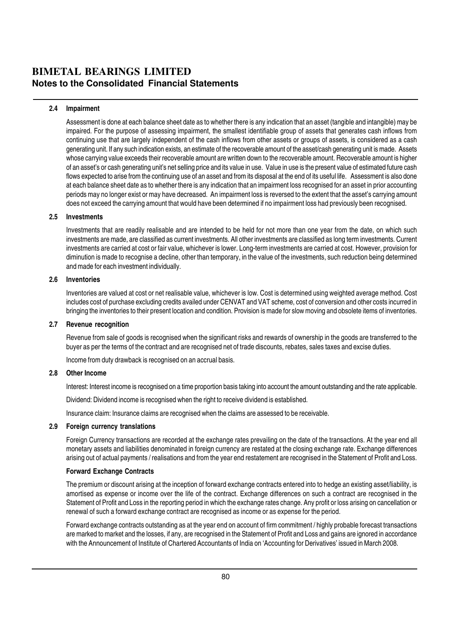#### 2.4 Impairment

Assessment is done at each balance sheet date as to whether there is any indication that an asset (tangible and intangible) may be impaired. For the purpose of assessing impairment, the smallest identifiable group of assets that generates cash inflows from continuing use that are largely independent of the cash inflows from other assets or groups of assets, is considered as a cash generating unit. If any such indication exists, an estimate of the recoverable amount of the asset/cash generating unit is made. Assets whose carrying value exceeds their recoverable amount are written down to the recoverable amount. Recoverable amount is higher of an asset's or cash generating unit's net selling price and its value in use. Value in use is the present value of estimated future cash flows expected to arise from the continuing use of an asset and from its disposal at the end of its useful life. Assessment is also done at each balance sheet date as to whether there is any indication that an impairment loss recognised for an asset in prior accounting periods may no longer exist or may have decreased. An impairment loss is reversed to the extent that the asset's carrying amount does not exceed the carrying amount that would have been determined if no impairment loss had previously been recognised.

#### 2.5 Investments

Investments that are readily realisable and are intended to be held for not more than one year from the date, on which such investments are made, are classified as current investments. All other investments are classified as long term investments. Current investments are carried at cost or fair value, whichever is lower. Long-term investments are carried at cost. However, provision for diminution is made to recognise a decline, other than temporary, in the value of the investments, such reduction being determined and made for each investment individually.

#### 2.6 Inventories

Inventories are valued at cost or net realisable value, whichever is low. Cost is determined using weighted average method. Cost includes cost of purchase excluding credits availed under CENVAT and VAT scheme, cost of conversion and other costs incurred in bringing the inventories to their present location and condition. Provision is made for slow moving and obsolete items of inventories.

#### 2.7 Revenue recognition

Revenue from sale of goods is recognised when the significant risks and rewards of ownership in the goods are transferred to the buyer as per the terms of the contract and are recognised net of trade discounts, rebates, sales taxes and excise duties.

Income from duty drawback is recognised on an accrual basis.

#### 2.8 Other Income

Interest: Interest income is recognised on a time proportion basis taking into account the amount outstanding and the rate applicable.

Dividend: Dividend income is recognised when the right to receive dividend is established.

Insurance claim: Insurance claims are recognised when the claims are assessed to be receivable.

#### 2.9 Foreign currency translations

Foreign Currency transactions are recorded at the exchange rates prevailing on the date of the transactions. At the year end all monetary assets and liabilities denominated in foreign currency are restated at the closing exchange rate. Exchange differences arising out of actual payments / realisations and from the year end restatement are recognised in the Statement of Profit and Loss.

#### Forward Exchange Contracts

The premium or discount arising at the inception of forward exchange contracts entered into to hedge an existing asset/liability, is amortised as expense or income over the life of the contract. Exchange differences on such a contract are recognised in the Statement of Profit and Loss in the reporting period in which the exchange rates change. Any profit or loss arising on cancellation or renewal of such a forward exchange contract are recognised as income or as expense for the period.

Forward exchange contracts outstanding as at the year end on account of firm commitment / highly probable forecast transactions are marked to market and the losses, if any, are recognised in the Statement of Profit and Loss and gains are ignored in accordance with the Announcement of Institute of Chartered Accountants of India on 'Accounting for Derivatives' issued in March 2008.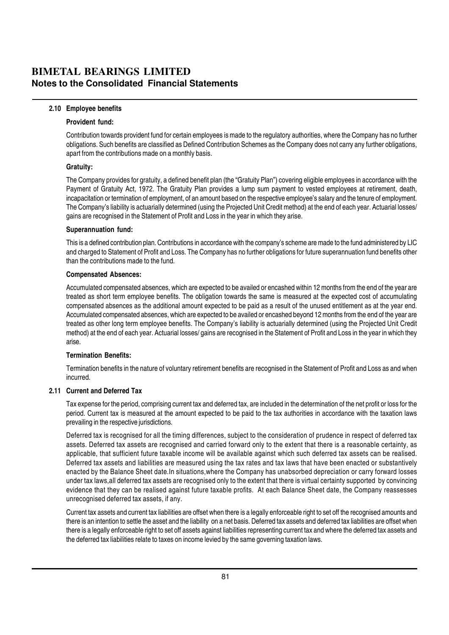#### 2.10 Employee benefits

#### Provident fund:

Contribution towards provident fund for certain employees is made to the regulatory authorities, where the Company has no further obligations. Such benefits are classified as Defined Contribution Schemes as the Company does not carry any further obligations, apart from the contributions made on a monthly basis.

#### Gratuity:

The Company provides for gratuity, a defined benefit plan (the "Gratuity Plan") covering eligible employees in accordance with the Payment of Gratuity Act, 1972. The Gratuity Plan provides a lump sum payment to vested employees at retirement, death, incapacitation or termination of employment, of an amount based on the respective employee's salary and the tenure of employment. The Company's liability is actuarially determined (using the Projected Unit Credit method) at the end of each year. Actuarial losses/ gains are recognised in the Statement of Profit and Loss in the year in which they arise.

#### Superannuation fund:

This is a defined contribution plan. Contributions in accordance with the company's scheme are made to the fund administered by LIC and charged to Statement of Profit and Loss. The Company has no further obligations for future superannuation fund benefits other than the contributions made to the fund.

#### Compensated Absences:

Accumulated compensated absences, which are expected to be availed or encashed within 12 months from the end of the year are treated as short term employee benefits. The obligation towards the same is measured at the expected cost of accumulating compensated absences as the additional amount expected to be paid as a result of the unused entitlement as at the year end. Accumulated compensated absences, which are expected to be availed or encashed beyond 12 months from the end of the year are treated as other long term employee benefits. The Company's liability is actuarially determined (using the Projected Unit Credit method) at the end of each year. Actuarial losses/ gains are recognised in the Statement of Profit and Loss in the year in which they arise.

#### Termination Benefits:

Termination benefits in the nature of voluntary retirement benefits are recognised in the Statement of Profit and Loss as and when incurred.

#### 2.11 Current and Deferred Tax

Tax expense for the period, comprising current tax and deferred tax, are included in the determination of the net profit or loss for the period. Current tax is measured at the amount expected to be paid to the tax authorities in accordance with the taxation laws prevailing in the respective jurisdictions.

Deferred tax is recognised for all the timing differences, subject to the consideration of prudence in respect of deferred tax assets. Deferred tax assets are recognised and carried forward only to the extent that there is a reasonable certainty, as applicable, that sufficient future taxable income will be available against which such deferred tax assets can be realised. Deferred tax assets and liabilities are measured using the tax rates and tax laws that have been enacted or substantively enacted by the Balance Sheet date.In situations,where the Company has unabsorbed depreciation or carry forward losses under tax laws,all deferred tax assets are recognised only to the extent that there is virtual certainty supported by convincing evidence that they can be realised against future taxable profits. At each Balance Sheet date, the Company reassesses unrecognised deferred tax assets, if any.

Current tax assets and current tax liabilities are offset when there is a legally enforceable right to set off the recognised amounts and there is an intention to settle the asset and the liability on a net basis. Deferred tax assets and deferred tax liabilities are offset when there is a legally enforceable right to set off assets against liabilities representing current tax and where the deferred tax assets and the deferred tax liabilities relate to taxes on income levied by the same governing taxation laws.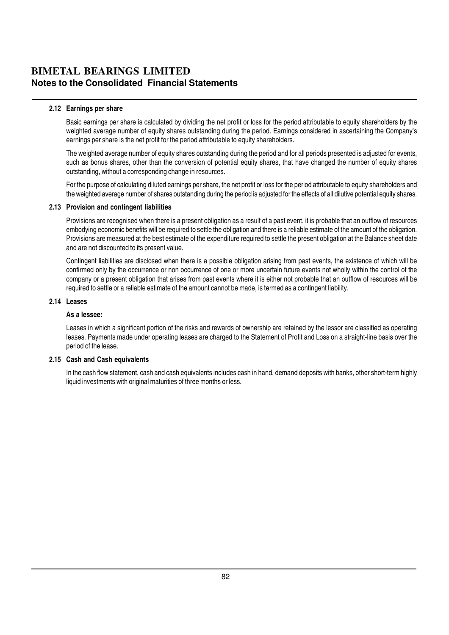#### 2.12 Earnings per share

Basic earnings per share is calculated by dividing the net profit or loss for the period attributable to equity shareholders by the weighted average number of equity shares outstanding during the period. Earnings considered in ascertaining the Company's earnings per share is the net profit for the period attributable to equity shareholders.

The weighted average number of equity shares outstanding during the period and for all periods presented is adjusted for events, such as bonus shares, other than the conversion of potential equity shares, that have changed the number of equity shares outstanding, without a corresponding change in resources.

For the purpose of calculating diluted earnings per share, the net profit or loss for the period attributable to equity shareholders and the weighted average number of shares outstanding during the period is adjusted for the effects of all dilutive potential equity shares.

#### 2.13 Provision and contingent liabilities

Provisions are recognised when there is a present obligation as a result of a past event, it is probable that an outflow of resources embodying economic benefits will be required to settle the obligation and there is a reliable estimate of the amount of the obligation. Provisions are measured at the best estimate of the expenditure required to settle the present obligation at the Balance sheet date and are not discounted to its present value.

Contingent liabilities are disclosed when there is a possible obligation arising from past events, the existence of which will be confirmed only by the occurrence or non occurrence of one or more uncertain future events not wholly within the control of the company or a present obligation that arises from past events where it is either not probable that an outflow of resources will be required to settle or a reliable estimate of the amount cannot be made, is termed as a contingent liability.

#### 2.14 Leases

#### As a lessee:

Leases in which a significant portion of the risks and rewards of ownership are retained by the lessor are classified as operating leases. Payments made under operating leases are charged to the Statement of Profit and Loss on a straight-line basis over the period of the lease.

#### 2.15 Cash and Cash equivalents

In the cash flow statement, cash and cash equivalents includes cash in hand, demand deposits with banks, other short-term highly liquid investments with original maturities of three months or less.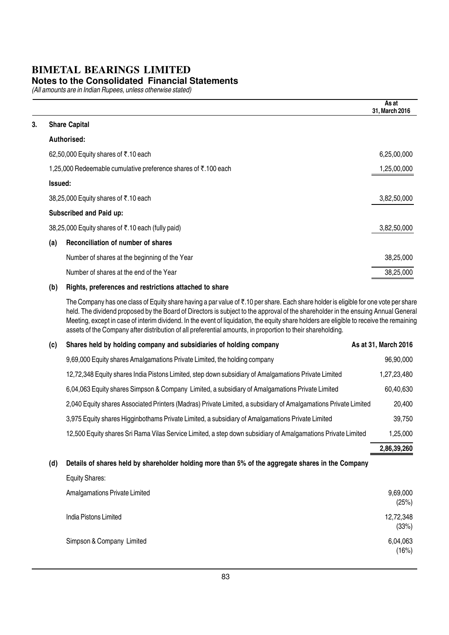#### **Notes to the Consolidated Financial Statements**

(All amounts are in Indian Rupees, unless otherwise stated)

| 3.<br><b>Share Capital</b><br>Authorised:<br>62,50,000 Equity shares of ₹.10 each<br>1,25,000 Redeemable cumulative preference shares of ₹.100 each<br>Issued:<br>38,25,000 Equity shares of ₹.10 each<br>Subscribed and Paid up:<br>38,25,000 Equity shares of ₹.10 each (fully paid)<br>Reconciliation of number of shares<br>(a)<br>Number of shares at the beginning of the Year<br>Number of shares at the end of the Year |  | As at<br>31, March 2016 |
|---------------------------------------------------------------------------------------------------------------------------------------------------------------------------------------------------------------------------------------------------------------------------------------------------------------------------------------------------------------------------------------------------------------------------------|--|-------------------------|
|                                                                                                                                                                                                                                                                                                                                                                                                                                 |  |                         |
|                                                                                                                                                                                                                                                                                                                                                                                                                                 |  |                         |
|                                                                                                                                                                                                                                                                                                                                                                                                                                 |  | 6,25,00,000             |
|                                                                                                                                                                                                                                                                                                                                                                                                                                 |  | 1,25,00,000             |
|                                                                                                                                                                                                                                                                                                                                                                                                                                 |  |                         |
|                                                                                                                                                                                                                                                                                                                                                                                                                                 |  | 3,82,50,000             |
|                                                                                                                                                                                                                                                                                                                                                                                                                                 |  |                         |
|                                                                                                                                                                                                                                                                                                                                                                                                                                 |  | 3,82,50,000             |
|                                                                                                                                                                                                                                                                                                                                                                                                                                 |  |                         |
|                                                                                                                                                                                                                                                                                                                                                                                                                                 |  | 38,25,000               |
|                                                                                                                                                                                                                                                                                                                                                                                                                                 |  | 38,25,000               |

#### (b) Rights, preferences and restrictions attached to share

Equity Shares:

The Company has one class of Equity share having a par value of  $\bar{\tau}$ .10 per share. Each share holder is eligible for one vote per share held. The dividend proposed by the Board of Directors is subject to the approval of the shareholder in the ensuing Annual General Meeting, except in case of interim dividend. In the event of liquidation, the equity share holders are eligible to receive the remaining assets of the Company after distribution of all preferential amounts, in proportion to their shareholding.

| (c) | Shares held by holding company and subsidiaries of holding company                                              | As at 31, March 2016 |
|-----|-----------------------------------------------------------------------------------------------------------------|----------------------|
|     | 9,69,000 Equity shares Amalgamations Private Limited, the holding company                                       | 96,90,000            |
|     | 12,72,348 Equity shares India Pistons Limited, step down subsidiary of Amalgamations Private Limited            | 1,27,23,480          |
|     | 6,04,063 Equity shares Simpson & Company Limited, a subsidiary of Amalgamations Private Limited                 | 60,40,630            |
|     | 2,040 Equity shares Associated Printers (Madras) Private Limited, a subsidiary of Amalgamations Private Limited | 20,400               |
|     | 3,975 Equity shares Higginbothams Private Limited, a subsidiary of Amalgamations Private Limited                | 39,750               |
|     | 12,500 Equity shares Sri Rama Vilas Service Limited, a step down subsidiary of Amalgamations Private Limited    | 1,25,000             |
|     |                                                                                                                 | 2,86,39,260          |

#### (d) Details of shares held by shareholder holding more than 5% of the aggregate shares in the Company

| Lyuny Undrou.                        |                    |
|--------------------------------------|--------------------|
| <b>Amalgamations Private Limited</b> | 9,69,000<br>(25%)  |
| India Pistons Limited                | 12,72,348<br>(33%) |
| Simpson & Company Limited            | 6,04,063<br>(16%)  |
|                                      |                    |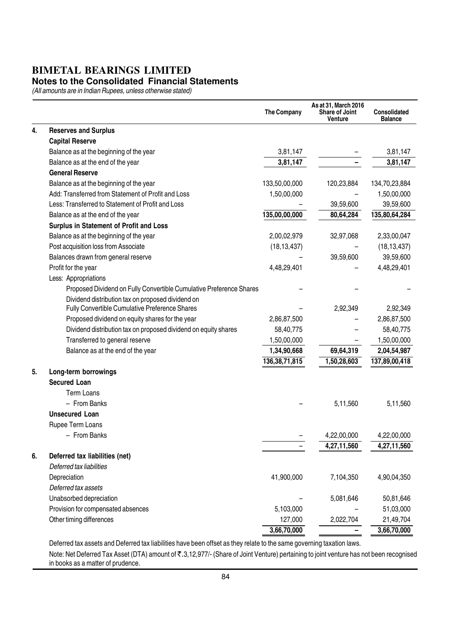### **Notes to the Consolidated Financial Statements**

(All amounts are in Indian Rupees, unless otherwise stated)

|    |                                                                                                     | The Company      | As at 31, March 2016<br>Share of Joint<br>Venture | Consolidated<br><b>Balance</b> |
|----|-----------------------------------------------------------------------------------------------------|------------------|---------------------------------------------------|--------------------------------|
| 4. | <b>Reserves and Surplus</b>                                                                         |                  |                                                   |                                |
|    | <b>Capital Reserve</b>                                                                              |                  |                                                   |                                |
|    | Balance as at the beginning of the year                                                             | 3,81,147         |                                                   | 3,81,147                       |
|    | Balance as at the end of the year                                                                   | 3,81,147         |                                                   | 3,81,147                       |
|    | <b>General Reserve</b>                                                                              |                  |                                                   |                                |
|    | Balance as at the beginning of the year                                                             | 133,50,00,000    | 120,23,884                                        | 134,70,23,884                  |
|    | Add: Transferred from Statement of Profit and Loss                                                  | 1,50,00,000      |                                                   | 1,50,00,000                    |
|    | Less: Transferred to Statement of Profit and Loss                                                   |                  | 39,59,600                                         | 39,59,600                      |
|    | Balance as at the end of the year                                                                   | 135,00,00,000    | 80,64,284                                         | 135,80,64,284                  |
|    | Surplus in Statement of Profit and Loss                                                             |                  |                                                   |                                |
|    | Balance as at the beginning of the year                                                             | 2,00,02,979      | 32,97,068                                         | 2,33,00,047                    |
|    | Post acquisition loss from Associate                                                                | (18, 13, 437)    |                                                   | (18, 13, 437)                  |
|    | Balances drawn from general reserve                                                                 |                  | 39,59,600                                         | 39,59,600                      |
|    | Profit for the year                                                                                 | 4,48,29,401      |                                                   | 4,48,29,401                    |
|    | Less: Appropriations                                                                                |                  |                                                   |                                |
|    | Proposed Dividend on Fully Convertible Cumulative Preference Shares                                 |                  |                                                   |                                |
|    | Dividend distribution tax on proposed dividend on<br>Fully Convertible Cumulative Preference Shares |                  | 2,92,349                                          | 2,92,349                       |
|    | Proposed dividend on equity shares for the year                                                     | 2,86,87,500      |                                                   | 2,86,87,500                    |
|    | Dividend distribution tax on proposed dividend on equity shares                                     | 58,40,775        |                                                   | 58,40,775                      |
|    | Transferred to general reserve                                                                      | 1,50,00,000      |                                                   | 1,50,00,000                    |
|    | Balance as at the end of the year                                                                   | 1,34,90,668      | 69,64,319                                         | 2,04,54,987                    |
|    |                                                                                                     | 136, 38, 71, 815 | 1,50,28,603                                       | 137,89,00,418                  |
| 5. | Long-term borrowings                                                                                |                  |                                                   |                                |
|    | <b>Secured Loan</b>                                                                                 |                  |                                                   |                                |
|    | <b>Term Loans</b>                                                                                   |                  |                                                   |                                |
|    | - From Banks                                                                                        |                  | 5,11,560                                          | 5,11,560                       |
|    | <b>Unsecured Loan</b>                                                                               |                  |                                                   |                                |
|    | Rupee Term Loans                                                                                    |                  |                                                   |                                |
|    | - From Banks                                                                                        |                  | 4,22,00,000                                       | 4,22,00,000                    |
|    |                                                                                                     |                  | 4,27,11,560                                       | 4,27,11,560                    |
| 6. | Deferred tax liabilities (net)                                                                      |                  |                                                   |                                |
|    | Deferred tax liabilities                                                                            |                  |                                                   |                                |
|    | Depreciation                                                                                        | 41,900,000       | 7,104,350                                         | 4,90,04,350                    |
|    | Deferred tax assets                                                                                 |                  |                                                   |                                |
|    | Unabsorbed depreciation                                                                             |                  | 5,081,646                                         | 50,81,646                      |
|    | Provision for compensated absences                                                                  | 5,103,000        |                                                   | 51,03,000                      |
|    | Other timing differences                                                                            | 127,000          | 2,022,704                                         | 21,49,704                      |
|    |                                                                                                     | 3,66,70,000      |                                                   | 3,66,70,000                    |

Deferred tax assets and Deferred tax liabilities have been offset as they relate to the same governing taxation laws.

Note: Net Deferred Tax Asset (DTA) amount of ₹.3,12,977/- (Share of Joint Venture) pertaining to joint venture has not been recognised in books as a matter of prudence.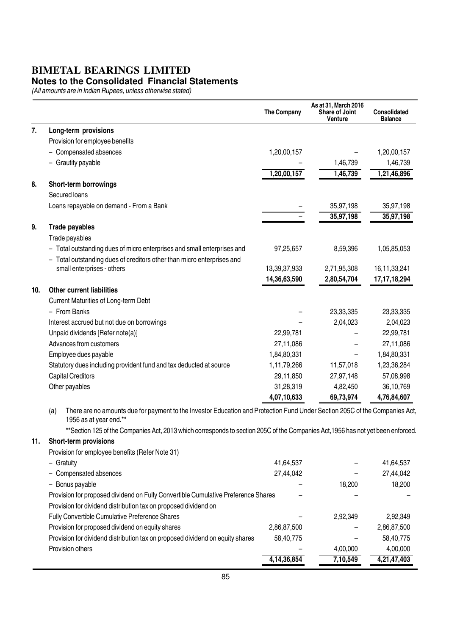#### **Notes to the Consolidated Financial Statements**

|     |                                                                                                                                                              | <b>The Company</b> | As at 31, March 2016<br><b>Share of Joint</b><br>Venture | <b>Consolidated</b><br><b>Balance</b> |
|-----|--------------------------------------------------------------------------------------------------------------------------------------------------------------|--------------------|----------------------------------------------------------|---------------------------------------|
| 7.  | Long-term provisions                                                                                                                                         |                    |                                                          |                                       |
|     | Provision for employee benefits                                                                                                                              |                    |                                                          |                                       |
|     | - Compensated absences                                                                                                                                       | 1,20,00,157        |                                                          | 1,20,00,157                           |
|     | - Grautity payable                                                                                                                                           |                    | 1,46,739                                                 | 1,46,739                              |
|     |                                                                                                                                                              | 1,20,00,157        | 1,46,739                                                 | 1,21,46,896                           |
| 8.  | Short-term borrowings                                                                                                                                        |                    |                                                          |                                       |
|     | Secured loans                                                                                                                                                |                    |                                                          |                                       |
|     | Loans repayable on demand - From a Bank                                                                                                                      |                    | 35,97,198                                                | 35,97,198                             |
|     |                                                                                                                                                              |                    | 35,97,198                                                | 35,97,198                             |
| 9.  | <b>Trade payables</b>                                                                                                                                        |                    |                                                          |                                       |
|     | Trade payables                                                                                                                                               |                    |                                                          |                                       |
|     | - Total outstanding dues of micro enterprises and small enterprises and                                                                                      | 97,25,657          | 8,59,396                                                 | 1,05,85,053                           |
|     | - Total outstanding dues of creditors other than micro enterprises and                                                                                       |                    |                                                          |                                       |
|     | small enterprises - others                                                                                                                                   | 13,39,37,933       | 2,71,95,308                                              | 16, 11, 33, 241                       |
|     |                                                                                                                                                              | 14,36,63,590       | 2,80,54,704                                              | 17, 17, 18, 294                       |
| 10. | <b>Other current liabilities</b>                                                                                                                             |                    |                                                          |                                       |
|     | Current Maturities of Long-term Debt                                                                                                                         |                    |                                                          |                                       |
|     | - From Banks                                                                                                                                                 |                    | 23,33,335                                                | 23,33,335                             |
|     | Interest accrued but not due on borrowings                                                                                                                   |                    | 2,04,023                                                 | 2,04,023                              |
|     | Unpaid dividends [Refer note(a)]                                                                                                                             | 22,99,781          |                                                          | 22,99,781                             |
|     | Advances from customers                                                                                                                                      | 27,11,086          |                                                          | 27,11,086                             |
|     | Employee dues payable                                                                                                                                        | 1,84,80,331        |                                                          | 1,84,80,331                           |
|     | Statutory dues including provident fund and tax deducted at source                                                                                           | 1,11,79,266        | 11,57,018                                                | 1,23,36,284                           |
|     | <b>Capital Creditors</b>                                                                                                                                     | 29,11,850          | 27,97,148                                                | 57,08,998                             |
|     | Other payables                                                                                                                                               | 31,28,319          | 4,82,450                                                 | 36,10,769                             |
|     |                                                                                                                                                              | 4,07,10,633        | 69,73,974                                                | 4,76,84,607                           |
|     | There are no amounts due for payment to the Investor Education and Protection Fund Under Section 205C of the Companies Act,<br>(a)<br>1956 as at year end.** |                    |                                                          |                                       |
|     | **Section 125 of the Companies Act, 2013 which corresponds to section 205C of the Companies Act, 1956 has not yet been enforced.                             |                    |                                                          |                                       |
| 11. | Short-term provisions                                                                                                                                        |                    |                                                          |                                       |
|     | Provision for employee benefits (Refer Note 31)                                                                                                              |                    |                                                          |                                       |
|     | - Gratuity                                                                                                                                                   | 41,64,537          |                                                          | 41,64,537                             |
|     | - Compensated absences                                                                                                                                       | 27,44,042          |                                                          | 27,44,042                             |
|     | - Bonus payable                                                                                                                                              |                    | 18,200                                                   | 18,200                                |
|     | Provision for proposed dividend on Fully Convertible Cumulative Preference Shares                                                                            |                    |                                                          |                                       |
|     | Provision for dividend distribution tax on proposed dividend on                                                                                              |                    |                                                          |                                       |
|     | Fully Convertible Cumulative Preference Shares                                                                                                               |                    | 2,92,349                                                 | 2,92,349                              |
|     | Provision for proposed dividend on equity shares                                                                                                             | 2,86,87,500        |                                                          | 2,86,87,500                           |
|     | Provision for dividend distribution tax on proposed dividend on equity shares                                                                                | 58,40,775          |                                                          | 58,40,775                             |
|     | Provision others                                                                                                                                             |                    | 4,00,000                                                 | 4,00,000                              |
|     |                                                                                                                                                              | 4, 14, 36, 854     | 7,10,549                                                 | 4,21,47,403                           |
|     |                                                                                                                                                              |                    |                                                          |                                       |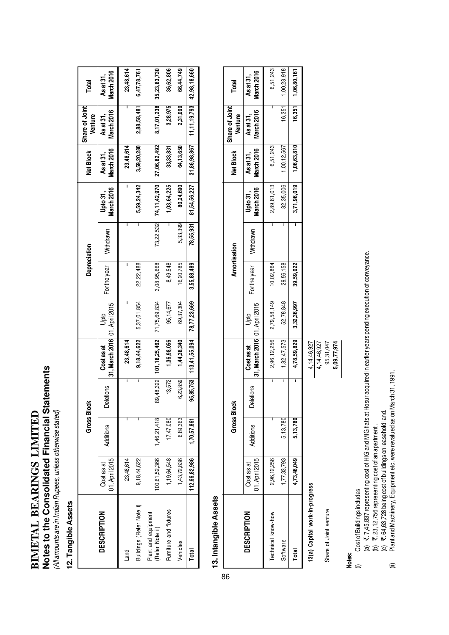# Notes to the Consolidated Financial Statements **Notes to the Consolidated Financial Statements BIMETAL BEARINGS LIMITED BIMETAL BEARINGS LIMITED**

(All amounts are in Indian Rupees, unless otherwise stated) (All amounts are in Indian Rupees, unless otherwise stated)

# 12. Tangible Assets **12. Tangible Assets**

|                                        |                              | Gross Bloc  |           |                                             |              | <b>Depreciation</b> |           |                        | <b>Net Block</b>        | Share of Joint<br>Venture | Total                           |
|----------------------------------------|------------------------------|-------------|-----------|---------------------------------------------|--------------|---------------------|-----------|------------------------|-------------------------|---------------------------|---------------------------------|
| DESCRIPTION                            | 01, April 2015<br>Cost as at | Additions   | Deletions | 31, March 2016 01, April 2015<br>Cost as at | gig          | For the year        | Withdrawn | March 2016<br>Upto 31, | March 2016<br>As at 31, | March 2016<br>Asat 31,    | March 2016<br>As at 31,         |
| Land                                   | 23,48,614                    |             |           | 23,48,614                                   |              |                     |           |                        | 23,48,614               |                           | 23,48,614                       |
| Buildings (Refer Note i)               | 9,18,44,622                  |             | ı         | 9, 18, 44, 622                              | 5,37,01,854  | 22,22,488           | ı         | 5,59,24,342            | 3,59,20,280             | 2,88,58,481               | 6,47,78,761                     |
| Plant and equipment<br>(Refer Note ii) | 100,61,52,366                | 1,46,21,418 |           | 89,48,322 101,18,25,462                     | 71,75,69,834 | 3,08,95,668         | 73,22,532 | 74,11,42,970           | 27,06,82,492            |                           | 8,17,01,238 35,23,83,730        |
| Furniture and fixtures                 | 1,19,64,548                  | 17,47,080   | 13,572    | 1,36,98,056                                 | 95,14,677    | 8,49,548            |           | 1,03,64,225            | 33,33,831               | 3,28,975                  | 36,62,806                       |
| Vehicles                               | 1,43,72,836                  | 6,89,363    | 6.23,859  | 1,44,38,340                                 | 69,37,304    | 16,20,785           | 5,33,399  | 80,24,690              | 64,13,650               | 2,31,099                  | 66,44,749                       |
| Total                                  | 112,66,82,986                | 1,70,57,861 |           | 95,85,753 113,41,55,094                     | 78,77,23,669 | 3,55,88,489         | 78,55,931 | 81,54,56,227           | 31,86,98,867            |                           | 11, 11, 19, 793 42, 98, 18, 660 |

# 13. Intangible Assets **13. Intangible Assets**

|                                |                              | <b>Gross Block</b> |           |                                             |                         |              | Amortisation |                        | <b>Net Block</b>       | Share of Joint<br>Venture | <b>Total</b>            |
|--------------------------------|------------------------------|--------------------|-----------|---------------------------------------------|-------------------------|--------------|--------------|------------------------|------------------------|---------------------------|-------------------------|
| <b>DESCRIPTION</b>             | 01, April 2015<br>Cost as at | Additions          | Deletions | 31, March 2016 01, April 2015<br>Cost as at | Jpto                    | For the year | Withdrawn    | Upto 31,<br>March 2016 | March 2016<br>Asat 31, | March 2016<br>Asat 31,    | March 2016<br>As at 31, |
| Technical know-how             | 2,96,12,256                  |                    | ī         |                                             | 2,96,12,256 2,79,58,149 | 10,02,864    | I            | 2,89,61,013            | 6,51,243               |                           | 6,51,243                |
| Software                       | 1,77,33,793                  | 5,13,780           |           | 1,82,47,573                                 | 52,78,848               | 29,56,158    |              | 82,35,006              | 1,00,12,567            | 16,351                    | 1,00,28,918             |
| Total                          | 4,73,46,049                  | 5,13,780           |           | 4,78,59,829                                 | 3,32,36,997             | 39,59,022    | ı            | 3,71,96,019            | 1,06,63,810            |                           | $16,351$ $1,06,80,161$  |
| 13(a) Capital work-in-progress |                              |                    |           | 4, 14, 46, 927<br>4,14,46,927               |                         |              |              |                        |                        |                           |                         |
| Share of Joint venture         |                              |                    |           | 95,31,047                                   |                         |              |              |                        |                        |                           |                         |

Share of Joint venture  $\frac{95,31,047}{}$ 

5,09,77,974

5,09,77,974

Notes:<br>(i) Cost of Buildings includes (i) Cost of Buildings includes  $\oplus$ 

(a) ₹. 7,45,837 representing cost of HIG and MIG flats at Hosur acquired in earlier years pending execution of conveyance.<br>(b) ₹. 23,12,756 representing cost of an apartment.<br>(c) ₹. 64,63,728 being cost of buildings o (a) `. 7,45,837 representing cost of HIG and MIG flats at Hosur acquired in earlier years pending execution of conveyance.

- (b)  $\bar{\tau}$ . 23,12,756 representing cost of an apartment .
- (c) `. 64,63,728 being cost of buildings on leasehold land.
- (ii) Plant and Machinery, Equipment etc. were revalued as on March 31, 1991.  $\widehat{\equiv}$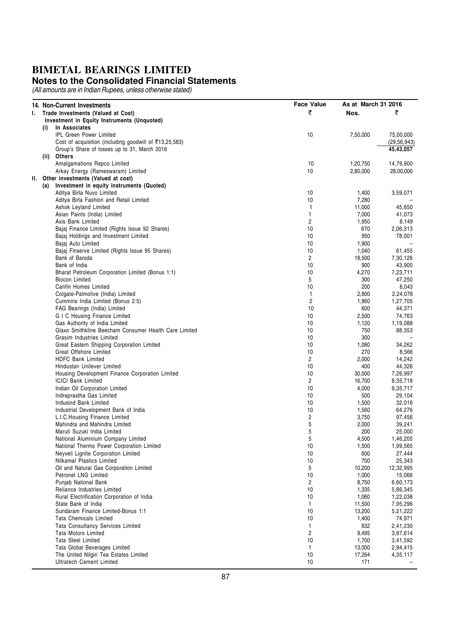#### **Notes to the Consolidated Financial Statements**

|    | 14. Non-Current Investments                                        | <b>Face Value</b>    | As at March 31 2016 |                    |
|----|--------------------------------------------------------------------|----------------------|---------------------|--------------------|
| ı. | Trade Investments (Valued at Cost)                                 | ₹                    | Nos.                | ₹                  |
|    | Investment in Equity Instruments (Unquoted)                        |                      |                     |                    |
|    | In Associates<br>(i)                                               |                      |                     |                    |
|    | <b>IPL Green Power Limited</b>                                     | 10                   | 7,50,000            | 75,00,000          |
|    | Cost of acquisition (including goodwill of ₹13,25,583)             |                      |                     | (29, 56, 943)      |
|    | Group's Share of losses up to 31, March 2016                       |                      |                     | 45,43,057          |
|    | Others<br>(ii)                                                     |                      |                     |                    |
|    | Amalgamations Repco Limited                                        | 10                   | 1,20,750            | 14,79,900          |
|    | Arkay Energy (Rameswaram) Limited                                  | 10                   | 2,80,000            | 28,00,000          |
|    | II. Other investments (Valued at cost)                             |                      |                     |                    |
|    | Investment in equity instruments (Quoted)<br>(a)                   |                      |                     |                    |
|    | Aditya Birla Nuvo Limited                                          | 10                   | 1,400               | 3,59,071           |
|    | Aditya Birla Fashion and Retail Limited<br>Ashok Leyland Limited   | 10<br>$\mathbf{1}$   | 7,280<br>11,000     | 45,650             |
|    | Asian Paints (India) Limited                                       | $\mathbf{1}$         | 7,000               | 41,073             |
|    | Axis Bank Limited                                                  | $\overline{c}$       | 1,950               | 8,149              |
|    | Bajaj Finance Limited (Rights Issue 92 Shares)                     | 10                   | 670                 | 2,06,313           |
|    | Bajaj Holdings and Investment Limited                              | 10                   | 950                 | 78,001             |
|    | Bajaj Auto Limited                                                 | 10                   | 1,900               |                    |
|    | Bajaj Finserve Limited (Rights Issue 95 Shares)                    | 10                   | 1,040               | 61,455             |
|    | Bank of Baroda                                                     | $\overline{c}$       | 18,500              | 7,30,126           |
|    | Bank of India                                                      | 10                   | 900                 | 43,900             |
|    | Bharat Petroleum Corporation Limited (Bonus 1:1)                   | 10                   | 4,270               | 7,23,711           |
|    | <b>Biocon Limited</b>                                              | 5                    | 300                 | 47,250             |
|    | Canfin Homes Limited                                               | 10                   | 200                 | 8,043              |
|    | Colgate-Palmolive (India) Limited                                  | 1                    | 2,800               | 2,24,078           |
|    | Cummins India Limited (Bonus 2:5)                                  | $\overline{c}$<br>10 | 1,960<br>600        | 1,27,705           |
|    | FAG Bearings (India) Limited<br>G I C Housing Finance Limited      | 10                   | 2,500               | 44,371<br>74,763   |
|    | Gas Authority of India Limited                                     | 10                   | 1,120               | 1,19,088           |
|    | Glaxo Smithkline Beecham Consumer Health Care Limited              | 10                   | 750                 | 88,353             |
|    | Grasim Industries Limited                                          | 10                   | 300                 |                    |
|    | Great Eastern Shipping Corporation Limited                         | 10                   | 1,080               | 34,262             |
|    | Great Offshore Limited                                             | 10                   | 270                 | 8,566              |
|    | <b>HDFC Bank Limited</b>                                           | $\overline{c}$       | 2,000               | 14,242             |
|    | Hindustan Unilever Limited                                         | 10                   | 400                 | 44,326             |
|    | Housing Development Finance Corporation Limited                    | 10                   | 30,000              | 7,26,997           |
|    | <b>ICICI Bank Limited</b><br>Indian Oil Corporation Limited        | $\overline{c}$<br>10 | 16,700              | 8,35,718           |
|    | Indraprastha Gas Limited                                           | 10                   | 4,000<br>500        | 9,35,717<br>29,104 |
|    | Indusind Bank Limited                                              | 10                   | 1,500               | 32,016             |
|    | Industrial Development Bank of India                               | 10                   | 1,560               | 64,276             |
|    | L.I.C. Housing Finance Limited                                     | $\overline{c}$       | 3,750               | 97,456             |
|    | Mahindra and Mahindra Limited                                      | 5                    | 2,000               | 39,241             |
|    | Maruti Suzuki India Limited                                        | 5                    | 200                 | 25,000             |
|    | National Aluminium Company Limited                                 | 5                    | 4,500               | 1,46,205           |
|    | National Thermo Power Corporation Limited                          | 10                   | 1,500               | 1,99,565           |
|    | Neyveli Lignite Corporation Limited                                | 10                   | 600                 | 27,444             |
|    | Nilkamal Plastics Limited                                          | 10                   | 700                 | 25,343             |
|    | Oil and Natural Gas Corporation Limited                            | 5                    | 10,200              | 12,32,995          |
|    | Petronet LNG Limited<br>Punjab National Bank                       | 10<br>2              | 1,000<br>8,750      | 15,066<br>6,60,173 |
|    | Reliance Industries Limited                                        | 10                   | 1,335               | 5,86,345           |
|    | Rural Electrification Corporation of India                         | 10                   | 1,060               | 1,22,038           |
|    | State Bank of India                                                | $\mathbf{1}$         | 11,500              | 7,95,296           |
|    | Sundaram Finance Limited-Bonus 1:1                                 | 10                   | 13,200              | 5,21,222           |
|    | <b>Tata Chemicals Limited</b>                                      | 10                   | 1,400               | 74,971             |
|    | Tata Consultancy Services Limited                                  | $\mathbf{1}$         | 832                 | 2,41,230           |
|    | <b>Tata Motors Limited</b>                                         | $\overline{c}$       | 9,495               | 3,87,614           |
|    | <b>Tata Steel Limited</b>                                          | 10                   | 1,700               | 3,41,592           |
|    | Tata Global Beverages Limited                                      | $\mathbf{1}$         | 13,000              | 2,94,415           |
|    | The United Nilgiri Tea Estates Limited<br>Ultratech Cement Limited | 10<br>10             | 17,264<br>171       | 4,35,117           |
|    |                                                                    |                      |                     |                    |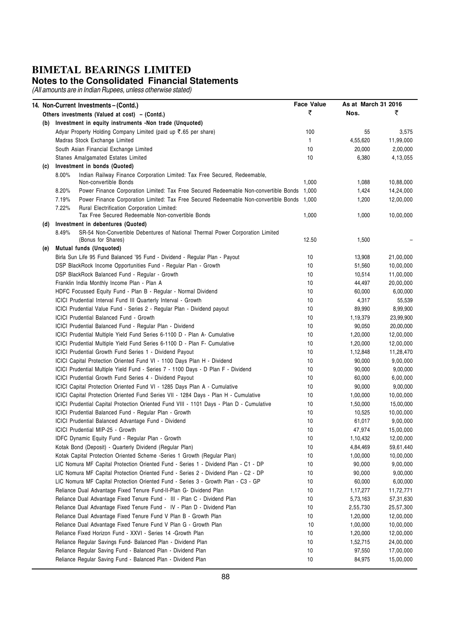#### **Notes to the Consolidated Financial Statements**

|     |       | 14. Non-Current Investments – (Contd.)                                                                                                                                          | <b>Face Value</b> | As at March 31 2016 |                        |
|-----|-------|---------------------------------------------------------------------------------------------------------------------------------------------------------------------------------|-------------------|---------------------|------------------------|
|     |       | Others investments (Valued at cost) – (Contd.)                                                                                                                                  | ₹                 | Nos.                | ₹                      |
|     |       | (b) Investment in equity instruments -Non trade (Unquoted)                                                                                                                      |                   |                     |                        |
|     |       | Adyar Property Holding Company Limited (paid up ₹.65 per share)                                                                                                                 | 100               | 55                  | 3,575                  |
|     |       | Madras Stock Exchange Limited                                                                                                                                                   | $\mathbf{1}$      | 4,55,620            | 11,99,000              |
|     |       | South Asian Financial Exchange Limited                                                                                                                                          | 10                | 20,000              | 2,00,000               |
|     |       | Stanes Amalgamated Estates Limited                                                                                                                                              | 10                | 6,380               | 4,13,055               |
| (c) |       | Investment in bonds (Quoted)                                                                                                                                                    |                   |                     |                        |
|     | 8.00% | Indian Railway Finance Corporation Limited: Tax Free Secured, Redeemable,                                                                                                       |                   |                     |                        |
|     |       | Non-convertible Bonds                                                                                                                                                           | 1,000             | 1,088               | 10,88,000              |
|     | 8.20% | Power Finance Corporation Limited: Tax Free Secured Redeemable Non-convertible Bonds 1,000                                                                                      |                   | 1,424               | 14,24,000              |
|     | 7.19% | Power Finance Corporation Limited: Tax Free Secured Redeemable Non-convertible Bonds 1,000                                                                                      |                   | 1,200               | 12,00,000              |
|     | 7.22% | Rural Electrification Corporation Limited:                                                                                                                                      |                   |                     |                        |
|     |       | Tax Free Secured Redeemable Non-convertible Bonds                                                                                                                               | 1,000             | 1,000               | 10,00,000              |
| (d) |       | Investment in debentures (Quoted)                                                                                                                                               |                   |                     |                        |
|     | 8.49% | SR-54 Non-Convertible Debentures of National Thermal Power Corporation Limited                                                                                                  |                   |                     |                        |
|     |       | (Bonus for Shares)                                                                                                                                                              | 12.50             | 1,500               |                        |
| (e) |       | Mutual funds (Unquoted)                                                                                                                                                         |                   |                     |                        |
|     |       | Birla Sun Life 95 Fund Balanced '95 Fund - Dividend - Regular Plan - Payout                                                                                                     | 10                | 13,908              | 21,00,000              |
|     |       | DSP BlackRock Income Opportunities Fund - Regular Plan - Growth                                                                                                                 | 10                | 51,560              | 10,00,000              |
|     |       | DSP BlackRock Balanced Fund - Regular - Growth                                                                                                                                  | 10                | 10,514              | 11,00,000              |
|     |       | Franklin India Monthly Income Plan - Plan A                                                                                                                                     | 10                | 44,497              | 20,00,000              |
|     |       | HDFC Focussed Equity Fund - Plan B - Regular - Normal Dividend                                                                                                                  | 10                | 60,000              | 6,00,000               |
|     |       | ICICI Prudential Interval Fund III Quarterly Interval - Growth                                                                                                                  | 10                | 4,317               | 55,539                 |
|     |       | ICICI Prudential Value Fund - Series 2 - Regular Plan - Dividend payout                                                                                                         | 10                | 89,990              | 8,99,900               |
|     |       | ICICI Prudential Balanced Fund - Growth                                                                                                                                         | 10                | 1,19,379            | 23,99,900              |
|     |       | ICICI Prudential Balanced Fund - Regular Plan - Dividend                                                                                                                        | 10                | 90,050              | 20,00,000              |
|     |       | ICICI Prudential Multiple Yield Fund Series 6-1100 D - Plan A- Cumulative                                                                                                       | 10                | 1,20,000            | 12,00,000              |
|     |       | ICICI Prudential Multiple Yield Fund Series 6-1100 D - Plan F- Cumulative                                                                                                       | 10                | 1,20,000            | 12,00,000              |
|     |       | ICICI Prudential Growth Fund Series 1 - Dividend Payout                                                                                                                         | 10                | 1,12,848            | 11,28,470              |
|     |       | ICICI Capital Protection Oriented Fund VI - 1100 Days Plan H - Dividend                                                                                                         | 10                | 90,000              | 9,00,000               |
|     |       | ICICI Prudential Multiple Yield Fund - Series 7 - 1100 Days - D Plan F - Dividend                                                                                               | 10                | 90,000              | 9,00,000               |
|     |       | ICICI Prudential Growth Fund Series 4 - Dividend Payout                                                                                                                         | 10                | 60,000              | 6,00,000               |
|     |       | ICICI Capital Protection Oriented Fund VI - 1285 Days Plan A - Cumulative                                                                                                       | 10                | 90,000              | 9,00,000               |
|     |       | ICICI Capital Protection Oriented Fund Series VII - 1284 Days - Plan H - Cumulative<br>ICICI Prudential Capital Protection Oriented Fund VIII - 1101 Days - Plan D - Cumulative | 10<br>10          | 1,00,000            | 10,00,000              |
|     |       |                                                                                                                                                                                 | 10                | 1,50,000            | 15,00,000              |
|     |       | ICICI Prudential Balanced Fund - Regular Plan - Growth<br>ICICI Prudential Balanced Advantage Fund - Dividend                                                                   | 10                | 10,525              | 10,00,000              |
|     |       | ICICI Prudential MIP-25 - Growth                                                                                                                                                | 10                | 61,017              | 9,00,000               |
|     |       | <b>IDFC Dynamic Equity Fund - Regular Plan - Growth</b>                                                                                                                         |                   | 47,974<br>1,10,432  | 15,00,000<br>12,00,000 |
|     |       | Kotak Bond (Deposit) - Quarterly Dividend (Regular Plan)                                                                                                                        | 10<br>10          | 4,84,469            | 59,61,440              |
|     |       | Kotak Capital Protection Oriented Scheme - Series 1 Growth (Regular Plan)                                                                                                       | 10                |                     |                        |
|     |       | LIC Nomura MF Capital Protection Oriented Fund - Series 1 - Dividend Plan - C1 - DP                                                                                             | 10                | 1,00,000            | 10,00,000<br>9,00,000  |
|     |       | LIC Nomura MF Capital Protection Oriented Fund - Series 2 - Dividend Plan - C2 - DP                                                                                             | 10                | 90,000<br>90,000    | 9,00,000               |
|     |       | LIC Nomura MF Capital Protection Oriented Fund - Series 3 - Growth Plan - C3 - GP                                                                                               | 10                | 60,000              | 6,00,000               |
|     |       | Reliance Dual Advantage Fixed Tenure Fund-II-Plan G- Dividend Plan                                                                                                              | 10                | 1,17,277            | 11,72,771              |
|     |       | Reliance Dual Advantage Fixed Tenure Fund - III - Plan C - Dividend Plan                                                                                                        | 10                | 5,73,163            | 57,31,630              |
|     |       | Reliance Dual Advantage Fixed Tenure Fund - IV - Plan D - Dividend Plan                                                                                                         | 10                | 2,55,730            | 25,57,300              |
|     |       | Reliance Dual Advantage Fixed Tenure Fund V Plan B - Growth Plan                                                                                                                | 10                | 1,20,000            | 12,00,000              |
|     |       | Reliance Dual Advantage Fixed Tenure Fund V Plan G - Growth Plan                                                                                                                | 10                | 1,00,000            | 10,00,000              |
|     |       | Reliance Fixed Horizon Fund - XXVI - Series 14 - Growth Plan                                                                                                                    | 10                | 1,20,000            | 12,00,000              |
|     |       | Reliance Regular Savings Fund- Balanced Plan - Dividend Plan                                                                                                                    | 10                | 1,52,715            | 24,00,000              |
|     |       | Reliance Regular Saving Fund - Balanced Plan - Dividend Plan                                                                                                                    | 10                | 97,550              | 17,00,000              |
|     |       | Reliance Regular Saving Fund - Balanced Plan - Dividend Plan                                                                                                                    | 10                | 84,975              | 15,00,000              |
|     |       |                                                                                                                                                                                 |                   |                     |                        |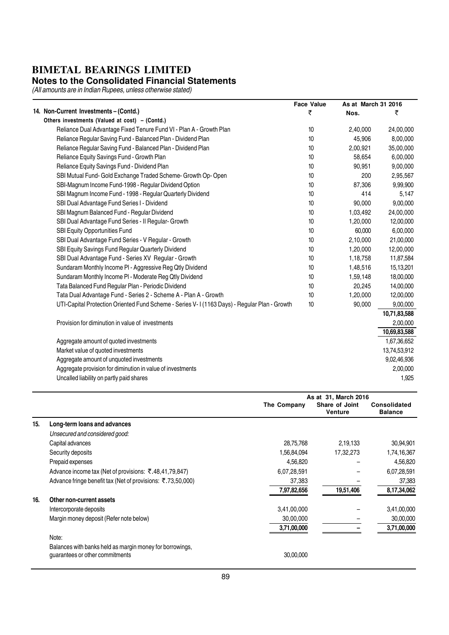#### **Notes to the Consolidated Financial Statements**

|                                                                                              | <b>Face Value</b> | As at March 31 2016 |              |
|----------------------------------------------------------------------------------------------|-------------------|---------------------|--------------|
| 14. Non-Current Investments - (Contd.)                                                       | ₹                 | Nos.                | ₹            |
| Others investments (Valued at cost) - (Contd.)                                               |                   |                     |              |
| Reliance Dual Advantage Fixed Tenure Fund VI - Plan A - Growth Plan                          | 10                | 2,40,000            | 24,00,000    |
| Reliance Regular Saving Fund - Balanced Plan - Dividend Plan                                 | 10                | 45,906              | 8,00,000     |
| Reliance Regular Saving Fund - Balanced Plan - Dividend Plan                                 | 10                | 2,00,921            | 35,00,000    |
| Reliance Equity Savings Fund - Growth Plan                                                   | 10                | 58,654              | 6,00,000     |
| Reliance Equity Savings Fund - Dividend Plan                                                 | 10                | 90,951              | 9,00,000     |
| SBI Mutual Fund- Gold Exchange Traded Scheme- Growth Op- Open                                | 10                | 200                 | 2,95,567     |
| SBI-Magnum Income Fund-1998 - Regular Dividend Option                                        | 10                | 87,306              | 9,99,900     |
| SBI Magnum Income Fund - 1998 - Regular Quarterly Dividend                                   | 10                | 414                 | 5,147        |
| SBI Dual Advantage Fund Series I - Dividend                                                  | 10                | 90,000              | 9,00,000     |
| SBI Magnum Balanced Fund - Regular Dividend                                                  | 10                | 1,03,492            | 24,00,000    |
| SBI Dual Advantage Fund Series - Il Regular- Growth                                          | 10                | 1,20,000            | 12,00,000    |
| SBI Equity Opportunities Fund                                                                | 10                | 60,000              | 6,00,000     |
| SBI Dual Advantage Fund Series - V Regular - Growth                                          | 10                | 2,10,000            | 21,00,000    |
| SBI Equity Savings Fund Regular Quarterly Dividend                                           | 10                | 1,20,000            | 12,00,000    |
| SBI Dual Advantage Fund - Series XV Regular - Growth                                         | 10                | 1,18,758            | 11,87,584    |
| Sundaram Monthly Income PI - Aggressive Reg Qtly Dividend                                    | 10                | 1,48,516            | 15,13,201    |
| Sundaram Monthly Income PI - Moderate Reg Qtly Dividend                                      | 10                | 1,59,148            | 18,00,000    |
| Tata Balanced Fund Regular Plan - Periodic Dividend                                          | 10                | 20,245              | 14,00,000    |
| Tata Dual Advantage Fund - Series 2 - Scheme A - Plan A - Growth                             | 10                | 1,20,000            | 12,00,000    |
| UTI-Capital Protection Oriented Fund Scheme - Series V-1 (1163 Days) - Regular Plan - Growth | 10                | 90,000              | 9,00,000     |
|                                                                                              |                   |                     | 10,71,83,588 |
| Provision for diminution in value of investments                                             |                   |                     | 2,00,000     |
|                                                                                              |                   |                     | 10,69,83,588 |
| Aggregate amount of quoted investments                                                       |                   |                     | 1,67,36,652  |
| Market value of quoted investments                                                           |                   |                     | 13,74,53,912 |
| Aggregate amount of unquoted investments                                                     |                   |                     | 9,02,46,936  |
| Aggregate provision for diminution in value of investments                                   |                   |                     | 2,00,000     |
| Uncalled liability on partly paid shares                                                     |                   |                     | 1,925        |
|                                                                                              |                   |                     |              |

|     |                                                             |             | As at 31, March 2016             |                                       |
|-----|-------------------------------------------------------------|-------------|----------------------------------|---------------------------------------|
|     |                                                             | The Company | Share of Joint<br><b>Venture</b> | <b>Consolidated</b><br><b>Balance</b> |
| 15. | Long-term loans and advances                                |             |                                  |                                       |
|     | Unsecured and considered good:                              |             |                                  |                                       |
|     | Capital advances                                            | 28,75,768   | 2,19,133                         | 30,94,901                             |
|     | Security deposits                                           | 1,56,84,094 | 17,32,273                        | 1,74,16,367                           |
|     | Prepaid expenses                                            | 4,56,820    |                                  | 4,56,820                              |
|     | Advance income tax (Net of provisions: ₹.48,41,79,847)      | 6,07,28,591 |                                  | 6,07,28,591                           |
|     | Advance fringe benefit tax (Net of provisions: ₹.73,50,000) | 37,383      |                                  | 37,383                                |
|     |                                                             | 7,97,82,656 | 19,51,406                        | 8,17,34,062                           |
| 16. | Other non-current assets                                    |             |                                  |                                       |
|     | Intercorporate deposits                                     | 3,41,00,000 |                                  | 3,41,00,000                           |
|     | Margin money deposit (Refer note below)                     | 30,00,000   |                                  | 30,00,000                             |
|     |                                                             | 3,71,00,000 |                                  | 3,71,00,000                           |
|     | Note:                                                       |             |                                  |                                       |
|     | Balances with banks held as margin money for borrowings,    |             |                                  |                                       |
|     | guarantees or other commitments                             | 30,00,000   |                                  |                                       |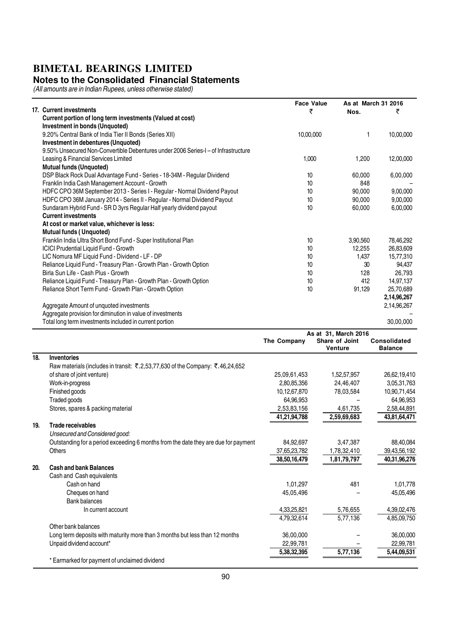#### **Notes to the Consolidated Financial Statements**

|                                                                                  | <b>Face Value</b> | As at March 31 2016 |             |
|----------------------------------------------------------------------------------|-------------------|---------------------|-------------|
| 17. Current investments                                                          | ₹                 | Nos.                | ₹           |
| Current portion of long term investments (Valued at cost)                        |                   |                     |             |
| Investment in bonds (Unquoted)                                                   |                   |                     |             |
| 9.20% Central Bank of India Tier II Bonds (Series XII)                           | 10,00,000         | 1                   | 10,00,000   |
| Investment in debentures (Unquoted)                                              |                   |                     |             |
| 9.50% Unsecured Non-Convertible Debentures under 2006 Series-I-of Infrastructure |                   |                     |             |
| Leasing & Financial Services Limited                                             | 1.000             | 1,200               | 12,00,000   |
| <b>Mutual funds (Unquoted)</b>                                                   |                   |                     |             |
| DSP Black Rock Dual Advantage Fund - Series - 18-34M - Regular Dividend          | 10                | 60,000              | 6,00,000    |
| Franklin India Cash Management Account - Growth                                  | 10                | 848                 |             |
| HDFC CPO 36M September 2013 - Series I - Regular - Normal Dividend Payout        | 10                | 90,000              | 9,00,000    |
| HDFC CPO 36M January 2014 - Series II - Regular - Normal Dividend Payout         | 10                | 90,000              | 9,00,000    |
| Sundaram Hybrid Fund - SR D 3yrs Regular Half yearly dividend payout             | 10                | 60,000              | 6,00,000    |
| <b>Current investments</b>                                                       |                   |                     |             |
| At cost or market value, whichever is less:                                      |                   |                     |             |
| <b>Mutual funds (Unquoted)</b>                                                   |                   |                     |             |
| Franklin India Ultra Short Bond Fund - Super Institutional Plan                  | 10                | 3,90,560            | 78,46,292   |
| ICICI Prudential Liquid Fund - Growth                                            | 10                | 12,255              | 26,83,609   |
| LIC Nomura MF Liquid Fund - Dividend - LF - DP                                   | 10                | 1.437               | 15,77,310   |
| Reliance Liquid Fund - Treasury Plan - Growth Plan - Growth Option               | 10                | 30                  | 94.437      |
| Birla Sun Life - Cash Plus - Growth                                              | 10                | 128                 | 26.793      |
| Reliance Liquid Fund - Treasury Plan - Growth Plan - Growth Option               | 10                | 412                 | 14,97,137   |
| Reliance Short Term Fund - Growth Plan - Growth Option                           | 10                | 91,129              | 25,70,689   |
|                                                                                  |                   |                     | 2,14,96,267 |
| Aggregate Amount of unquoted investments                                         |                   |                     | 2,14,96,267 |
| Aggregate provision for diminution in value of investments                       |                   |                     |             |
| Total long term investments included in current portion                          |                   |                     | 30,00,000   |

|     |                                                                                    |              | As at 31, March 2016             |                                       |
|-----|------------------------------------------------------------------------------------|--------------|----------------------------------|---------------------------------------|
|     |                                                                                    | The Company  | Share of Joint<br><b>Venture</b> | <b>Consolidated</b><br><b>Balance</b> |
| 18. | <b>Inventories</b>                                                                 |              |                                  |                                       |
|     | Raw materials (includes in transit: ₹.2,53,77,630 of the Company: ₹.46,24,652      |              |                                  |                                       |
|     | of share of joint venture)                                                         | 25,09,61,453 | 1,52,57,957                      | 26,62,19,410                          |
|     | Work-in-progress                                                                   | 2,80,85,356  | 24,46,407                        | 3,05,31,763                           |
|     | Finished goods                                                                     | 10,12,67,870 | 78,03,584                        | 10,90,71,454                          |
|     | Traded goods                                                                       | 64.96.953    |                                  | 64,96,953                             |
|     | Stores, spares & packing material                                                  | 2,53,83,156  | 4,61,735                         | 2,58,44,891                           |
|     |                                                                                    | 41,21,94,788 | 2,59,69,683                      | 43,81,64,471                          |
| 19. | Trade receivables                                                                  |              |                                  |                                       |
|     | Unsecured and Considered good:                                                     |              |                                  |                                       |
|     | Outstanding for a period exceeding 6 months from the date they are due for payment | 84,92,697    | 3,47,387                         | 88,40,084                             |
|     | <b>Others</b>                                                                      | 37,65,23,782 | 1,78,32,410                      | 39,43,56,192                          |
|     |                                                                                    | 38,50,16,479 | 1,81,79,797                      | 40,31,96,276                          |
| 20. | <b>Cash and bank Balances</b>                                                      |              |                                  |                                       |
|     | Cash and Cash equivalents                                                          |              |                                  |                                       |
|     | Cash on hand                                                                       | 1,01,297     | 481                              | 1,01,778                              |
|     | Cheques on hand                                                                    | 45,05,496    |                                  | 45,05,496                             |
|     | <b>Bank balances</b>                                                               |              |                                  |                                       |
|     | In current account                                                                 | 4,33,25,821  | 5,76,655                         | 4,39,02,476                           |
|     |                                                                                    | 4,79,32,614  | 5,77,136                         | 4,85,09,750                           |
|     | Other bank balances                                                                |              |                                  |                                       |
|     | Long term deposits with maturity more than 3 months but less than 12 months        | 36,00,000    |                                  | 36,00,000                             |
|     | Unpaid dividend account*                                                           | 22,99,781    |                                  | 22,99,781                             |
|     |                                                                                    | 5,38,32,395  | 5,77,136                         | 5,44,09,531                           |
|     | * Earmarked for payment of unclaimed dividend                                      |              |                                  |                                       |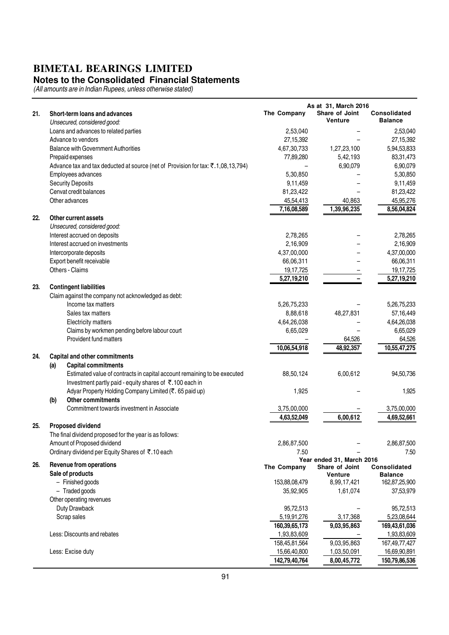#### **Notes to the Consolidated Financial Statements**

|     |                                                                                                                                     |                | As at 31, March 2016             |                                |
|-----|-------------------------------------------------------------------------------------------------------------------------------------|----------------|----------------------------------|--------------------------------|
| 21. | Short-term loans and advances<br>Unsecured, considered good:                                                                        | The Company    | Share of Joint<br><b>Venture</b> | Consolidated<br><b>Balance</b> |
|     | Loans and advances to related parties                                                                                               | 2,53,040       |                                  | 2,53,040                       |
|     | Advance to vendors                                                                                                                  | 27, 15, 392    |                                  | 27,15,392                      |
|     | <b>Balance with Government Authorities</b>                                                                                          | 4,67,30,733    | 1,27,23,100                      | 5,94,53,833                    |
|     | Prepaid expenses                                                                                                                    | 77,89,280      | 5,42,193                         | 83,31,473                      |
|     | Advance tax and tax deducted at source (net of Provision for tax: ₹.1,08,13,794)                                                    |                | 6,90,079                         | 6,90,079                       |
|     | Employees advances                                                                                                                  | 5,30,850       |                                  | 5,30,850                       |
|     | <b>Security Deposits</b>                                                                                                            | 9,11,459       |                                  | 9,11,459                       |
|     | Cenvat credit balances                                                                                                              | 81,23,422      |                                  | 81,23,422                      |
|     | Other advances                                                                                                                      | 45,54,413      | 40,863                           | 45,95,276                      |
|     |                                                                                                                                     | 7,16,08,589    | 1,39,96,235                      | 8,56,04,824                    |
| 22. | Other current assets                                                                                                                |                |                                  |                                |
|     | Unsecured, considered good:                                                                                                         |                |                                  |                                |
|     | Interest accrued on deposits                                                                                                        | 2,78,265       |                                  | 2,78,265                       |
|     | Interest accrued on investments                                                                                                     | 2,16,909       |                                  | 2,16,909                       |
|     | Intercorporate deposits                                                                                                             | 4,37,00,000    |                                  | 4,37,00,000                    |
|     | Export benefit receivable                                                                                                           | 66,06,311      |                                  | 66,06,311                      |
|     | Others - Claims                                                                                                                     | 19, 17, 725    |                                  | 19,17,725                      |
|     |                                                                                                                                     | 5,27,19,210    |                                  | 5,27,19,210                    |
| 23. | <b>Contingent liabilities</b>                                                                                                       |                |                                  |                                |
|     | Claim against the company not acknowledged as debt:                                                                                 |                |                                  |                                |
|     | Income tax matters                                                                                                                  | 5,26,75,233    |                                  | 5,26,75,233                    |
|     | Sales tax matters                                                                                                                   | 8,88,618       | 48,27,831                        | 57,16,449                      |
|     | <b>Electricity matters</b>                                                                                                          | 4,64,26,038    |                                  | 4,64,26,038                    |
|     | Claims by workmen pending before labour court                                                                                       | 6,65,029       |                                  | 6,65,029                       |
|     | Provident fund matters                                                                                                              |                | 64,526                           | 64,526                         |
|     |                                                                                                                                     | 10,06,54,918   | 48,92,357                        | 10,55,47,275                   |
| 24. | <b>Capital and other commitments</b>                                                                                                |                |                                  |                                |
|     | (a)<br><b>Capital commitments</b>                                                                                                   |                |                                  |                                |
|     | Estimated value of contracts in capital account remaining to be executed<br>Investment partly paid - equity shares of ₹.100 each in | 88,50,124      | 6,00,612                         | 94,50,736                      |
|     | Adyar Property Holding Company Limited (₹. 65 paid up)<br><b>Other commitments</b><br>(b)                                           | 1,925          |                                  | 1,925                          |
|     | Commitment towards investment in Associate                                                                                          | 3,75,00,000    |                                  | 3,75,00,000                    |
|     |                                                                                                                                     | 4,63,52,049    | 6,00,612                         | 4,69,52,661                    |
| 25. | Proposed dividend                                                                                                                   |                |                                  |                                |
|     | The final dividend proposed for the year is as follows:                                                                             |                |                                  |                                |
|     | Amount of Proposed dividend                                                                                                         | 2,86,87,500    |                                  | 2,86,87,500                    |
|     | Ordinary dividend per Equity Shares of ₹.10 each                                                                                    | 7.50           |                                  | 7.50                           |
|     |                                                                                                                                     |                | Year ended 31, March 2016        |                                |
| 26. | Revenue from operations                                                                                                             | The Company    | Share of Joint                   | <b>Consolidated</b>            |
|     | Sale of products                                                                                                                    |                | Venture                          | <b>Balance</b>                 |
|     | - Finished goods                                                                                                                    | 153,88,08,479  | 8,99,17,421                      | 162,87,25,900                  |
|     | - Traded goods                                                                                                                      | 35,92,905      | 1,61,074                         | 37,53,979                      |
|     | Other operating revenues                                                                                                            |                |                                  |                                |
|     | Duty Drawback                                                                                                                       | 95,72,513      |                                  | 95,72,513                      |
|     | Scrap sales                                                                                                                         | 5, 19, 91, 276 | 3,17,368                         | 5,23,08,644                    |
|     |                                                                                                                                     | 160,39,65,173  | 9,03,95,863                      | 169,43,61,036                  |
|     | Less: Discounts and rebates                                                                                                         | 1,93,83,609    |                                  | 1,93,83,609                    |
|     |                                                                                                                                     | 158,45,81,564  | 9,03,95,863                      | 167, 49, 77, 427               |
|     | Less: Excise duty                                                                                                                   | 15,66,40,800   | 1,03,50,091                      | 16,69,90,891                   |
|     |                                                                                                                                     | 142,79,40,764  | 8,00,45,772                      | 150,79,86,536                  |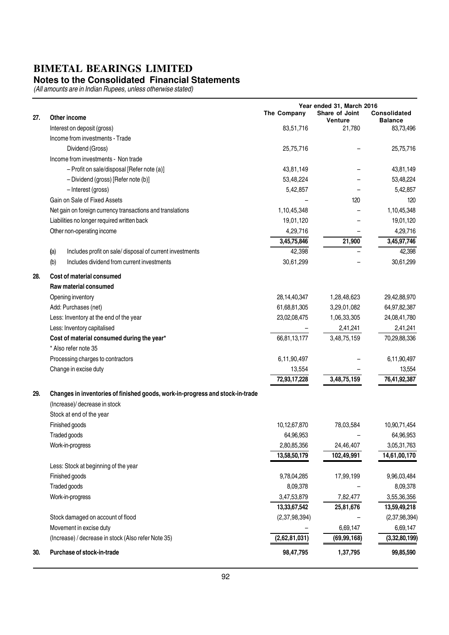#### **Notes to the Consolidated Financial Statements**

| 27. | Other income                                                                  | The Company   | Year ended 31, March 2016<br>Share of Joint<br>Venture | <b>Consolidated</b><br><b>Balance</b> |
|-----|-------------------------------------------------------------------------------|---------------|--------------------------------------------------------|---------------------------------------|
|     | Interest on deposit (gross)                                                   | 83,51,716     | 21,780                                                 | 83,73,496                             |
|     | Income from investments - Trade                                               |               |                                                        |                                       |
|     | Dividend (Gross)                                                              | 25,75,716     |                                                        | 25,75,716                             |
|     | Income from investments - Non trade                                           |               |                                                        |                                       |
|     | - Profit on sale/disposal [Refer note (a)]                                    | 43,81,149     |                                                        | 43,81,149                             |
|     | - Dividend (gross) [Refer note (b)]                                           | 53,48,224     |                                                        | 53,48,224                             |
|     | - Interest (gross)                                                            | 5,42,857      |                                                        | 5,42,857                              |
|     | Gain on Sale of Fixed Assets                                                  |               | 120                                                    | 120                                   |
|     | Net gain on foreign currency transactions and translations                    | 1,10,45,348   |                                                        | 1,10,45,348                           |
|     | Liabilities no longer required written back                                   | 19,01,120     |                                                        | 19,01,120                             |
|     | Other non-operating income                                                    | 4,29,716      |                                                        | 4,29,716                              |
|     |                                                                               | 3,45,75,846   | 21,900                                                 | 3,45,97,746                           |
|     | Includes profit on sale/ disposal of current investments<br>(a)               | 42,398        |                                                        | 42,398                                |
|     | (b)<br>Includes dividend from current investments                             | 30,61,299     |                                                        | 30,61,299                             |
| 28. | <b>Cost of material consumed</b>                                              |               |                                                        |                                       |
|     | Raw material consumed                                                         |               |                                                        |                                       |
|     | Opening inventory                                                             | 28,14,40,347  | 1,28,48,623                                            | 29,42,88,970                          |
|     | Add: Purchases (net)                                                          | 61,68,81,305  | 3,29,01,082                                            | 64,97,82,387                          |
|     | Less: Inventory at the end of the year                                        | 23,02,08,475  | 1,06,33,305                                            | 24,08,41,780                          |
|     | Less: Inventory capitalised                                                   |               | 2,41,241                                               | 2,41,241                              |
|     | Cost of material consumed during the year*                                    | 66,81,13,177  | 3,48,75,159                                            | 70,29,88,336                          |
|     | * Also refer note 35                                                          |               |                                                        |                                       |
|     | Processing charges to contractors                                             | 6,11,90,497   |                                                        | 6,11,90,497                           |
|     | Change in excise duty                                                         | 13,554        |                                                        | 13,554                                |
|     |                                                                               | 72,93,17,228  | 3,48,75,159                                            | 76,41,92,387                          |
| 29. | Changes in inventories of finished goods, work-in-progress and stock-in-trade |               |                                                        |                                       |
|     | (Increase)/ decrease in stock                                                 |               |                                                        |                                       |
|     | Stock at end of the year                                                      |               |                                                        |                                       |
|     | Finished goods                                                                | 10,12,67,870  | 78,03,584                                              | 10,90,71,454                          |
|     | Traded goods                                                                  | 64,96,953     |                                                        | 64,96,953                             |
|     | Work-in-progress                                                              | 2,80,85,356   | 24,46,407                                              | 3,05,31,763                           |
|     |                                                                               | 13,58,50,179  | 102,49,991                                             | 14,61,00,170                          |
|     | Less: Stock at beginning of the year                                          |               |                                                        |                                       |
|     | Finished goods                                                                | 9,78,04,285   | 17,99,199                                              | 9,96,03,484                           |
|     | Traded goods                                                                  | 8,09,378      |                                                        | 8,09,378                              |
|     | Work-in-progress                                                              | 3,47,53,879   | 7,82,477                                               | 3,55,36,356                           |
|     |                                                                               | 13,33,67,542  | 25,81,676                                              | 13,59,49,218                          |
|     | Stock damaged on account of flood                                             | (2,37,98,394) |                                                        | (2,37,98,394)                         |
|     | Movement in excise duty                                                       |               | 6,69,147                                               | 6,69,147                              |
|     | (Increase) / decrease in stock (Also refer Note 35)                           | (2,62,81,031) | (69, 99, 168)                                          | (3,32,80,199)                         |
| 30. | Purchase of stock-in-trade                                                    | 98,47,795     | 1,37,795                                               | 99,85,590                             |
|     |                                                                               |               |                                                        |                                       |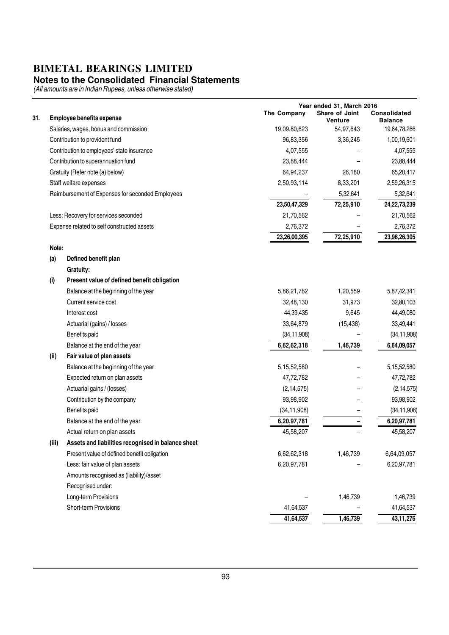#### **Notes to the Consolidated Financial Statements**

| 31. |       | <b>Employee benefits expense</b>                   | The Company    | Year ended 31, March 2016<br>Share of Joint<br><b>Venture</b> | Consolidated<br><b>Balance</b> |
|-----|-------|----------------------------------------------------|----------------|---------------------------------------------------------------|--------------------------------|
|     |       | Salaries, wages, bonus and commission              | 19,09,80,623   | 54,97,643                                                     | 19,64,78,266                   |
|     |       | Contribution to provident fund                     | 96,83,356      | 3,36,245                                                      | 1,00,19,601                    |
|     |       | Contribution to employees' state insurance         | 4,07,555       |                                                               | 4,07,555                       |
|     |       | Contribution to superannuation fund                | 23,88,444      |                                                               | 23,88,444                      |
|     |       | Gratuity (Refer note (a) below)                    | 64,94,237      | 26,180                                                        | 65,20,417                      |
|     |       | Staff welfare expenses                             | 2,50,93,114    | 8,33,201                                                      | 2,59,26,315                    |
|     |       | Reimbursement of Expenses for seconded Employees   |                | 5,32,641                                                      | 5,32,641                       |
|     |       |                                                    | 23,50,47,329   | 72,25,910                                                     | 24, 22, 73, 239                |
|     |       | Less: Recovery for services seconded               | 21,70,562      |                                                               | 21,70,562                      |
|     |       | Expense related to self constructed assets         | 2,76,372       |                                                               | 2,76,372                       |
|     |       |                                                    | 23,26,00,395   | 72,25,910                                                     | 23,98,26,305                   |
|     | Note: |                                                    |                |                                                               |                                |
|     | (a)   | Defined benefit plan                               |                |                                                               |                                |
|     |       | Gratuity:                                          |                |                                                               |                                |
|     | (i)   | Present value of defined benefit obligation        |                |                                                               |                                |
|     |       | Balance at the beginning of the year               | 5,86,21,782    | 1,20,559                                                      | 5,87,42,341                    |
|     |       | Current service cost                               | 32,48,130      | 31,973                                                        | 32,80,103                      |
|     |       | Interest cost                                      | 44,39,435      | 9,645                                                         | 44,49,080                      |
|     |       | Actuarial (gains) / losses                         | 33,64,879      | (15, 438)                                                     | 33,49,441                      |
|     |       | Benefits paid                                      | (34, 11, 908)  |                                                               | (34, 11, 908)                  |
|     |       | Balance at the end of the year                     | 6,62,62,318    | 1,46,739                                                      | 6,64,09,057                    |
|     | (ii)  | Fair value of plan assets                          |                |                                                               |                                |
|     |       | Balance at the beginning of the year               | 5, 15, 52, 580 |                                                               | 5,15,52,580                    |
|     |       | Expected return on plan assets                     | 47,72,782      |                                                               | 47,72,782                      |
|     |       | Actuarial gains / (losses)                         | (2, 14, 575)   |                                                               | (2, 14, 575)                   |
|     |       | Contribution by the company                        | 93,98,902      |                                                               | 93,98,902                      |
|     |       | Benefits paid                                      | (34, 11, 908)  |                                                               | (34, 11, 908)                  |
|     |       | Balance at the end of the year                     | 6,20,97,781    |                                                               | 6,20,97,781                    |
|     |       | Actual return on plan assets                       | 45,58,207      | —                                                             | 45,58,207                      |
|     | (iii) | Assets and liabilities recognised in balance sheet |                |                                                               |                                |
|     |       | Present value of defined benefit obligation        | 6,62,62,318    | 1,46,739                                                      | 6,64,09,057                    |
|     |       | Less: fair value of plan assets                    | 6,20,97,781    |                                                               | 6,20,97,781                    |
|     |       | Amounts recognised as (liability)/asset            |                |                                                               |                                |
|     |       | Recognised under:                                  |                |                                                               |                                |
|     |       | Long-term Provisions                               |                | 1,46,739                                                      | 1,46,739                       |
|     |       | Short-term Provisions                              | 41,64,537      |                                                               | 41,64,537                      |
|     |       |                                                    | 41,64,537      | 1,46,739                                                      | 43,11,276                      |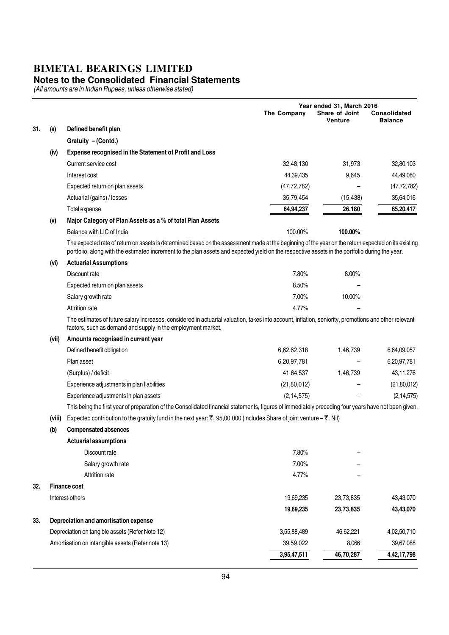#### **Notes to the Consolidated Financial Statements**

|     |        |                                                                                                                                                                                                                                                                                                        |               | Year ended 31, March 2016        |                                |  |
|-----|--------|--------------------------------------------------------------------------------------------------------------------------------------------------------------------------------------------------------------------------------------------------------------------------------------------------------|---------------|----------------------------------|--------------------------------|--|
|     |        |                                                                                                                                                                                                                                                                                                        | The Company   | Share of Joint<br><b>Venture</b> | Consolidated<br><b>Balance</b> |  |
| 31. | (a)    | Defined benefit plan                                                                                                                                                                                                                                                                                   |               |                                  |                                |  |
|     |        | Gratuity - (Contd.)                                                                                                                                                                                                                                                                                    |               |                                  |                                |  |
|     | (iv)   | Expense recognised in the Statement of Profit and Loss                                                                                                                                                                                                                                                 |               |                                  |                                |  |
|     |        | Current service cost                                                                                                                                                                                                                                                                                   | 32,48,130     | 31,973                           | 32,80,103                      |  |
|     |        | Interest cost                                                                                                                                                                                                                                                                                          | 44,39,435     | 9,645                            | 44,49,080                      |  |
|     |        | Expected return on plan assets                                                                                                                                                                                                                                                                         | (47, 72, 782) |                                  | (47, 72, 782)                  |  |
|     |        | Actuarial (gains) / losses                                                                                                                                                                                                                                                                             | 35,79,454     | (15, 438)                        | 35,64,016                      |  |
|     |        | Total expense                                                                                                                                                                                                                                                                                          | 64,94,237     | 26,180                           | 65,20,417                      |  |
|     | (v)    | Major Category of Plan Assets as a % of total Plan Assets                                                                                                                                                                                                                                              |               |                                  |                                |  |
|     |        | Balance with LIC of India                                                                                                                                                                                                                                                                              | 100.00%       | 100.00%                          |                                |  |
|     |        | The expected rate of return on assets is determined based on the assessment made at the beginning of the year on the return expected on its existing<br>portfolio, along with the estimated increment to the plan assets and expected yield on the respective assets in the portfolio during the year. |               |                                  |                                |  |
|     | (vi)   | <b>Actuarial Assumptions</b>                                                                                                                                                                                                                                                                           |               |                                  |                                |  |
|     |        | Discount rate                                                                                                                                                                                                                                                                                          | 7.80%         | 8.00%                            |                                |  |
|     |        | Expected return on plan assets                                                                                                                                                                                                                                                                         | 8.50%         |                                  |                                |  |
|     |        | Salary growth rate                                                                                                                                                                                                                                                                                     | 7.00%         | 10.00%                           |                                |  |
|     |        | <b>Attrition rate</b>                                                                                                                                                                                                                                                                                  | 4.77%         |                                  |                                |  |
|     |        | The estimates of future salary increases, considered in actuarial valuation, takes into account, inflation, seniority, promotions and other relevant<br>factors, such as demand and supply in the employment market.                                                                                   |               |                                  |                                |  |
|     | (vii)  | Amounts recognised in current year                                                                                                                                                                                                                                                                     |               |                                  |                                |  |
|     |        | Defined benefit obligation                                                                                                                                                                                                                                                                             | 6,62,62,318   | 1,46,739                         | 6,64,09,057                    |  |
|     |        | Plan asset                                                                                                                                                                                                                                                                                             | 6,20,97,781   |                                  | 6,20,97,781                    |  |
|     |        | (Surplus) / deficit                                                                                                                                                                                                                                                                                    | 41,64,537     | 1,46,739                         | 43,11,276                      |  |
|     |        | Experience adjustments in plan liabilities                                                                                                                                                                                                                                                             | (21,80,012)   |                                  | (21, 80, 012)                  |  |
|     |        | Experience adjustments in plan assets                                                                                                                                                                                                                                                                  | (2, 14, 575)  |                                  | (2, 14, 575)                   |  |
|     |        | This being the first year of preparation of the Consolidated financial statements, figures of immediately preceding four years have not been given.                                                                                                                                                    |               |                                  |                                |  |
|     | (viii) | Expected contribution to the gratuity fund in the next year: ₹. 95,00,000 (includes Share of joint venture $-\bar{\tau}$ . Nil)                                                                                                                                                                        |               |                                  |                                |  |
|     | (b)    | <b>Compensated absences</b>                                                                                                                                                                                                                                                                            |               |                                  |                                |  |
|     |        | <b>Actuarial assumptions</b>                                                                                                                                                                                                                                                                           |               |                                  |                                |  |
|     |        | Discount rate                                                                                                                                                                                                                                                                                          | 7.80%         |                                  |                                |  |
|     |        | Salary growth rate                                                                                                                                                                                                                                                                                     | 7.00%         |                                  |                                |  |
|     |        | <b>Attrition rate</b>                                                                                                                                                                                                                                                                                  | 4.77%         |                                  |                                |  |
| 32. |        | <b>Finance cost</b>                                                                                                                                                                                                                                                                                    |               |                                  |                                |  |
|     |        | Interest-others                                                                                                                                                                                                                                                                                        | 19,69,235     | 23,73,835                        | 43,43,070                      |  |
|     |        |                                                                                                                                                                                                                                                                                                        | 19,69,235     | 23,73,835                        | 43,43,070                      |  |
| 33. |        | Depreciation and amortisation expense                                                                                                                                                                                                                                                                  |               |                                  |                                |  |
|     |        | Depreciation on tangible assets (Refer Note 12)                                                                                                                                                                                                                                                        | 3,55,88,489   | 46,62,221                        | 4,02,50,710                    |  |
|     |        | Amortisation on intangible assets (Refer note 13)                                                                                                                                                                                                                                                      | 39,59,022     | 8,066                            | 39,67,088                      |  |
|     |        |                                                                                                                                                                                                                                                                                                        | 3,95,47,511   | 46,70,287                        | 4,42,17,798                    |  |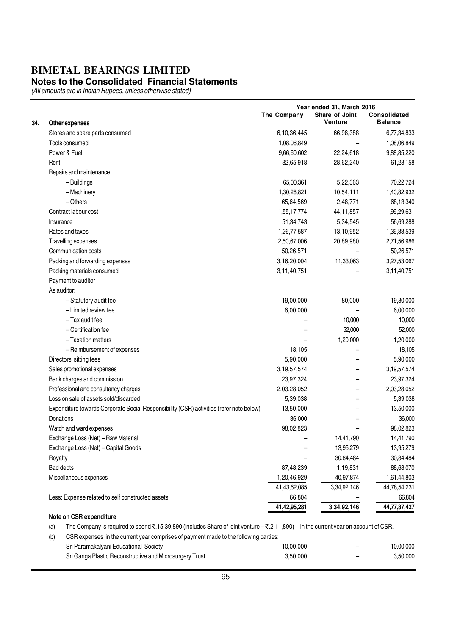#### **Notes to the Consolidated Financial Statements**

(All amounts are in Indian Rupees, unless otherwise stated)

|     |                                                                                         | The Company    | Year ended 31, March 2016<br>Share of Joint | Consolidated   |  |
|-----|-----------------------------------------------------------------------------------------|----------------|---------------------------------------------|----------------|--|
| 34. | Other expenses                                                                          |                | Venture                                     | <b>Balance</b> |  |
|     | Stores and spare parts consumed                                                         | 6,10,36,445    | 66,98,388                                   | 6,77,34,833    |  |
|     | Tools consumed                                                                          | 1,08,06,849    |                                             | 1,08,06,849    |  |
|     | Power & Fuel                                                                            | 9,66,60,602    | 22,24,618                                   | 9,88,85,220    |  |
|     | Rent                                                                                    | 32,65,918      | 28,62,240                                   | 61,28,158      |  |
|     | Repairs and maintenance                                                                 |                |                                             |                |  |
|     | - Buildings                                                                             | 65,00,361      | 5,22,363                                    | 70,22,724      |  |
|     | - Machinery                                                                             | 1,30,28,821    | 10,54,111                                   | 1,40,82,932    |  |
|     | $-$ Others                                                                              | 65,64,569      | 2,48,771                                    | 68,13,340      |  |
|     | Contract labour cost                                                                    | 1,55,17,774    | 44, 11, 857                                 | 1,99,29,631    |  |
|     | Insurance                                                                               | 51,34,743      | 5,34,545                                    | 56,69,288      |  |
|     | Rates and taxes                                                                         | 1,26,77,587    | 13,10,952                                   | 1,39,88,539    |  |
|     | Travelling expenses                                                                     | 2,50,67,006    | 20,89,980                                   | 2,71,56,986    |  |
|     | Communication costs                                                                     | 50,26,571      |                                             | 50,26,571      |  |
|     | Packing and forwarding expenses                                                         | 3,16,20,004    | 11,33,063                                   | 3,27,53,067    |  |
|     | Packing materials consumed                                                              | 3,11,40,751    |                                             | 3,11,40,751    |  |
|     | Payment to auditor                                                                      |                |                                             |                |  |
|     | As auditor:                                                                             |                |                                             |                |  |
|     | - Statutory audit fee                                                                   | 19,00,000      | 80,000                                      | 19,80,000      |  |
|     | - Limited review fee                                                                    | 6,00,000       |                                             | 6,00,000       |  |
|     | - Tax audit fee                                                                         |                | 10,000                                      | 10,000         |  |
|     | - Certification fee                                                                     |                | 52,000                                      | 52,000         |  |
|     | - Taxation matters                                                                      |                | 1,20,000                                    | 1,20,000       |  |
|     | - Reimbursement of expenses                                                             | 18,105         |                                             | 18,105         |  |
|     | Directors' sitting fees                                                                 | 5,90,000       |                                             | 5,90,000       |  |
|     | Sales promotional expenses                                                              | 3, 19, 57, 574 |                                             | 3, 19, 57, 574 |  |
|     | Bank charges and commission                                                             | 23,97,324      |                                             | 23,97,324      |  |
|     | Professional and consultancy charges                                                    | 2,03,28,052    |                                             | 2,03,28,052    |  |
|     | Loss on sale of assets sold/discarded                                                   | 5,39,038       |                                             | 5,39,038       |  |
|     | Expenditure towards Corporate Social Responsibility (CSR) activities (refer note below) | 13,50,000      |                                             | 13,50,000      |  |
|     | Donations                                                                               | 36,000         |                                             | 36,000         |  |
|     | Watch and ward expenses                                                                 | 98,02,823      |                                             | 98,02,823      |  |
|     | Exchange Loss (Net) - Raw Material                                                      |                | 14,41,790                                   | 14,41,790      |  |
|     | Exchange Loss (Net) - Capital Goods                                                     |                | 13,95,279                                   | 13,95,279      |  |
|     | Royalty                                                                                 |                | 30,84,484                                   | 30,84,484      |  |
|     | <b>Bad debts</b>                                                                        | 87,48,239      | 1,19,831                                    | 88,68,070      |  |
|     | Miscellaneous expenses                                                                  | 1,20,46,929    | 40,97,874                                   | 1,61,44,803    |  |
|     |                                                                                         | 41,43,62,085   | 3,34,92,146                                 | 44,78,54,231   |  |
|     | Less: Expense related to self constructed assets                                        | 66,804         |                                             | 66,804         |  |
|     |                                                                                         | 41,42,95,281   | 3,34,92,146                                 | 44,77,87,427   |  |

#### Note on CSR expenditure

(a) The Company is required to spend ₹.15,39,890 (includes Share of joint venture – ₹.2,11,890) in the current year on account of CSR.

(b) CSR expenses in the current year comprises of payment made to the following parties:

| Sri Paramakalyani Educational Society                   | 10.00.000 | $\overline{\phantom{0}}$ | 10.00.000 |
|---------------------------------------------------------|-----------|--------------------------|-----------|
| Sri Ganga Plastic Reconstructive and Microsurgery Trust | 3.50.000  | $\overline{\phantom{0}}$ | 3.50.000  |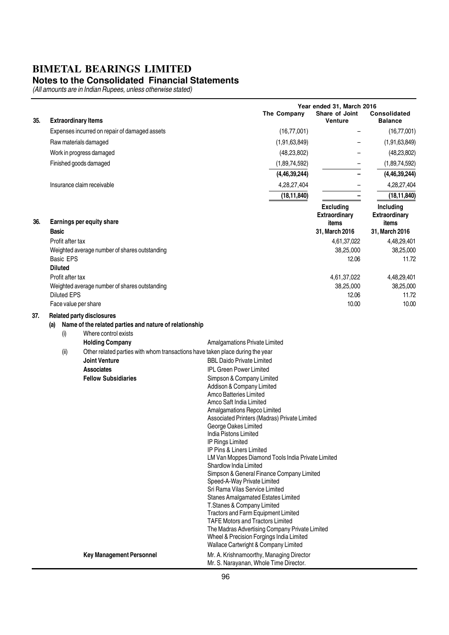#### **Notes to the Consolidated Financial Statements**

|     |                                    |                                                                                                                                                                                                            | The Company                                                                                                                                                                                                                                                                                                                                                                                                                                                                                                                                                                                                                                                                                                                                                                                                                                                | Year ended 31, March 2016<br>Share of Joint | Consolidated                               |
|-----|------------------------------------|------------------------------------------------------------------------------------------------------------------------------------------------------------------------------------------------------------|------------------------------------------------------------------------------------------------------------------------------------------------------------------------------------------------------------------------------------------------------------------------------------------------------------------------------------------------------------------------------------------------------------------------------------------------------------------------------------------------------------------------------------------------------------------------------------------------------------------------------------------------------------------------------------------------------------------------------------------------------------------------------------------------------------------------------------------------------------|---------------------------------------------|--------------------------------------------|
| 35. |                                    | <b>Extraordinary Items</b>                                                                                                                                                                                 |                                                                                                                                                                                                                                                                                                                                                                                                                                                                                                                                                                                                                                                                                                                                                                                                                                                            | <b>Venture</b>                              | <b>Balance</b>                             |
|     |                                    | Expenses incurred on repair of damaged assets                                                                                                                                                              | (16, 77, 001)                                                                                                                                                                                                                                                                                                                                                                                                                                                                                                                                                                                                                                                                                                                                                                                                                                              |                                             | (16, 77, 001)                              |
|     |                                    | Raw materials damaged                                                                                                                                                                                      | (1,91,63,849)                                                                                                                                                                                                                                                                                                                                                                                                                                                                                                                                                                                                                                                                                                                                                                                                                                              |                                             | (1,91,63,849)                              |
|     |                                    | Work in progress damaged                                                                                                                                                                                   | (48, 23, 802)                                                                                                                                                                                                                                                                                                                                                                                                                                                                                                                                                                                                                                                                                                                                                                                                                                              |                                             | (48, 23, 802)                              |
|     |                                    | Finished goods damaged                                                                                                                                                                                     | (1,89,74,592)                                                                                                                                                                                                                                                                                                                                                                                                                                                                                                                                                                                                                                                                                                                                                                                                                                              |                                             | (1,89,74,592)                              |
|     |                                    |                                                                                                                                                                                                            | (4,46,39,244)                                                                                                                                                                                                                                                                                                                                                                                                                                                                                                                                                                                                                                                                                                                                                                                                                                              |                                             | (4, 46, 39, 244)                           |
|     |                                    | Insurance claim receivable                                                                                                                                                                                 | 4,28,27,404                                                                                                                                                                                                                                                                                                                                                                                                                                                                                                                                                                                                                                                                                                                                                                                                                                                |                                             | 4,28,27,404                                |
|     |                                    |                                                                                                                                                                                                            | (18, 11, 840)                                                                                                                                                                                                                                                                                                                                                                                                                                                                                                                                                                                                                                                                                                                                                                                                                                              |                                             | (18, 11, 840)                              |
| 36. |                                    | <b>Earnings per equity share</b>                                                                                                                                                                           |                                                                                                                                                                                                                                                                                                                                                                                                                                                                                                                                                                                                                                                                                                                                                                                                                                                            | <b>Excluding</b><br>Extraordinary<br>items  | Including<br><b>Extraordinary</b><br>items |
|     | <b>Basic</b>                       |                                                                                                                                                                                                            |                                                                                                                                                                                                                                                                                                                                                                                                                                                                                                                                                                                                                                                                                                                                                                                                                                                            | 31, March 2016                              | 31, March 2016                             |
|     | Profit after tax                   |                                                                                                                                                                                                            |                                                                                                                                                                                                                                                                                                                                                                                                                                                                                                                                                                                                                                                                                                                                                                                                                                                            | 4,61,37,022                                 | 4,48,29,401                                |
|     |                                    | Weighted average number of shares outstanding                                                                                                                                                              |                                                                                                                                                                                                                                                                                                                                                                                                                                                                                                                                                                                                                                                                                                                                                                                                                                                            | 38,25,000                                   | 38,25,000                                  |
|     | <b>Basic EPS</b><br><b>Diluted</b> |                                                                                                                                                                                                            |                                                                                                                                                                                                                                                                                                                                                                                                                                                                                                                                                                                                                                                                                                                                                                                                                                                            | 12.06                                       | 11.72                                      |
|     | Profit after tax                   |                                                                                                                                                                                                            |                                                                                                                                                                                                                                                                                                                                                                                                                                                                                                                                                                                                                                                                                                                                                                                                                                                            | 4,61,37,022                                 | 4,48,29,401                                |
|     |                                    | Weighted average number of shares outstanding                                                                                                                                                              |                                                                                                                                                                                                                                                                                                                                                                                                                                                                                                                                                                                                                                                                                                                                                                                                                                                            | 38,25,000                                   | 38,25,000                                  |
|     | <b>Diluted EPS</b>                 |                                                                                                                                                                                                            |                                                                                                                                                                                                                                                                                                                                                                                                                                                                                                                                                                                                                                                                                                                                                                                                                                                            | 12.06                                       | 11.72                                      |
| 37. |                                    | Face value per share<br><b>Related party disclosures</b>                                                                                                                                                   |                                                                                                                                                                                                                                                                                                                                                                                                                                                                                                                                                                                                                                                                                                                                                                                                                                                            | 10.00                                       | 10.00                                      |
|     | (i)<br>(i)                         | Where control exists<br><b>Holding Company</b><br>Other related parties with whom transactions have taken place during the year<br><b>Joint Venture</b><br><b>Associates</b><br><b>Fellow Subsidiaries</b> | Amalgamations Private Limited<br><b>BBL Daido Private Limited</b><br><b>IPL Green Power Limited</b><br>Simpson & Company Limited<br>Addison & Company Limited<br>Amco Batteries Limited<br>Amco Saft India Limited<br>Amalgamations Repco Limited<br>Associated Printers (Madras) Private Limited<br>George Oakes Limited<br>India Pistons Limited<br>IP Rings Limited<br>IP Pins & Liners Limited<br>LM Van Moppes Diamond Tools India Private Limited<br>Shardlow India Limited<br>Simpson & General Finance Company Limited<br>Speed-A-Way Private Limited<br>Sri Rama Vilas Service Limited<br><b>Stanes Amalgamated Estates Limited</b><br>T.Stanes & Company Limited<br>Tractors and Farm Equipment Limited<br><b>TAFE Motors and Tractors Limited</b><br>The Madras Advertising Company Private Limited<br>Wheel & Precision Forgings India Limited |                                             |                                            |
|     |                                    | <b>Key Management Personnel</b>                                                                                                                                                                            | Wallace Cartwright & Company Limited<br>Mr. A. Krishnamoorthy, Managing Director<br>Mr. S. Narayanan, Whole Time Director.                                                                                                                                                                                                                                                                                                                                                                                                                                                                                                                                                                                                                                                                                                                                 |                                             |                                            |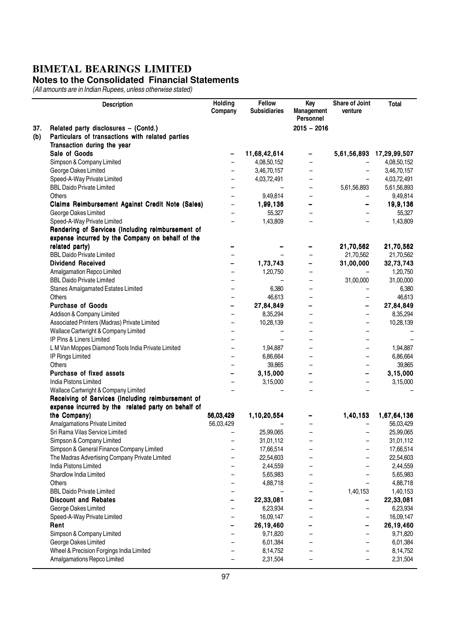#### **Notes to the Consolidated Financial Statements**

|     | <b>Description</b>                                 | <b>Holding</b><br>Company | <b>Fellow</b><br><b>Subsidiaries</b> | Key<br><b>Management</b><br>Personnel | <b>Share of Joint</b><br>venture | Total                    |
|-----|----------------------------------------------------|---------------------------|--------------------------------------|---------------------------------------|----------------------------------|--------------------------|
| 37. | Related party disclosures - (Contd.)               |                           |                                      | $2015 - 2016$                         |                                  |                          |
| (b) | Particulars of transactions with related parties   |                           |                                      |                                       |                                  |                          |
|     | Transaction during the year                        |                           |                                      |                                       |                                  |                          |
|     | Sale of Goods                                      |                           | 11,68,42,614                         |                                       |                                  | 5,61,56,893 17,29,99,507 |
|     | Simpson & Company Limited                          |                           | 4,08,50,152                          | $\qquad \qquad -$                     |                                  | 4,08,50,152              |
|     | George Oakes Limited                               | $\overline{\phantom{0}}$  | 3,46,70,157                          | $\qquad \qquad -$                     | $\qquad \qquad -$                | 3,46,70,157              |
|     | Speed-A-Way Private Limited                        | $\overline{\phantom{0}}$  |                                      |                                       | $\overline{\phantom{0}}$         | 4,03,72,491              |
|     | <b>BBL Daido Private Limited</b>                   |                           | 4,03,72,491                          |                                       |                                  |                          |
|     |                                                    | $\overline{\phantom{0}}$  |                                      | $\qquad \qquad -$                     | 5,61,56,893                      | 5,61,56,893              |
|     | Others                                             | -                         | 9,49,814                             |                                       |                                  | 9,49,814                 |
|     | Claims Reimbursement Against Credit Note (Sales)   | $\overline{\phantom{0}}$  | 1,99,136                             |                                       | -                                | 19,9,136                 |
|     | George Oakes Limited                               |                           | 55,327                               |                                       |                                  | 55,327                   |
|     | Speed-A-Way Private Limited                        |                           | 1,43,809                             |                                       |                                  | 1,43,809                 |
|     | Rendering of Services (Including reimbursement of  |                           |                                      |                                       |                                  |                          |
|     | expense incurred by the Company on behalf of the   |                           |                                      |                                       |                                  |                          |
|     | related party)                                     |                           |                                      |                                       | 21,70,562                        | 21,70,562                |
|     | <b>BBL Daido Private Limited</b>                   |                           |                                      |                                       | 21,70,562                        | 21,70,562                |
|     | <b>Dividend Received</b>                           |                           | 1,73,743                             |                                       | 31,00,000                        | 32,73,743                |
|     | Amalgamation Repco Limited                         |                           | 1,20,750                             |                                       |                                  | 1,20,750                 |
|     | <b>BBL Daido Private Limited</b>                   |                           |                                      |                                       | 31,00,000                        | 31,00,000                |
|     | <b>Stanes Amalgamated Estates Limited</b>          |                           | 6,380                                |                                       |                                  | 6,380                    |
|     | Others                                             | $\overline{\phantom{0}}$  | 46,613                               | $\qquad \qquad -$                     | $\qquad \qquad -$                | 46,613                   |
|     | <b>Purchase of Goods</b>                           | -                         | 27,84,849                            | -                                     | -                                | 27,84,849                |
|     | Addison & Company Limited                          | $\overline{\phantom{0}}$  | 8,35,294                             | $\overline{\phantom{0}}$              | $\qquad \qquad -$                | 8,35,294                 |
|     | Associated Printers (Madras) Private Limited       | $\overline{\phantom{0}}$  | 10,28,139                            |                                       | $\overline{\phantom{0}}$         | 10,28,139                |
|     | Wallace Cartwright & Company Limited               | $\overline{\phantom{0}}$  |                                      |                                       | $\qquad \qquad -$                |                          |
|     | IP Pins & Liners Limited                           |                           |                                      |                                       |                                  |                          |
|     | L M Van Moppes Diamond Tools India Private Limited | $\overline{\phantom{0}}$  | 1,94,887                             |                                       | $\overline{\phantom{0}}$         | 1,94,887                 |
|     | IP Rings Limited                                   |                           | 6,86,664                             |                                       | $\overline{\phantom{0}}$         | 6,86,664                 |
|     | Others                                             |                           | 39,865                               | $\overline{\phantom{0}}$              | $\overline{\phantom{0}}$         | 39,865                   |
|     | Purchase of fixed assets                           |                           | 3,15,000                             |                                       | -                                | 3,15,000                 |
|     | India Pistons Limited                              |                           | 3,15,000                             |                                       | $\overline{\phantom{0}}$         | 3,15,000                 |
|     | Wallace Cartwright & Company Limited               |                           |                                      |                                       |                                  |                          |
|     | Receiving of Services (Including reimbursement of  |                           |                                      |                                       |                                  |                          |
|     | expense incurred by the related party on behalf of |                           |                                      |                                       |                                  |                          |
|     | the Company)                                       | 56,03,429                 | 1,10,20,554                          |                                       | 1,40,153                         | 1,67,64,136              |
|     | Amalgamations Private Limited                      | 56,03,429                 |                                      |                                       |                                  | 56,03,429                |
|     | Sri Rama Vilas Service Limited                     |                           | 25,99,065                            |                                       |                                  | 25,99,065                |
|     | Simpson & Company Limited                          |                           | 31,01,112                            |                                       |                                  | 31,01,112                |
|     | Simpson & General Finance Company Limited          |                           | 17,66,514                            |                                       |                                  | 17,66,514                |
|     | The Madras Advertising Company Private Limited     |                           | 22,54,603                            |                                       |                                  | 22,54,603                |
|     | India Pistons Limited                              |                           | 2,44,559                             |                                       |                                  | 2,44,559                 |
|     | Shardlow India Limited                             |                           | 5,65,983                             |                                       |                                  | 5,65,983                 |
|     | Others                                             |                           | 4,88,718                             |                                       | $\qquad \qquad -$                | 4,88,718                 |
|     | <b>BBL Daido Private Limited</b>                   |                           |                                      |                                       | 1,40,153                         | 1,40,153                 |
|     | <b>Discount and Rebates</b>                        |                           | 22,33,081                            |                                       | -                                | 22,33,081                |
|     | George Oakes Limited                               |                           | 6,23,934                             |                                       | —                                | 6,23,934                 |
|     | Speed-A-Way Private Limited                        |                           | 16,09,147                            |                                       | -                                | 16,09,147                |
|     | Rent                                               |                           | 26,19,460                            |                                       |                                  | 26,19,460                |
|     | Simpson & Company Limited                          |                           | 9,71,820                             |                                       |                                  | 9,71,820                 |
|     | George Oakes Limited                               |                           |                                      |                                       |                                  |                          |
|     |                                                    |                           | 6,01,384                             |                                       | -                                | 6,01,384                 |
|     | Wheel & Precision Forgings India Limited           |                           | 8,14,752                             |                                       |                                  | 8,14,752                 |
|     | Amalgamations Repco Limited                        |                           | 2,31,504                             |                                       | $\qquad \qquad -$                | 2,31,504                 |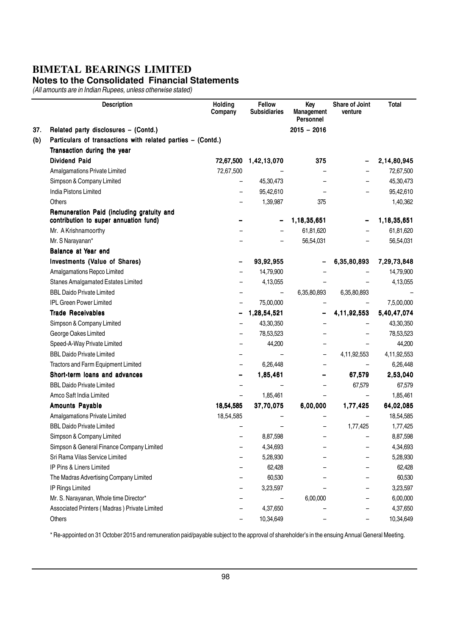# **Notes to the Consolidated Financial Statements**

(All amounts are in Indian Rupees, unless otherwise stated)

|     | <b>Description</b>                                                                 | Holding<br>Company | <b>Fellow</b><br><b>Subsidiaries</b> | Key<br>Management<br>Personnel | <b>Share of Joint</b><br>venture | <b>Total</b> |
|-----|------------------------------------------------------------------------------------|--------------------|--------------------------------------|--------------------------------|----------------------------------|--------------|
| 37. | Related party disclosures - (Contd.)                                               |                    |                                      | $2015 - 2016$                  |                                  |              |
| (b) | Particulars of transactions with related parties - (Contd.)                        |                    |                                      |                                |                                  |              |
|     | Transaction during the year                                                        |                    |                                      |                                |                                  |              |
|     | <b>Dividend Paid</b>                                                               | 72,67,500          | 1,42,13,070                          | 375                            |                                  | 2,14,80,945  |
|     | Amalgamations Private Limited                                                      | 72,67,500          |                                      |                                |                                  | 72,67,500    |
|     | Simpson & Company Limited                                                          |                    | 45,30,473                            |                                |                                  | 45,30,473    |
|     | India Pistons Limited                                                              |                    | 95,42,610                            |                                |                                  | 95,42,610    |
|     | <b>Others</b>                                                                      |                    | 1,39,987                             | 375                            |                                  | 1,40,362     |
|     | Remuneration Paid (including gratuity and<br>contribution to super annuation fund) |                    |                                      | 1,18,35,651                    |                                  | 1,18,35,651  |
|     | Mr. A Krishnamoorthy                                                               |                    |                                      | 61,81,620                      |                                  | 61,81,620    |
|     | Mr. S Narayanan*                                                                   |                    |                                      | 56,54,031                      |                                  | 56,54,031    |
|     | Balance at Year end                                                                |                    |                                      |                                |                                  |              |
|     | Investments (Value of Shares)                                                      |                    | 93,92,955                            |                                | 6,35,80,893                      | 7,29,73,848  |
|     | Amalgamations Repco Limited                                                        |                    | 14,79,900                            |                                |                                  | 14,79,900    |
|     | <b>Stanes Amalgamated Estates Limited</b>                                          |                    | 4,13,055                             |                                |                                  | 4,13,055     |
|     | <b>BBL Daido Private Limited</b>                                                   |                    | $\qquad \qquad -$                    | 6,35,80,893                    | 6,35,80,893                      |              |
|     | <b>IPL Green Power Limited</b>                                                     |                    | 75,00,000                            |                                |                                  | 7,5,00,000   |
|     | <b>Trade Receivables</b>                                                           | -                  | 1,28,54,521                          |                                | 4,11,92,553                      | 5,40,47,074  |
|     | Simpson & Company Limited                                                          |                    | 43,30,350                            |                                |                                  | 43,30,350    |
|     | George Oakes Limited                                                               |                    | 78,53,523                            |                                |                                  | 78,53,523    |
|     | Speed-A-Way Private Limited                                                        |                    | 44,200                               |                                |                                  | 44,200       |
|     | <b>BBL Daido Private Limited</b>                                                   |                    |                                      |                                | 4,11,92,553                      | 4,11,92,553  |
|     | Tractors and Farm Equipment Limited                                                |                    | 6,26,448                             |                                |                                  | 6,26,448     |
|     | Short-term loans and advances                                                      |                    | 1,85,461                             |                                | 67,579                           | 2,53,040     |
|     | <b>BBL Daido Private Limited</b>                                                   |                    |                                      |                                | 67,579                           | 67,579       |
|     | Amco Saft India Limited                                                            |                    | 1,85,461                             |                                | $\qquad \qquad -$                | 1,85,461     |
|     | <b>Amounts Payable</b>                                                             | 18,54,585          | 37,70,075                            | 6,00,000                       | 1,77,425                         | 64,02,085    |
|     | Amalgamations Private Limited                                                      | 18,54,585          |                                      |                                |                                  | 18,54,585    |
|     | <b>BBL Daido Private Limited</b>                                                   |                    |                                      |                                | 1,77,425                         | 1,77,425     |
|     | Simpson & Company Limited                                                          |                    | 8,87,598                             |                                |                                  | 8,87,598     |
|     | Simpson & General Finance Company Limited                                          |                    | 4,34,693                             |                                |                                  | 4,34,693     |
|     | Sri Rama Vilas Service Limited                                                     |                    | 5,28,930                             |                                |                                  | 5,28,930     |
|     | IP Pins & Liners Limited                                                           |                    | 62,428                               |                                |                                  | 62,428       |
|     | The Madras Advertising Company Limited                                             |                    | 60,530                               |                                |                                  | 60,530       |
|     | IP Rings Limited                                                                   |                    | 3,23,597                             |                                |                                  | 3,23,597     |
|     | Mr. S. Narayanan, Whole time Director*                                             |                    |                                      | 6,00,000                       |                                  | 6,00,000     |
|     | Associated Printers (Madras) Private Limited                                       |                    | 4,37,650                             |                                |                                  | 4,37,650     |
|     | Others                                                                             |                    | 10,34,649                            |                                |                                  | 10,34,649    |

\* Re-appointed on 31 October 2015 and remuneration paid/payable subject to the approval of shareholder's in the ensuing Annual General Meeting.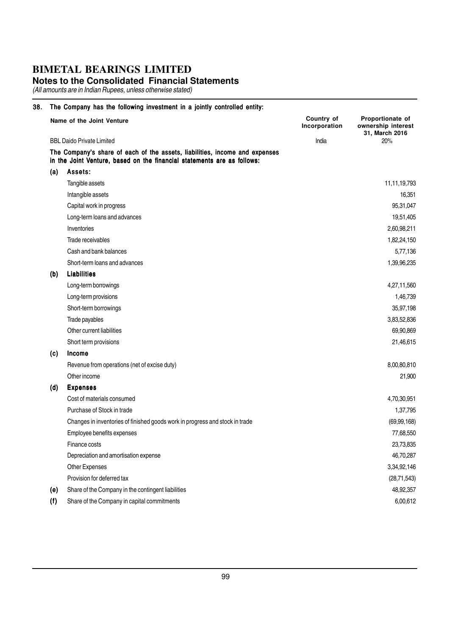# **Notes to the Consolidated Financial Statements**

(All amounts are in Indian Rupees, unless otherwise stated)

#### 38. The Company has the following investment in a jointly controlled entity:

|     | Name of the Joint Venture                                                                                                                              | Country of<br>Incorporation | Proportionate of<br>ownership interest<br>31, March 2016 |
|-----|--------------------------------------------------------------------------------------------------------------------------------------------------------|-----------------------------|----------------------------------------------------------|
|     | <b>BBL Daido Private Limited</b>                                                                                                                       | India                       | 20%                                                      |
|     | The Company's share of each of the assets, liabilities, income and expenses<br>in the Joint Venture, based on the financial statements are as follows: |                             |                                                          |
| (a) | Assets:                                                                                                                                                |                             |                                                          |
|     | Tangible assets                                                                                                                                        |                             | 11,11,19,793                                             |
|     | Intangible assets                                                                                                                                      |                             | 16,351                                                   |
|     | Capital work in progress                                                                                                                               |                             | 95,31,047                                                |
|     | Long-term loans and advances                                                                                                                           |                             | 19,51,405                                                |
|     | Inventories                                                                                                                                            |                             | 2,60,98,211                                              |
|     | Trade receivables                                                                                                                                      |                             | 1,82,24,150                                              |
|     | Cash and bank balances                                                                                                                                 |                             | 5,77,136                                                 |
|     | Short-term loans and advances                                                                                                                          |                             | 1,39,96,235                                              |
| (b) | <b>Liabilities</b>                                                                                                                                     |                             |                                                          |
|     | Long-term borrowings                                                                                                                                   |                             | 4,27,11,560                                              |
|     | Long-term provisions                                                                                                                                   |                             | 1,46,739                                                 |
|     | Short-term borrowings                                                                                                                                  |                             | 35,97,198                                                |
|     | Trade payables                                                                                                                                         |                             | 3,83,52,836                                              |
|     | Other current liabilities                                                                                                                              |                             | 69,90,869                                                |
|     | Short term provisions                                                                                                                                  |                             | 21,46,615                                                |
| (c) | Income                                                                                                                                                 |                             |                                                          |
|     | Revenue from operations (net of excise duty)                                                                                                           |                             | 8,00,80,810                                              |
|     | Other income                                                                                                                                           |                             | 21,900                                                   |
| (d) | <b>Expenses</b>                                                                                                                                        |                             |                                                          |
|     | Cost of materials consumed                                                                                                                             |                             | 4,70,30,951                                              |
|     | Purchase of Stock in trade                                                                                                                             |                             | 1,37,795                                                 |
|     | Changes in inventories of finished goods work in progress and stock in trade                                                                           |                             | (69, 99, 168)                                            |
|     | Employee benefits expenses                                                                                                                             |                             | 77,68,550                                                |
|     | Finance costs                                                                                                                                          |                             | 23,73,835                                                |
|     | Depreciation and amortisation expense                                                                                                                  |                             | 46,70,287                                                |
|     | Other Expenses                                                                                                                                         |                             | 3,34,92,146                                              |
|     | Provision for deferred tax                                                                                                                             |                             | (28, 71, 543)                                            |
| (e) | Share of the Company in the contingent liabilities                                                                                                     |                             | 48,92,357                                                |
| (f) | Share of the Company in capital commitments                                                                                                            |                             | 6,00,612                                                 |